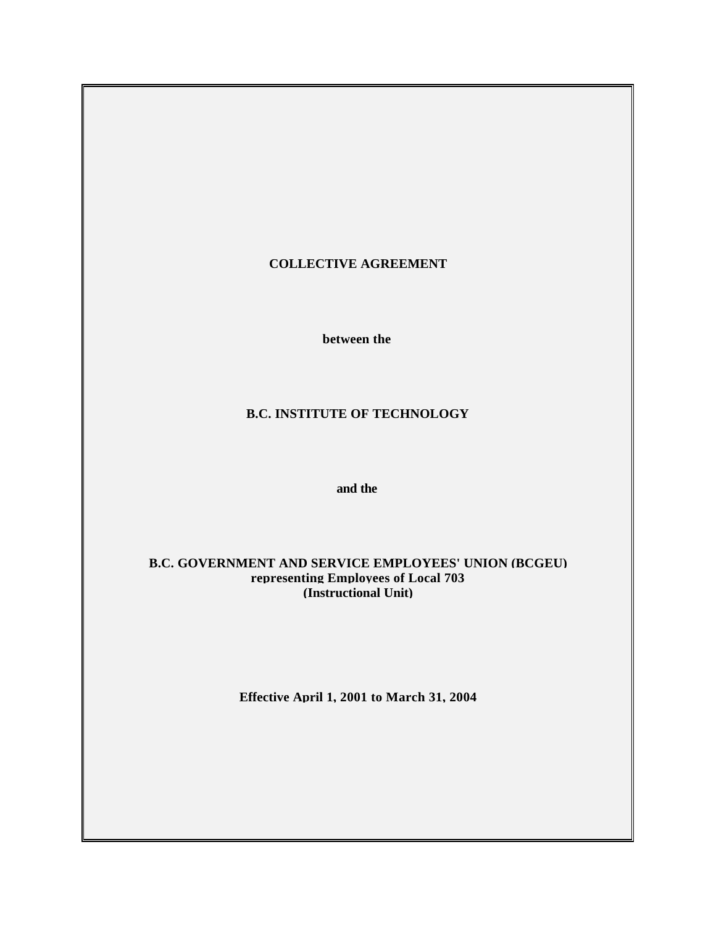## **COLLECTIVE AGREEMENT**

**between the**

## **B.C. INSTITUTE OF TECHNOLOGY**

**and the**

### **B.C. GOVERNMENT AND SERVICE EMPLOYEES' UNION (BCGEU) representing Employees of Local 703 (Instructional Unit)**

**Effective April 1, 2001 to March 31, 2004**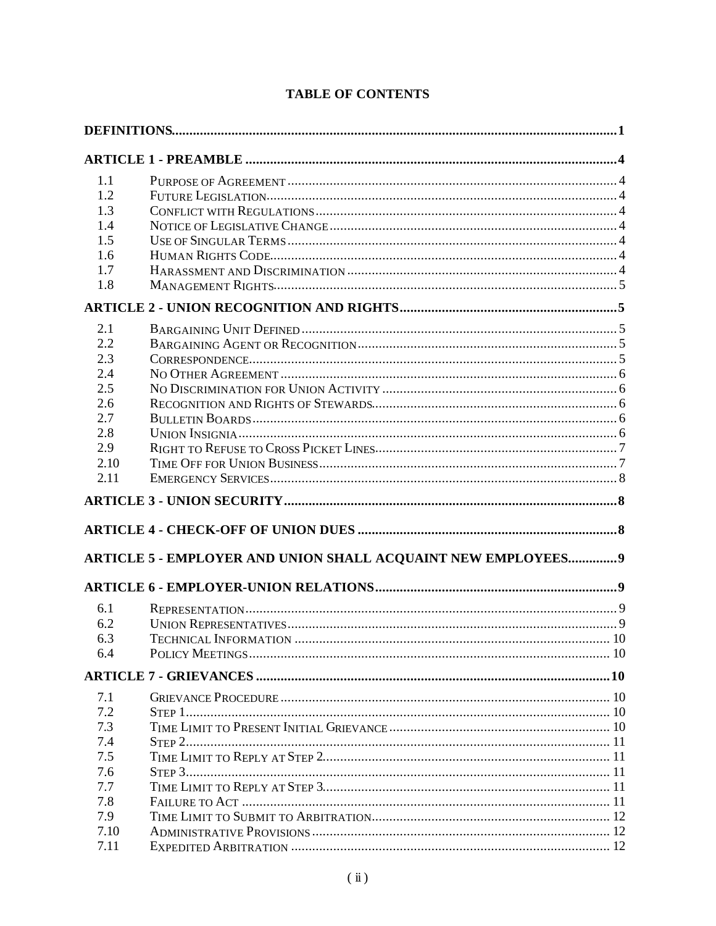| 1.1  |                                                               |  |
|------|---------------------------------------------------------------|--|
| 1.2  |                                                               |  |
| 1.3  |                                                               |  |
| 1.4  |                                                               |  |
| 1.5  |                                                               |  |
| 1.6  |                                                               |  |
| 1.7  |                                                               |  |
| 1.8  |                                                               |  |
|      |                                                               |  |
|      |                                                               |  |
| 2.1  |                                                               |  |
| 2.2  |                                                               |  |
| 2.3  |                                                               |  |
| 2.4  |                                                               |  |
| 2.5  |                                                               |  |
| 2.6  |                                                               |  |
| 2.7  |                                                               |  |
| 2.8  |                                                               |  |
| 2.9  |                                                               |  |
| 2.10 |                                                               |  |
| 2.11 |                                                               |  |
|      |                                                               |  |
|      |                                                               |  |
|      |                                                               |  |
|      | ARTICLE 5 - EMPLOYER AND UNION SHALL ACQUAINT NEW EMPLOYEES 9 |  |
|      |                                                               |  |
| 6.1  |                                                               |  |
| 6.2  |                                                               |  |
| 6.3  |                                                               |  |
| 6.4  |                                                               |  |
|      |                                                               |  |
| 7.1  |                                                               |  |
| 7.2  |                                                               |  |
| 7.3  |                                                               |  |
| 7.4  |                                                               |  |
| 7.5  |                                                               |  |
|      |                                                               |  |
| 7.6  |                                                               |  |
| 7.7  |                                                               |  |
| 7.8  |                                                               |  |
| 7.9  |                                                               |  |
| 7.10 |                                                               |  |
| 7.11 |                                                               |  |

# **TABLE OF CONTENTS**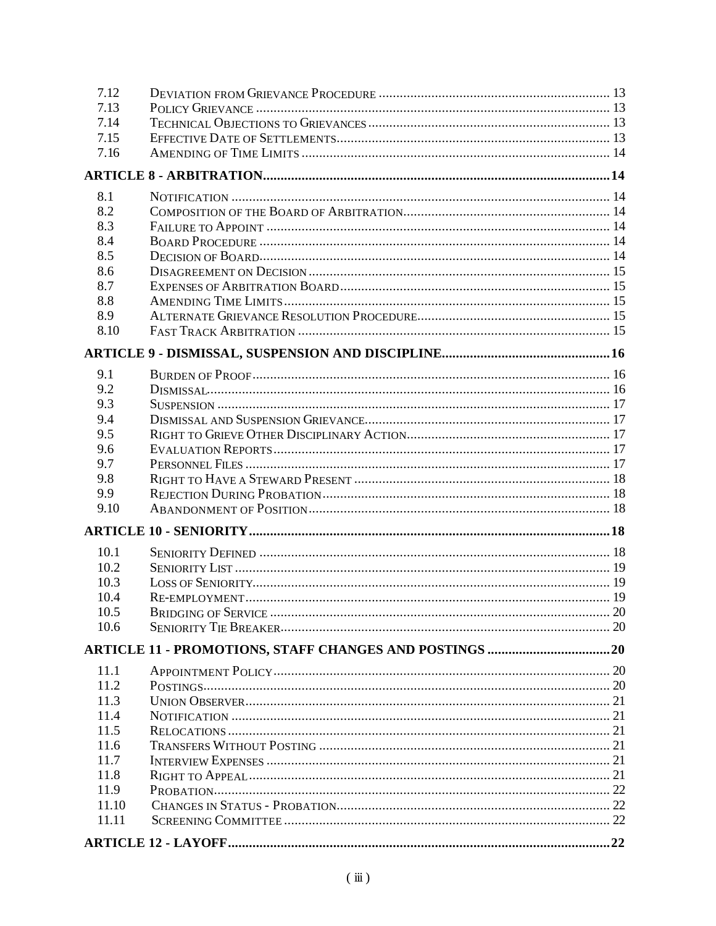| 7.12  |  |
|-------|--|
| 7.13  |  |
| 7.14  |  |
| 7.15  |  |
| 7.16  |  |
|       |  |
| 8.1   |  |
| 8.2   |  |
| 8.3   |  |
| 8.4   |  |
| 8.5   |  |
| 8.6   |  |
| 8.7   |  |
| 8.8   |  |
| 8.9   |  |
| 8.10  |  |
|       |  |
| 9.1   |  |
| 9.2   |  |
| 9.3   |  |
| 9.4   |  |
| 9.5   |  |
| 9.6   |  |
| 9.7   |  |
| 9.8   |  |
| 9.9   |  |
| 9.10  |  |
|       |  |
| 10.1  |  |
| 10.2  |  |
| 10.3  |  |
| 10.4  |  |
| 10.5  |  |
| 10.6  |  |
|       |  |
| 11.1  |  |
| 11.2  |  |
| 11.3  |  |
| 11.4  |  |
| 11.5  |  |
| 11.6  |  |
| 11.7  |  |
| 11.8  |  |
| 11.9  |  |
| 11.10 |  |
| 11.11 |  |
|       |  |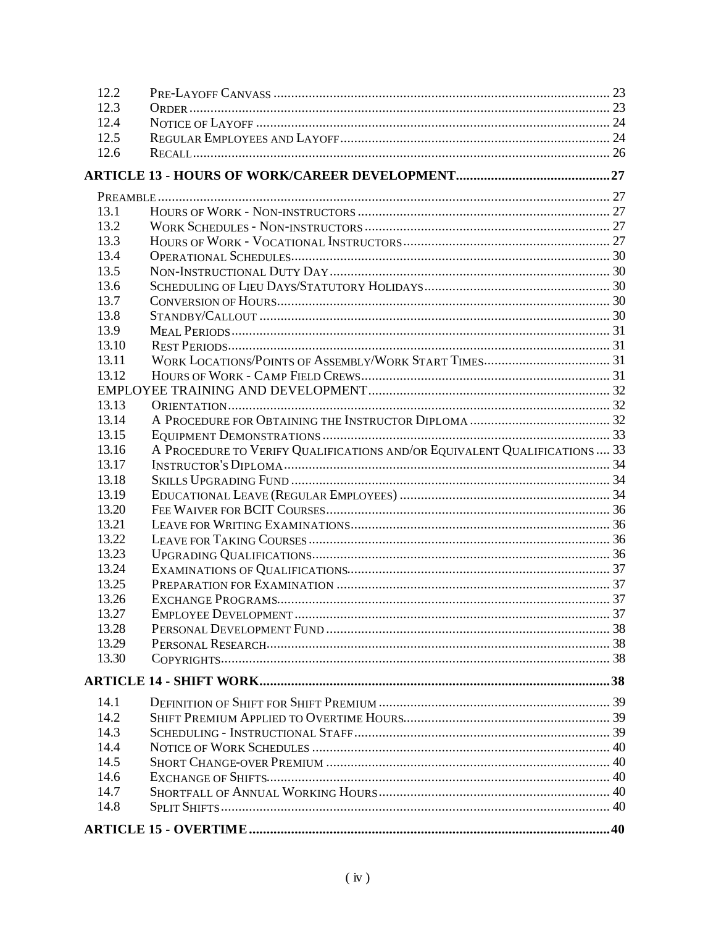| 12.2  |                                                                           |  |
|-------|---------------------------------------------------------------------------|--|
| 12.3  |                                                                           |  |
| 12.4  |                                                                           |  |
| 12.5  |                                                                           |  |
| 12.6  |                                                                           |  |
|       |                                                                           |  |
|       |                                                                           |  |
| 13.1  |                                                                           |  |
| 13.2  |                                                                           |  |
| 13.3  |                                                                           |  |
| 13.4  |                                                                           |  |
| 13.5  |                                                                           |  |
| 13.6  |                                                                           |  |
| 13.7  |                                                                           |  |
| 13.8  |                                                                           |  |
| 13.9  |                                                                           |  |
| 13.10 |                                                                           |  |
| 13.11 |                                                                           |  |
| 13.12 |                                                                           |  |
|       |                                                                           |  |
| 13.13 |                                                                           |  |
| 13.14 |                                                                           |  |
| 13.15 |                                                                           |  |
| 13.16 | A PROCEDURE TO VERIFY QUALIFICATIONS AND/OR EQUIVALENT QUALIFICATIONS  33 |  |
| 13.17 |                                                                           |  |
| 13.18 |                                                                           |  |
| 13.19 |                                                                           |  |
| 13.20 |                                                                           |  |
| 13.21 |                                                                           |  |
| 13.22 |                                                                           |  |
| 13.23 |                                                                           |  |
| 13.24 |                                                                           |  |
| 13.25 |                                                                           |  |
| 13.26 |                                                                           |  |
| 13.27 |                                                                           |  |
| 13.28 |                                                                           |  |
| 13.29 |                                                                           |  |
| 13.30 |                                                                           |  |
|       |                                                                           |  |
| 14.1  |                                                                           |  |
| 14.2  |                                                                           |  |
| 14.3  |                                                                           |  |
| 14.4  |                                                                           |  |
| 14.5  |                                                                           |  |
| 14.6  |                                                                           |  |
| 14.7  |                                                                           |  |
| 14.8  |                                                                           |  |
|       |                                                                           |  |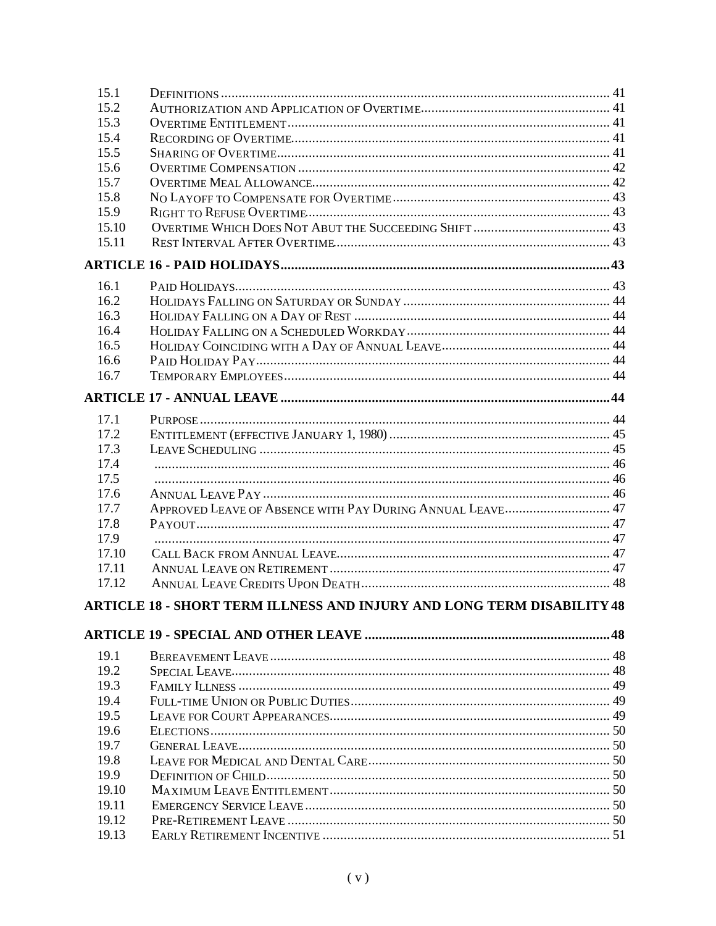| 15.1  |                                                                        |  |
|-------|------------------------------------------------------------------------|--|
| 15.2  |                                                                        |  |
| 15.3  |                                                                        |  |
| 15.4  |                                                                        |  |
| 15.5  |                                                                        |  |
| 15.6  |                                                                        |  |
| 15.7  |                                                                        |  |
| 15.8  |                                                                        |  |
| 15.9  |                                                                        |  |
| 15.10 |                                                                        |  |
| 15.11 |                                                                        |  |
|       |                                                                        |  |
| 16.1  |                                                                        |  |
| 16.2  |                                                                        |  |
| 16.3  |                                                                        |  |
| 16.4  |                                                                        |  |
| 16.5  |                                                                        |  |
| 16.6  |                                                                        |  |
| 16.7  |                                                                        |  |
|       |                                                                        |  |
| 17.1  |                                                                        |  |
| 17.2  |                                                                        |  |
| 17.3  |                                                                        |  |
| 17.4  |                                                                        |  |
| 17.5  |                                                                        |  |
| 17.6  |                                                                        |  |
| 17.7  |                                                                        |  |
| 17.8  |                                                                        |  |
| 17.9  |                                                                        |  |
| 17.10 |                                                                        |  |
| 17.11 |                                                                        |  |
| 17.12 |                                                                        |  |
|       |                                                                        |  |
|       | ARTICLE 18 - SHORT TERM ILLNESS AND INJURY AND LONG TERM DISABILITY 48 |  |
|       |                                                                        |  |
| 19.1  |                                                                        |  |
| 19.2  |                                                                        |  |
| 19.3  |                                                                        |  |
| 19.4  |                                                                        |  |
| 19.5  |                                                                        |  |
| 19.6  |                                                                        |  |
| 19.7  |                                                                        |  |
| 19.8  |                                                                        |  |
| 19.9  |                                                                        |  |
| 19.10 |                                                                        |  |
| 19.11 |                                                                        |  |
| 19.12 |                                                                        |  |
| 19.13 |                                                                        |  |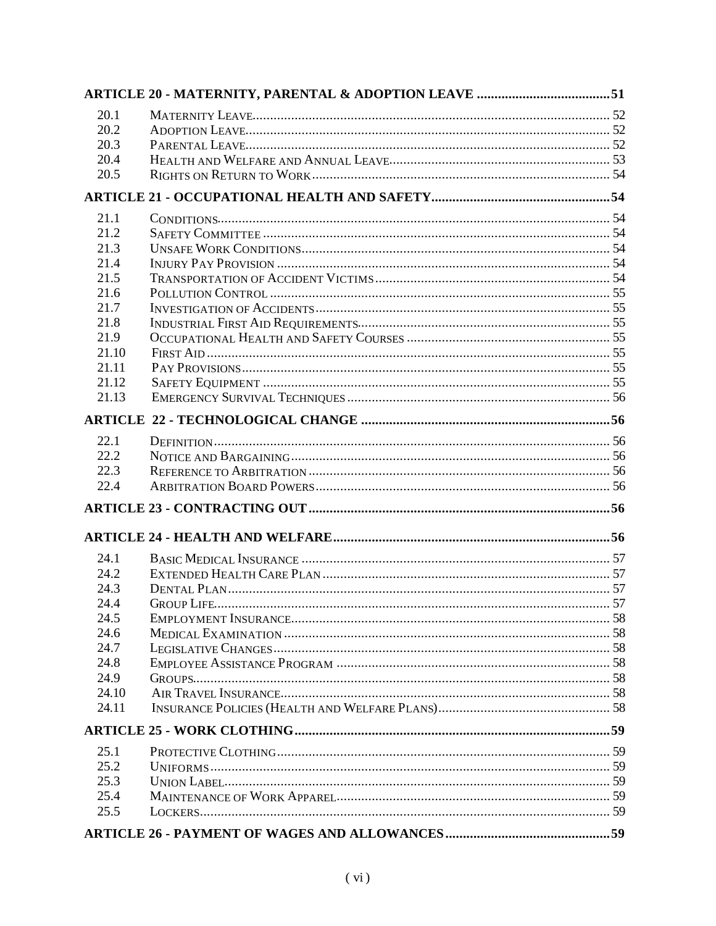| 20.1  |  |
|-------|--|
| 20.2  |  |
| 20.3  |  |
| 20.4  |  |
| 20.5  |  |
|       |  |
| 21.1  |  |
| 21.2  |  |
| 21.3  |  |
| 21.4  |  |
| 21.5  |  |
| 21.6  |  |
| 21.7  |  |
| 21.8  |  |
| 21.9  |  |
| 21.10 |  |
| 21.11 |  |
| 21.12 |  |
| 21.13 |  |
|       |  |
| 22.1  |  |
| 22.2  |  |
| 22.3  |  |
| 22.4  |  |
|       |  |
|       |  |
| 24.1  |  |
| 24.2  |  |
| 24.3  |  |
| 24.4  |  |
| 24.5  |  |
| 24.6  |  |
| 24.7  |  |
| 24.8  |  |
| 24.9  |  |
| 24.10 |  |
| 24.11 |  |
|       |  |
| 25.1  |  |
| 25.2  |  |
| 25.3  |  |
| 25.4  |  |
| 25.5  |  |
|       |  |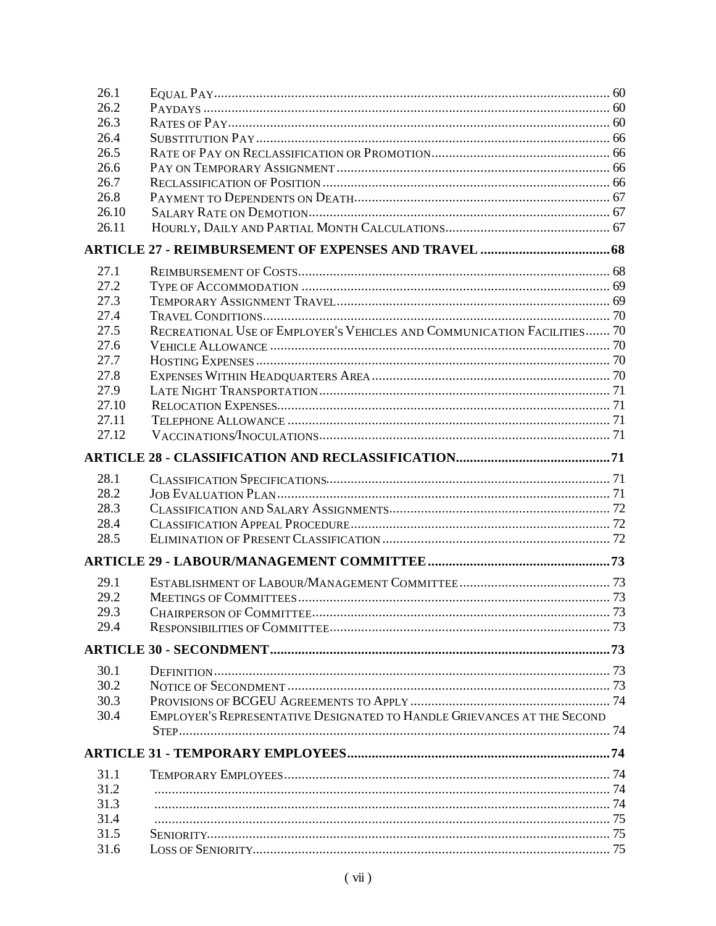| 26.1  |                                                                         |  |
|-------|-------------------------------------------------------------------------|--|
| 26.2  |                                                                         |  |
| 26.3  |                                                                         |  |
| 26.4  |                                                                         |  |
| 26.5  |                                                                         |  |
| 26.6  |                                                                         |  |
| 26.7  |                                                                         |  |
| 26.8  |                                                                         |  |
| 26.10 |                                                                         |  |
| 26.11 |                                                                         |  |
|       |                                                                         |  |
| 27.1  |                                                                         |  |
| 27.2  |                                                                         |  |
| 27.3  |                                                                         |  |
| 27.4  |                                                                         |  |
| 27.5  | RECREATIONAL USE OF EMPLOYER'S VEHICLES AND COMMUNICATION FACILITIES 70 |  |
| 27.6  |                                                                         |  |
| 27.7  |                                                                         |  |
| 27.8  |                                                                         |  |
| 27.9  |                                                                         |  |
| 27.10 |                                                                         |  |
| 27.11 |                                                                         |  |
| 27.12 |                                                                         |  |
|       |                                                                         |  |
|       |                                                                         |  |
| 28.1  |                                                                         |  |
| 28.2  |                                                                         |  |
| 28.3  |                                                                         |  |
| 28.4  |                                                                         |  |
| 28.5  |                                                                         |  |
|       |                                                                         |  |
| 29.1  |                                                                         |  |
| 29.2  |                                                                         |  |
| 29.3  |                                                                         |  |
| 29.4  |                                                                         |  |
|       |                                                                         |  |
|       |                                                                         |  |
| 30.1  |                                                                         |  |
| 30.2  |                                                                         |  |
| 30.3  |                                                                         |  |
| 30.4  | EMPLOYER'S REPRESENTATIVE DESIGNATED TO HANDLE GRIEVANCES AT THE SECOND |  |
|       |                                                                         |  |
|       |                                                                         |  |
| 31.1  |                                                                         |  |
| 31.2  |                                                                         |  |
| 31.3  |                                                                         |  |
| 31.4  |                                                                         |  |
| 31.5  |                                                                         |  |
| 31.6  |                                                                         |  |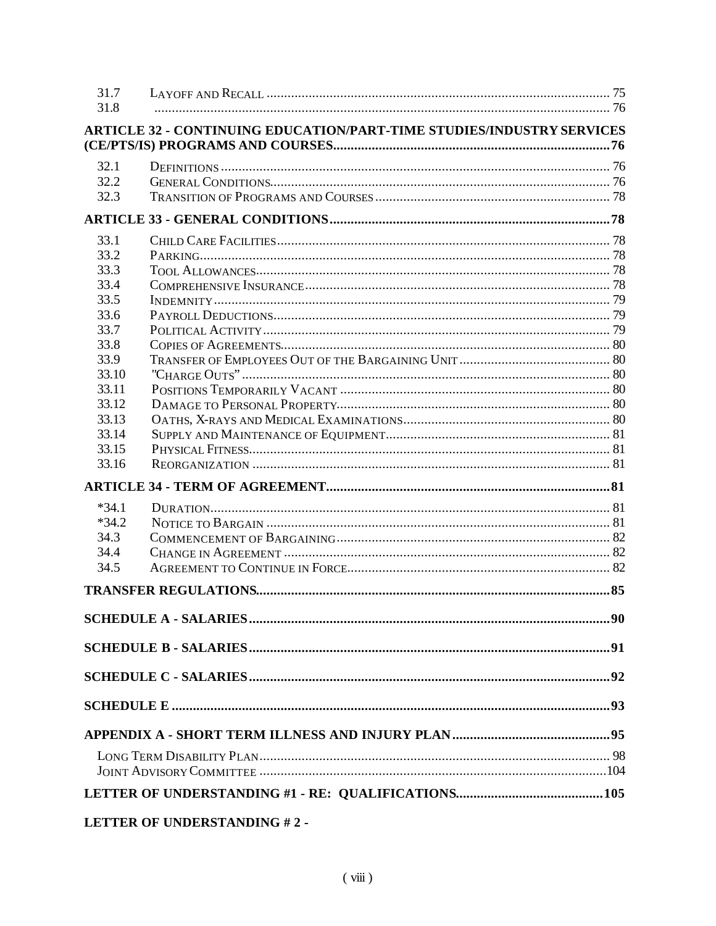| 31.7           |                                                                                                                                                                                                                                                                                                                                                                                                                            |     |
|----------------|----------------------------------------------------------------------------------------------------------------------------------------------------------------------------------------------------------------------------------------------------------------------------------------------------------------------------------------------------------------------------------------------------------------------------|-----|
| 31.8           |                                                                                                                                                                                                                                                                                                                                                                                                                            |     |
|                | <b>ARTICLE 32 - CONTINUING EDUCATION/PART-TIME STUDIES/INDUSTRY SERVICES</b>                                                                                                                                                                                                                                                                                                                                               |     |
|                |                                                                                                                                                                                                                                                                                                                                                                                                                            |     |
| 32.1           |                                                                                                                                                                                                                                                                                                                                                                                                                            |     |
| 32.2           |                                                                                                                                                                                                                                                                                                                                                                                                                            |     |
| 32.3           |                                                                                                                                                                                                                                                                                                                                                                                                                            |     |
|                |                                                                                                                                                                                                                                                                                                                                                                                                                            |     |
| 33.1           |                                                                                                                                                                                                                                                                                                                                                                                                                            |     |
| 33.2           |                                                                                                                                                                                                                                                                                                                                                                                                                            |     |
| 33.3           |                                                                                                                                                                                                                                                                                                                                                                                                                            |     |
| 33.4           |                                                                                                                                                                                                                                                                                                                                                                                                                            |     |
| 33.5           |                                                                                                                                                                                                                                                                                                                                                                                                                            |     |
| 33.6           |                                                                                                                                                                                                                                                                                                                                                                                                                            |     |
| 33.7           |                                                                                                                                                                                                                                                                                                                                                                                                                            |     |
| 33.8           |                                                                                                                                                                                                                                                                                                                                                                                                                            |     |
| 33.9           |                                                                                                                                                                                                                                                                                                                                                                                                                            |     |
| 33.10          |                                                                                                                                                                                                                                                                                                                                                                                                                            |     |
| 33.11          |                                                                                                                                                                                                                                                                                                                                                                                                                            |     |
| 33.12          |                                                                                                                                                                                                                                                                                                                                                                                                                            |     |
| 33.13          |                                                                                                                                                                                                                                                                                                                                                                                                                            |     |
| 33.14<br>33.15 |                                                                                                                                                                                                                                                                                                                                                                                                                            |     |
| 33.16          |                                                                                                                                                                                                                                                                                                                                                                                                                            |     |
|                |                                                                                                                                                                                                                                                                                                                                                                                                                            |     |
|                |                                                                                                                                                                                                                                                                                                                                                                                                                            |     |
| $*34.1$        |                                                                                                                                                                                                                                                                                                                                                                                                                            |     |
| $*34.2$        |                                                                                                                                                                                                                                                                                                                                                                                                                            |     |
| 34.3           |                                                                                                                                                                                                                                                                                                                                                                                                                            |     |
| 34.4<br>34.5   |                                                                                                                                                                                                                                                                                                                                                                                                                            |     |
|                |                                                                                                                                                                                                                                                                                                                                                                                                                            |     |
|                |                                                                                                                                                                                                                                                                                                                                                                                                                            | .85 |
|                |                                                                                                                                                                                                                                                                                                                                                                                                                            |     |
|                |                                                                                                                                                                                                                                                                                                                                                                                                                            |     |
|                |                                                                                                                                                                                                                                                                                                                                                                                                                            |     |
|                |                                                                                                                                                                                                                                                                                                                                                                                                                            |     |
|                |                                                                                                                                                                                                                                                                                                                                                                                                                            |     |
|                |                                                                                                                                                                                                                                                                                                                                                                                                                            |     |
|                |                                                                                                                                                                                                                                                                                                                                                                                                                            |     |
|                | $\begin{array}{c}\n\textbf{I} \textbf{I} \textbf{I} \textbf{I} \textbf{I} \textbf{I} \textbf{I} \textbf{I} \textbf{I} \textbf{I} \textbf{I} \textbf{I} \textbf{I} \textbf{I} \textbf{I} \textbf{I} \textbf{I} \textbf{I} \textbf{I} \textbf{I} \textbf{I} \textbf{I} \textbf{I} \textbf{I} \textbf{I} \textbf{I} \textbf{I} \textbf{I} \textbf{I} \textbf{I} \textbf{I} \textbf{I} \textbf{I} \textbf{I} \textbf{I} \text$ |     |

# LETTER OF UNDERSTANDING #2 -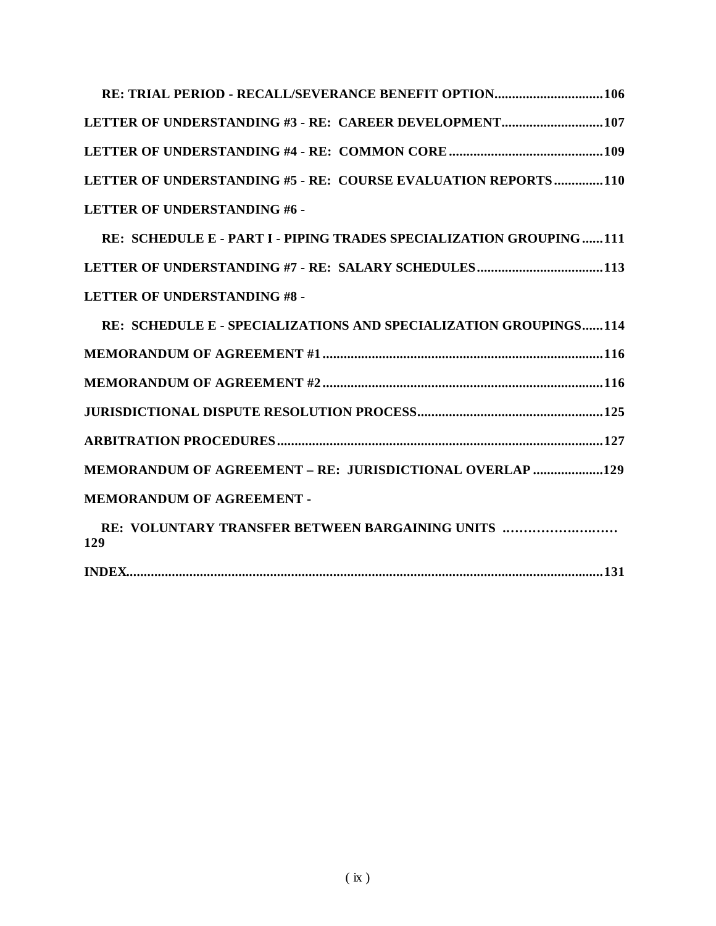|                                     | LETTER OF UNDERSTANDING #3 - RE: CAREER DEVELOPMENT 107       |
|-------------------------------------|---------------------------------------------------------------|
|                                     |                                                               |
|                                     | LETTER OF UNDERSTANDING #5 - RE: COURSE EVALUATION REPORTS110 |
| <b>LETTER OF UNDERSTANDING #6 -</b> |                                                               |

 **RE: SCHEDULE E - PART I - PIPING TRADES SPECIALIZATION GROUPING......111 LETTER OF UNDERSTANDING #7 - RE: SALARY SCHEDULES....................................113 LETTER OF UNDERSTANDING #8 -**

| RE: SCHEDULE E - SPECIALIZATIONS AND SPECIALIZATION GROUPINGS114 |  |
|------------------------------------------------------------------|--|
|                                                                  |  |
|                                                                  |  |
|                                                                  |  |
|                                                                  |  |
| MEMORANDUM OF AGREEMENT - RE: JURISDICTIONAL OVERLAP 129         |  |
| <b>MEMORANDUM OF AGREEMENT -</b>                                 |  |
| RE: VOLUNTARY TRANSFER BETWEEN BARGAINING UNITS<br>129           |  |

**INDEX........................................................................................................................................131**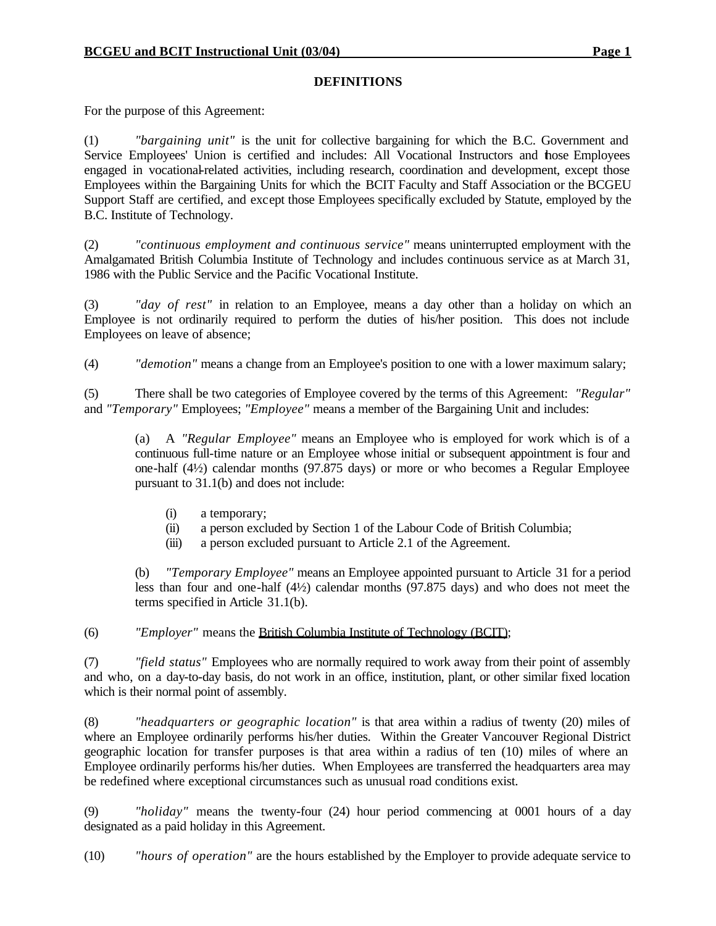### **DEFINITIONS**

For the purpose of this Agreement:

(1) *"bargaining unit"* is the unit for collective bargaining for which the B.C. Government and Service Employees' Union is certified and includes: All Vocational Instructors and those Employees engaged in vocational-related activities, including research, coordination and development, except those Employees within the Bargaining Units for which the BCIT Faculty and Staff Association or the BCGEU Support Staff are certified, and except those Employees specifically excluded by Statute, employed by the B.C. Institute of Technology.

(2) *"continuous employment and continuous service"* means uninterrupted employment with the Amalgamated British Columbia Institute of Technology and includes continuous service as at March 31, 1986 with the Public Service and the Pacific Vocational Institute.

(3) *"day of rest"* in relation to an Employee, means a day other than a holiday on which an Employee is not ordinarily required to perform the duties of his/her position. This does not include Employees on leave of absence;

(4) *"demotion"* means a change from an Employee's position to one with a lower maximum salary;

(5) There shall be two categories of Employee covered by the terms of this Agreement: *"Regular"* and *"Temporary"* Employees; *"Employee"* means a member of the Bargaining Unit and includes:

(a) A *"Regular Employee"* means an Employee who is employed for work which is of a continuous full-time nature or an Employee whose initial or subsequent appointment is four and one-half (4½) calendar months (97.875 days) or more or who becomes a Regular Employee pursuant to 31.1(b) and does not include:

- (i) a temporary;
- (ii) a person excluded by Section 1 of the Labour Code of British Columbia;
- (iii) a person excluded pursuant to Article 2.1 of the Agreement.

(b) *"Temporary Employee"* means an Employee appointed pursuant to Article 31 for a period less than four and one-half (4½) calendar months (97.875 days) and who does not meet the terms specified in Article 31.1(b).

(6) *"Employer"* means the British Columbia Institute of Technology (BCIT);

(7) *"field status"* Employees who are normally required to work away from their point of assembly and who, on a day-to-day basis, do not work in an office, institution, plant, or other similar fixed location which is their normal point of assembly.

(8) *"headquarters or geographic location"* is that area within a radius of twenty (20) miles of where an Employee ordinarily performs his/her duties. Within the Greater Vancouver Regional District geographic location for transfer purposes is that area within a radius of ten (10) miles of where an Employee ordinarily performs his/her duties. When Employees are transferred the headquarters area may be redefined where exceptional circumstances such as unusual road conditions exist.

(9) *"holiday"* means the twenty-four (24) hour period commencing at 0001 hours of a day designated as a paid holiday in this Agreement.

(10) *"hours of operation"* are the hours established by the Employer to provide adequate service to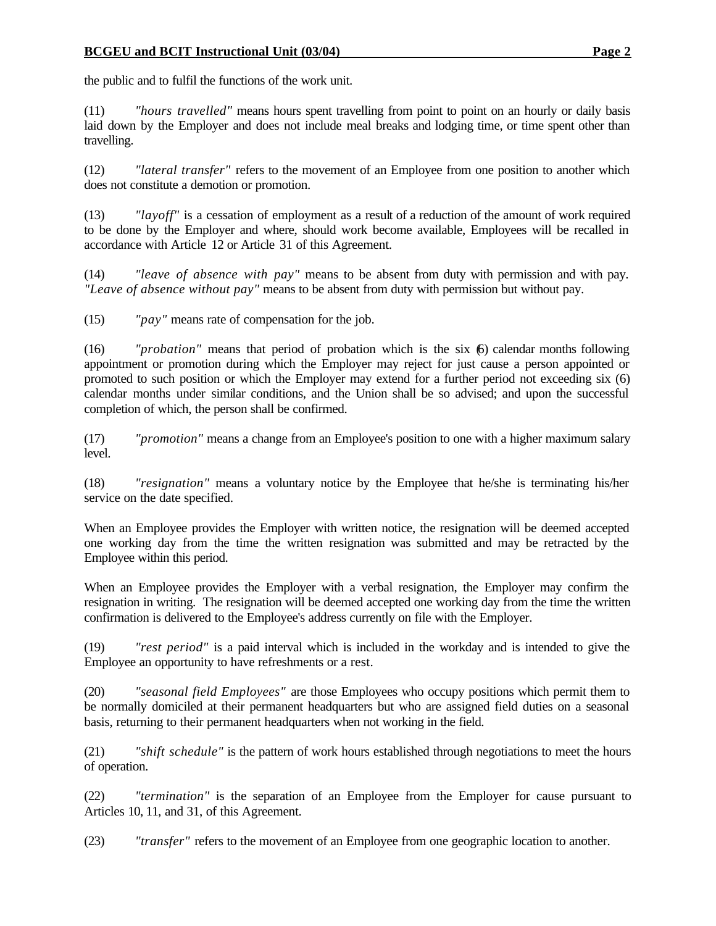the public and to fulfil the functions of the work unit.

(11) *"hours travelled"* means hours spent travelling from point to point on an hourly or daily basis laid down by the Employer and does not include meal breaks and lodging time, or time spent other than travelling.

(12) *"lateral transfer"* refers to the movement of an Employee from one position to another which does not constitute a demotion or promotion.

(13) *"layoff"* is a cessation of employment as a result of a reduction of the amount of work required to be done by the Employer and where, should work become available, Employees will be recalled in accordance with Article 12 or Article 31 of this Agreement.

(14) *"leave of absence with pay"* means to be absent from duty with permission and with pay. *"Leave of absence without pay"* means to be absent from duty with permission but without pay.

(15) *"pay"* means rate of compensation for the job.

(16) *"probation"* means that period of probation which is the six (6) calendar months following appointment or promotion during which the Employer may reject for just cause a person appointed or promoted to such position or which the Employer may extend for a further period not exceeding six (6) calendar months under similar conditions, and the Union shall be so advised; and upon the successful completion of which, the person shall be confirmed.

(17) *"promotion"* means a change from an Employee's position to one with a higher maximum salary level.

(18) *"resignation"* means a voluntary notice by the Employee that he/she is terminating his/her service on the date specified.

When an Employee provides the Employer with written notice, the resignation will be deemed accepted one working day from the time the written resignation was submitted and may be retracted by the Employee within this period.

When an Employee provides the Employer with a verbal resignation, the Employer may confirm the resignation in writing. The resignation will be deemed accepted one working day from the time the written confirmation is delivered to the Employee's address currently on file with the Employer.

(19) *"rest period"* is a paid interval which is included in the workday and is intended to give the Employee an opportunity to have refreshments or a rest.

(20) *"seasonal field Employees"* are those Employees who occupy positions which permit them to be normally domiciled at their permanent headquarters but who are assigned field duties on a seasonal basis, returning to their permanent headquarters when not working in the field.

(21) *"shift schedule"* is the pattern of work hours established through negotiations to meet the hours of operation.

(22) *"termination"* is the separation of an Employee from the Employer for cause pursuant to Articles 10, 11, and 31, of this Agreement.

(23) *"transfer"* refers to the movement of an Employee from one geographic location to another.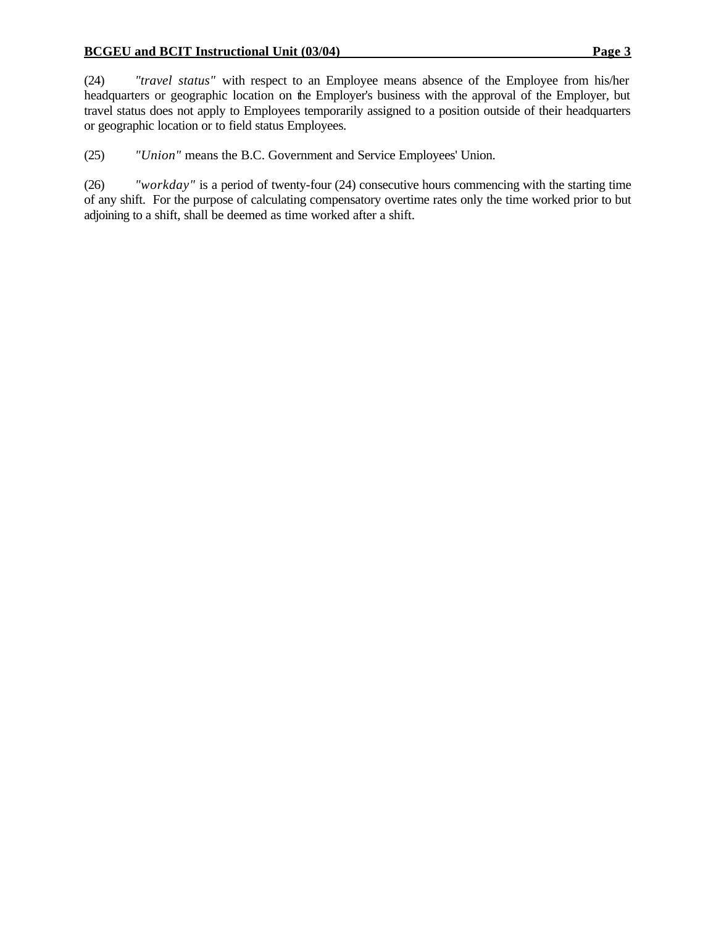(24) *"travel status"* with respect to an Employee means absence of the Employee from his/her headquarters or geographic location on the Employer's business with the approval of the Employer, but travel status does not apply to Employees temporarily assigned to a position outside of their headquarters or geographic location or to field status Employees.

(25) *"Union"* means the B.C. Government and Service Employees' Union.

(26) *"workday"* is a period of twenty-four (24) consecutive hours commencing with the starting time of any shift. For the purpose of calculating compensatory overtime rates only the time worked prior to but adjoining to a shift, shall be deemed as time worked after a shift.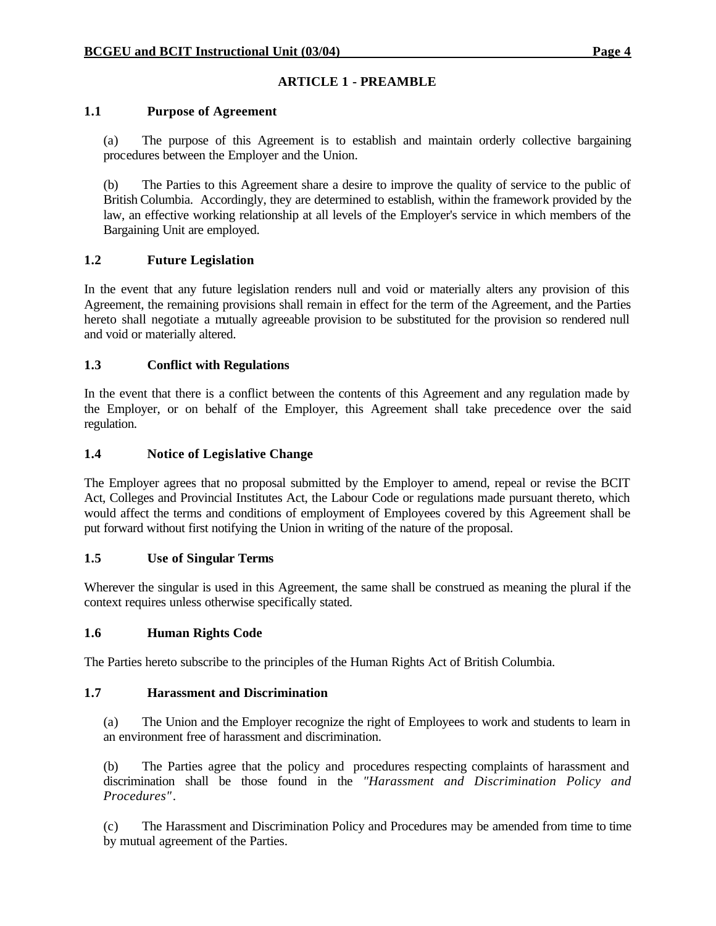# **ARTICLE 1 - PREAMBLE**

## **1.1 Purpose of Agreement**

(a) The purpose of this Agreement is to establish and maintain orderly collective bargaining procedures between the Employer and the Union.

(b) The Parties to this Agreement share a desire to improve the quality of service to the public of British Columbia. Accordingly, they are determined to establish, within the framework provided by the law, an effective working relationship at all levels of the Employer's service in which members of the Bargaining Unit are employed.

## **1.2 Future Legislation**

In the event that any future legislation renders null and void or materially alters any provision of this Agreement, the remaining provisions shall remain in effect for the term of the Agreement, and the Parties hereto shall negotiate a mutually agreeable provision to be substituted for the provision so rendered null and void or materially altered.

## **1.3 Conflict with Regulations**

In the event that there is a conflict between the contents of this Agreement and any regulation made by the Employer, or on behalf of the Employer, this Agreement shall take precedence over the said regulation.

### **1.4 Notice of Legislative Change**

The Employer agrees that no proposal submitted by the Employer to amend, repeal or revise the BCIT Act, Colleges and Provincial Institutes Act, the Labour Code or regulations made pursuant thereto, which would affect the terms and conditions of employment of Employees covered by this Agreement shall be put forward without first notifying the Union in writing of the nature of the proposal.

## **1.5 Use of Singular Terms**

Wherever the singular is used in this Agreement, the same shall be construed as meaning the plural if the context requires unless otherwise specifically stated.

## **1.6 Human Rights Code**

The Parties hereto subscribe to the principles of the Human Rights Act of British Columbia.

### **1.7 Harassment and Discrimination**

(a) The Union and the Employer recognize the right of Employees to work and students to learn in an environment free of harassment and discrimination.

(b) The Parties agree that the policy and procedures respecting complaints of harassment and discrimination shall be those found in the *"Harassment and Discrimination Policy and Procedures"*.

(c) The Harassment and Discrimination Policy and Procedures may be amended from time to time by mutual agreement of the Parties.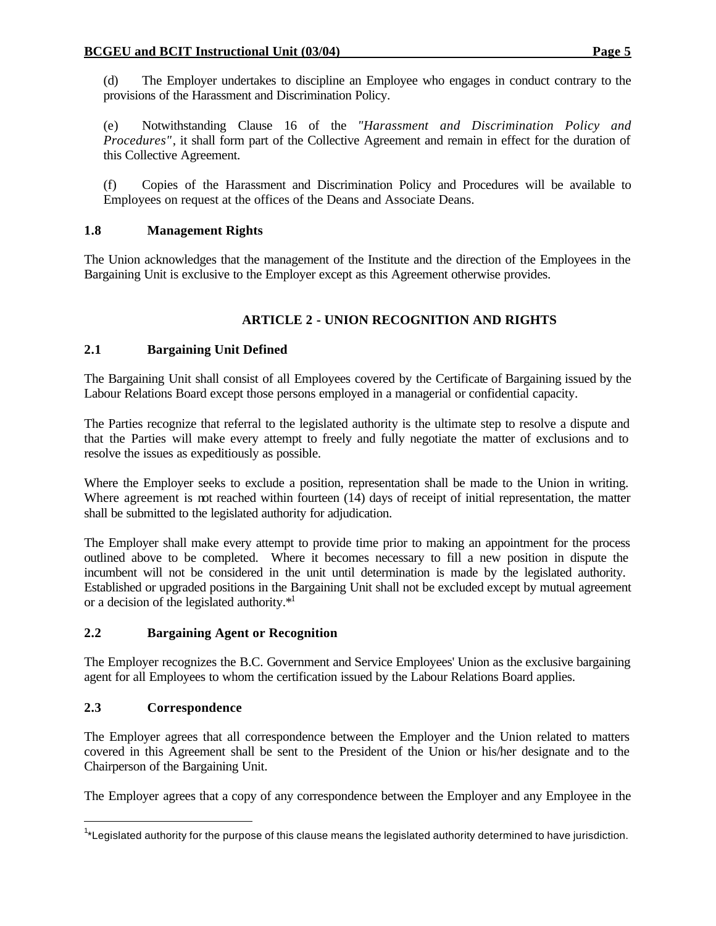(d) The Employer undertakes to discipline an Employee who engages in conduct contrary to the provisions of the Harassment and Discrimination Policy.

(e) Notwithstanding Clause 16 of the *"Harassment and Discrimination Policy and Procedures"*, it shall form part of the Collective Agreement and remain in effect for the duration of this Collective Agreement.

(f) Copies of the Harassment and Discrimination Policy and Procedures will be available to Employees on request at the offices of the Deans and Associate Deans.

# **1.8 Management Rights**

The Union acknowledges that the management of the Institute and the direction of the Employees in the Bargaining Unit is exclusive to the Employer except as this Agreement otherwise provides.

# **ARTICLE 2 - UNION RECOGNITION AND RIGHTS**

# **2.1 Bargaining Unit Defined**

The Bargaining Unit shall consist of all Employees covered by the Certificate of Bargaining issued by the Labour Relations Board except those persons employed in a managerial or confidential capacity.

The Parties recognize that referral to the legislated authority is the ultimate step to resolve a dispute and that the Parties will make every attempt to freely and fully negotiate the matter of exclusions and to resolve the issues as expeditiously as possible.

Where the Employer seeks to exclude a position, representation shall be made to the Union in writing. Where agreement is not reached within fourteen (14) days of receipt of initial representation, the matter shall be submitted to the legislated authority for adjudication.

The Employer shall make every attempt to provide time prior to making an appointment for the process outlined above to be completed. Where it becomes necessary to fill a new position in dispute the incumbent will not be considered in the unit until determination is made by the legislated authority. Established or upgraded positions in the Bargaining Unit shall not be excluded except by mutual agreement or a decision of the legislated authority.\*<sup>1</sup>

# **2.2 Bargaining Agent or Recognition**

The Employer recognizes the B.C. Government and Service Employees' Union as the exclusive bargaining agent for all Employees to whom the certification issued by the Labour Relations Board applies.

# **2.3 Correspondence**

The Employer agrees that all correspondence between the Employer and the Union related to matters covered in this Agreement shall be sent to the President of the Union or his/her designate and to the Chairperson of the Bargaining Unit.

The Employer agrees that a copy of any correspondence between the Employer and any Employee in the

 $\overline{\phantom{a}}$ <sup>1</sup>\*Legislated authority for the purpose of this clause means the legislated authority determined to have jurisdiction.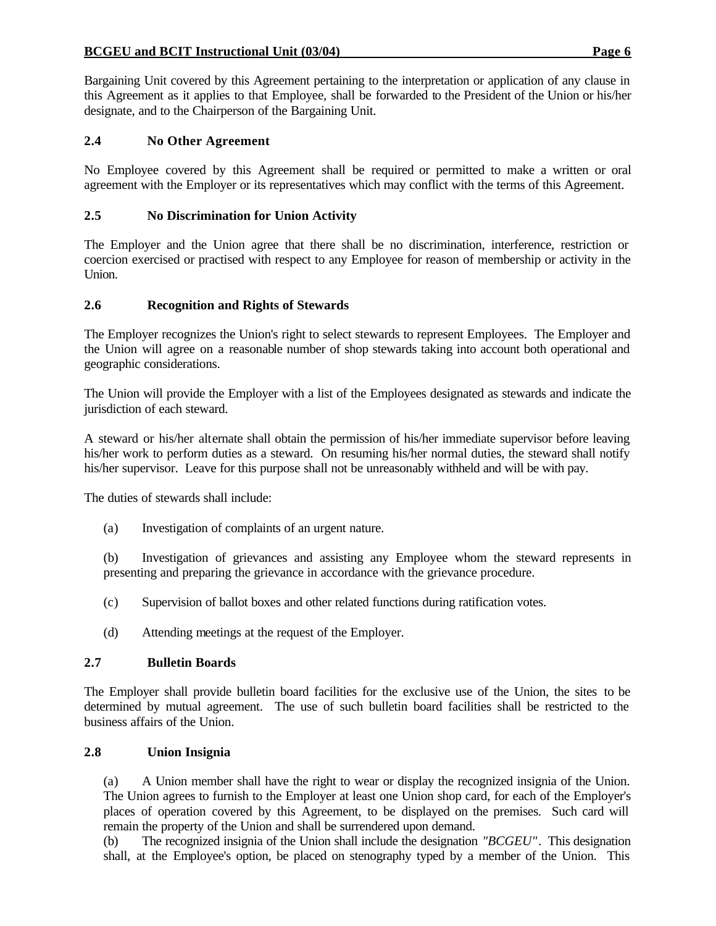Bargaining Unit covered by this Agreement pertaining to the interpretation or application of any clause in this Agreement as it applies to that Employee, shall be forwarded to the President of the Union or his/her designate, and to the Chairperson of the Bargaining Unit.

## **2.4 No Other Agreement**

No Employee covered by this Agreement shall be required or permitted to make a written or oral agreement with the Employer or its representatives which may conflict with the terms of this Agreement.

## **2.5 No Discrimination for Union Activity**

The Employer and the Union agree that there shall be no discrimination, interference, restriction or coercion exercised or practised with respect to any Employee for reason of membership or activity in the Union.

### **2.6 Recognition and Rights of Stewards**

The Employer recognizes the Union's right to select stewards to represent Employees. The Employer and the Union will agree on a reasonable number of shop stewards taking into account both operational and geographic considerations.

The Union will provide the Employer with a list of the Employees designated as stewards and indicate the jurisdiction of each steward.

A steward or his/her alternate shall obtain the permission of his/her immediate supervisor before leaving his/her work to perform duties as a steward. On resuming his/her normal duties, the steward shall notify his/her supervisor. Leave for this purpose shall not be unreasonably withheld and will be with pay.

The duties of stewards shall include:

(a) Investigation of complaints of an urgent nature.

(b) Investigation of grievances and assisting any Employee whom the steward represents in presenting and preparing the grievance in accordance with the grievance procedure.

- (c) Supervision of ballot boxes and other related functions during ratification votes.
- (d) Attending meetings at the request of the Employer.

### **2.7 Bulletin Boards**

The Employer shall provide bulletin board facilities for the exclusive use of the Union, the sites to be determined by mutual agreement. The use of such bulletin board facilities shall be restricted to the business affairs of the Union.

## **2.8 Union Insignia**

(a) A Union member shall have the right to wear or display the recognized insignia of the Union. The Union agrees to furnish to the Employer at least one Union shop card, for each of the Employer's places of operation covered by this Agreement, to be displayed on the premises. Such card will remain the property of the Union and shall be surrendered upon demand.

(b) The recognized insignia of the Union shall include the designation *"BCGEU"*. This designation shall, at the Employee's option, be placed on stenography typed by a member of the Union. This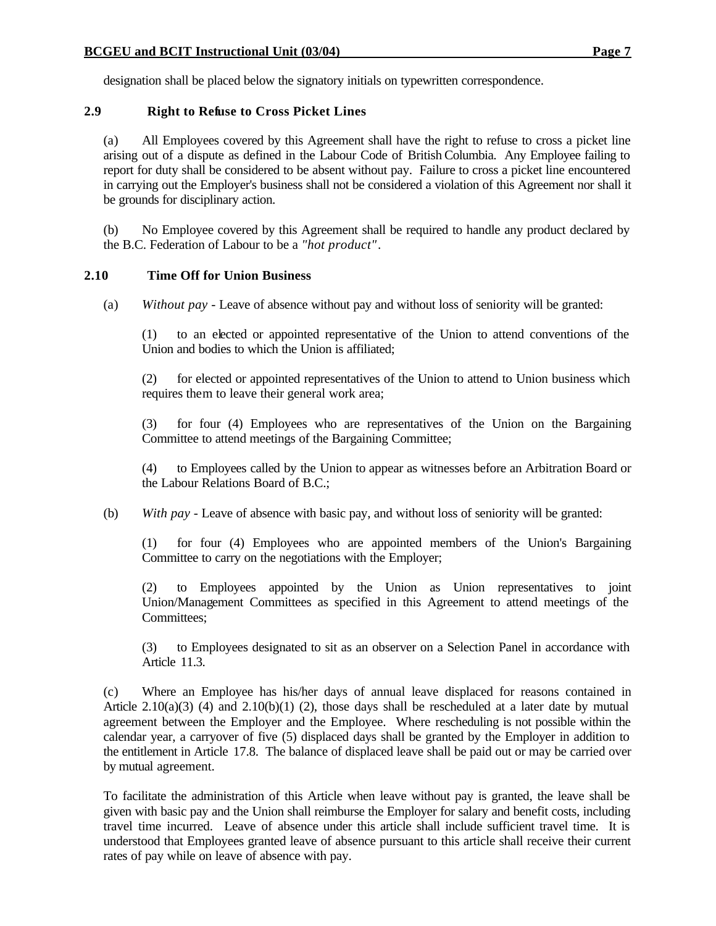# **2.9 Right to Refuse to Cross Picket Lines**

(a) All Employees covered by this Agreement shall have the right to refuse to cross a picket line arising out of a dispute as defined in the Labour Code of British Columbia. Any Employee failing to report for duty shall be considered to be absent without pay. Failure to cross a picket line encountered in carrying out the Employer's business shall not be considered a violation of this Agreement nor shall it be grounds for disciplinary action.

(b) No Employee covered by this Agreement shall be required to handle any product declared by the B.C. Federation of Labour to be a *"hot product"*.

# **2.10 Time Off for Union Business**

(a) *Without pay* - Leave of absence without pay and without loss of seniority will be granted:

(1) to an elected or appointed representative of the Union to attend conventions of the Union and bodies to which the Union is affiliated;

(2) for elected or appointed representatives of the Union to attend to Union business which requires them to leave their general work area;

(3) for four (4) Employees who are representatives of the Union on the Bargaining Committee to attend meetings of the Bargaining Committee;

(4) to Employees called by the Union to appear as witnesses before an Arbitration Board or the Labour Relations Board of B.C.;

(b) *With pay* - Leave of absence with basic pay, and without loss of seniority will be granted:

(1) for four (4) Employees who are appointed members of the Union's Bargaining Committee to carry on the negotiations with the Employer;

(2) to Employees appointed by the Union as Union representatives to joint Union/Management Committees as specified in this Agreement to attend meetings of the Committees;

(3) to Employees designated to sit as an observer on a Selection Panel in accordance with Article 11.3.

(c) Where an Employee has his/her days of annual leave displaced for reasons contained in Article 2.10(a)(3) (4) and 2.10(b)(1) (2), those days shall be rescheduled at a later date by mutual agreement between the Employer and the Employee. Where rescheduling is not possible within the calendar year, a carryover of five (5) displaced days shall be granted by the Employer in addition to the entitlement in Article 17.8. The balance of displaced leave shall be paid out or may be carried over by mutual agreement.

To facilitate the administration of this Article when leave without pay is granted, the leave shall be given with basic pay and the Union shall reimburse the Employer for salary and benefit costs, including travel time incurred. Leave of absence under this article shall include sufficient travel time. It is understood that Employees granted leave of absence pursuant to this article shall receive their current rates of pay while on leave of absence with pay.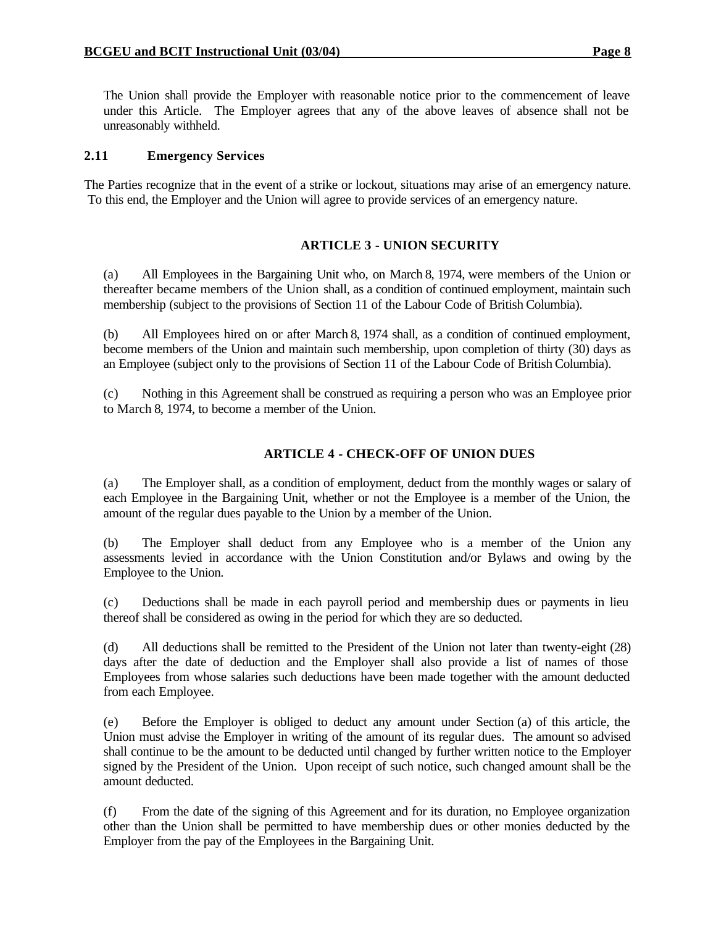The Union shall provide the Employer with reasonable notice prior to the commencement of leave under this Article. The Employer agrees that any of the above leaves of absence shall not be unreasonably withheld.

### **2.11 Emergency Services**

The Parties recognize that in the event of a strike or lockout, situations may arise of an emergency nature. To this end, the Employer and the Union will agree to provide services of an emergency nature.

### **ARTICLE 3 - UNION SECURITY**

(a) All Employees in the Bargaining Unit who, on March 8, 1974, were members of the Union or thereafter became members of the Union shall, as a condition of continued employment, maintain such membership (subject to the provisions of Section 11 of the Labour Code of British Columbia).

(b) All Employees hired on or after March 8, 1974 shall, as a condition of continued employment, become members of the Union and maintain such membership, upon completion of thirty (30) days as an Employee (subject only to the provisions of Section 11 of the Labour Code of British Columbia).

(c) Nothing in this Agreement shall be construed as requiring a person who was an Employee prior to March 8, 1974, to become a member of the Union.

## **ARTICLE 4 - CHECK-OFF OF UNION DUES**

(a) The Employer shall, as a condition of employment, deduct from the monthly wages or salary of each Employee in the Bargaining Unit, whether or not the Employee is a member of the Union, the amount of the regular dues payable to the Union by a member of the Union.

(b) The Employer shall deduct from any Employee who is a member of the Union any assessments levied in accordance with the Union Constitution and/or Bylaws and owing by the Employee to the Union.

(c) Deductions shall be made in each payroll period and membership dues or payments in lieu thereof shall be considered as owing in the period for which they are so deducted.

(d) All deductions shall be remitted to the President of the Union not later than twenty-eight (28) days after the date of deduction and the Employer shall also provide a list of names of those Employees from whose salaries such deductions have been made together with the amount deducted from each Employee.

(e) Before the Employer is obliged to deduct any amount under Section (a) of this article, the Union must advise the Employer in writing of the amount of its regular dues. The amount so advised shall continue to be the amount to be deducted until changed by further written notice to the Employer signed by the President of the Union. Upon receipt of such notice, such changed amount shall be the amount deducted.

(f) From the date of the signing of this Agreement and for its duration, no Employee organization other than the Union shall be permitted to have membership dues or other monies deducted by the Employer from the pay of the Employees in the Bargaining Unit.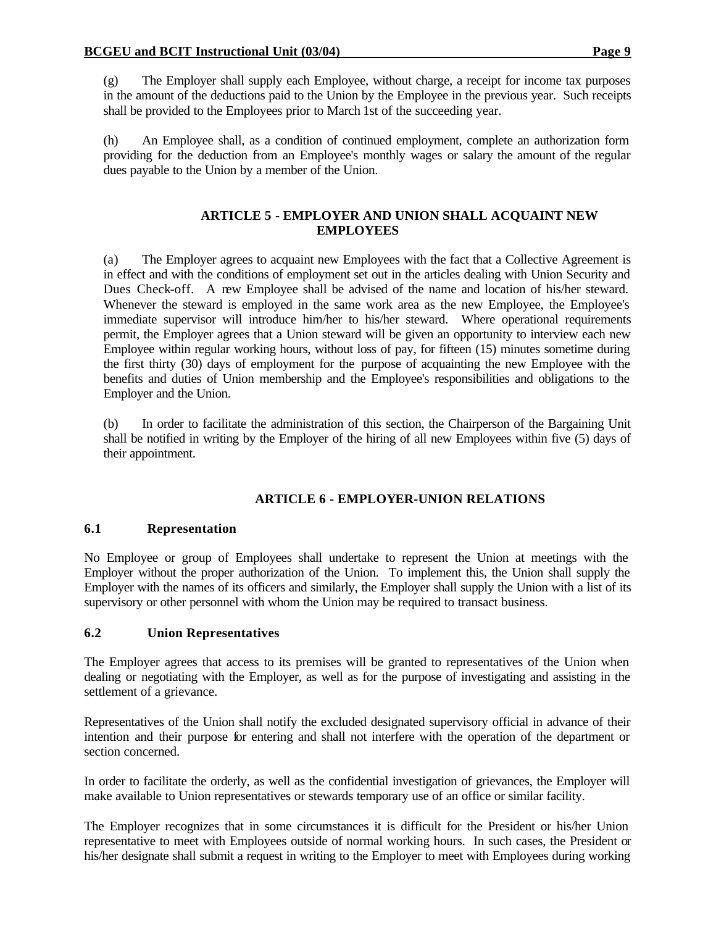(g) The Employer shall supply each Employee, without charge, a receipt for income tax purposes in the amount of the deductions paid to the Union by the Employee in the previous year. Such receipts shall be provided to the Employees prior to March 1st of the succeeding year.

(h) An Employee shall, as a condition of continued employment, complete an authorization form providing for the deduction from an Employee's monthly wages or salary the amount of the regular dues payable to the Union by a member of the Union.

## **ARTICLE 5 - EMPLOYER AND UNION SHALL ACQUAINT NEW EMPLOYEES**

(a) The Employer agrees to acquaint new Employees with the fact that a Collective Agreement is in effect and with the conditions of employment set out in the articles dealing with Union Security and Dues Check-off. A new Employee shall be advised of the name and location of his/her steward. Whenever the steward is employed in the same work area as the new Employee, the Employee's immediate supervisor will introduce him/her to his/her steward. Where operational requirements permit, the Employer agrees that a Union steward will be given an opportunity to interview each new Employee within regular working hours, without loss of pay, for fifteen (15) minutes sometime during the first thirty (30) days of employment for the purpose of acquainting the new Employee with the benefits and duties of Union membership and the Employee's responsibilities and obligations to the Employer and the Union.

(b) In order to facilitate the administration of this section, the Chairperson of the Bargaining Unit shall be notified in writing by the Employer of the hiring of all new Employees within five (5) days of their appointment.

## **ARTICLE 6 - EMPLOYER-UNION RELATIONS**

## **6.1 Representation**

No Employee or group of Employees shall undertake to represent the Union at meetings with the Employer without the proper authorization of the Union. To implement this, the Union shall supply the Employer with the names of its officers and similarly, the Employer shall supply the Union with a list of its supervisory or other personnel with whom the Union may be required to transact business.

## **6.2 Union Representatives**

The Employer agrees that access to its premises will be granted to representatives of the Union when dealing or negotiating with the Employer, as well as for the purpose of investigating and assisting in the settlement of a grievance.

Representatives of the Union shall notify the excluded designated supervisory official in advance of their intention and their purpose for entering and shall not interfere with the operation of the department or section concerned.

In order to facilitate the orderly, as well as the confidential investigation of grievances, the Employer will make available to Union representatives or stewards temporary use of an office or similar facility.

The Employer recognizes that in some circumstances it is difficult for the President or his/her Union representative to meet with Employees outside of normal working hours. In such cases, the President or his/her designate shall submit a request in writing to the Employer to meet with Employees during working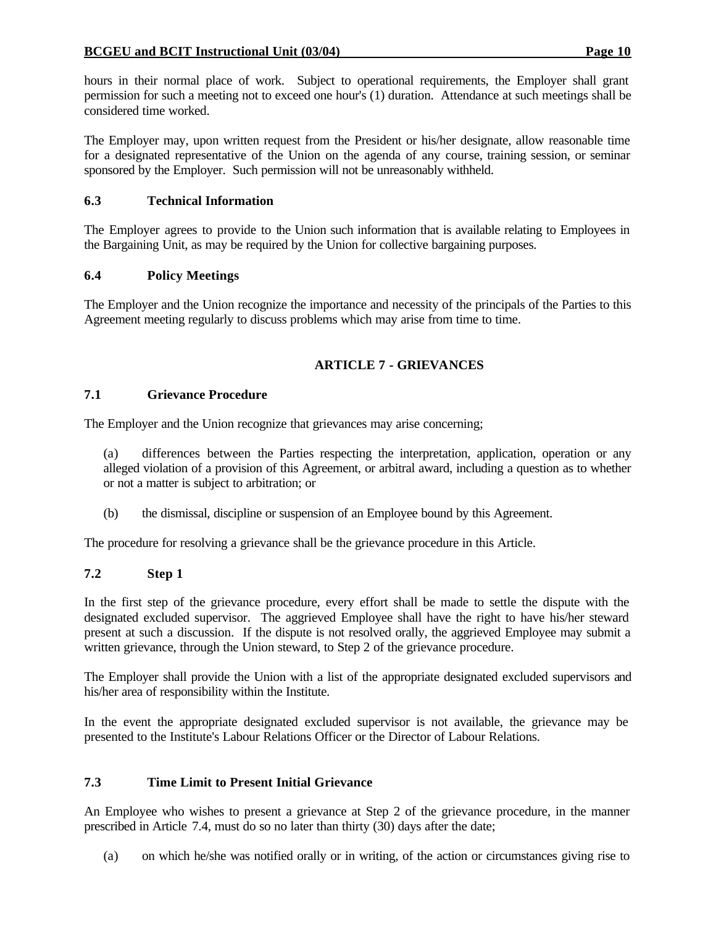hours in their normal place of work. Subject to operational requirements, the Employer shall grant permission for such a meeting not to exceed one hour's (1) duration. Attendance at such meetings shall be considered time worked.

The Employer may, upon written request from the President or his/her designate, allow reasonable time for a designated representative of the Union on the agenda of any course, training session, or seminar sponsored by the Employer. Such permission will not be unreasonably withheld.

# **6.3 Technical Information**

The Employer agrees to provide to the Union such information that is available relating to Employees in the Bargaining Unit, as may be required by the Union for collective bargaining purposes.

## **6.4 Policy Meetings**

The Employer and the Union recognize the importance and necessity of the principals of the Parties to this Agreement meeting regularly to discuss problems which may arise from time to time.

# **ARTICLE 7 - GRIEVANCES**

## **7.1 Grievance Procedure**

The Employer and the Union recognize that grievances may arise concerning;

(a) differences between the Parties respecting the interpretation, application, operation or any alleged violation of a provision of this Agreement, or arbitral award, including a question as to whether or not a matter is subject to arbitration; or

(b) the dismissal, discipline or suspension of an Employee bound by this Agreement.

The procedure for resolving a grievance shall be the grievance procedure in this Article.

# **7.2 Step 1**

In the first step of the grievance procedure, every effort shall be made to settle the dispute with the designated excluded supervisor. The aggrieved Employee shall have the right to have his/her steward present at such a discussion. If the dispute is not resolved orally, the aggrieved Employee may submit a written grievance, through the Union steward, to Step 2 of the grievance procedure.

The Employer shall provide the Union with a list of the appropriate designated excluded supervisors and his/her area of responsibility within the Institute.

In the event the appropriate designated excluded supervisor is not available, the grievance may be presented to the Institute's Labour Relations Officer or the Director of Labour Relations.

# **7.3 Time Limit to Present Initial Grievance**

An Employee who wishes to present a grievance at Step 2 of the grievance procedure, in the manner prescribed in Article 7.4, must do so no later than thirty (30) days after the date;

(a) on which he/she was notified orally or in writing, of the action or circumstances giving rise to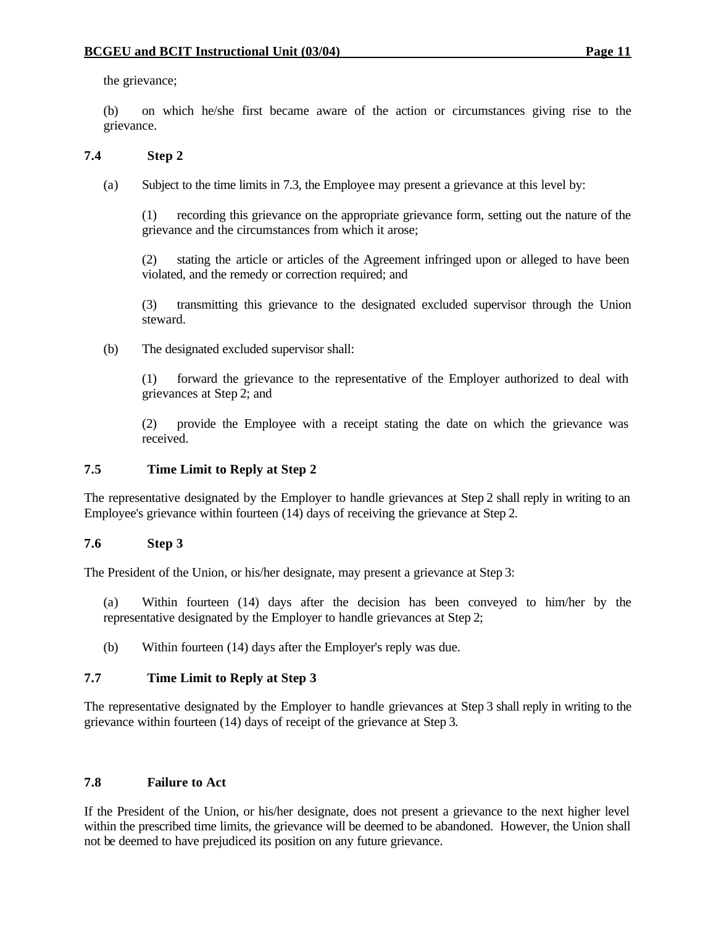the grievance;

(b) on which he/she first became aware of the action or circumstances giving rise to the grievance.

## **7.4 Step 2**

(a) Subject to the time limits in 7.3, the Employee may present a grievance at this level by:

(1) recording this grievance on the appropriate grievance form, setting out the nature of the grievance and the circumstances from which it arose;

(2) stating the article or articles of the Agreement infringed upon or alleged to have been violated, and the remedy or correction required; and

(3) transmitting this grievance to the designated excluded supervisor through the Union steward.

(b) The designated excluded supervisor shall:

(1) forward the grievance to the representative of the Employer authorized to deal with grievances at Step 2; and

(2) provide the Employee with a receipt stating the date on which the grievance was received.

## **7.5 Time Limit to Reply at Step 2**

The representative designated by the Employer to handle grievances at Step 2 shall reply in writing to an Employee's grievance within fourteen (14) days of receiving the grievance at Step 2.

## **7.6 Step 3**

The President of the Union, or his/her designate, may present a grievance at Step 3:

- (a) Within fourteen (14) days after the decision has been conveyed to him/her by the representative designated by the Employer to handle grievances at Step 2;
- (b) Within fourteen (14) days after the Employer's reply was due.

### **7.7 Time Limit to Reply at Step 3**

The representative designated by the Employer to handle grievances at Step 3 shall reply in writing to the grievance within fourteen (14) days of receipt of the grievance at Step 3.

### **7.8 Failure to Act**

If the President of the Union, or his/her designate, does not present a grievance to the next higher level within the prescribed time limits, the grievance will be deemed to be abandoned. However, the Union shall not be deemed to have prejudiced its position on any future grievance.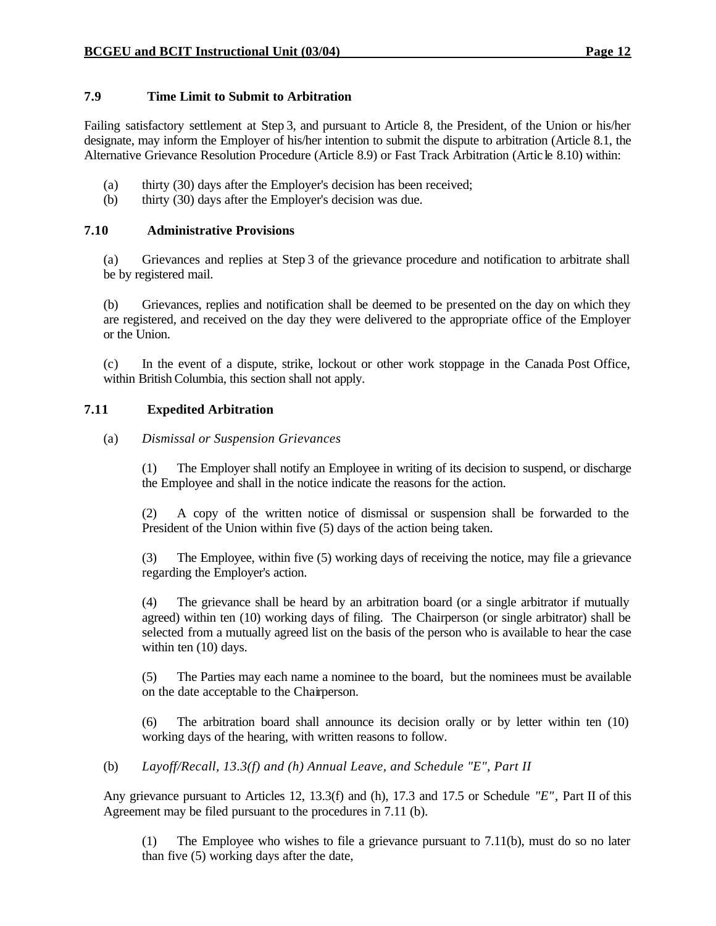## **7.9 Time Limit to Submit to Arbitration**

Failing satisfactory settlement at Step 3, and pursuant to Article 8, the President, of the Union or his/her designate, may inform the Employer of his/her intention to submit the dispute to arbitration (Article 8.1, the Alternative Grievance Resolution Procedure (Article 8.9) or Fast Track Arbitration (Artic le 8.10) within:

- (a) thirty (30) days after the Employer's decision has been received;
- (b) thirty (30) days after the Employer's decision was due.

### **7.10 Administrative Provisions**

(a) Grievances and replies at Step 3 of the grievance procedure and notification to arbitrate shall be by registered mail.

(b) Grievances, replies and notification shall be deemed to be presented on the day on which they are registered, and received on the day they were delivered to the appropriate office of the Employer or the Union.

(c) In the event of a dispute, strike, lockout or other work stoppage in the Canada Post Office, within British Columbia, this section shall not apply.

## **7.11 Expedited Arbitration**

### (a) *Dismissal or Suspension Grievances*

(1) The Employer shall notify an Employee in writing of its decision to suspend, or discharge the Employee and shall in the notice indicate the reasons for the action.

(2) A copy of the written notice of dismissal or suspension shall be forwarded to the President of the Union within five (5) days of the action being taken.

(3) The Employee, within five (5) working days of receiving the notice, may file a grievance regarding the Employer's action.

(4) The grievance shall be heard by an arbitration board (or a single arbitrator if mutually agreed) within ten (10) working days of filing. The Chairperson (or single arbitrator) shall be selected from a mutually agreed list on the basis of the person who is available to hear the case within ten  $(10)$  days.

(5) The Parties may each name a nominee to the board, but the nominees must be available on the date acceptable to the Chairperson.

(6) The arbitration board shall announce its decision orally or by letter within ten (10) working days of the hearing, with written reasons to follow.

(b) *Layoff/Recall, 13.3(f) and (h) Annual Leave, and Schedule "E", Part II*

Any grievance pursuant to Articles 12, 13.3(f) and (h), 17.3 and 17.5 or Schedule *"E"*, Part II of this Agreement may be filed pursuant to the procedures in 7.11 (b).

(1) The Employee who wishes to file a grievance pursuant to 7.11(b), must do so no later than five (5) working days after the date,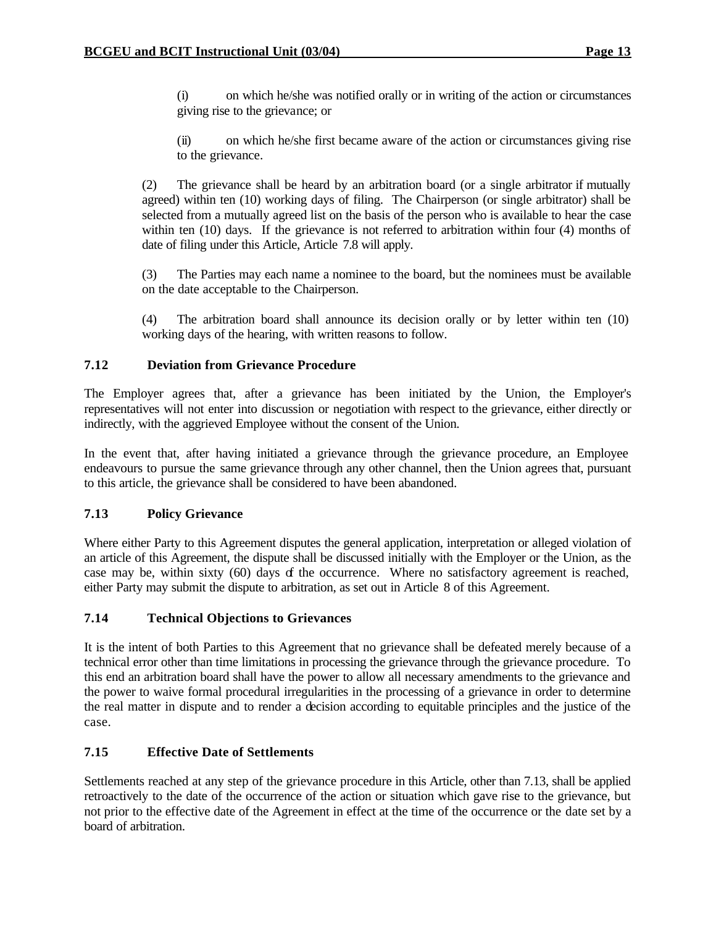(i) on which he/she was notified orally or in writing of the action or circumstances giving rise to the grievance; or

(ii) on which he/she first became aware of the action or circumstances giving rise to the grievance.

(2) The grievance shall be heard by an arbitration board (or a single arbitrator if mutually agreed) within ten (10) working days of filing. The Chairperson (or single arbitrator) shall be selected from a mutually agreed list on the basis of the person who is available to hear the case within ten (10) days. If the grievance is not referred to arbitration within four (4) months of date of filing under this Article, Article 7.8 will apply.

(3) The Parties may each name a nominee to the board, but the nominees must be available on the date acceptable to the Chairperson.

(4) The arbitration board shall announce its decision orally or by letter within ten (10) working days of the hearing, with written reasons to follow.

### **7.12 Deviation from Grievance Procedure**

The Employer agrees that, after a grievance has been initiated by the Union, the Employer's representatives will not enter into discussion or negotiation with respect to the grievance, either directly or indirectly, with the aggrieved Employee without the consent of the Union.

In the event that, after having initiated a grievance through the grievance procedure, an Employee endeavours to pursue the same grievance through any other channel, then the Union agrees that, pursuant to this article, the grievance shall be considered to have been abandoned.

## **7.13 Policy Grievance**

Where either Party to this Agreement disputes the general application, interpretation or alleged violation of an article of this Agreement, the dispute shall be discussed initially with the Employer or the Union, as the case may be, within sixty (60) days of the occurrence. Where no satisfactory agreement is reached, either Party may submit the dispute to arbitration, as set out in Article 8 of this Agreement.

## **7.14 Technical Objections to Grievances**

It is the intent of both Parties to this Agreement that no grievance shall be defeated merely because of a technical error other than time limitations in processing the grievance through the grievance procedure. To this end an arbitration board shall have the power to allow all necessary amendments to the grievance and the power to waive formal procedural irregularities in the processing of a grievance in order to determine the real matter in dispute and to render a decision according to equitable principles and the justice of the case.

## **7.15 Effective Date of Settlements**

Settlements reached at any step of the grievance procedure in this Article, other than 7.13, shall be applied retroactively to the date of the occurrence of the action or situation which gave rise to the grievance, but not prior to the effective date of the Agreement in effect at the time of the occurrence or the date set by a board of arbitration.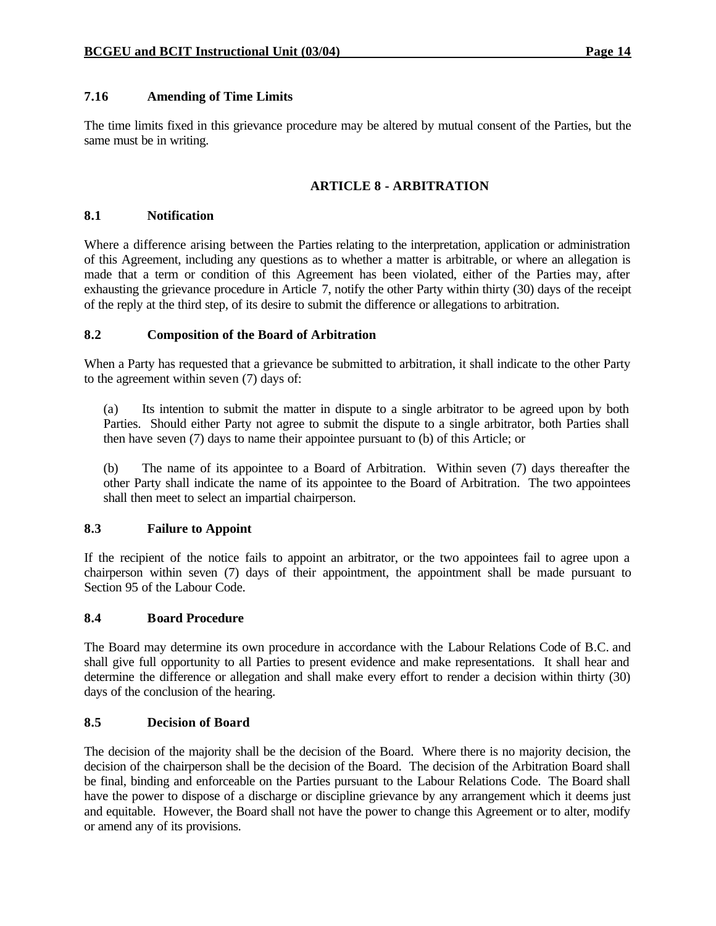## **7.16 Amending of Time Limits**

The time limits fixed in this grievance procedure may be altered by mutual consent of the Parties, but the same must be in writing.

## **ARTICLE 8 - ARBITRATION**

### **8.1 Notification**

Where a difference arising between the Parties relating to the interpretation, application or administration of this Agreement, including any questions as to whether a matter is arbitrable, or where an allegation is made that a term or condition of this Agreement has been violated, either of the Parties may, after exhausting the grievance procedure in Article 7, notify the other Party within thirty (30) days of the receipt of the reply at the third step, of its desire to submit the difference or allegations to arbitration.

### **8.2 Composition of the Board of Arbitration**

When a Party has requested that a grievance be submitted to arbitration, it shall indicate to the other Party to the agreement within seven (7) days of:

(a) Its intention to submit the matter in dispute to a single arbitrator to be agreed upon by both Parties. Should either Party not agree to submit the dispute to a single arbitrator, both Parties shall then have seven (7) days to name their appointee pursuant to (b) of this Article; or

(b) The name of its appointee to a Board of Arbitration. Within seven (7) days thereafter the other Party shall indicate the name of its appointee to the Board of Arbitration. The two appointees shall then meet to select an impartial chairperson.

### **8.3 Failure to Appoint**

If the recipient of the notice fails to appoint an arbitrator, or the two appointees fail to agree upon a chairperson within seven (7) days of their appointment, the appointment shall be made pursuant to Section 95 of the Labour Code.

### **8.4 Board Procedure**

The Board may determine its own procedure in accordance with the Labour Relations Code of B.C. and shall give full opportunity to all Parties to present evidence and make representations. It shall hear and determine the difference or allegation and shall make every effort to render a decision within thirty (30) days of the conclusion of the hearing.

### **8.5 Decision of Board**

The decision of the majority shall be the decision of the Board. Where there is no majority decision, the decision of the chairperson shall be the decision of the Board. The decision of the Arbitration Board shall be final, binding and enforceable on the Parties pursuant to the Labour Relations Code. The Board shall have the power to dispose of a discharge or discipline grievance by any arrangement which it deems just and equitable. However, the Board shall not have the power to change this Agreement or to alter, modify or amend any of its provisions.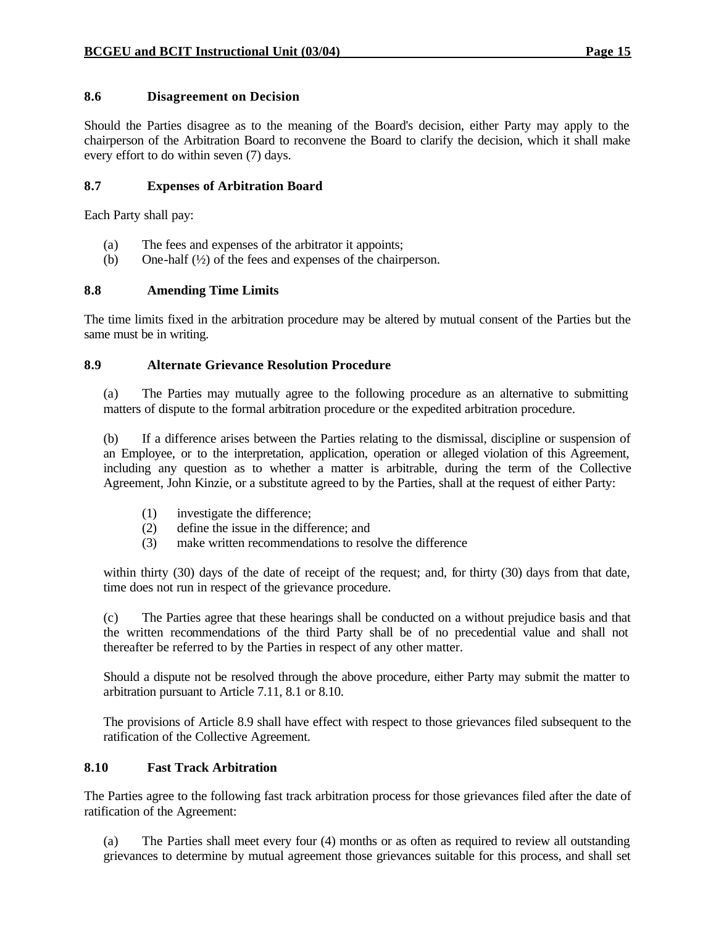## **8.6 Disagreement on Decision**

Should the Parties disagree as to the meaning of the Board's decision, either Party may apply to the chairperson of the Arbitration Board to reconvene the Board to clarify the decision, which it shall make every effort to do within seven (7) days.

## **8.7 Expenses of Arbitration Board**

Each Party shall pay:

- (a) The fees and expenses of the arbitrator it appoints;
- (b) One-half (½) of the fees and expenses of the chairperson.

## **8.8 Amending Time Limits**

The time limits fixed in the arbitration procedure may be altered by mutual consent of the Parties but the same must be in writing.

## **8.9 Alternate Grievance Resolution Procedure**

(a) The Parties may mutually agree to the following procedure as an alternative to submitting matters of dispute to the formal arbitration procedure or the expedited arbitration procedure.

(b) If a difference arises between the Parties relating to the dismissal, discipline or suspension of an Employee, or to the interpretation, application, operation or alleged violation of this Agreement, including any question as to whether a matter is arbitrable, during the term of the Collective Agreement, John Kinzie, or a substitute agreed to by the Parties, shall at the request of either Party:

- (1) investigate the difference;
- (2) define the issue in the difference; and
- (3) make written recommendations to resolve the difference

within thirty (30) days of the date of receipt of the request; and, for thirty (30) days from that date, time does not run in respect of the grievance procedure.

(c) The Parties agree that these hearings shall be conducted on a without prejudice basis and that the written recommendations of the third Party shall be of no precedential value and shall not thereafter be referred to by the Parties in respect of any other matter.

Should a dispute not be resolved through the above procedure, either Party may submit the matter to arbitration pursuant to Article 7.11, 8.1 or 8.10.

The provisions of Article 8.9 shall have effect with respect to those grievances filed subsequent to the ratification of the Collective Agreement.

## **8.10 Fast Track Arbitration**

The Parties agree to the following fast track arbitration process for those grievances filed after the date of ratification of the Agreement:

(a) The Parties shall meet every four (4) months or as often as required to review all outstanding grievances to determine by mutual agreement those grievances suitable for this process, and shall set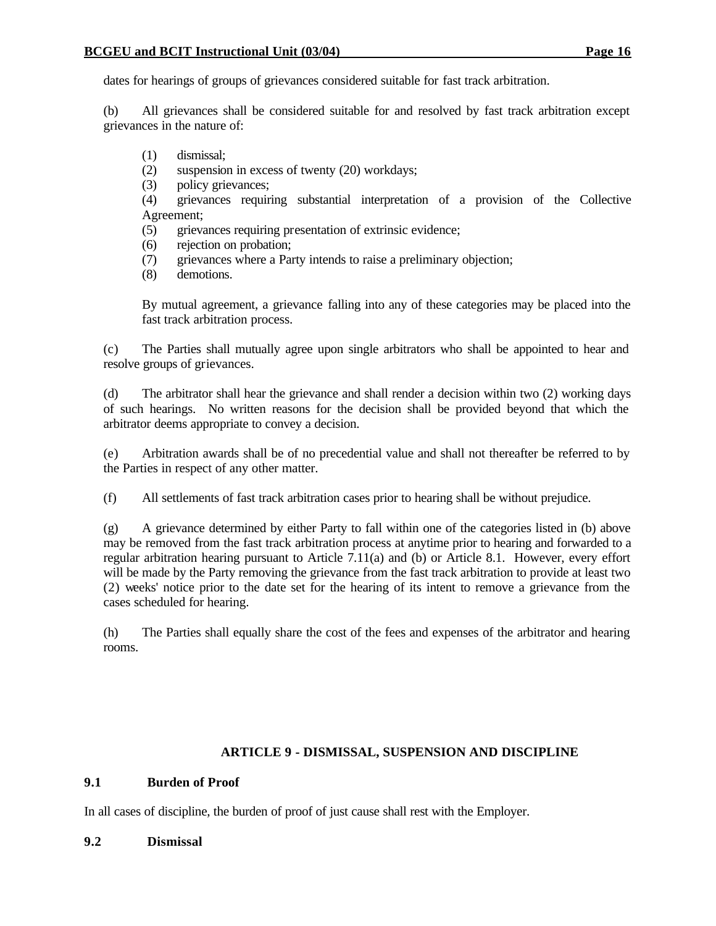dates for hearings of groups of grievances considered suitable for fast track arbitration.

(b) All grievances shall be considered suitable for and resolved by fast track arbitration except grievances in the nature of:

- (1) dismissal;
- (2) suspension in excess of twenty (20) workdays;
- (3) policy grievances;

(4) grievances requiring substantial interpretation of a provision of the Collective Agreement;

- (5) grievances requiring presentation of extrinsic evidence;
- (6) rejection on probation;
- (7) grievances where a Party intends to raise a preliminary objection;
- (8) demotions.

By mutual agreement, a grievance falling into any of these categories may be placed into the fast track arbitration process.

(c) The Parties shall mutually agree upon single arbitrators who shall be appointed to hear and resolve groups of grievances.

(d) The arbitrator shall hear the grievance and shall render a decision within two (2) working days of such hearings. No written reasons for the decision shall be provided beyond that which the arbitrator deems appropriate to convey a decision.

(e) Arbitration awards shall be of no precedential value and shall not thereafter be referred to by the Parties in respect of any other matter.

(f) All settlements of fast track arbitration cases prior to hearing shall be without prejudice.

(g) A grievance determined by either Party to fall within one of the categories listed in (b) above may be removed from the fast track arbitration process at anytime prior to hearing and forwarded to a regular arbitration hearing pursuant to Article 7.11(a) and (b) or Article 8.1. However, every effort will be made by the Party removing the grievance from the fast track arbitration to provide at least two (2) weeks' notice prior to the date set for the hearing of its intent to remove a grievance from the cases scheduled for hearing.

(h) The Parties shall equally share the cost of the fees and expenses of the arbitrator and hearing rooms.

## **ARTICLE 9 - DISMISSAL, SUSPENSION AND DISCIPLINE**

## **9.1 Burden of Proof**

In all cases of discipline, the burden of proof of just cause shall rest with the Employer.

### **9.2 Dismissal**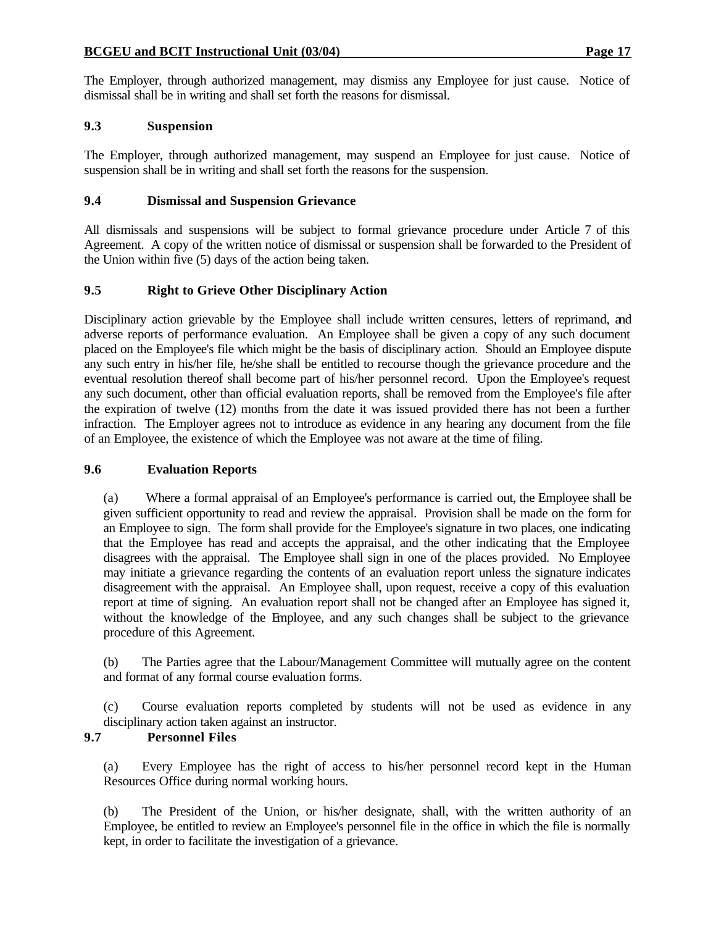The Employer, through authorized management, may dismiss any Employee for just cause. Notice of dismissal shall be in writing and shall set forth the reasons for dismissal.

### **9.3 Suspension**

The Employer, through authorized management, may suspend an Employee for just cause. Notice of suspension shall be in writing and shall set forth the reasons for the suspension.

### **9.4 Dismissal and Suspension Grievance**

All dismissals and suspensions will be subject to formal grievance procedure under Article 7 of this Agreement. A copy of the written notice of dismissal or suspension shall be forwarded to the President of the Union within five (5) days of the action being taken.

### **9.5 Right to Grieve Other Disciplinary Action**

Disciplinary action grievable by the Employee shall include written censures, letters of reprimand, and adverse reports of performance evaluation. An Employee shall be given a copy of any such document placed on the Employee's file which might be the basis of disciplinary action. Should an Employee dispute any such entry in his/her file, he/she shall be entitled to recourse though the grievance procedure and the eventual resolution thereof shall become part of his/her personnel record. Upon the Employee's request any such document, other than official evaluation reports, shall be removed from the Employee's file after the expiration of twelve (12) months from the date it was issued provided there has not been a further infraction. The Employer agrees not to introduce as evidence in any hearing any document from the file of an Employee, the existence of which the Employee was not aware at the time of filing.

### **9.6 Evaluation Reports**

(a) Where a formal appraisal of an Employee's performance is carried out, the Employee shall be given sufficient opportunity to read and review the appraisal. Provision shall be made on the form for an Employee to sign. The form shall provide for the Employee's signature in two places, one indicating that the Employee has read and accepts the appraisal, and the other indicating that the Employee disagrees with the appraisal. The Employee shall sign in one of the places provided. No Employee may initiate a grievance regarding the contents of an evaluation report unless the signature indicates disagreement with the appraisal. An Employee shall, upon request, receive a copy of this evaluation report at time of signing. An evaluation report shall not be changed after an Employee has signed it, without the knowledge of the Employee, and any such changes shall be subject to the grievance procedure of this Agreement.

(b) The Parties agree that the Labour/Management Committee will mutually agree on the content and format of any formal course evaluation forms.

(c) Course evaluation reports completed by students will not be used as evidence in any disciplinary action taken against an instructor.

### **9.7 Personnel Files**

(a) Every Employee has the right of access to his/her personnel record kept in the Human Resources Office during normal working hours.

(b) The President of the Union, or his/her designate, shall, with the written authority of an Employee, be entitled to review an Employee's personnel file in the office in which the file is normally kept, in order to facilitate the investigation of a grievance.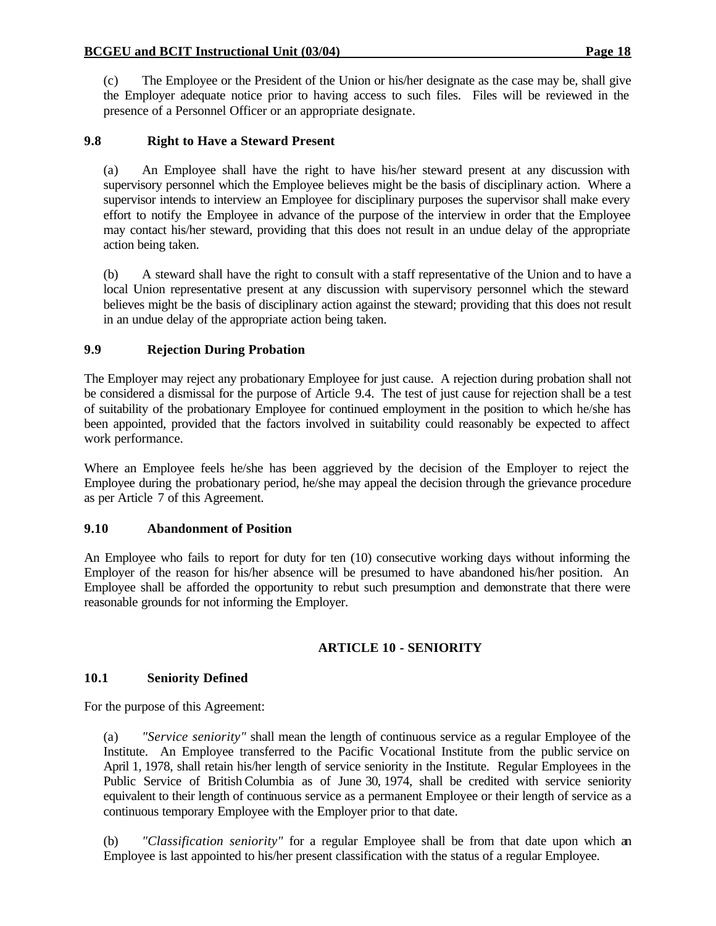(c) The Employee or the President of the Union or his/her designate as the case may be, shall give the Employer adequate notice prior to having access to such files. Files will be reviewed in the presence of a Personnel Officer or an appropriate designate.

## **9.8 Right to Have a Steward Present**

(a) An Employee shall have the right to have his/her steward present at any discussion with supervisory personnel which the Employee believes might be the basis of disciplinary action. Where a supervisor intends to interview an Employee for disciplinary purposes the supervisor shall make every effort to notify the Employee in advance of the purpose of the interview in order that the Employee may contact his/her steward, providing that this does not result in an undue delay of the appropriate action being taken.

(b) A steward shall have the right to consult with a staff representative of the Union and to have a local Union representative present at any discussion with supervisory personnel which the steward believes might be the basis of disciplinary action against the steward; providing that this does not result in an undue delay of the appropriate action being taken.

## **9.9 Rejection During Probation**

The Employer may reject any probationary Employee for just cause. A rejection during probation shall not be considered a dismissal for the purpose of Article 9.4. The test of just cause for rejection shall be a test of suitability of the probationary Employee for continued employment in the position to which he/she has been appointed, provided that the factors involved in suitability could reasonably be expected to affect work performance.

Where an Employee feels he/she has been aggrieved by the decision of the Employer to reject the Employee during the probationary period, he/she may appeal the decision through the grievance procedure as per Article 7 of this Agreement.

### **9.10 Abandonment of Position**

An Employee who fails to report for duty for ten (10) consecutive working days without informing the Employer of the reason for his/her absence will be presumed to have abandoned his/her position. An Employee shall be afforded the opportunity to rebut such presumption and demonstrate that there were reasonable grounds for not informing the Employer.

### **ARTICLE 10 - SENIORITY**

### **10.1 Seniority Defined**

For the purpose of this Agreement:

(a) *"Service seniority"* shall mean the length of continuous service as a regular Employee of the Institute. An Employee transferred to the Pacific Vocational Institute from the public service on April 1, 1978, shall retain his/her length of service seniority in the Institute. Regular Employees in the Public Service of British Columbia as of June 30, 1974, shall be credited with service seniority equivalent to their length of continuous service as a permanent Employee or their length of service as a continuous temporary Employee with the Employer prior to that date.

(b) *"Classification seniority"* for a regular Employee shall be from that date upon which an Employee is last appointed to his/her present classification with the status of a regular Employee.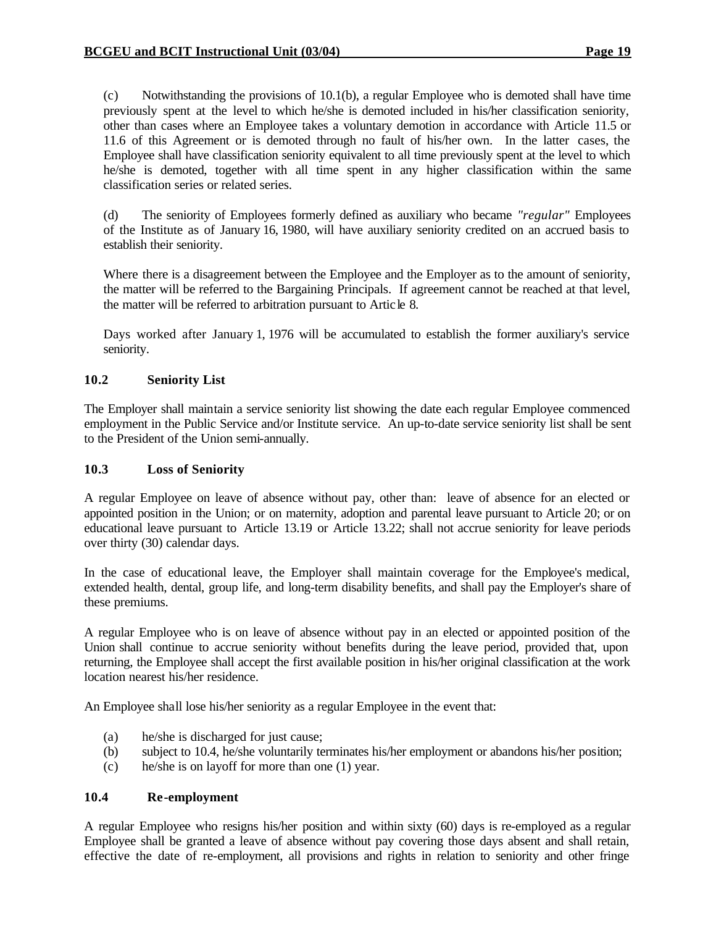(c) Notwithstanding the provisions of 10.1(b), a regular Employee who is demoted shall have time previously spent at the level to which he/she is demoted included in his/her classification seniority, other than cases where an Employee takes a voluntary demotion in accordance with Article 11.5 or 11.6 of this Agreement or is demoted through no fault of his/her own. In the latter cases, the Employee shall have classification seniority equivalent to all time previously spent at the level to which he/she is demoted, together with all time spent in any higher classification within the same classification series or related series.

(d) The seniority of Employees formerly defined as auxiliary who became *"regular"* Employees of the Institute as of January 16, 1980, will have auxiliary seniority credited on an accrued basis to establish their seniority.

Where there is a disagreement between the Employee and the Employer as to the amount of seniority, the matter will be referred to the Bargaining Principals. If agreement cannot be reached at that level, the matter will be referred to arbitration pursuant to Artic le 8.

Days worked after January 1, 1976 will be accumulated to establish the former auxiliary's service seniority.

## **10.2 Seniority List**

The Employer shall maintain a service seniority list showing the date each regular Employee commenced employment in the Public Service and/or Institute service. An up-to-date service seniority list shall be sent to the President of the Union semi-annually.

### **10.3 Loss of Seniority**

A regular Employee on leave of absence without pay, other than: leave of absence for an elected or appointed position in the Union; or on maternity, adoption and parental leave pursuant to Article 20; or on educational leave pursuant to Article 13.19 or Article 13.22; shall not accrue seniority for leave periods over thirty (30) calendar days.

In the case of educational leave, the Employer shall maintain coverage for the Employee's medical, extended health, dental, group life, and long-term disability benefits, and shall pay the Employer's share of these premiums.

A regular Employee who is on leave of absence without pay in an elected or appointed position of the Union shall continue to accrue seniority without benefits during the leave period, provided that, upon returning, the Employee shall accept the first available position in his/her original classification at the work location nearest his/her residence.

An Employee shall lose his/her seniority as a regular Employee in the event that:

- (a) he/she is discharged for just cause;
- (b) subject to 10.4, he/she voluntarily terminates his/her employment or abandons his/her position;
- (c) he/she is on layoff for more than one (1) year.

### **10.4 Re-employment**

A regular Employee who resigns his/her position and within sixty (60) days is re-employed as a regular Employee shall be granted a leave of absence without pay covering those days absent and shall retain, effective the date of re-employment, all provisions and rights in relation to seniority and other fringe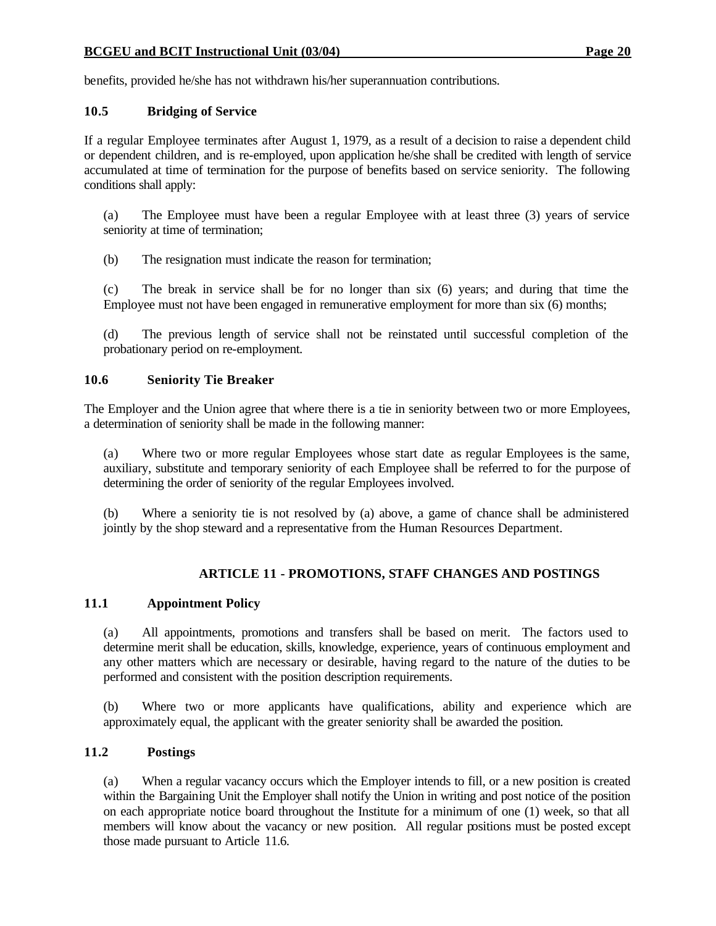benefits, provided he/she has not withdrawn his/her superannuation contributions.

### **10.5 Bridging of Service**

If a regular Employee terminates after August 1, 1979, as a result of a decision to raise a dependent child or dependent children, and is re-employed, upon application he/she shall be credited with length of service accumulated at time of termination for the purpose of benefits based on service seniority. The following conditions shall apply:

(a) The Employee must have been a regular Employee with at least three (3) years of service seniority at time of termination;

(b) The resignation must indicate the reason for termination;

(c) The break in service shall be for no longer than six (6) years; and during that time the Employee must not have been engaged in remunerative employment for more than six (6) months;

(d) The previous length of service shall not be reinstated until successful completion of the probationary period on re-employment.

### **10.6 Seniority Tie Breaker**

The Employer and the Union agree that where there is a tie in seniority between two or more Employees, a determination of seniority shall be made in the following manner:

(a) Where two or more regular Employees whose start date as regular Employees is the same, auxiliary, substitute and temporary seniority of each Employee shall be referred to for the purpose of determining the order of seniority of the regular Employees involved.

(b) Where a seniority tie is not resolved by (a) above, a game of chance shall be administered jointly by the shop steward and a representative from the Human Resources Department.

## **ARTICLE 11 - PROMOTIONS, STAFF CHANGES AND POSTINGS**

### **11.1 Appointment Policy**

(a) All appointments, promotions and transfers shall be based on merit. The factors used to determine merit shall be education, skills, knowledge, experience, years of continuous employment and any other matters which are necessary or desirable, having regard to the nature of the duties to be performed and consistent with the position description requirements.

(b) Where two or more applicants have qualifications, ability and experience which are approximately equal, the applicant with the greater seniority shall be awarded the position.

## **11.2 Postings**

(a) When a regular vacancy occurs which the Employer intends to fill, or a new position is created within the Bargaining Unit the Employer shall notify the Union in writing and post notice of the position on each appropriate notice board throughout the Institute for a minimum of one (1) week, so that all members will know about the vacancy or new position. All regular positions must be posted except those made pursuant to Article 11.6.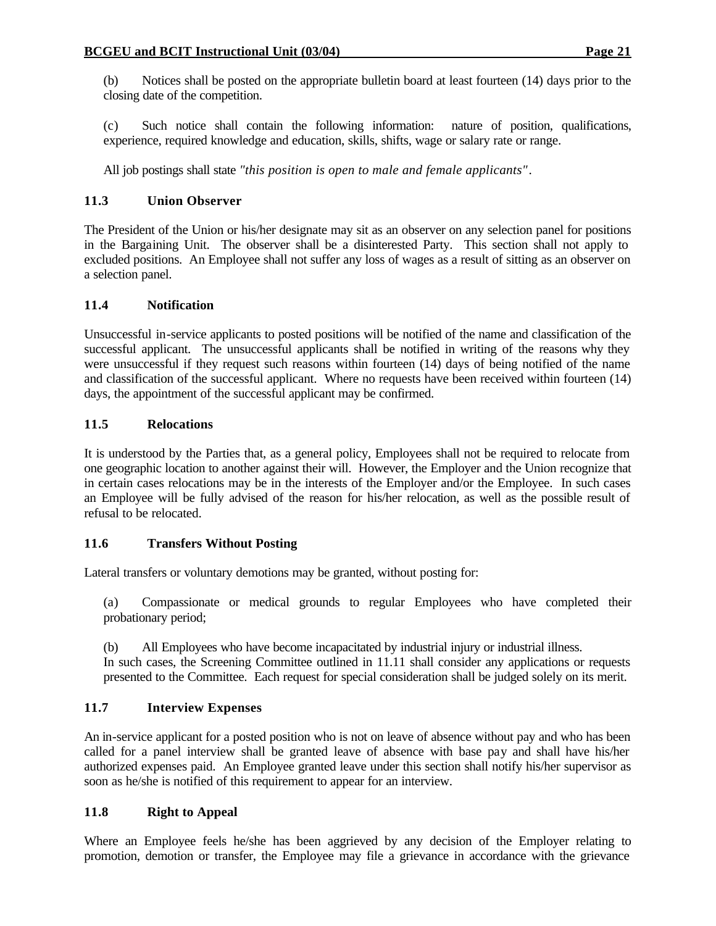(b) Notices shall be posted on the appropriate bulletin board at least fourteen (14) days prior to the closing date of the competition.

(c) Such notice shall contain the following information: nature of position, qualifications, experience, required knowledge and education, skills, shifts, wage or salary rate or range.

All job postings shall state *"this position is open to male and female applicants"*.

# **11.3 Union Observer**

The President of the Union or his/her designate may sit as an observer on any selection panel for positions in the Bargaining Unit. The observer shall be a disinterested Party. This section shall not apply to excluded positions. An Employee shall not suffer any loss of wages as a result of sitting as an observer on a selection panel.

## **11.4 Notification**

Unsuccessful in-service applicants to posted positions will be notified of the name and classification of the successful applicant. The unsuccessful applicants shall be notified in writing of the reasons why they were unsuccessful if they request such reasons within fourteen (14) days of being notified of the name and classification of the successful applicant. Where no requests have been received within fourteen (14) days, the appointment of the successful applicant may be confirmed.

# **11.5 Relocations**

It is understood by the Parties that, as a general policy, Employees shall not be required to relocate from one geographic location to another against their will. However, the Employer and the Union recognize that in certain cases relocations may be in the interests of the Employer and/or the Employee. In such cases an Employee will be fully advised of the reason for his/her relocation, as well as the possible result of refusal to be relocated.

## **11.6 Transfers Without Posting**

Lateral transfers or voluntary demotions may be granted, without posting for:

(a) Compassionate or medical grounds to regular Employees who have completed their probationary period;

(b) All Employees who have become incapacitated by industrial injury or industrial illness.

In such cases, the Screening Committee outlined in 11.11 shall consider any applications or requests presented to the Committee. Each request for special consideration shall be judged solely on its merit.

# **11.7 Interview Expenses**

An in-service applicant for a posted position who is not on leave of absence without pay and who has been called for a panel interview shall be granted leave of absence with base pay and shall have his/her authorized expenses paid. An Employee granted leave under this section shall notify his/her supervisor as soon as he/she is notified of this requirement to appear for an interview.

## **11.8 Right to Appeal**

Where an Employee feels he/she has been aggrieved by any decision of the Employer relating to promotion, demotion or transfer, the Employee may file a grievance in accordance with the grievance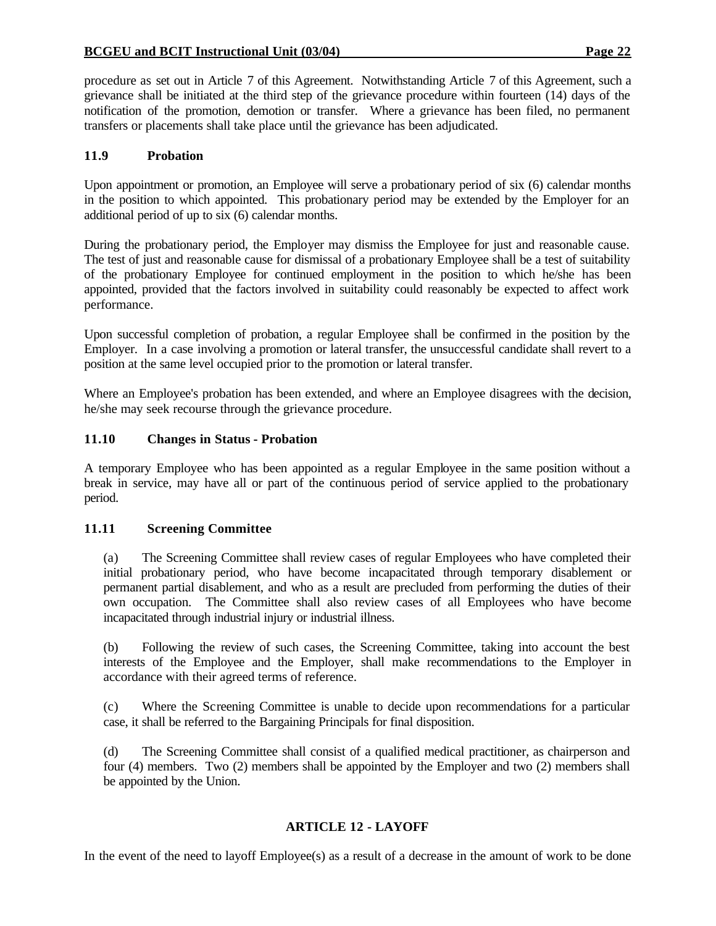procedure as set out in Article 7 of this Agreement. Notwithstanding Article 7 of this Agreement, such a grievance shall be initiated at the third step of the grievance procedure within fourteen (14) days of the notification of the promotion, demotion or transfer. Where a grievance has been filed, no permanent transfers or placements shall take place until the grievance has been adjudicated.

### **11.9 Probation**

Upon appointment or promotion, an Employee will serve a probationary period of six (6) calendar months in the position to which appointed. This probationary period may be extended by the Employer for an additional period of up to six (6) calendar months.

During the probationary period, the Employer may dismiss the Employee for just and reasonable cause. The test of just and reasonable cause for dismissal of a probationary Employee shall be a test of suitability of the probationary Employee for continued employment in the position to which he/she has been appointed, provided that the factors involved in suitability could reasonably be expected to affect work performance.

Upon successful completion of probation, a regular Employee shall be confirmed in the position by the Employer. In a case involving a promotion or lateral transfer, the unsuccessful candidate shall revert to a position at the same level occupied prior to the promotion or lateral transfer.

Where an Employee's probation has been extended, and where an Employee disagrees with the decision, he/she may seek recourse through the grievance procedure.

### **11.10 Changes in Status - Probation**

A temporary Employee who has been appointed as a regular Employee in the same position without a break in service, may have all or part of the continuous period of service applied to the probationary period.

### **11.11 Screening Committee**

(a) The Screening Committee shall review cases of regular Employees who have completed their initial probationary period, who have become incapacitated through temporary disablement or permanent partial disablement, and who as a result are precluded from performing the duties of their own occupation. The Committee shall also review cases of all Employees who have become incapacitated through industrial injury or industrial illness.

(b) Following the review of such cases, the Screening Committee, taking into account the best interests of the Employee and the Employer, shall make recommendations to the Employer in accordance with their agreed terms of reference.

(c) Where the Screening Committee is unable to decide upon recommendations for a particular case, it shall be referred to the Bargaining Principals for final disposition.

(d) The Screening Committee shall consist of a qualified medical practitioner, as chairperson and four (4) members. Two (2) members shall be appointed by the Employer and two (2) members shall be appointed by the Union.

## **ARTICLE 12 - LAYOFF**

In the event of the need to layoff Employee(s) as a result of a decrease in the amount of work to be done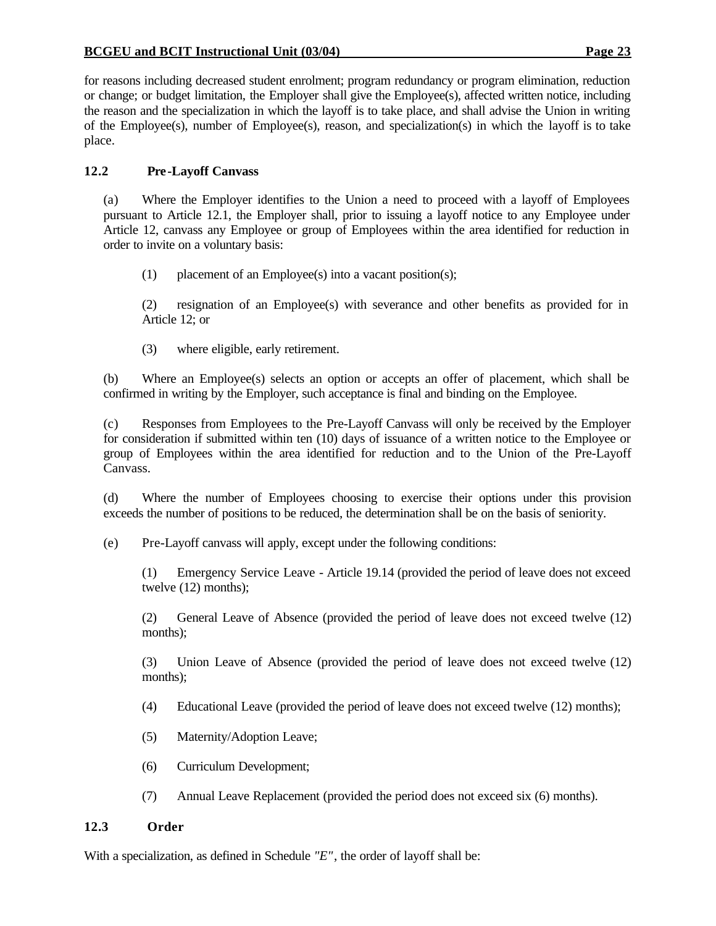for reasons including decreased student enrolment; program redundancy or program elimination, reduction or change; or budget limitation, the Employer shall give the Employee(s), affected written notice, including the reason and the specialization in which the layoff is to take place, and shall advise the Union in writing of the Employee(s), number of Employee(s), reason, and specialization(s) in which the layoff is to take place.

# **12.2 Pre-Layoff Canvass**

(a) Where the Employer identifies to the Union a need to proceed with a layoff of Employees pursuant to Article 12.1, the Employer shall, prior to issuing a layoff notice to any Employee under Article 12, canvass any Employee or group of Employees within the area identified for reduction in order to invite on a voluntary basis:

(1) placement of an Employee(s) into a vacant position(s);

(2) resignation of an Employee(s) with severance and other benefits as provided for in Article 12; or

(3) where eligible, early retirement.

(b) Where an Employee(s) selects an option or accepts an offer of placement, which shall be confirmed in writing by the Employer, such acceptance is final and binding on the Employee.

(c) Responses from Employees to the Pre-Layoff Canvass will only be received by the Employer for consideration if submitted within ten (10) days of issuance of a written notice to the Employee or group of Employees within the area identified for reduction and to the Union of the Pre-Layoff Canvass.

(d) Where the number of Employees choosing to exercise their options under this provision exceeds the number of positions to be reduced, the determination shall be on the basis of seniority.

(e) Pre-Layoff canvass will apply, except under the following conditions:

(1) Emergency Service Leave - Article 19.14 (provided the period of leave does not exceed twelve (12) months);

(2) General Leave of Absence (provided the period of leave does not exceed twelve (12) months);

(3) Union Leave of Absence (provided the period of leave does not exceed twelve (12) months);

- (4) Educational Leave (provided the period of leave does not exceed twelve (12) months);
- (5) Maternity/Adoption Leave;
- (6) Curriculum Development;
- (7) Annual Leave Replacement (provided the period does not exceed six (6) months).

## **12.3 Order**

With a specialization, as defined in Schedule *"E"*, the order of layoff shall be: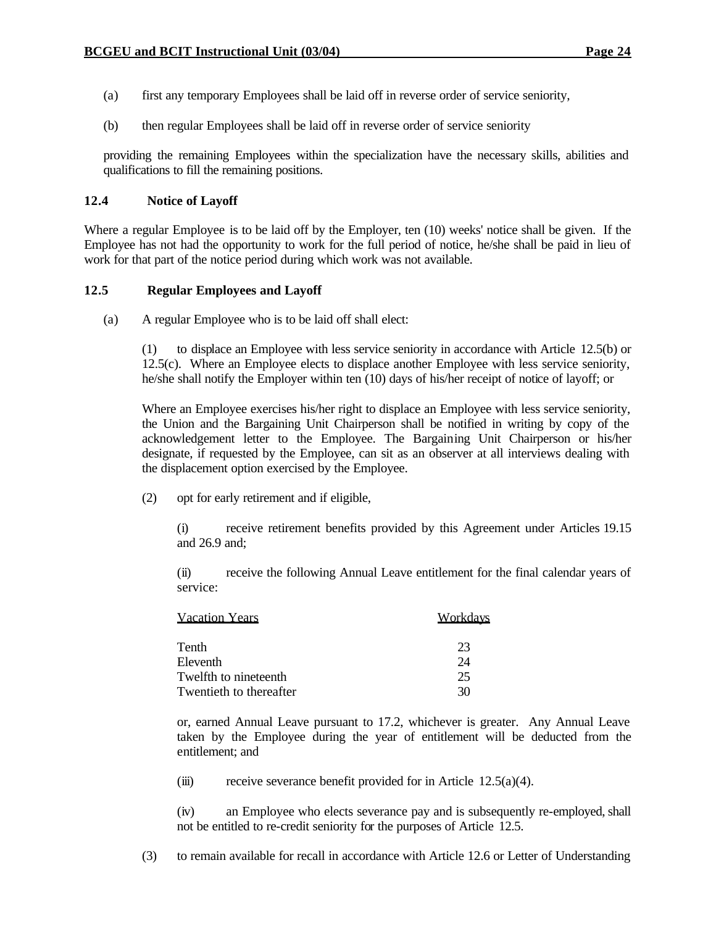- (a) first any temporary Employees shall be laid off in reverse order of service seniority,
- (b) then regular Employees shall be laid off in reverse order of service seniority

providing the remaining Employees within the specialization have the necessary skills, abilities and qualifications to fill the remaining positions.

### **12.4 Notice of Layoff**

Where a regular Employee is to be laid off by the Employer, ten (10) weeks' notice shall be given. If the Employee has not had the opportunity to work for the full period of notice, he/she shall be paid in lieu of work for that part of the notice period during which work was not available.

### **12.5 Regular Employees and Layoff**

(a) A regular Employee who is to be laid off shall elect:

(1) to displace an Employee with less service seniority in accordance with Article 12.5(b) or 12.5(c). Where an Employee elects to displace another Employee with less service seniority, he/she shall notify the Employer within ten (10) days of his/her receipt of notice of layoff; or

Where an Employee exercises his/her right to displace an Employee with less service seniority, the Union and the Bargaining Unit Chairperson shall be notified in writing by copy of the acknowledgement letter to the Employee. The Bargaining Unit Chairperson or his/her designate, if requested by the Employee, can sit as an observer at all interviews dealing with the displacement option exercised by the Employee.

(2) opt for early retirement and if eligible,

(i) receive retirement benefits provided by this Agreement under Articles 19.15 and 26.9 and;

(ii) receive the following Annual Leave entitlement for the final calendar years of service:

| <b>Vacation Years</b>   | Workdays |
|-------------------------|----------|
| Tenth                   | 23       |
| Eleventh                | 24       |
| Twelfth to nineteenth   | 25       |
| Twentieth to thereafter | 30       |

or, earned Annual Leave pursuant to 17.2, whichever is greater. Any Annual Leave taken by the Employee during the year of entitlement will be deducted from the entitlement; and

(iii) receive severance benefit provided for in Article  $12.5(a)(4)$ .

(iv) an Employee who elects severance pay and is subsequently re-employed, shall not be entitled to re-credit seniority for the purposes of Article 12.5.

(3) to remain available for recall in accordance with Article 12.6 or Letter of Understanding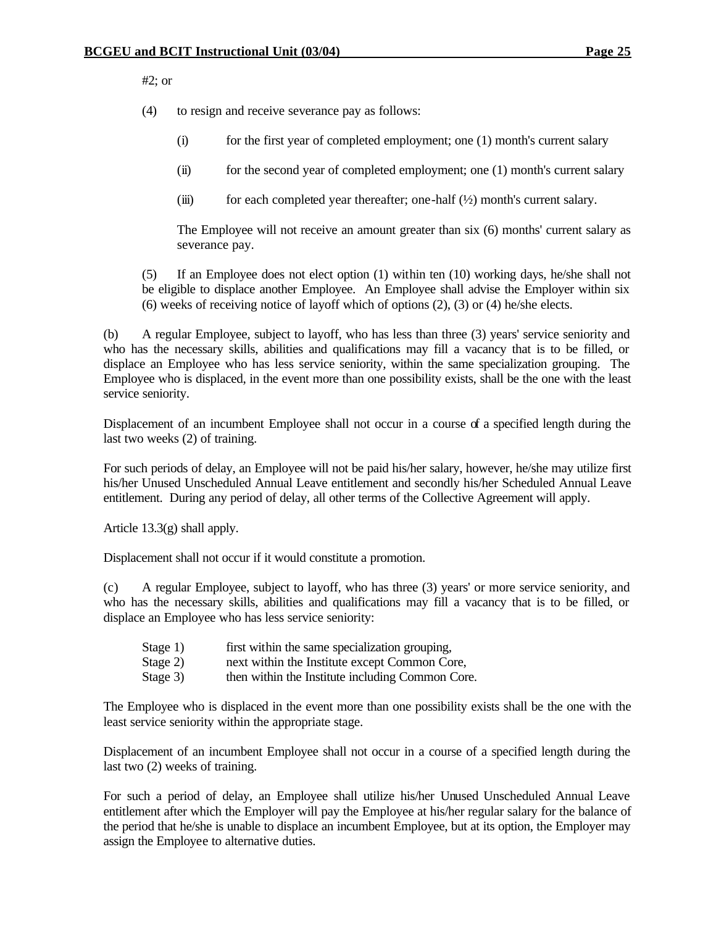#2; or

(4) to resign and receive severance pay as follows:

- (i) for the first year of completed employment; one (1) month's current salary
- (ii) for the second year of completed employment; one (1) month's current salary
- (iii) for each completed year thereafter; one-half  $(\frac{1}{2})$  month's current salary.

The Employee will not receive an amount greater than six (6) months' current salary as severance pay.

(5) If an Employee does not elect option (1) within ten (10) working days, he/she shall not be eligible to displace another Employee. An Employee shall advise the Employer within six (6) weeks of receiving notice of layoff which of options (2), (3) or (4) he/she elects.

(b) A regular Employee, subject to layoff, who has less than three (3) years' service seniority and who has the necessary skills, abilities and qualifications may fill a vacancy that is to be filled, or displace an Employee who has less service seniority, within the same specialization grouping. The Employee who is displaced, in the event more than one possibility exists, shall be the one with the least service seniority.

Displacement of an incumbent Employee shall not occur in a course of a specified length during the last two weeks (2) of training.

For such periods of delay, an Employee will not be paid his/her salary, however, he/she may utilize first his/her Unused Unscheduled Annual Leave entitlement and secondly his/her Scheduled Annual Leave entitlement. During any period of delay, all other terms of the Collective Agreement will apply.

Article 13.3(g) shall apply.

Displacement shall not occur if it would constitute a promotion.

(c) A regular Employee, subject to layoff, who has three (3) years' or more service seniority, and who has the necessary skills, abilities and qualifications may fill a vacancy that is to be filled, or displace an Employee who has less service seniority:

- Stage 1) first within the same specialization grouping,
- Stage 2) next within the Institute except Common Core,
- Stage 3) then within the Institute including Common Core.

The Employee who is displaced in the event more than one possibility exists shall be the one with the least service seniority within the appropriate stage.

Displacement of an incumbent Employee shall not occur in a course of a specified length during the last two (2) weeks of training.

For such a period of delay, an Employee shall utilize his/her Unused Unscheduled Annual Leave entitlement after which the Employer will pay the Employee at his/her regular salary for the balance of the period that he/she is unable to displace an incumbent Employee, but at its option, the Employer may assign the Employee to alternative duties.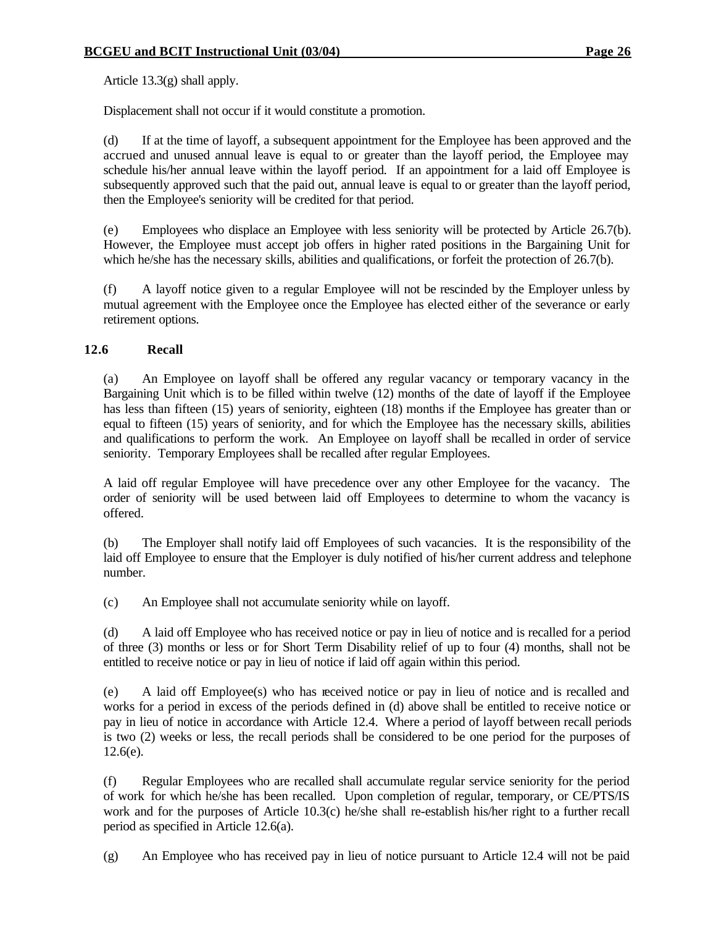Article 13.3(g) shall apply.

Displacement shall not occur if it would constitute a promotion.

(d) If at the time of layoff, a subsequent appointment for the Employee has been approved and the accrued and unused annual leave is equal to or greater than the layoff period, the Employee may schedule his/her annual leave within the layoff period. If an appointment for a laid off Employee is subsequently approved such that the paid out, annual leave is equal to or greater than the layoff period, then the Employee's seniority will be credited for that period.

(e) Employees who displace an Employee with less seniority will be protected by Article 26.7(b). However, the Employee must accept job offers in higher rated positions in the Bargaining Unit for which he/she has the necessary skills, abilities and qualifications, or forfeit the protection of 26.7(b).

(f) A layoff notice given to a regular Employee will not be rescinded by the Employer unless by mutual agreement with the Employee once the Employee has elected either of the severance or early retirement options.

# **12.6 Recall**

(a) An Employee on layoff shall be offered any regular vacancy or temporary vacancy in the Bargaining Unit which is to be filled within twelve (12) months of the date of layoff if the Employee has less than fifteen (15) years of seniority, eighteen (18) months if the Employee has greater than or equal to fifteen (15) years of seniority, and for which the Employee has the necessary skills, abilities and qualifications to perform the work. An Employee on layoff shall be recalled in order of service seniority. Temporary Employees shall be recalled after regular Employees.

A laid off regular Employee will have precedence over any other Employee for the vacancy. The order of seniority will be used between laid off Employees to determine to whom the vacancy is offered.

(b) The Employer shall notify laid off Employees of such vacancies. It is the responsibility of the laid off Employee to ensure that the Employer is duly notified of his/her current address and telephone number.

(c) An Employee shall not accumulate seniority while on layoff.

(d) A laid off Employee who has received notice or pay in lieu of notice and is recalled for a period of three (3) months or less or for Short Term Disability relief of up to four (4) months, shall not be entitled to receive notice or pay in lieu of notice if laid off again within this period.

(e) A laid off Employee(s) who has received notice or pay in lieu of notice and is recalled and works for a period in excess of the periods defined in (d) above shall be entitled to receive notice or pay in lieu of notice in accordance with Article 12.4. Where a period of layoff between recall periods is two (2) weeks or less, the recall periods shall be considered to be one period for the purposes of 12.6(e).

(f) Regular Employees who are recalled shall accumulate regular service seniority for the period of work for which he/she has been recalled. Upon completion of regular, temporary, or CE/PTS/IS work and for the purposes of Article 10.3(c) he/she shall re-establish his/her right to a further recall period as specified in Article 12.6(a).

(g) An Employee who has received pay in lieu of notice pursuant to Article 12.4 will not be paid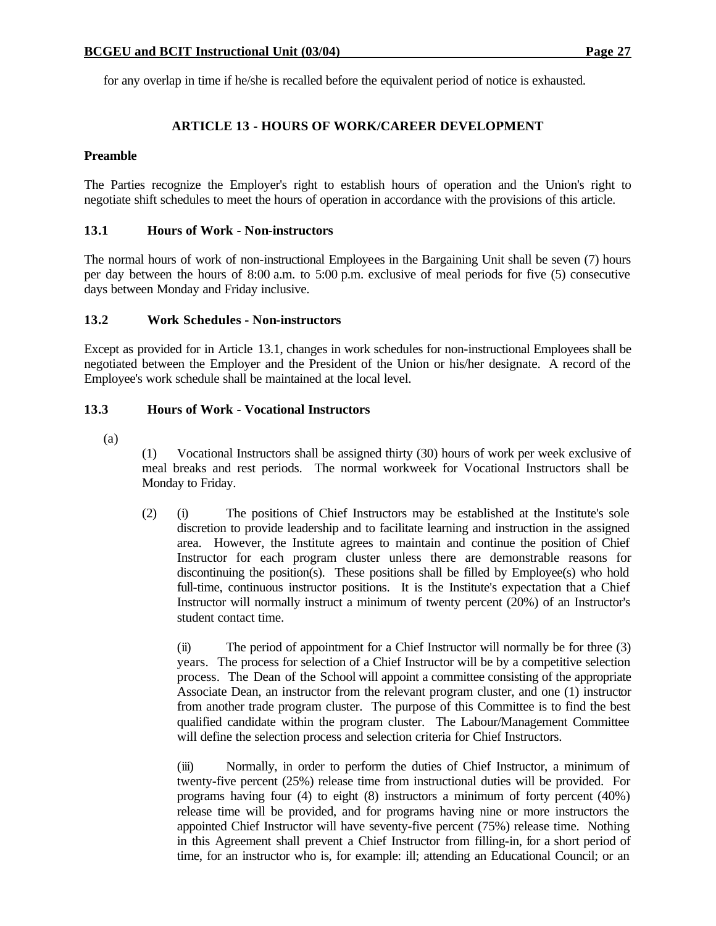for any overlap in time if he/she is recalled before the equivalent period of notice is exhausted.

## **ARTICLE 13 - HOURS OF WORK/CAREER DEVELOPMENT**

### **Preamble**

The Parties recognize the Employer's right to establish hours of operation and the Union's right to negotiate shift schedules to meet the hours of operation in accordance with the provisions of this article.

### **13.1 Hours of Work - Non-instructors**

The normal hours of work of non-instructional Employees in the Bargaining Unit shall be seven (7) hours per day between the hours of 8:00 a.m. to 5:00 p.m. exclusive of meal periods for five (5) consecutive days between Monday and Friday inclusive.

### **13.2 Work Schedules - Non-instructors**

Except as provided for in Article 13.1, changes in work schedules for non-instructional Employees shall be negotiated between the Employer and the President of the Union or his/her designate. A record of the Employee's work schedule shall be maintained at the local level.

### **13.3 Hours of Work - Vocational Instructors**

(a)

(1) Vocational Instructors shall be assigned thirty (30) hours of work per week exclusive of meal breaks and rest periods. The normal workweek for Vocational Instructors shall be Monday to Friday.

(2) (i) The positions of Chief Instructors may be established at the Institute's sole discretion to provide leadership and to facilitate learning and instruction in the assigned area. However, the Institute agrees to maintain and continue the position of Chief Instructor for each program cluster unless there are demonstrable reasons for discontinuing the position(s). These positions shall be filled by Employee(s) who hold full-time, continuous instructor positions. It is the Institute's expectation that a Chief Instructor will normally instruct a minimum of twenty percent (20%) of an Instructor's student contact time.

(ii) The period of appointment for a Chief Instructor will normally be for three (3) years. The process for selection of a Chief Instructor will be by a competitive selection process. The Dean of the School will appoint a committee consisting of the appropriate Associate Dean, an instructor from the relevant program cluster, and one (1) instructor from another trade program cluster. The purpose of this Committee is to find the best qualified candidate within the program cluster. The Labour/Management Committee will define the selection process and selection criteria for Chief Instructors.

(iii) Normally, in order to perform the duties of Chief Instructor, a minimum of twenty-five percent (25%) release time from instructional duties will be provided. For programs having four (4) to eight (8) instructors a minimum of forty percent (40%) release time will be provided, and for programs having nine or more instructors the appointed Chief Instructor will have seventy-five percent (75%) release time. Nothing in this Agreement shall prevent a Chief Instructor from filling-in, for a short period of time, for an instructor who is, for example: ill; attending an Educational Council; or an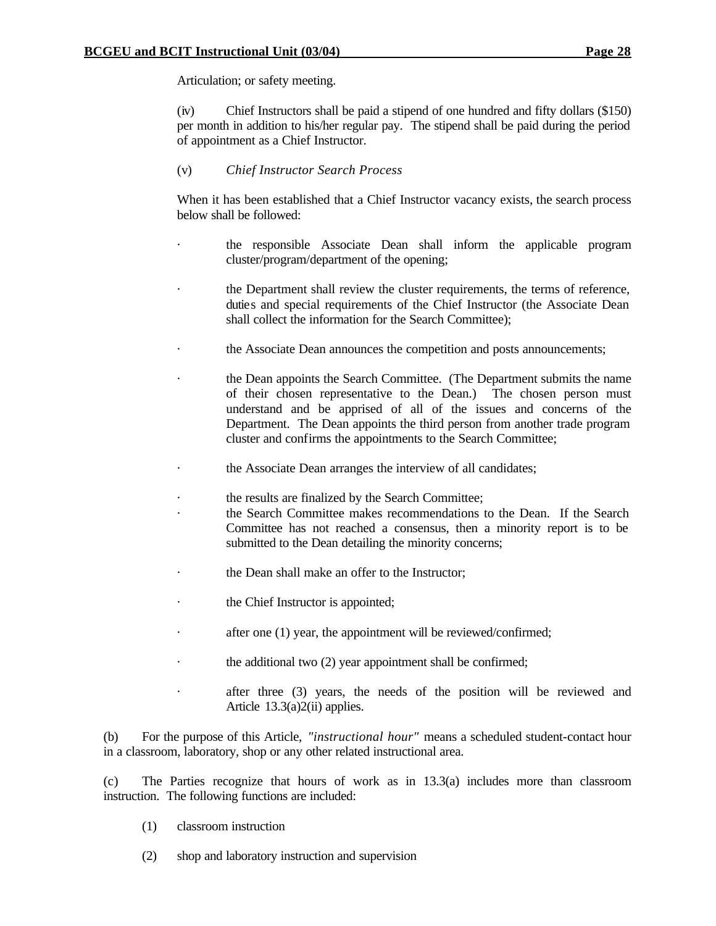Articulation; or safety meeting.

(iv) Chief Instructors shall be paid a stipend of one hundred and fifty dollars (\$150) per month in addition to his/her regular pay. The stipend shall be paid during the period of appointment as a Chief Instructor.

### (v) *Chief Instructor Search Process*

When it has been established that a Chief Instructor vacancy exists, the search process below shall be followed:

- · the responsible Associate Dean shall inform the applicable program cluster/program/department of the opening;
- the Department shall review the cluster requirements, the terms of reference, duties and special requirements of the Chief Instructor (the Associate Dean shall collect the information for the Search Committee);
- the Associate Dean announces the competition and posts announcements;
- the Dean appoints the Search Committee. (The Department submits the name of their chosen representative to the Dean.) The chosen person must understand and be apprised of all of the issues and concerns of the Department. The Dean appoints the third person from another trade program cluster and confirms the appointments to the Search Committee;
- the Associate Dean arranges the interview of all candidates;
- the results are finalized by the Search Committee;
- the Search Committee makes recommendations to the Dean. If the Search Committee has not reached a consensus, then a minority report is to be submitted to the Dean detailing the minority concerns;
- the Dean shall make an offer to the Instructor;
- the Chief Instructor is appointed;
- · after one (1) year, the appointment will be reviewed/confirmed;
- the additional two (2) year appointment shall be confirmed;
- after three (3) years, the needs of the position will be reviewed and Article 13.3(a)2(ii) applies.

(b) For the purpose of this Article, *"instructional hour"* means a scheduled student-contact hour in a classroom, laboratory, shop or any other related instructional area.

(c) The Parties recognize that hours of work as in 13.3(a) includes more than classroom instruction. The following functions are included:

- (1) classroom instruction
- (2) shop and laboratory instruction and supervision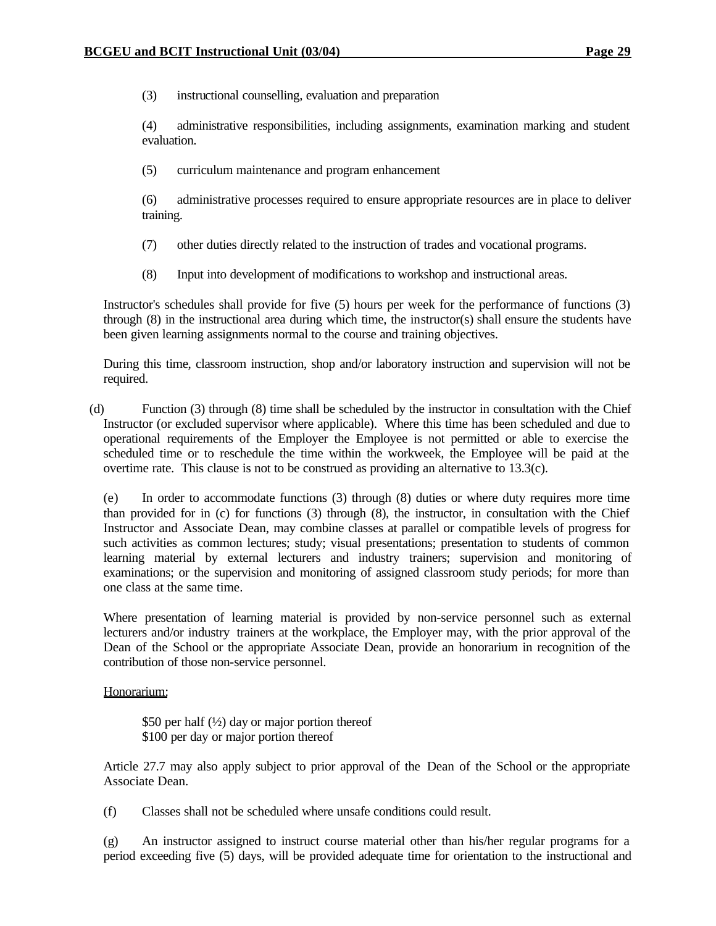(3) instructional counselling, evaluation and preparation

(4) administrative responsibilities, including assignments, examination marking and student evaluation.

(5) curriculum maintenance and program enhancement

(6) administrative processes required to ensure appropriate resources are in place to deliver training.

- (7) other duties directly related to the instruction of trades and vocational programs.
- (8) Input into development of modifications to workshop and instructional areas.

Instructor's schedules shall provide for five (5) hours per week for the performance of functions (3) through (8) in the instructional area during which time, the instructor(s) shall ensure the students have been given learning assignments normal to the course and training objectives.

During this time, classroom instruction, shop and/or laboratory instruction and supervision will not be required.

(d) Function (3) through (8) time shall be scheduled by the instructor in consultation with the Chief Instructor (or excluded supervisor where applicable). Where this time has been scheduled and due to operational requirements of the Employer the Employee is not permitted or able to exercise the scheduled time or to reschedule the time within the workweek, the Employee will be paid at the overtime rate. This clause is not to be construed as providing an alternative to 13.3(c).

(e) In order to accommodate functions (3) through (8) duties or where duty requires more time than provided for in (c) for functions (3) through (8), the instructor, in consultation with the Chief Instructor and Associate Dean, may combine classes at parallel or compatible levels of progress for such activities as common lectures; study; visual presentations; presentation to students of common learning material by external lecturers and industry trainers; supervision and monitoring of examinations; or the supervision and monitoring of assigned classroom study periods; for more than one class at the same time.

Where presentation of learning material is provided by non-service personnel such as external lecturers and/or industry trainers at the workplace, the Employer may, with the prior approval of the Dean of the School or the appropriate Associate Dean, provide an honorarium in recognition of the contribution of those non-service personnel.

#### Honorarium:

\$50 per half  $(\frac{1}{2})$  day or major portion thereof \$100 per day or major portion thereof

Article 27.7 may also apply subject to prior approval of the Dean of the School or the appropriate Associate Dean.

(f) Classes shall not be scheduled where unsafe conditions could result.

(g) An instructor assigned to instruct course material other than his/her regular programs for a period exceeding five (5) days, will be provided adequate time for orientation to the instructional and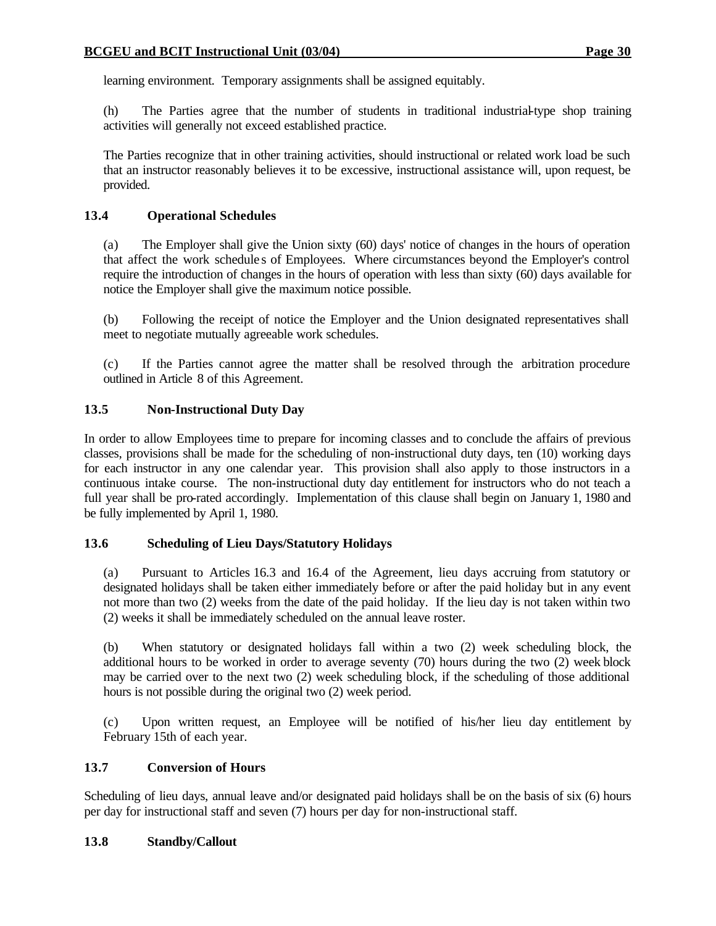learning environment. Temporary assignments shall be assigned equitably.

(h) The Parties agree that the number of students in traditional industrial-type shop training activities will generally not exceed established practice.

The Parties recognize that in other training activities, should instructional or related work load be such that an instructor reasonably believes it to be excessive, instructional assistance will, upon request, be provided.

#### **13.4 Operational Schedules**

(a) The Employer shall give the Union sixty (60) days' notice of changes in the hours of operation that affect the work schedule s of Employees. Where circumstances beyond the Employer's control require the introduction of changes in the hours of operation with less than sixty (60) days available for notice the Employer shall give the maximum notice possible.

(b) Following the receipt of notice the Employer and the Union designated representatives shall meet to negotiate mutually agreeable work schedules.

(c) If the Parties cannot agree the matter shall be resolved through the arbitration procedure outlined in Article 8 of this Agreement.

#### **13.5 Non-Instructional Duty Day**

In order to allow Employees time to prepare for incoming classes and to conclude the affairs of previous classes, provisions shall be made for the scheduling of non-instructional duty days, ten (10) working days for each instructor in any one calendar year. This provision shall also apply to those instructors in a continuous intake course. The non-instructional duty day entitlement for instructors who do not teach a full year shall be pro-rated accordingly. Implementation of this clause shall begin on January 1, 1980 and be fully implemented by April 1, 1980.

#### **13.6 Scheduling of Lieu Days/Statutory Holidays**

(a) Pursuant to Articles 16.3 and 16.4 of the Agreement, lieu days accruing from statutory or designated holidays shall be taken either immediately before or after the paid holiday but in any event not more than two (2) weeks from the date of the paid holiday. If the lieu day is not taken within two (2) weeks it shall be immediately scheduled on the annual leave roster.

(b) When statutory or designated holidays fall within a two (2) week scheduling block, the additional hours to be worked in order to average seventy (70) hours during the two (2) week block may be carried over to the next two (2) week scheduling block, if the scheduling of those additional hours is not possible during the original two (2) week period.

(c) Upon written request, an Employee will be notified of his/her lieu day entitlement by February 15th of each year.

#### **13.7 Conversion of Hours**

Scheduling of lieu days, annual leave and/or designated paid holidays shall be on the basis of six (6) hours per day for instructional staff and seven (7) hours per day for non-instructional staff.

#### **13.8 Standby/Callout**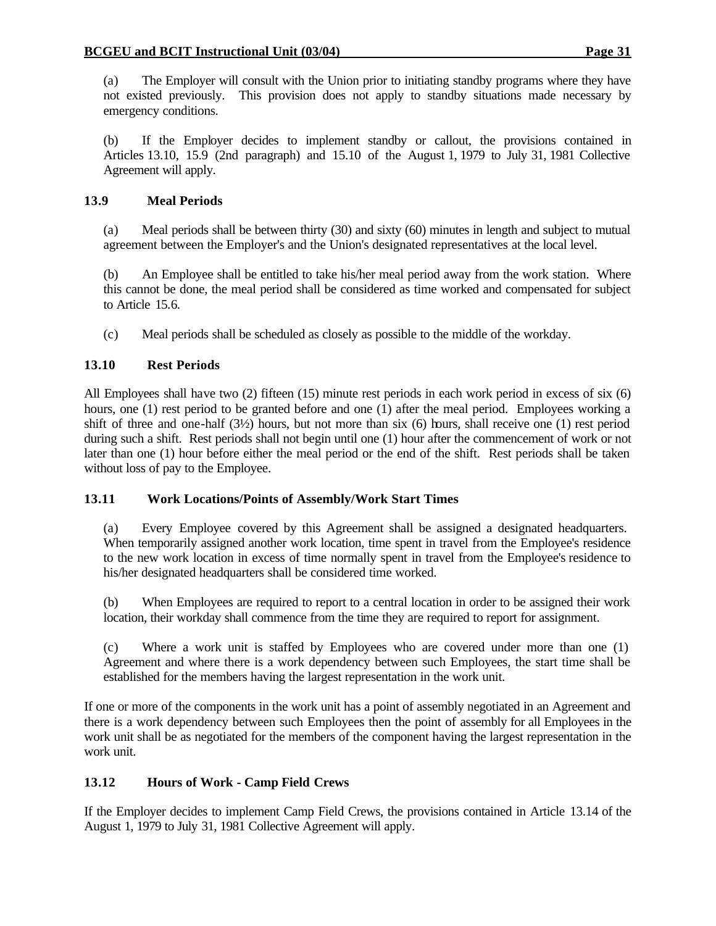(a) The Employer will consult with the Union prior to initiating standby programs where they have not existed previously. This provision does not apply to standby situations made necessary by emergency conditions.

(b) If the Employer decides to implement standby or callout, the provisions contained in Articles 13.10, 15.9 (2nd paragraph) and 15.10 of the August 1, 1979 to July 31, 1981 Collective Agreement will apply.

## **13.9 Meal Periods**

(a) Meal periods shall be between thirty (30) and sixty (60) minutes in length and subject to mutual agreement between the Employer's and the Union's designated representatives at the local level.

(b) An Employee shall be entitled to take his/her meal period away from the work station. Where this cannot be done, the meal period shall be considered as time worked and compensated for subject to Article 15.6.

(c) Meal periods shall be scheduled as closely as possible to the middle of the workday.

## **13.10 Rest Periods**

All Employees shall have two (2) fifteen (15) minute rest periods in each work period in excess of six (6) hours, one (1) rest period to be granted before and one (1) after the meal period. Employees working a shift of three and one-half (3½) hours, but not more than six (6) hours, shall receive one (1) rest period during such a shift. Rest periods shall not begin until one (1) hour after the commencement of work or not later than one (1) hour before either the meal period or the end of the shift. Rest periods shall be taken without loss of pay to the Employee.

### **13.11 Work Locations/Points of Assembly/Work Start Times**

(a) Every Employee covered by this Agreement shall be assigned a designated headquarters. When temporarily assigned another work location, time spent in travel from the Employee's residence to the new work location in excess of time normally spent in travel from the Employee's residence to his/her designated headquarters shall be considered time worked.

(b) When Employees are required to report to a central location in order to be assigned their work location, their workday shall commence from the time they are required to report for assignment.

(c) Where a work unit is staffed by Employees who are covered under more than one (1) Agreement and where there is a work dependency between such Employees, the start time shall be established for the members having the largest representation in the work unit.

If one or more of the components in the work unit has a point of assembly negotiated in an Agreement and there is a work dependency between such Employees then the point of assembly for all Employees in the work unit shall be as negotiated for the members of the component having the largest representation in the work unit.

## **13.12 Hours of Work - Camp Field Crews**

If the Employer decides to implement Camp Field Crews, the provisions contained in Article 13.14 of the August 1, 1979 to July 31, 1981 Collective Agreement will apply.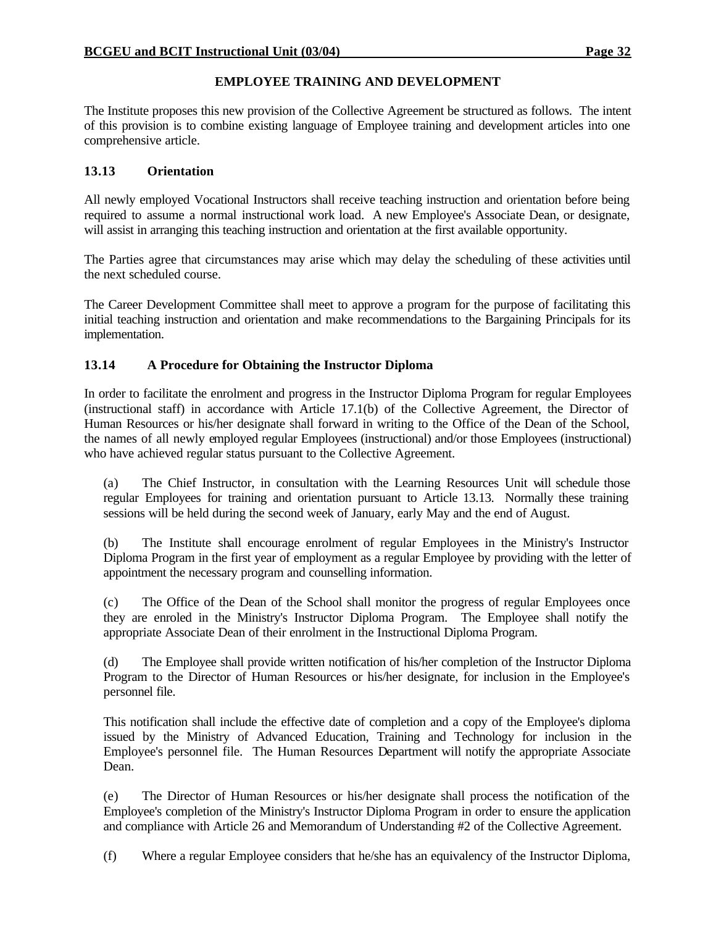### **EMPLOYEE TRAINING AND DEVELOPMENT**

The Institute proposes this new provision of the Collective Agreement be structured as follows. The intent of this provision is to combine existing language of Employee training and development articles into one comprehensive article.

### **13.13 Orientation**

All newly employed Vocational Instructors shall receive teaching instruction and orientation before being required to assume a normal instructional work load. A new Employee's Associate Dean, or designate, will assist in arranging this teaching instruction and orientation at the first available opportunity.

The Parties agree that circumstances may arise which may delay the scheduling of these activities until the next scheduled course.

The Career Development Committee shall meet to approve a program for the purpose of facilitating this initial teaching instruction and orientation and make recommendations to the Bargaining Principals for its implementation.

### **13.14 A Procedure for Obtaining the Instructor Diploma**

In order to facilitate the enrolment and progress in the Instructor Diploma Program for regular Employees (instructional staff) in accordance with Article 17.1(b) of the Collective Agreement, the Director of Human Resources or his/her designate shall forward in writing to the Office of the Dean of the School, the names of all newly employed regular Employees (instructional) and/or those Employees (instructional) who have achieved regular status pursuant to the Collective Agreement.

(a) The Chief Instructor, in consultation with the Learning Resources Unit will schedule those regular Employees for training and orientation pursuant to Article 13.13. Normally these training sessions will be held during the second week of January, early May and the end of August.

(b) The Institute shall encourage enrolment of regular Employees in the Ministry's Instructor Diploma Program in the first year of employment as a regular Employee by providing with the letter of appointment the necessary program and counselling information.

(c) The Office of the Dean of the School shall monitor the progress of regular Employees once they are enroled in the Ministry's Instructor Diploma Program. The Employee shall notify the appropriate Associate Dean of their enrolment in the Instructional Diploma Program.

(d) The Employee shall provide written notification of his/her completion of the Instructor Diploma Program to the Director of Human Resources or his/her designate, for inclusion in the Employee's personnel file.

This notification shall include the effective date of completion and a copy of the Employee's diploma issued by the Ministry of Advanced Education, Training and Technology for inclusion in the Employee's personnel file. The Human Resources Department will notify the appropriate Associate Dean.

(e) The Director of Human Resources or his/her designate shall process the notification of the Employee's completion of the Ministry's Instructor Diploma Program in order to ensure the application and compliance with Article 26 and Memorandum of Understanding #2 of the Collective Agreement.

(f) Where a regular Employee considers that he/she has an equivalency of the Instructor Diploma,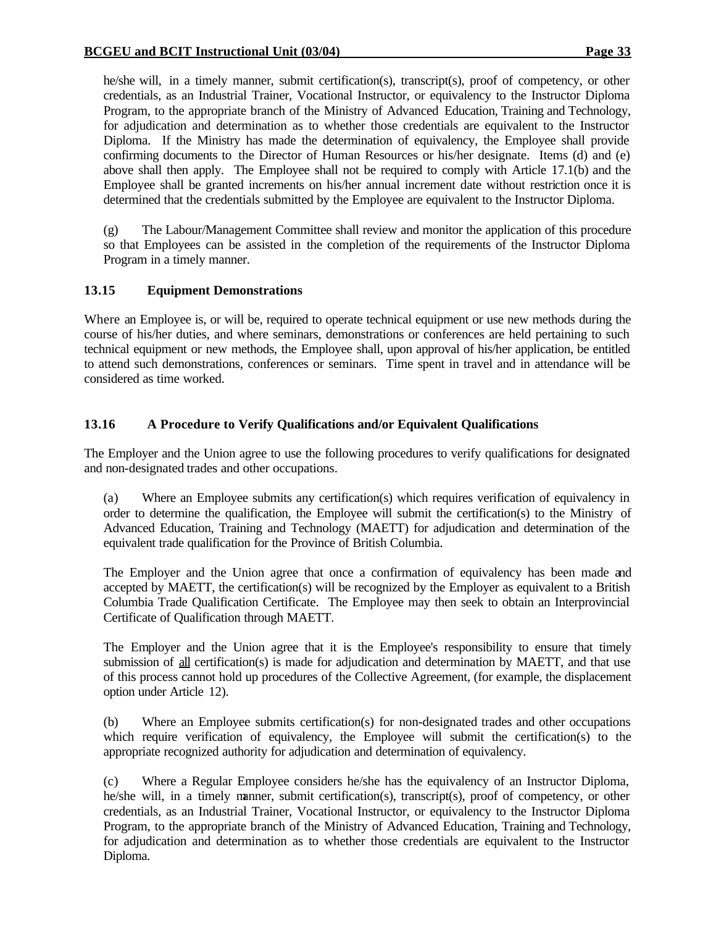he/she will, in a timely manner, submit certification(s), transcript(s), proof of competency, or other credentials, as an Industrial Trainer, Vocational Instructor, or equivalency to the Instructor Diploma Program, to the appropriate branch of the Ministry of Advanced Education, Training and Technology, for adjudication and determination as to whether those credentials are equivalent to the Instructor Diploma. If the Ministry has made the determination of equivalency, the Employee shall provide confirming documents to the Director of Human Resources or his/her designate. Items (d) and (e) above shall then apply. The Employee shall not be required to comply with Article 17.1(b) and the Employee shall be granted increments on his/her annual increment date without restriction once it is determined that the credentials submitted by the Employee are equivalent to the Instructor Diploma.

(g) The Labour/Management Committee shall review and monitor the application of this procedure so that Employees can be assisted in the completion of the requirements of the Instructor Diploma Program in a timely manner.

### **13.15 Equipment Demonstrations**

Where an Employee is, or will be, required to operate technical equipment or use new methods during the course of his/her duties, and where seminars, demonstrations or conferences are held pertaining to such technical equipment or new methods, the Employee shall, upon approval of his/her application, be entitled to attend such demonstrations, conferences or seminars. Time spent in travel and in attendance will be considered as time worked.

### **13.16 A Procedure to Verify Qualifications and/or Equivalent Qualifications**

The Employer and the Union agree to use the following procedures to verify qualifications for designated and non-designated trades and other occupations.

(a) Where an Employee submits any certification(s) which requires verification of equivalency in order to determine the qualification, the Employee will submit the certification(s) to the Ministry of Advanced Education, Training and Technology (MAETT) for adjudication and determination of the equivalent trade qualification for the Province of British Columbia.

The Employer and the Union agree that once a confirmation of equivalency has been made and accepted by MAETT, the certification(s) will be recognized by the Employer as equivalent to a British Columbia Trade Qualification Certificate. The Employee may then seek to obtain an Interprovincial Certificate of Qualification through MAETT.

The Employer and the Union agree that it is the Employee's responsibility to ensure that timely submission of all certification(s) is made for adjudication and determination by MAETT, and that use of this process cannot hold up procedures of the Collective Agreement, (for example, the displacement option under Article 12).

(b) Where an Employee submits certification(s) for non-designated trades and other occupations which require verification of equivalency, the Employee will submit the certification(s) to the appropriate recognized authority for adjudication and determination of equivalency.

(c) Where a Regular Employee considers he/she has the equivalency of an Instructor Diploma, he/she will, in a timely manner, submit certification(s), transcript(s), proof of competency, or other credentials, as an Industrial Trainer, Vocational Instructor, or equivalency to the Instructor Diploma Program, to the appropriate branch of the Ministry of Advanced Education, Training and Technology, for adjudication and determination as to whether those credentials are equivalent to the Instructor Diploma.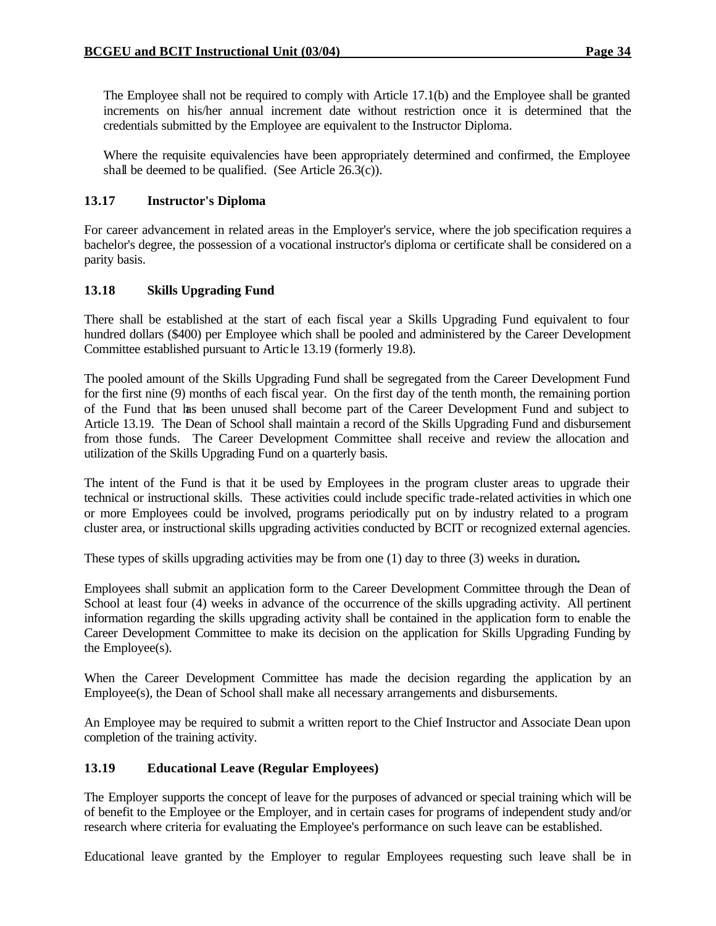The Employee shall not be required to comply with Article 17.1(b) and the Employee shall be granted increments on his/her annual increment date without restriction once it is determined that the credentials submitted by the Employee are equivalent to the Instructor Diploma.

Where the requisite equivalencies have been appropriately determined and confirmed, the Employee shall be deemed to be qualified. (See Article 26.3(c)).

#### **13.17 Instructor's Diploma**

For career advancement in related areas in the Employer's service, where the job specification requires a bachelor's degree, the possession of a vocational instructor's diploma or certificate shall be considered on a parity basis.

#### **13.18 Skills Upgrading Fund**

There shall be established at the start of each fiscal year a Skills Upgrading Fund equivalent to four hundred dollars (\$400) per Employee which shall be pooled and administered by the Career Development Committee established pursuant to Artic le 13.19 (formerly 19.8).

The pooled amount of the Skills Upgrading Fund shall be segregated from the Career Development Fund for the first nine (9) months of each fiscal year. On the first day of the tenth month, the remaining portion of the Fund that has been unused shall become part of the Career Development Fund and subject to Article 13.19. The Dean of School shall maintain a record of the Skills Upgrading Fund and disbursement from those funds. The Career Development Committee shall receive and review the allocation and utilization of the Skills Upgrading Fund on a quarterly basis.

The intent of the Fund is that it be used by Employees in the program cluster areas to upgrade their technical or instructional skills. These activities could include specific trade-related activities in which one or more Employees could be involved, programs periodically put on by industry related to a program cluster area, or instructional skills upgrading activities conducted by BCIT or recognized external agencies.

These types of skills upgrading activities may be from one (1) day to three (3) weeks in duration**.**

Employees shall submit an application form to the Career Development Committee through the Dean of School at least four (4) weeks in advance of the occurrence of the skills upgrading activity. All pertinent information regarding the skills upgrading activity shall be contained in the application form to enable the Career Development Committee to make its decision on the application for Skills Upgrading Funding by the Employee(s).

When the Career Development Committee has made the decision regarding the application by an Employee(s), the Dean of School shall make all necessary arrangements and disbursements.

An Employee may be required to submit a written report to the Chief Instructor and Associate Dean upon completion of the training activity.

#### **13.19 Educational Leave (Regular Employees)**

The Employer supports the concept of leave for the purposes of advanced or special training which will be of benefit to the Employee or the Employer, and in certain cases for programs of independent study and/or research where criteria for evaluating the Employee's performance on such leave can be established.

Educational leave granted by the Employer to regular Employees requesting such leave shall be in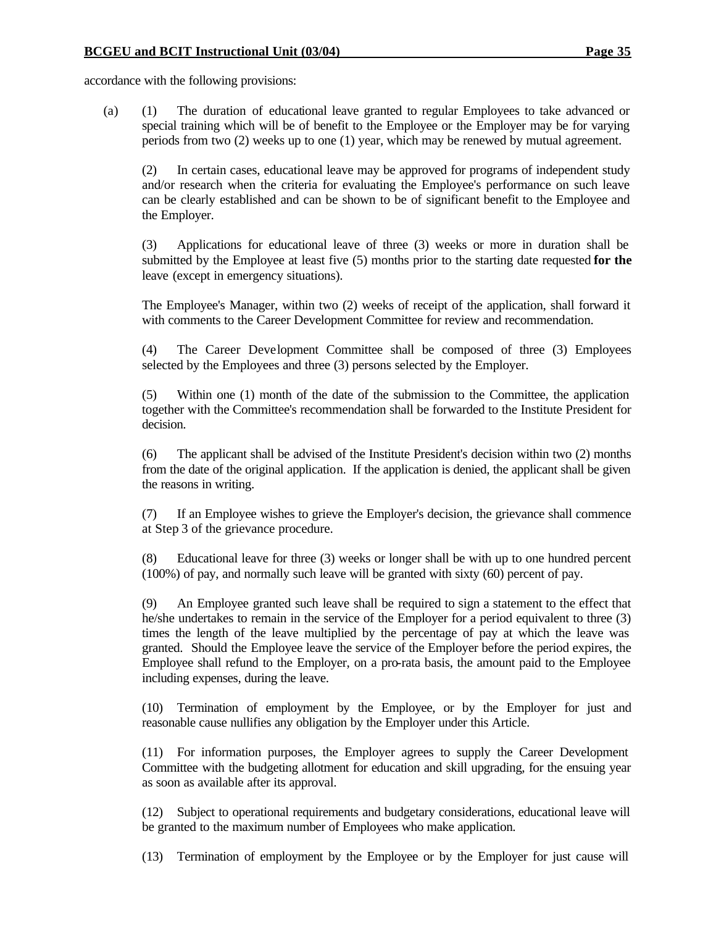accordance with the following provisions:

(a) (1) The duration of educational leave granted to regular Employees to take advanced or special training which will be of benefit to the Employee or the Employer may be for varying periods from two (2) weeks up to one (1) year, which may be renewed by mutual agreement.

(2) In certain cases, educational leave may be approved for programs of independent study and/or research when the criteria for evaluating the Employee's performance on such leave can be clearly established and can be shown to be of significant benefit to the Employee and the Employer.

(3) Applications for educational leave of three (3) weeks or more in duration shall be submitted by the Employee at least five (5) months prior to the starting date requested **for the**  leave (except in emergency situations).

The Employee's Manager, within two (2) weeks of receipt of the application, shall forward it with comments to the Career Development Committee for review and recommendation.

(4) The Career Development Committee shall be composed of three (3) Employees selected by the Employees and three (3) persons selected by the Employer.

(5) Within one (1) month of the date of the submission to the Committee, the application together with the Committee's recommendation shall be forwarded to the Institute President for decision.

(6) The applicant shall be advised of the Institute President's decision within two (2) months from the date of the original application. If the application is denied, the applicant shall be given the reasons in writing.

(7) If an Employee wishes to grieve the Employer's decision, the grievance shall commence at Step 3 of the grievance procedure.

(8) Educational leave for three (3) weeks or longer shall be with up to one hundred percent (100%) of pay, and normally such leave will be granted with sixty (60) percent of pay.

(9) An Employee granted such leave shall be required to sign a statement to the effect that he/she undertakes to remain in the service of the Employer for a period equivalent to three (3) times the length of the leave multiplied by the percentage of pay at which the leave was granted. Should the Employee leave the service of the Employer before the period expires, the Employee shall refund to the Employer, on a pro-rata basis, the amount paid to the Employee including expenses, during the leave.

(10) Termination of employment by the Employee, or by the Employer for just and reasonable cause nullifies any obligation by the Employer under this Article.

(11) For information purposes, the Employer agrees to supply the Career Development Committee with the budgeting allotment for education and skill upgrading, for the ensuing year as soon as available after its approval.

(12) Subject to operational requirements and budgetary considerations, educational leave will be granted to the maximum number of Employees who make application.

(13) Termination of employment by the Employee or by the Employer for just cause will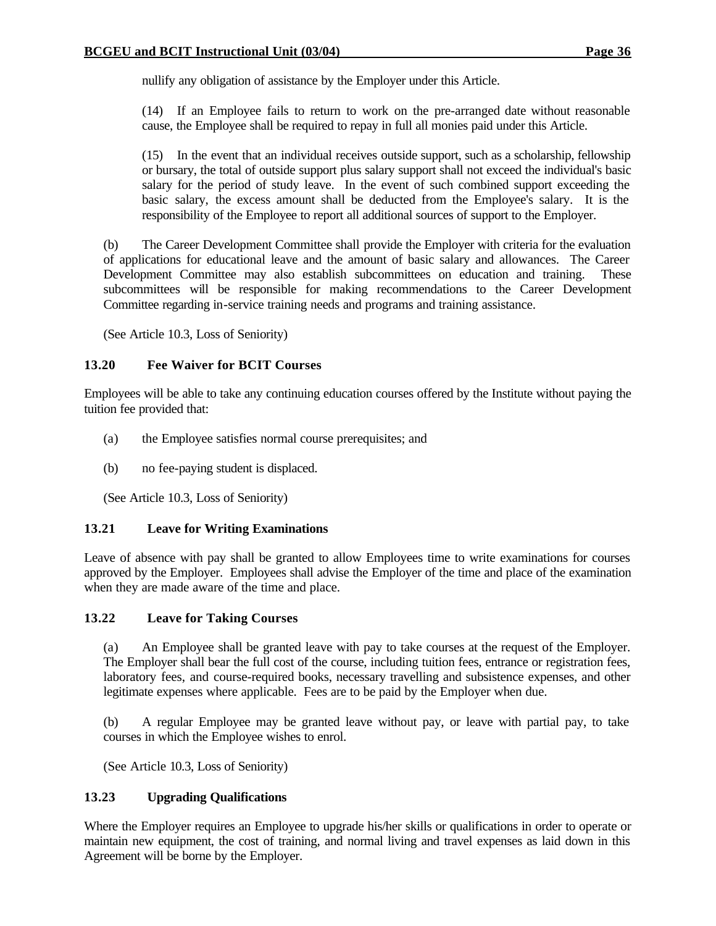nullify any obligation of assistance by the Employer under this Article.

(14) If an Employee fails to return to work on the pre-arranged date without reasonable cause, the Employee shall be required to repay in full all monies paid under this Article.

(15) In the event that an individual receives outside support, such as a scholarship, fellowship or bursary, the total of outside support plus salary support shall not exceed the individual's basic salary for the period of study leave. In the event of such combined support exceeding the basic salary, the excess amount shall be deducted from the Employee's salary. It is the responsibility of the Employee to report all additional sources of support to the Employer.

(b) The Career Development Committee shall provide the Employer with criteria for the evaluation of applications for educational leave and the amount of basic salary and allowances. The Career Development Committee may also establish subcommittees on education and training. These subcommittees will be responsible for making recommendations to the Career Development Committee regarding in-service training needs and programs and training assistance.

(See Article 10.3, Loss of Seniority)

### **13.20 Fee Waiver for BCIT Courses**

Employees will be able to take any continuing education courses offered by the Institute without paying the tuition fee provided that:

- (a) the Employee satisfies normal course prerequisites; and
- (b) no fee-paying student is displaced.

(See Article 10.3, Loss of Seniority)

### **13.21 Leave for Writing Examinations**

Leave of absence with pay shall be granted to allow Employees time to write examinations for courses approved by the Employer. Employees shall advise the Employer of the time and place of the examination when they are made aware of the time and place.

#### **13.22 Leave for Taking Courses**

(a) An Employee shall be granted leave with pay to take courses at the request of the Employer. The Employer shall bear the full cost of the course, including tuition fees, entrance or registration fees, laboratory fees, and course-required books, necessary travelling and subsistence expenses, and other legitimate expenses where applicable. Fees are to be paid by the Employer when due.

(b) A regular Employee may be granted leave without pay, or leave with partial pay, to take courses in which the Employee wishes to enrol.

(See Article 10.3, Loss of Seniority)

### **13.23 Upgrading Qualifications**

Where the Employer requires an Employee to upgrade his/her skills or qualifications in order to operate or maintain new equipment, the cost of training, and normal living and travel expenses as laid down in this Agreement will be borne by the Employer.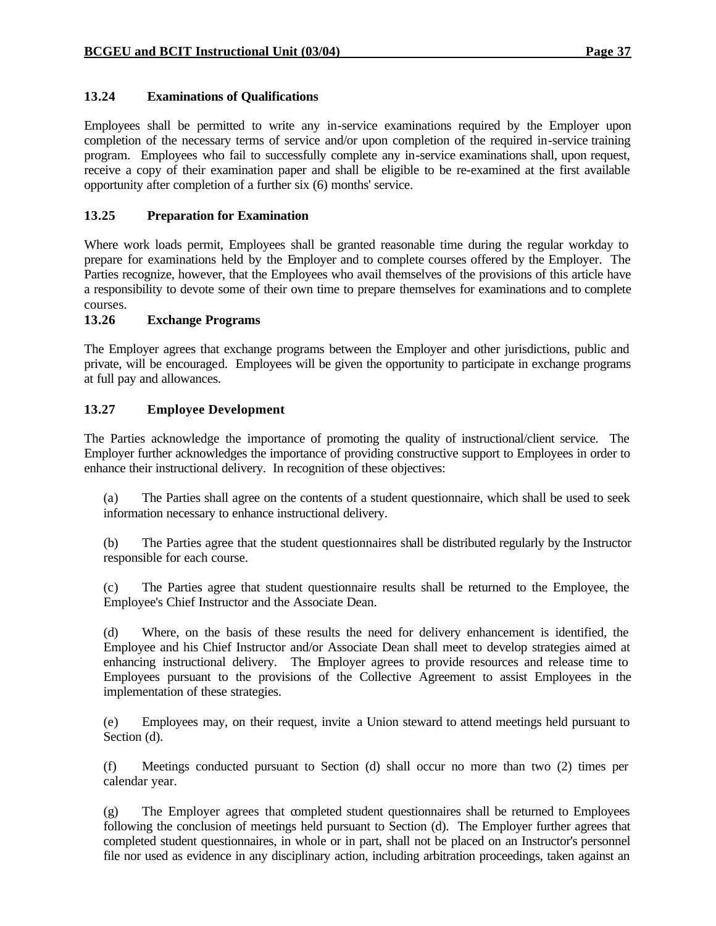### **13.24 Examinations of Qualifications**

Employees shall be permitted to write any in-service examinations required by the Employer upon completion of the necessary terms of service and/or upon completion of the required in-service training program. Employees who fail to successfully complete any in-service examinations shall, upon request, receive a copy of their examination paper and shall be eligible to be re-examined at the first available opportunity after completion of a further six (6) months' service.

### **13.25 Preparation for Examination**

Where work loads permit, Employees shall be granted reasonable time during the regular workday to prepare for examinations held by the Employer and to complete courses offered by the Employer. The Parties recognize, however, that the Employees who avail themselves of the provisions of this article have a responsibility to devote some of their own time to prepare themselves for examinations and to complete courses.

#### **13.26 Exchange Programs**

The Employer agrees that exchange programs between the Employer and other jurisdictions, public and private, will be encouraged. Employees will be given the opportunity to participate in exchange programs at full pay and allowances.

#### **13.27 Employee Development**

The Parties acknowledge the importance of promoting the quality of instructional/client service. The Employer further acknowledges the importance of providing constructive support to Employees in order to enhance their instructional delivery. In recognition of these objectives:

(a) The Parties shall agree on the contents of a student questionnaire, which shall be used to seek information necessary to enhance instructional delivery.

(b) The Parties agree that the student questionnaires shall be distributed regularly by the Instructor responsible for each course.

(c) The Parties agree that student questionnaire results shall be returned to the Employee, the Employee's Chief Instructor and the Associate Dean.

(d) Where, on the basis of these results the need for delivery enhancement is identified, the Employee and his Chief Instructor and/or Associate Dean shall meet to develop strategies aimed at enhancing instructional delivery. The Employer agrees to provide resources and release time to Employees pursuant to the provisions of the Collective Agreement to assist Employees in the implementation of these strategies.

(e) Employees may, on their request, invite a Union steward to attend meetings held pursuant to Section (d).

(f) Meetings conducted pursuant to Section (d) shall occur no more than two (2) times per calendar year.

(g) The Employer agrees that completed student questionnaires shall be returned to Employees following the conclusion of meetings held pursuant to Section (d). The Employer further agrees that completed student questionnaires, in whole or in part, shall not be placed on an Instructor's personnel file nor used as evidence in any disciplinary action, including arbitration proceedings, taken against an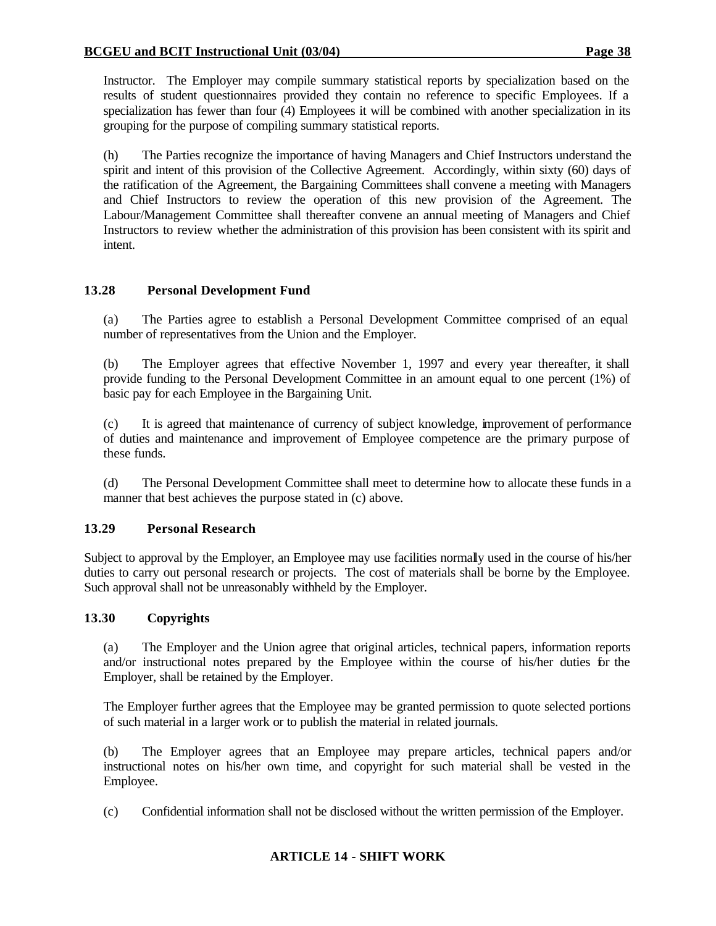Instructor. The Employer may compile summary statistical reports by specialization based on the results of student questionnaires provided they contain no reference to specific Employees. If a specialization has fewer than four (4) Employees it will be combined with another specialization in its grouping for the purpose of compiling summary statistical reports.

(h) The Parties recognize the importance of having Managers and Chief Instructors understand the spirit and intent of this provision of the Collective Agreement. Accordingly, within sixty (60) days of the ratification of the Agreement, the Bargaining Committees shall convene a meeting with Managers and Chief Instructors to review the operation of this new provision of the Agreement. The Labour/Management Committee shall thereafter convene an annual meeting of Managers and Chief Instructors to review whether the administration of this provision has been consistent with its spirit and intent.

### **13.28 Personal Development Fund**

(a) The Parties agree to establish a Personal Development Committee comprised of an equal number of representatives from the Union and the Employer.

(b) The Employer agrees that effective November 1, 1997 and every year thereafter, it shall provide funding to the Personal Development Committee in an amount equal to one percent (1%) of basic pay for each Employee in the Bargaining Unit.

(c) It is agreed that maintenance of currency of subject knowledge, improvement of performance of duties and maintenance and improvement of Employee competence are the primary purpose of these funds.

(d) The Personal Development Committee shall meet to determine how to allocate these funds in a manner that best achieves the purpose stated in (c) above.

### **13.29 Personal Research**

Subject to approval by the Employer, an Employee may use facilities normally used in the course of his/her duties to carry out personal research or projects. The cost of materials shall be borne by the Employee. Such approval shall not be unreasonably withheld by the Employer.

#### **13.30 Copyrights**

(a) The Employer and the Union agree that original articles, technical papers, information reports and/or instructional notes prepared by the Employee within the course of his/her duties for the Employer, shall be retained by the Employer.

The Employer further agrees that the Employee may be granted permission to quote selected portions of such material in a larger work or to publish the material in related journals.

(b) The Employer agrees that an Employee may prepare articles, technical papers and/or instructional notes on his/her own time, and copyright for such material shall be vested in the Employee.

(c) Confidential information shall not be disclosed without the written permission of the Employer.

### **ARTICLE 14 - SHIFT WORK**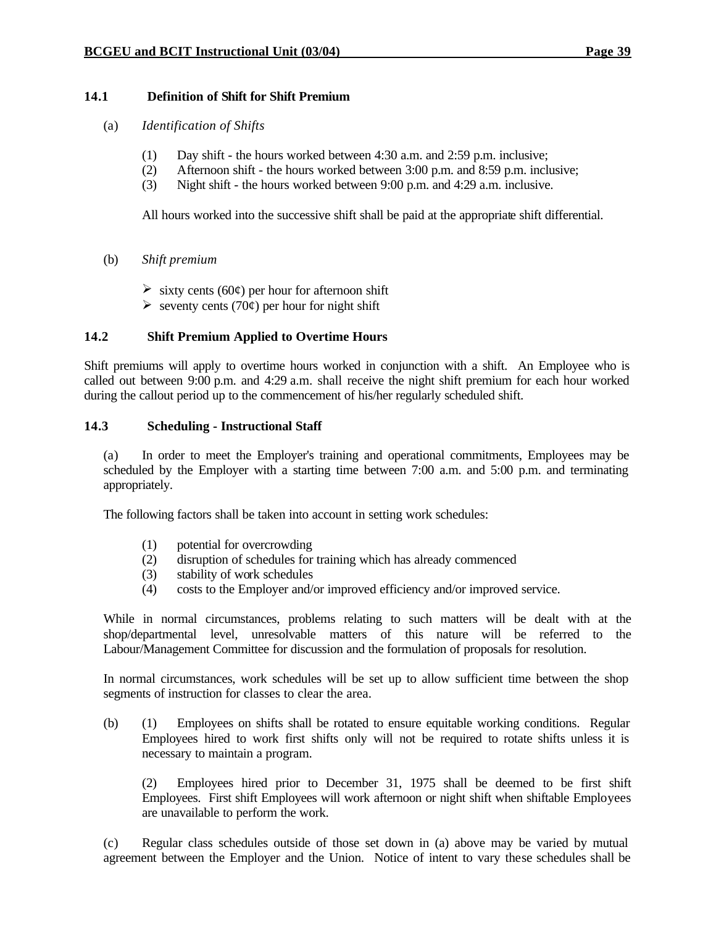#### **14.1 Definition of Shift for Shift Premium**

- (a) *Identification of Shifts*
	- (1) Day shift the hours worked between 4:30 a.m. and 2:59 p.m. inclusive;
	- (2) Afternoon shift the hours worked between 3:00 p.m. and 8:59 p.m. inclusive;
	- (3) Night shift the hours worked between 9:00 p.m. and 4:29 a.m. inclusive.

All hours worked into the successive shift shall be paid at the appropriate shift differential.

- (b) *Shift premium* 
	- $\triangleright$  sixty cents (60¢) per hour for afternoon shift
	- $\triangleright$  seventy cents (70¢) per hour for night shift

### **14.2 Shift Premium Applied to Overtime Hours**

Shift premiums will apply to overtime hours worked in conjunction with a shift. An Employee who is called out between 9:00 p.m. and 4:29 a.m. shall receive the night shift premium for each hour worked during the callout period up to the commencement of his/her regularly scheduled shift.

#### **14.3 Scheduling - Instructional Staff**

(a) In order to meet the Employer's training and operational commitments, Employees may be scheduled by the Employer with a starting time between 7:00 a.m. and 5:00 p.m. and terminating appropriately.

The following factors shall be taken into account in setting work schedules:

- (1) potential for overcrowding
- (2) disruption of schedules for training which has already commenced
- (3) stability of work schedules
- (4) costs to the Employer and/or improved efficiency and/or improved service.

While in normal circumstances, problems relating to such matters will be dealt with at the shop/departmental level, unresolvable matters of this nature will be referred to the Labour/Management Committee for discussion and the formulation of proposals for resolution.

In normal circumstances, work schedules will be set up to allow sufficient time between the shop segments of instruction for classes to clear the area.

(b) (1) Employees on shifts shall be rotated to ensure equitable working conditions. Regular Employees hired to work first shifts only will not be required to rotate shifts unless it is necessary to maintain a program.

(2) Employees hired prior to December 31, 1975 shall be deemed to be first shift Employees. First shift Employees will work afternoon or night shift when shiftable Employees are unavailable to perform the work.

(c) Regular class schedules outside of those set down in (a) above may be varied by mutual agreement between the Employer and the Union. Notice of intent to vary these schedules shall be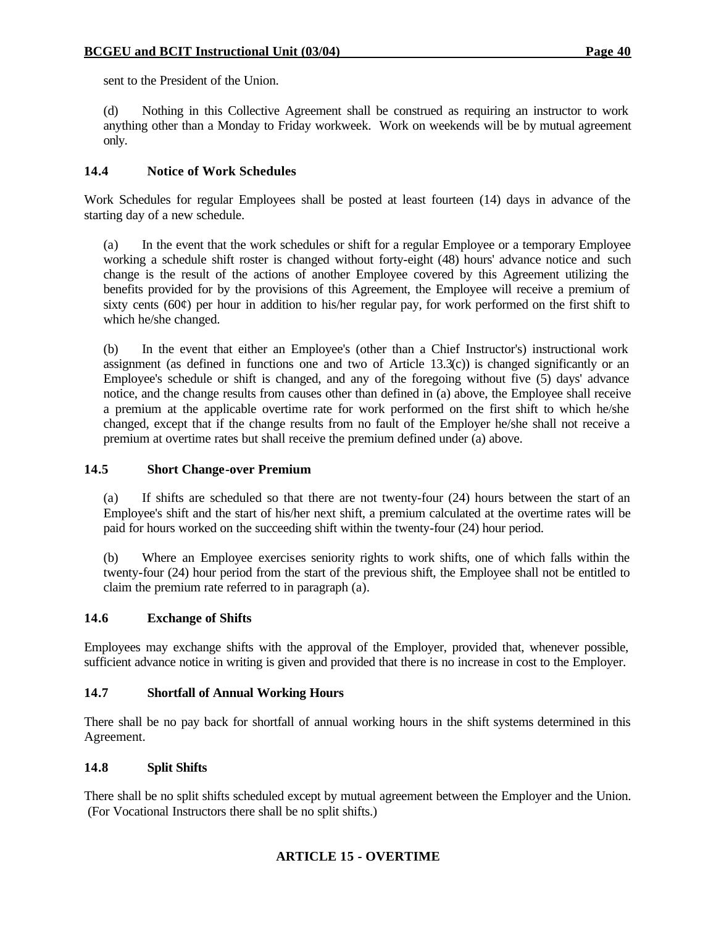sent to the President of the Union.

(d) Nothing in this Collective Agreement shall be construed as requiring an instructor to work anything other than a Monday to Friday workweek. Work on weekends will be by mutual agreement only.

### **14.4 Notice of Work Schedules**

Work Schedules for regular Employees shall be posted at least fourteen (14) days in advance of the starting day of a new schedule.

(a) In the event that the work schedules or shift for a regular Employee or a temporary Employee working a schedule shift roster is changed without forty-eight (48) hours' advance notice and such change is the result of the actions of another Employee covered by this Agreement utilizing the benefits provided for by the provisions of this Agreement, the Employee will receive a premium of sixty cents ( $60¢$ ) per hour in addition to his/her regular pay, for work performed on the first shift to which he/she changed.

(b) In the event that either an Employee's (other than a Chief Instructor's) instructional work assignment (as defined in functions one and two of Article  $13.3(c)$ ) is changed significantly or an Employee's schedule or shift is changed, and any of the foregoing without five (5) days' advance notice, and the change results from causes other than defined in (a) above, the Employee shall receive a premium at the applicable overtime rate for work performed on the first shift to which he/she changed, except that if the change results from no fault of the Employer he/she shall not receive a premium at overtime rates but shall receive the premium defined under (a) above.

#### **14.5 Short Change-over Premium**

(a) If shifts are scheduled so that there are not twenty-four (24) hours between the start of an Employee's shift and the start of his/her next shift, a premium calculated at the overtime rates will be paid for hours worked on the succeeding shift within the twenty-four (24) hour period.

(b) Where an Employee exercises seniority rights to work shifts, one of which falls within the twenty-four (24) hour period from the start of the previous shift, the Employee shall not be entitled to claim the premium rate referred to in paragraph (a).

### **14.6 Exchange of Shifts**

Employees may exchange shifts with the approval of the Employer, provided that, whenever possible, sufficient advance notice in writing is given and provided that there is no increase in cost to the Employer.

#### **14.7 Shortfall of Annual Working Hours**

There shall be no pay back for shortfall of annual working hours in the shift systems determined in this Agreement.

#### **14.8 Split Shifts**

There shall be no split shifts scheduled except by mutual agreement between the Employer and the Union. (For Vocational Instructors there shall be no split shifts.)

### **ARTICLE 15 - OVERTIME**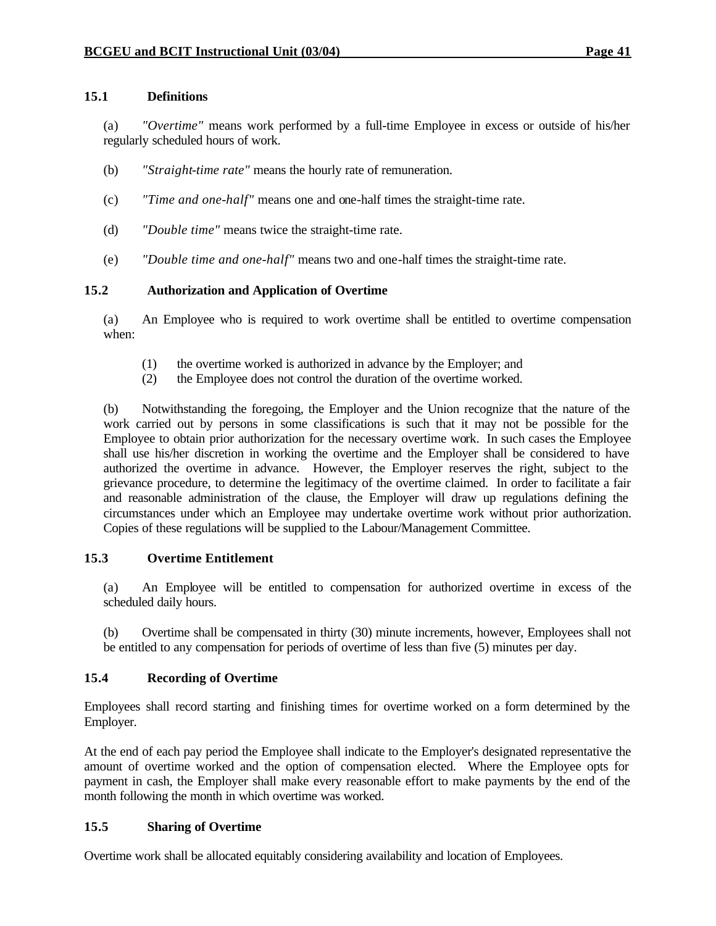### **15.1 Definitions**

(a) *"Overtime"* means work performed by a full-time Employee in excess or outside of his/her regularly scheduled hours of work.

- (b) *"Straight-time rate"* means the hourly rate of remuneration.
- (c) *"Time and one-half"* means one and one-half times the straight-time rate.
- (d) *"Double time"* means twice the straight-time rate.
- (e) *"Double time and one-half"* means two and one-half times the straight-time rate.

#### **15.2 Authorization and Application of Overtime**

(a) An Employee who is required to work overtime shall be entitled to overtime compensation when:

- (1) the overtime worked is authorized in advance by the Employer; and
- (2) the Employee does not control the duration of the overtime worked.

(b) Notwithstanding the foregoing, the Employer and the Union recognize that the nature of the work carried out by persons in some classifications is such that it may not be possible for the Employee to obtain prior authorization for the necessary overtime work. In such cases the Employee shall use his/her discretion in working the overtime and the Employer shall be considered to have authorized the overtime in advance. However, the Employer reserves the right, subject to the grievance procedure, to determine the legitimacy of the overtime claimed. In order to facilitate a fair and reasonable administration of the clause, the Employer will draw up regulations defining the circumstances under which an Employee may undertake overtime work without prior authorization. Copies of these regulations will be supplied to the Labour/Management Committee.

#### **15.3 Overtime Entitlement**

(a) An Employee will be entitled to compensation for authorized overtime in excess of the scheduled daily hours.

(b) Overtime shall be compensated in thirty (30) minute increments, however, Employees shall not be entitled to any compensation for periods of overtime of less than five (5) minutes per day.

#### **15.4 Recording of Overtime**

Employees shall record starting and finishing times for overtime worked on a form determined by the Employer.

At the end of each pay period the Employee shall indicate to the Employer's designated representative the amount of overtime worked and the option of compensation elected. Where the Employee opts for payment in cash, the Employer shall make every reasonable effort to make payments by the end of the month following the month in which overtime was worked.

### **15.5 Sharing of Overtime**

Overtime work shall be allocated equitably considering availability and location of Employees.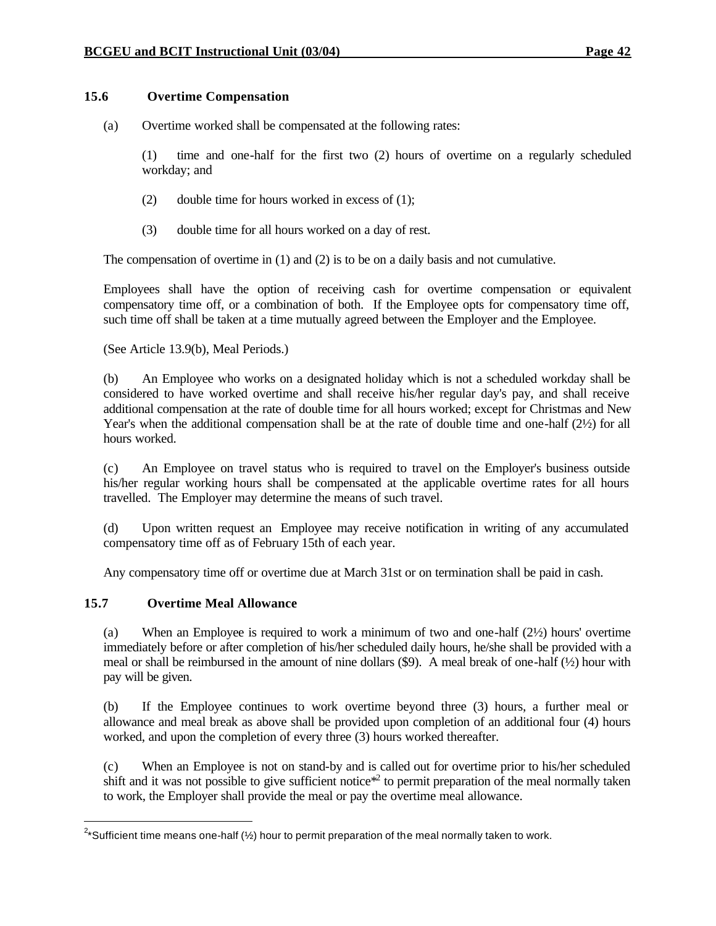#### **15.6 Overtime Compensation**

(a) Overtime worked shall be compensated at the following rates:

(1) time and one-half for the first two (2) hours of overtime on a regularly scheduled workday; and

- (2) double time for hours worked in excess of (1);
- (3) double time for all hours worked on a day of rest.

The compensation of overtime in (1) and (2) is to be on a daily basis and not cumulative.

Employees shall have the option of receiving cash for overtime compensation or equivalent compensatory time off, or a combination of both. If the Employee opts for compensatory time off, such time off shall be taken at a time mutually agreed between the Employer and the Employee.

(See Article 13.9(b), Meal Periods.)

(b) An Employee who works on a designated holiday which is not a scheduled workday shall be considered to have worked overtime and shall receive his/her regular day's pay, and shall receive additional compensation at the rate of double time for all hours worked; except for Christmas and New Year's when the additional compensation shall be at the rate of double time and one-half (2½) for all hours worked.

(c) An Employee on travel status who is required to travel on the Employer's business outside his/her regular working hours shall be compensated at the applicable overtime rates for all hours travelled. The Employer may determine the means of such travel.

(d) Upon written request an Employee may receive notification in writing of any accumulated compensatory time off as of February 15th of each year.

Any compensatory time off or overtime due at March 31st or on termination shall be paid in cash.

### **15.7 Overtime Meal Allowance**

(a) When an Employee is required to work a minimum of two and one-half  $(2\frac{1}{2})$  hours' overtime immediately before or after completion of his/her scheduled daily hours, he/she shall be provided with a meal or shall be reimbursed in the amount of nine dollars  $(\frac{69}{12})$ . A meal break of one-half ( $\frac{1}{2}$ ) hour with pay will be given.

(b) If the Employee continues to work overtime beyond three (3) hours, a further meal or allowance and meal break as above shall be provided upon completion of an additional four (4) hours worked, and upon the completion of every three (3) hours worked thereafter.

(c) When an Employee is not on stand-by and is called out for overtime prior to his/her scheduled shift and it was not possible to give sufficient notice<sup> $2$ </sup> to permit preparation of the meal normally taken to work, the Employer shall provide the meal or pay the overtime meal allowance.

 $\overline{a}^2$ \*Sufficient time means one-half (½) hour to permit preparation of the meal normally taken to work.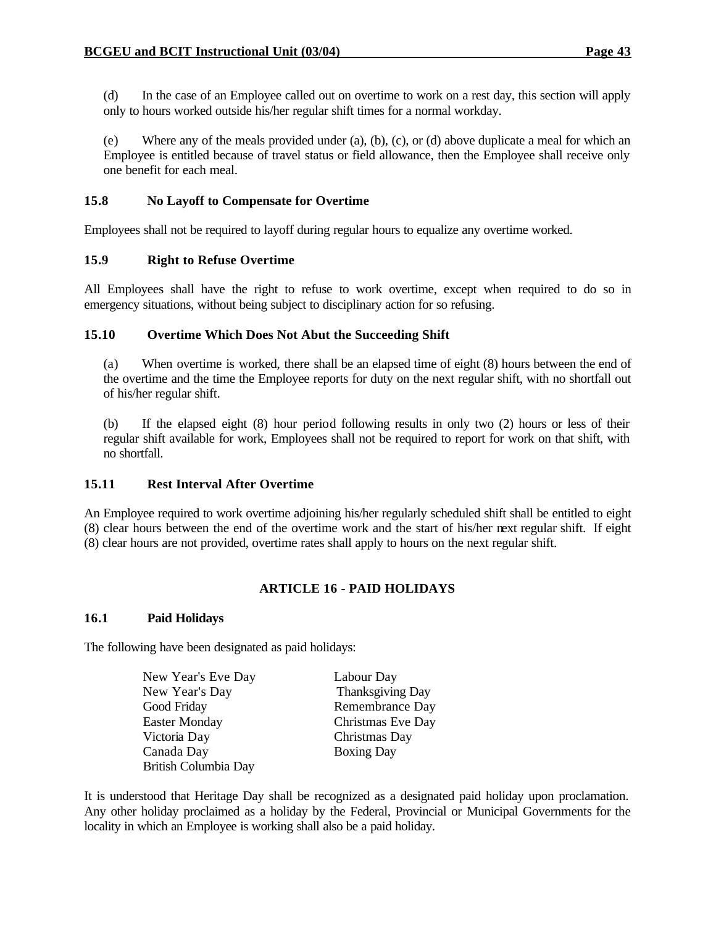(d) In the case of an Employee called out on overtime to work on a rest day, this section will apply only to hours worked outside his/her regular shift times for a normal workday.

(e) Where any of the meals provided under (a), (b), (c), or (d) above duplicate a meal for which an Employee is entitled because of travel status or field allowance, then the Employee shall receive only one benefit for each meal.

### **15.8 No Layoff to Compensate for Overtime**

Employees shall not be required to layoff during regular hours to equalize any overtime worked.

#### **15.9 Right to Refuse Overtime**

All Employees shall have the right to refuse to work overtime, except when required to do so in emergency situations, without being subject to disciplinary action for so refusing.

#### **15.10 Overtime Which Does Not Abut the Succeeding Shift**

(a) When overtime is worked, there shall be an elapsed time of eight (8) hours between the end of the overtime and the time the Employee reports for duty on the next regular shift, with no shortfall out of his/her regular shift.

(b) If the elapsed eight (8) hour period following results in only two (2) hours or less of their regular shift available for work, Employees shall not be required to report for work on that shift, with no shortfall.

#### **15.11 Rest Interval After Overtime**

An Employee required to work overtime adjoining his/her regularly scheduled shift shall be entitled to eight (8) clear hours between the end of the overtime work and the start of his/her next regular shift. If eight (8) clear hours are not provided, overtime rates shall apply to hours on the next regular shift.

### **ARTICLE 16 - PAID HOLIDAYS**

#### **16.1 Paid Holidays**

The following have been designated as paid holidays:

| New Year's Eve Day          | Labour Day              |
|-----------------------------|-------------------------|
| New Year's Day              | <b>Thanksgiving Day</b> |
| Good Friday                 | Remembrance Day         |
| <b>Easter Monday</b>        | Christmas Eve Day       |
| Victoria Day                | Christmas Day           |
| Canada Day                  | <b>Boxing Day</b>       |
| <b>British Columbia Day</b> |                         |

It is understood that Heritage Day shall be recognized as a designated paid holiday upon proclamation. Any other holiday proclaimed as a holiday by the Federal, Provincial or Municipal Governments for the locality in which an Employee is working shall also be a paid holiday.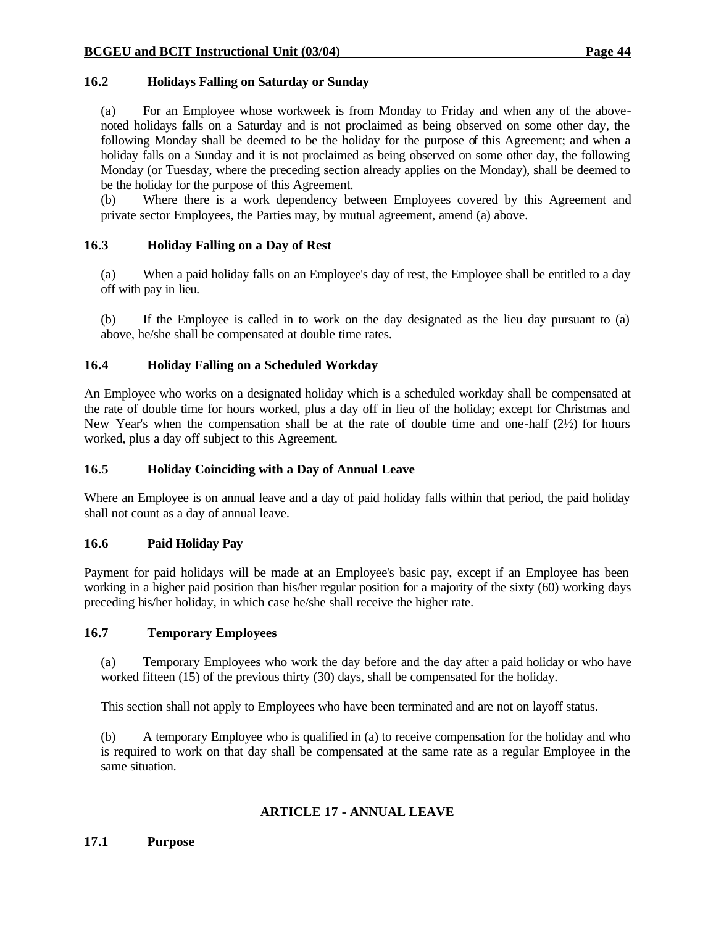### **16.2 Holidays Falling on Saturday or Sunday**

(a) For an Employee whose workweek is from Monday to Friday and when any of the abovenoted holidays falls on a Saturday and is not proclaimed as being observed on some other day, the following Monday shall be deemed to be the holiday for the purpose of this Agreement; and when a holiday falls on a Sunday and it is not proclaimed as being observed on some other day, the following Monday (or Tuesday, where the preceding section already applies on the Monday), shall be deemed to be the holiday for the purpose of this Agreement.

(b) Where there is a work dependency between Employees covered by this Agreement and private sector Employees, the Parties may, by mutual agreement, amend (a) above.

### **16.3 Holiday Falling on a Day of Rest**

(a) When a paid holiday falls on an Employee's day of rest, the Employee shall be entitled to a day off with pay in lieu.

(b) If the Employee is called in to work on the day designated as the lieu day pursuant to (a) above, he/she shall be compensated at double time rates.

#### **16.4 Holiday Falling on a Scheduled Workday**

An Employee who works on a designated holiday which is a scheduled workday shall be compensated at the rate of double time for hours worked, plus a day off in lieu of the holiday; except for Christmas and New Year's when the compensation shall be at the rate of double time and one-half (2½) for hours worked, plus a day off subject to this Agreement.

#### **16.5 Holiday Coinciding with a Day of Annual Leave**

Where an Employee is on annual leave and a day of paid holiday falls within that period, the paid holiday shall not count as a day of annual leave.

### **16.6 Paid Holiday Pay**

Payment for paid holidays will be made at an Employee's basic pay, except if an Employee has been working in a higher paid position than his/her regular position for a majority of the sixty (60) working days preceding his/her holiday, in which case he/she shall receive the higher rate.

#### **16.7 Temporary Employees**

(a) Temporary Employees who work the day before and the day after a paid holiday or who have worked fifteen (15) of the previous thirty (30) days, shall be compensated for the holiday.

This section shall not apply to Employees who have been terminated and are not on layoff status.

(b) A temporary Employee who is qualified in (a) to receive compensation for the holiday and who is required to work on that day shall be compensated at the same rate as a regular Employee in the same situation.

#### **ARTICLE 17 - ANNUAL LEAVE**

**17.1 Purpose**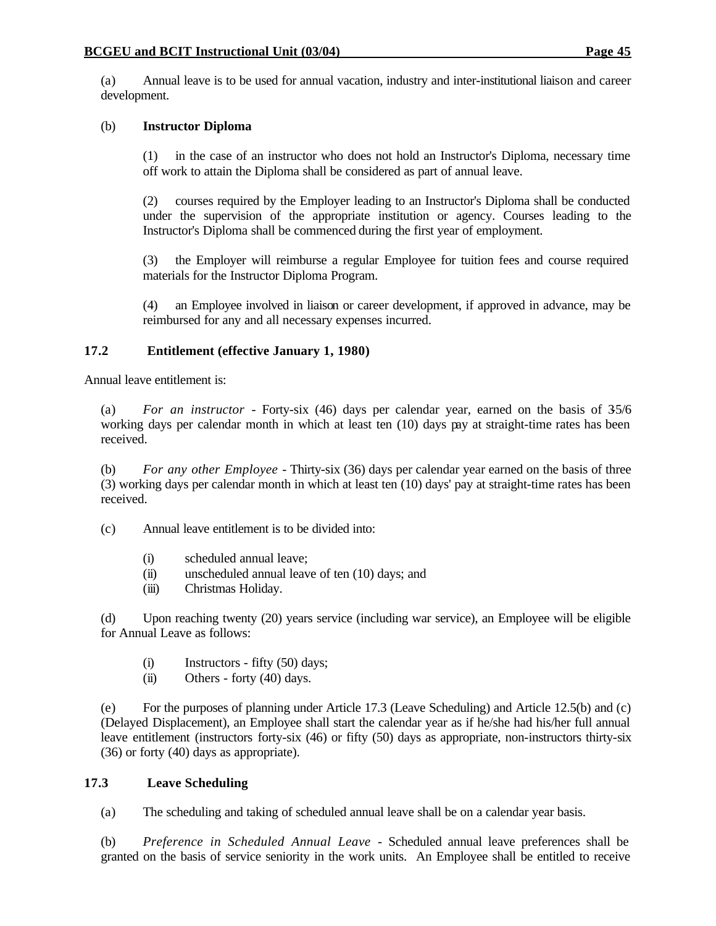(a) Annual leave is to be used for annual vacation, industry and inter-institutional liaison and career development.

#### (b) **Instructor Diploma**

(1) in the case of an instructor who does not hold an Instructor's Diploma, necessary time off work to attain the Diploma shall be considered as part of annual leave.

(2) courses required by the Employer leading to an Instructor's Diploma shall be conducted under the supervision of the appropriate institution or agency. Courses leading to the Instructor's Diploma shall be commenced during the first year of employment.

(3) the Employer will reimburse a regular Employee for tuition fees and course required materials for the Instructor Diploma Program.

(4) an Employee involved in liaison or career development, if approved in advance, may be reimbursed for any and all necessary expenses incurred.

#### **17.2 Entitlement (effective January 1, 1980)**

Annual leave entitlement is:

(a) *For an instructor* - Forty-six (46) days per calendar year, earned on the basis of 3-5/6 working days per calendar month in which at least ten (10) days pay at straight-time rates has been received.

(b) *For any other Employee* - Thirty-six (36) days per calendar year earned on the basis of three (3) working days per calendar month in which at least ten (10) days' pay at straight-time rates has been received.

(c) Annual leave entitlement is to be divided into:

- (i) scheduled annual leave;
- (ii) unscheduled annual leave of ten (10) days; and
- (iii) Christmas Holiday.

(d) Upon reaching twenty (20) years service (including war service), an Employee will be eligible for Annual Leave as follows:

- (i) Instructors fifty (50) days;
- $(ii)$  Others forty  $(40)$  days.

(e) For the purposes of planning under Article 17.3 (Leave Scheduling) and Article 12.5(b) and (c) (Delayed Displacement), an Employee shall start the calendar year as if he/she had his/her full annual leave entitlement (instructors forty-six (46) or fifty (50) days as appropriate, non-instructors thirty-six (36) or forty (40) days as appropriate).

#### **17.3 Leave Scheduling**

(a) The scheduling and taking of scheduled annual leave shall be on a calendar year basis.

(b) *Preference in Scheduled Annual Leave* - Scheduled annual leave preferences shall be granted on the basis of service seniority in the work units. An Employee shall be entitled to receive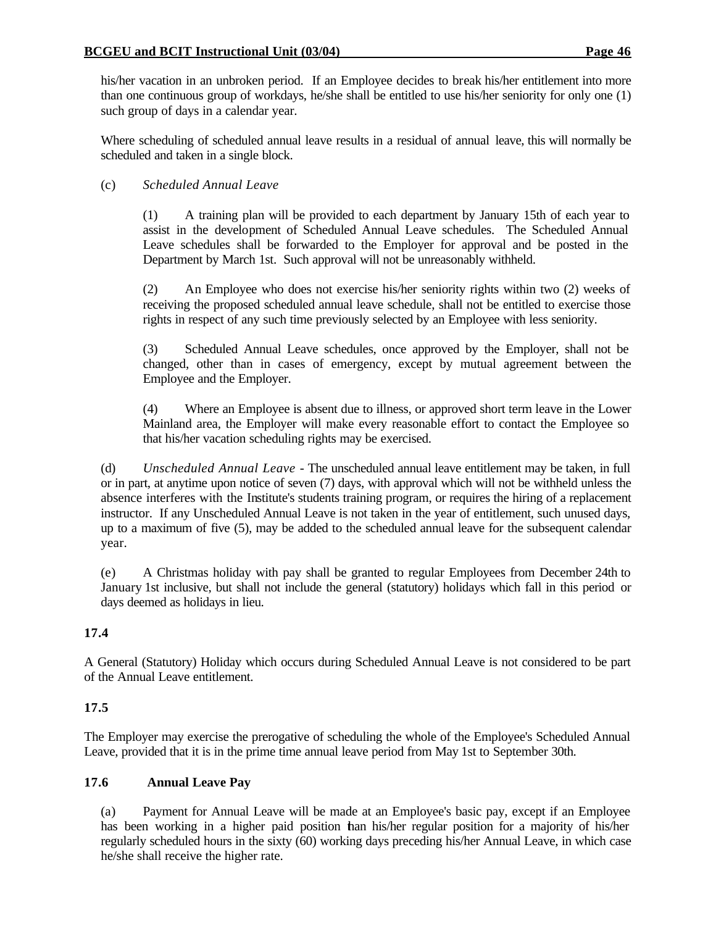his/her vacation in an unbroken period. If an Employee decides to break his/her entitlement into more than one continuous group of workdays, he/she shall be entitled to use his/her seniority for only one (1) such group of days in a calendar year.

Where scheduling of scheduled annual leave results in a residual of annual leave, this will normally be scheduled and taken in a single block.

### (c) *Scheduled Annual Leave*

(1) A training plan will be provided to each department by January 15th of each year to assist in the development of Scheduled Annual Leave schedules. The Scheduled Annual Leave schedules shall be forwarded to the Employer for approval and be posted in the Department by March 1st. Such approval will not be unreasonably withheld.

(2) An Employee who does not exercise his/her seniority rights within two (2) weeks of receiving the proposed scheduled annual leave schedule, shall not be entitled to exercise those rights in respect of any such time previously selected by an Employee with less seniority.

(3) Scheduled Annual Leave schedules, once approved by the Employer, shall not be changed, other than in cases of emergency, except by mutual agreement between the Employee and the Employer.

(4) Where an Employee is absent due to illness, or approved short term leave in the Lower Mainland area, the Employer will make every reasonable effort to contact the Employee so that his/her vacation scheduling rights may be exercised.

(d) *Unscheduled Annual Leave* - The unscheduled annual leave entitlement may be taken, in full or in part, at anytime upon notice of seven (7) days, with approval which will not be withheld unless the absence interferes with the Institute's students training program, or requires the hiring of a replacement instructor. If any Unscheduled Annual Leave is not taken in the year of entitlement, such unused days, up to a maximum of five (5), may be added to the scheduled annual leave for the subsequent calendar year.

(e) A Christmas holiday with pay shall be granted to regular Employees from December 24th to January 1st inclusive, but shall not include the general (statutory) holidays which fall in this period or days deemed as holidays in lieu.

## **17.4**

A General (Statutory) Holiday which occurs during Scheduled Annual Leave is not considered to be part of the Annual Leave entitlement.

## **17.5**

The Employer may exercise the prerogative of scheduling the whole of the Employee's Scheduled Annual Leave, provided that it is in the prime time annual leave period from May 1st to September 30th.

### **17.6 Annual Leave Pay**

(a) Payment for Annual Leave will be made at an Employee's basic pay, except if an Employee has been working in a higher paid position than his/her regular position for a majority of his/her regularly scheduled hours in the sixty (60) working days preceding his/her Annual Leave, in which case he/she shall receive the higher rate.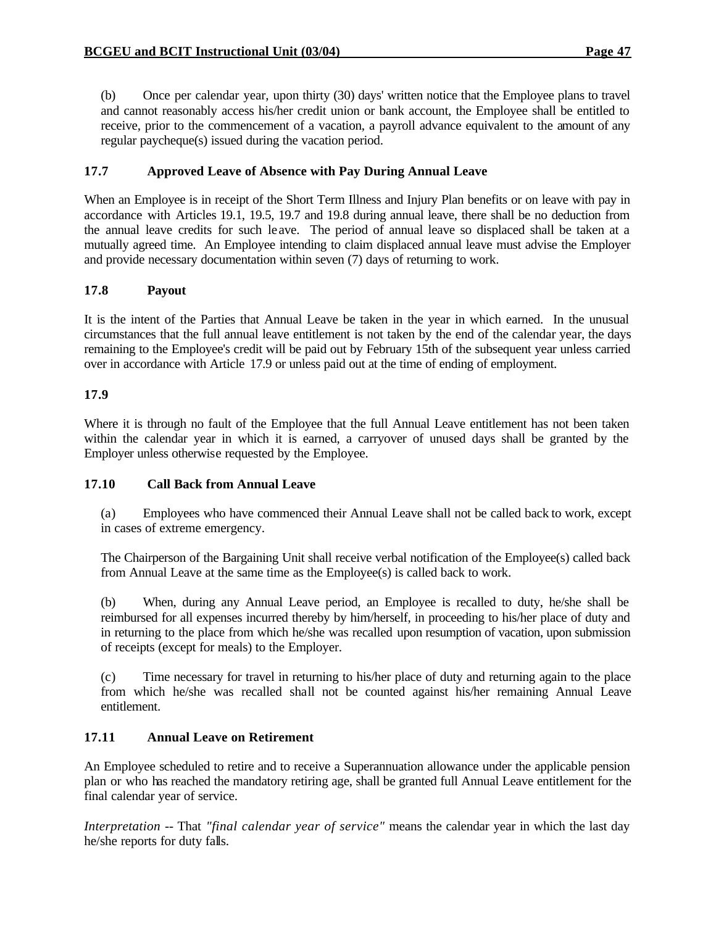(b) Once per calendar year, upon thirty (30) days' written notice that the Employee plans to travel and cannot reasonably access his/her credit union or bank account, the Employee shall be entitled to receive, prior to the commencement of a vacation, a payroll advance equivalent to the amount of any regular paycheque(s) issued during the vacation period.

### **17.7 Approved Leave of Absence with Pay During Annual Leave**

When an Employee is in receipt of the Short Term Illness and Injury Plan benefits or on leave with pay in accordance with Articles 19.1, 19.5, 19.7 and 19.8 during annual leave, there shall be no deduction from the annual leave credits for such le ave. The period of annual leave so displaced shall be taken at a mutually agreed time. An Employee intending to claim displaced annual leave must advise the Employer and provide necessary documentation within seven (7) days of returning to work.

### **17.8 Payout**

It is the intent of the Parties that Annual Leave be taken in the year in which earned. In the unusual circumstances that the full annual leave entitlement is not taken by the end of the calendar year, the days remaining to the Employee's credit will be paid out by February 15th of the subsequent year unless carried over in accordance with Article 17.9 or unless paid out at the time of ending of employment.

### **17.9**

Where it is through no fault of the Employee that the full Annual Leave entitlement has not been taken within the calendar year in which it is earned, a carryover of unused days shall be granted by the Employer unless otherwise requested by the Employee.

### **17.10 Call Back from Annual Leave**

(a) Employees who have commenced their Annual Leave shall not be called back to work, except in cases of extreme emergency.

The Chairperson of the Bargaining Unit shall receive verbal notification of the Employee(s) called back from Annual Leave at the same time as the Employee(s) is called back to work.

(b) When, during any Annual Leave period, an Employee is recalled to duty, he/she shall be reimbursed for all expenses incurred thereby by him/herself, in proceeding to his/her place of duty and in returning to the place from which he/she was recalled upon resumption of vacation, upon submission of receipts (except for meals) to the Employer.

(c) Time necessary for travel in returning to his/her place of duty and returning again to the place from which he/she was recalled shall not be counted against his/her remaining Annual Leave entitlement.

### **17.11 Annual Leave on Retirement**

An Employee scheduled to retire and to receive a Superannuation allowance under the applicable pension plan or who has reached the mandatory retiring age, shall be granted full Annual Leave entitlement for the final calendar year of service.

*Interpretation* -- That *"final calendar year of service"* means the calendar year in which the last day he/she reports for duty falls.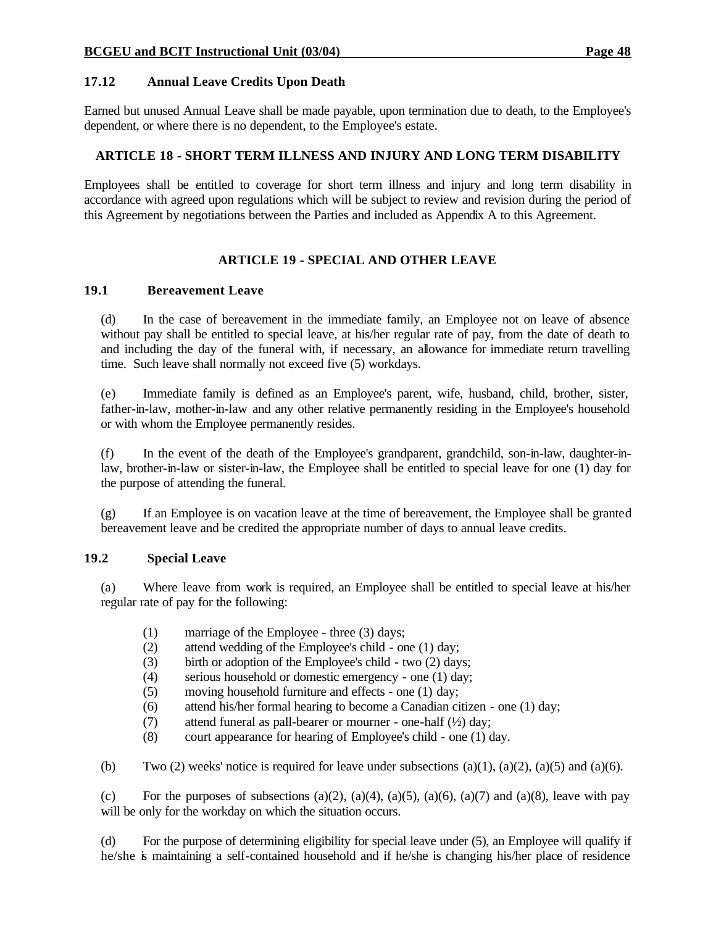### **17.12 Annual Leave Credits Upon Death**

Earned but unused Annual Leave shall be made payable, upon termination due to death, to the Employee's dependent, or where there is no dependent, to the Employee's estate.

### **ARTICLE 18 - SHORT TERM ILLNESS AND INJURY AND LONG TERM DISABILITY**

Employees shall be entitled to coverage for short term illness and injury and long term disability in accordance with agreed upon regulations which will be subject to review and revision during the period of this Agreement by negotiations between the Parties and included as Appendix A to this Agreement.

## **ARTICLE 19 - SPECIAL AND OTHER LEAVE**

### **19.1 Bereavement Leave**

(d) In the case of bereavement in the immediate family, an Employee not on leave of absence without pay shall be entitled to special leave, at his/her regular rate of pay, from the date of death to and including the day of the funeral with, if necessary, an allowance for immediate return travelling time. Such leave shall normally not exceed five (5) workdays.

(e) Immediate family is defined as an Employee's parent, wife, husband, child, brother, sister, father-in-law, mother-in-law and any other relative permanently residing in the Employee's household or with whom the Employee permanently resides.

(f) In the event of the death of the Employee's grandparent, grandchild, son-in-law, daughter-inlaw, brother-in-law or sister-in-law, the Employee shall be entitled to special leave for one (1) day for the purpose of attending the funeral.

(g) If an Employee is on vacation leave at the time of bereavement, the Employee shall be granted bereavement leave and be credited the appropriate number of days to annual leave credits.

### **19.2 Special Leave**

(a) Where leave from work is required, an Employee shall be entitled to special leave at his/her regular rate of pay for the following:

- (1) marriage of the Employee three (3) days;
- (2) attend wedding of the Employee's child one (1) day;
- (3) birth or adoption of the Employee's child two (2) days;
- (4) serious household or domestic emergency one (1) day;
- (5) moving household furniture and effects one (1) day;
- (6) attend his/her formal hearing to become a Canadian citizen one (1) day;
- (7) attend funeral as pall-bearer or mourner one-half  $(\frac{1}{2})$  day;
- (8) court appearance for hearing of Employee's child one (1) day.

(b) Two (2) weeks' notice is required for leave under subsections  $(a)(1)$ ,  $(a)(2)$ ,  $(a)(5)$  and  $(a)(6)$ .

(c) For the purposes of subsections (a)(2), (a)(4), (a)(5), (a)(6), (a)(7) and (a)(8), leave with pay will be only for the workday on which the situation occurs.

(d) For the purpose of determining eligibility for special leave under (5), an Employee will qualify if he/she is maintaining a self-contained household and if he/she is changing his/her place of residence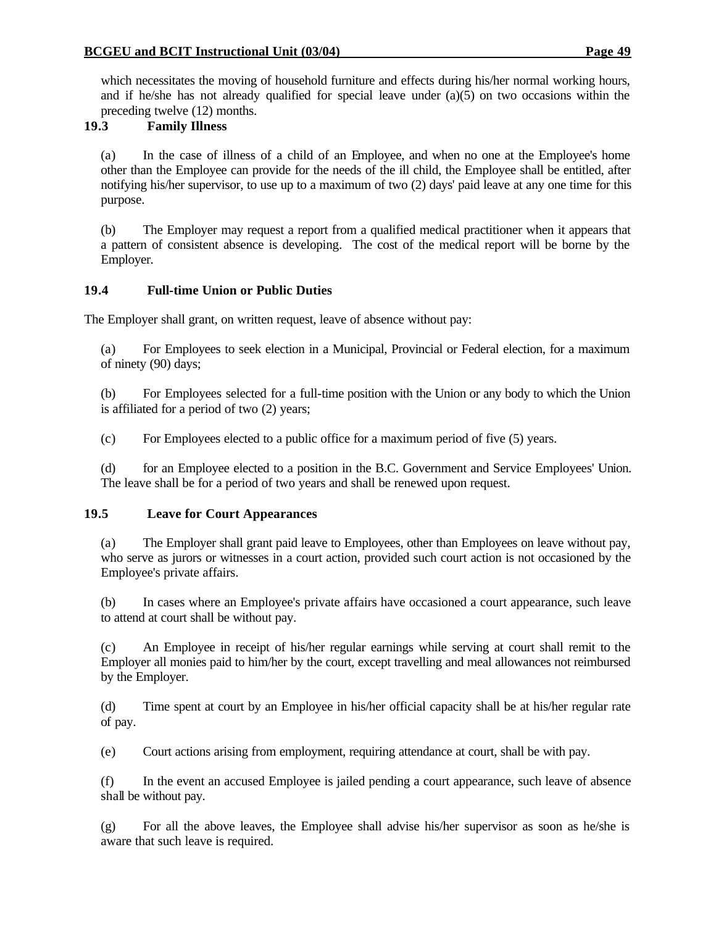which necessitates the moving of household furniture and effects during his/her normal working hours, and if he/she has not already qualified for special leave under  $(a)(5)$  on two occasions within the preceding twelve (12) months.

### **19.3 Family Illness**

(a) In the case of illness of a child of an Employee, and when no one at the Employee's home other than the Employee can provide for the needs of the ill child, the Employee shall be entitled, after notifying his/her supervisor, to use up to a maximum of two (2) days' paid leave at any one time for this purpose.

(b) The Employer may request a report from a qualified medical practitioner when it appears that a pattern of consistent absence is developing. The cost of the medical report will be borne by the Employer.

### **19.4 Full-time Union or Public Duties**

The Employer shall grant, on written request, leave of absence without pay:

(a) For Employees to seek election in a Municipal, Provincial or Federal election, for a maximum of ninety (90) days;

(b) For Employees selected for a full-time position with the Union or any body to which the Union is affiliated for a period of two (2) years;

(c) For Employees elected to a public office for a maximum period of five (5) years.

(d) for an Employee elected to a position in the B.C. Government and Service Employees' Union. The leave shall be for a period of two years and shall be renewed upon request.

### **19.5 Leave for Court Appearances**

(a) The Employer shall grant paid leave to Employees, other than Employees on leave without pay, who serve as jurors or witnesses in a court action, provided such court action is not occasioned by the Employee's private affairs.

(b) In cases where an Employee's private affairs have occasioned a court appearance, such leave to attend at court shall be without pay.

(c) An Employee in receipt of his/her regular earnings while serving at court shall remit to the Employer all monies paid to him/her by the court, except travelling and meal allowances not reimbursed by the Employer.

(d) Time spent at court by an Employee in his/her official capacity shall be at his/her regular rate of pay.

(e) Court actions arising from employment, requiring attendance at court, shall be with pay.

(f) In the event an accused Employee is jailed pending a court appearance, such leave of absence shall be without pay.

(g) For all the above leaves, the Employee shall advise his/her supervisor as soon as he/she is aware that such leave is required.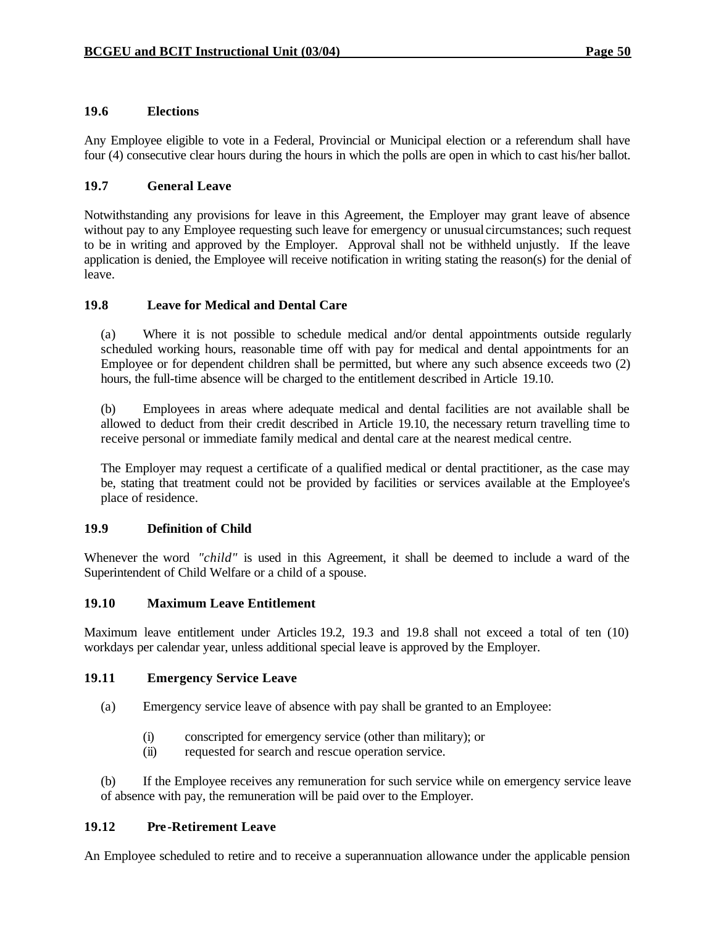#### **19.6 Elections**

Any Employee eligible to vote in a Federal, Provincial or Municipal election or a referendum shall have four (4) consecutive clear hours during the hours in which the polls are open in which to cast his/her ballot.

#### **19.7 General Leave**

Notwithstanding any provisions for leave in this Agreement, the Employer may grant leave of absence without pay to any Employee requesting such leave for emergency or unusual circumstances; such request to be in writing and approved by the Employer. Approval shall not be withheld unjustly. If the leave application is denied, the Employee will receive notification in writing stating the reason(s) for the denial of leave.

#### **19.8 Leave for Medical and Dental Care**

(a) Where it is not possible to schedule medical and/or dental appointments outside regularly scheduled working hours, reasonable time off with pay for medical and dental appointments for an Employee or for dependent children shall be permitted, but where any such absence exceeds two (2) hours, the full-time absence will be charged to the entitlement described in Article 19.10.

(b) Employees in areas where adequate medical and dental facilities are not available shall be allowed to deduct from their credit described in Article 19.10, the necessary return travelling time to receive personal or immediate family medical and dental care at the nearest medical centre.

The Employer may request a certificate of a qualified medical or dental practitioner, as the case may be, stating that treatment could not be provided by facilities or services available at the Employee's place of residence.

#### **19.9 Definition of Child**

Whenever the word *"child"* is used in this Agreement, it shall be deemed to include a ward of the Superintendent of Child Welfare or a child of a spouse.

#### **19.10 Maximum Leave Entitlement**

Maximum leave entitlement under Articles 19.2, 19.3 and 19.8 shall not exceed a total of ten (10) workdays per calendar year, unless additional special leave is approved by the Employer.

#### **19.11 Emergency Service Leave**

- (a) Emergency service leave of absence with pay shall be granted to an Employee:
	- (i) conscripted for emergency service (other than military); or
	- (ii) requested for search and rescue operation service.

(b) If the Employee receives any remuneration for such service while on emergency service leave of absence with pay, the remuneration will be paid over to the Employer.

#### **19.12 Pre-Retirement Leave**

An Employee scheduled to retire and to receive a superannuation allowance under the applicable pension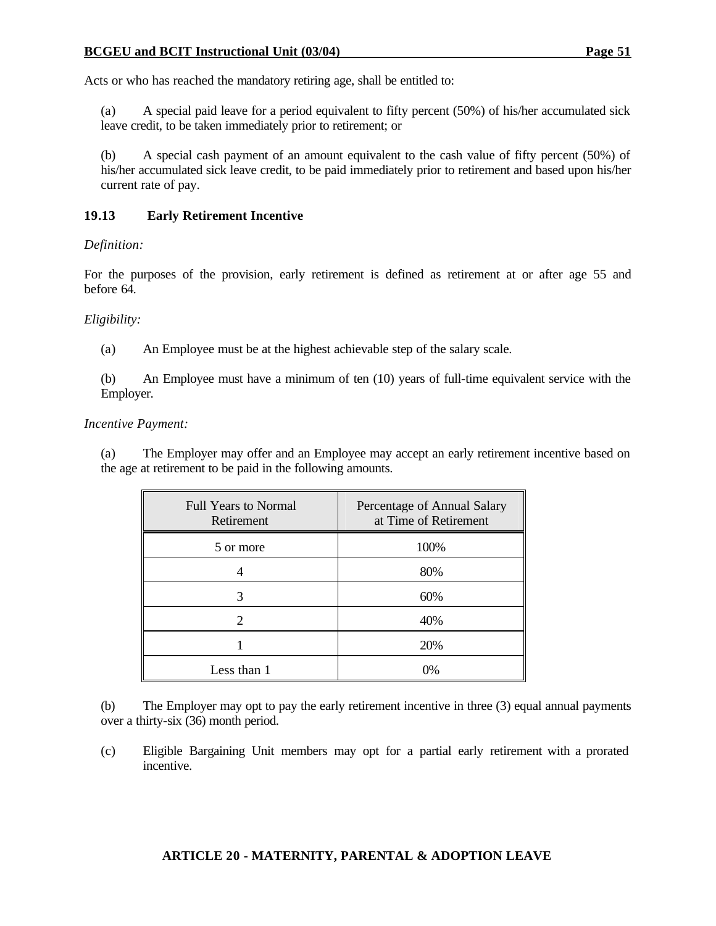#### **BCGEU and BCIT Instructional Unit (03/04) Page 51**

Acts or who has reached the mandatory retiring age, shall be entitled to:

(a) A special paid leave for a period equivalent to fifty percent (50%) of his/her accumulated sick leave credit, to be taken immediately prior to retirement; or

(b) A special cash payment of an amount equivalent to the cash value of fifty percent (50%) of his/her accumulated sick leave credit, to be paid immediately prior to retirement and based upon his/her current rate of pay.

#### **19.13 Early Retirement Incentive**

#### *Definition:*

For the purposes of the provision, early retirement is defined as retirement at or after age 55 and before 64.

#### *Eligibility:*

(a) An Employee must be at the highest achievable step of the salary scale.

(b) An Employee must have a minimum of ten (10) years of full-time equivalent service with the Employer.

#### *Incentive Payment:*

(a) The Employer may offer and an Employee may accept an early retirement incentive based on the age at retirement to be paid in the following amounts.

| <b>Full Years to Normal</b><br>Retirement | Percentage of Annual Salary<br>at Time of Retirement |
|-------------------------------------------|------------------------------------------------------|
| 5 or more                                 | 100%                                                 |
|                                           | 80%                                                  |
|                                           | 60%                                                  |
|                                           | 40%                                                  |
|                                           | 20%                                                  |
| Less than 1                               | $0\%$                                                |

(b) The Employer may opt to pay the early retirement incentive in three (3) equal annual payments over a thirty-six (36) month period.

(c) Eligible Bargaining Unit members may opt for a partial early retirement with a prorated incentive.

### **ARTICLE 20 - MATERNITY, PARENTAL & ADOPTION LEAVE**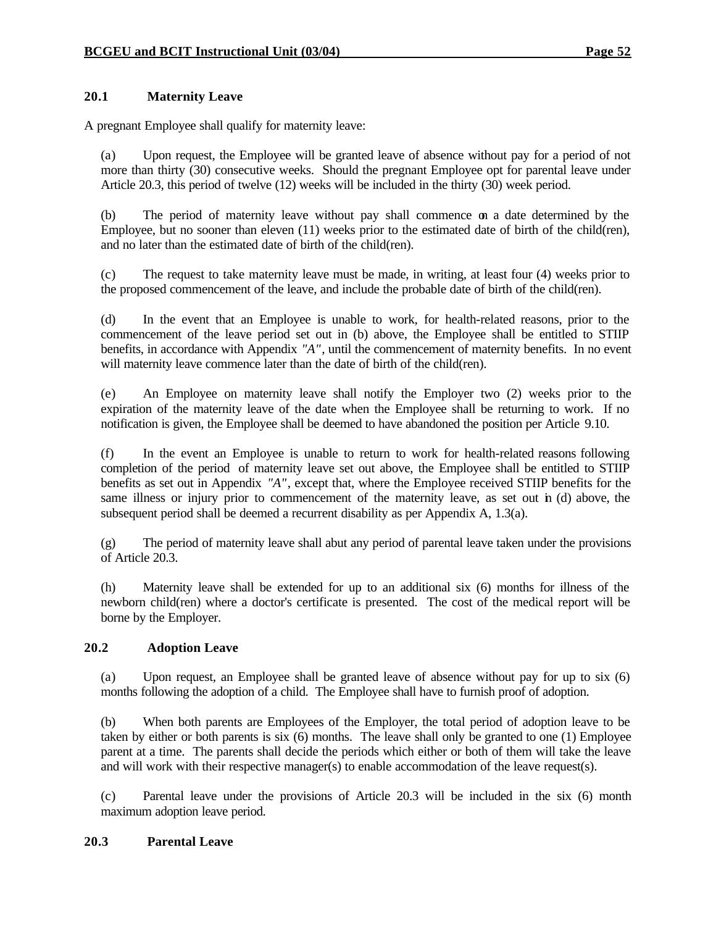### **20.1 Maternity Leave**

A pregnant Employee shall qualify for maternity leave:

(a) Upon request, the Employee will be granted leave of absence without pay for a period of not more than thirty (30) consecutive weeks. Should the pregnant Employee opt for parental leave under Article 20.3, this period of twelve (12) weeks will be included in the thirty (30) week period.

(b) The period of maternity leave without pay shall commence on a date determined by the Employee, but no sooner than eleven (11) weeks prior to the estimated date of birth of the child(ren), and no later than the estimated date of birth of the child(ren).

(c) The request to take maternity leave must be made, in writing, at least four (4) weeks prior to the proposed commencement of the leave, and include the probable date of birth of the child(ren).

(d) In the event that an Employee is unable to work, for health-related reasons, prior to the commencement of the leave period set out in (b) above, the Employee shall be entitled to STIIP benefits, in accordance with Appendix *"A"*, until the commencement of maternity benefits. In no event will maternity leave commence later than the date of birth of the child(ren).

(e) An Employee on maternity leave shall notify the Employer two (2) weeks prior to the expiration of the maternity leave of the date when the Employee shall be returning to work. If no notification is given, the Employee shall be deemed to have abandoned the position per Article 9.10.

(f) In the event an Employee is unable to return to work for health-related reasons following completion of the period of maternity leave set out above, the Employee shall be entitled to STIIP benefits as set out in Appendix *"A"*, except that, where the Employee received STIIP benefits for the same illness or injury prior to commencement of the maternity leave, as set out in (d) above, the subsequent period shall be deemed a recurrent disability as per Appendix A, 1.3(a).

(g) The period of maternity leave shall abut any period of parental leave taken under the provisions of Article 20.3.

(h) Maternity leave shall be extended for up to an additional six (6) months for illness of the newborn child(ren) where a doctor's certificate is presented. The cost of the medical report will be borne by the Employer.

### **20.2 Adoption Leave**

(a) Upon request, an Employee shall be granted leave of absence without pay for up to six (6) months following the adoption of a child. The Employee shall have to furnish proof of adoption.

(b) When both parents are Employees of the Employer, the total period of adoption leave to be taken by either or both parents is six (6) months. The leave shall only be granted to one (1) Employee parent at a time. The parents shall decide the periods which either or both of them will take the leave and will work with their respective manager(s) to enable accommodation of the leave request(s).

(c) Parental leave under the provisions of Article 20.3 will be included in the six (6) month maximum adoption leave period.

#### **20.3 Parental Leave**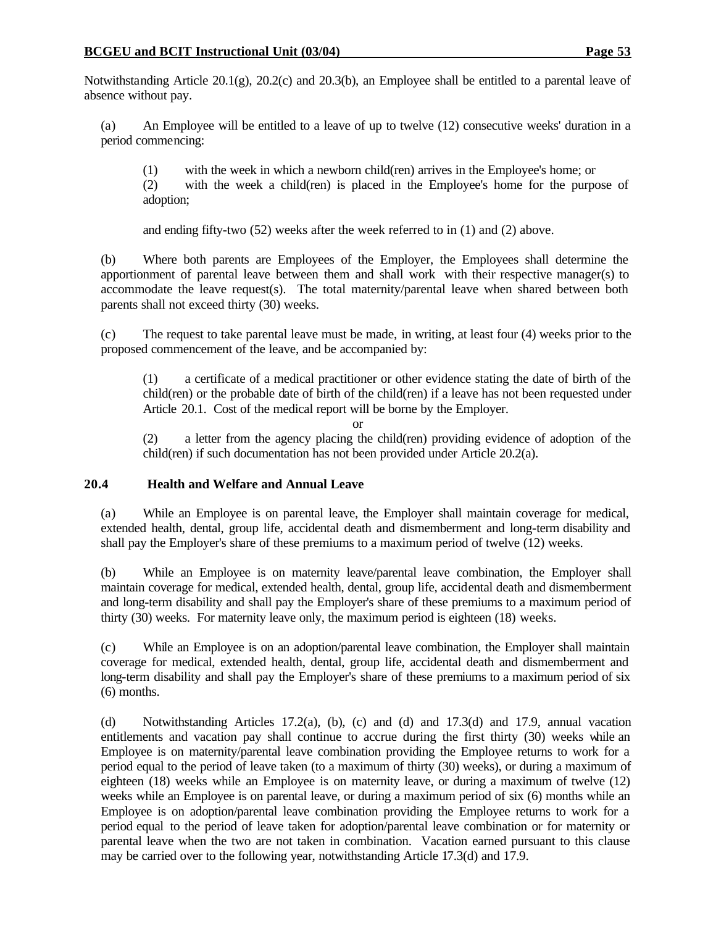Notwithstanding Article 20.1(g), 20.2(c) and 20.3(b), an Employee shall be entitled to a parental leave of absence without pay.

(a) An Employee will be entitled to a leave of up to twelve (12) consecutive weeks' duration in a period commencing:

(1) with the week in which a newborn child(ren) arrives in the Employee's home; or

(2) with the week a child(ren) is placed in the Employee's home for the purpose of adoption;

and ending fifty-two (52) weeks after the week referred to in (1) and (2) above.

(b) Where both parents are Employees of the Employer, the Employees shall determine the apportionment of parental leave between them and shall work with their respective manager(s) to accommodate the leave request(s). The total maternity/parental leave when shared between both parents shall not exceed thirty (30) weeks.

(c) The request to take parental leave must be made, in writing, at least four (4) weeks prior to the proposed commencement of the leave, and be accompanied by:

(1) a certificate of a medical practitioner or other evidence stating the date of birth of the child(ren) or the probable date of birth of the child(ren) if a leave has not been requested under Article 20.1. Cost of the medical report will be borne by the Employer.

or

(2) a letter from the agency placing the child(ren) providing evidence of adoption of the child(ren) if such documentation has not been provided under Article 20.2(a).

### **20.4 Health and Welfare and Annual Leave**

(a) While an Employee is on parental leave, the Employer shall maintain coverage for medical, extended health, dental, group life, accidental death and dismemberment and long-term disability and shall pay the Employer's share of these premiums to a maximum period of twelve (12) weeks.

(b) While an Employee is on maternity leave/parental leave combination, the Employer shall maintain coverage for medical, extended health, dental, group life, accidental death and dismemberment and long-term disability and shall pay the Employer's share of these premiums to a maximum period of thirty (30) weeks. For maternity leave only, the maximum period is eighteen (18) weeks.

(c) While an Employee is on an adoption/parental leave combination, the Employer shall maintain coverage for medical, extended health, dental, group life, accidental death and dismemberment and long-term disability and shall pay the Employer's share of these premiums to a maximum period of six (6) months.

(d) Notwithstanding Articles 17.2(a), (b), (c) and (d) and 17.3(d) and 17.9, annual vacation entitlements and vacation pay shall continue to accrue during the first thirty (30) weeks while an Employee is on maternity/parental leave combination providing the Employee returns to work for a period equal to the period of leave taken (to a maximum of thirty (30) weeks), or during a maximum of eighteen (18) weeks while an Employee is on maternity leave, or during a maximum of twelve (12) weeks while an Employee is on parental leave, or during a maximum period of six (6) months while an Employee is on adoption/parental leave combination providing the Employee returns to work for a period equal to the period of leave taken for adoption/parental leave combination or for maternity or parental leave when the two are not taken in combination. Vacation earned pursuant to this clause may be carried over to the following year, notwithstanding Article 17.3(d) and 17.9.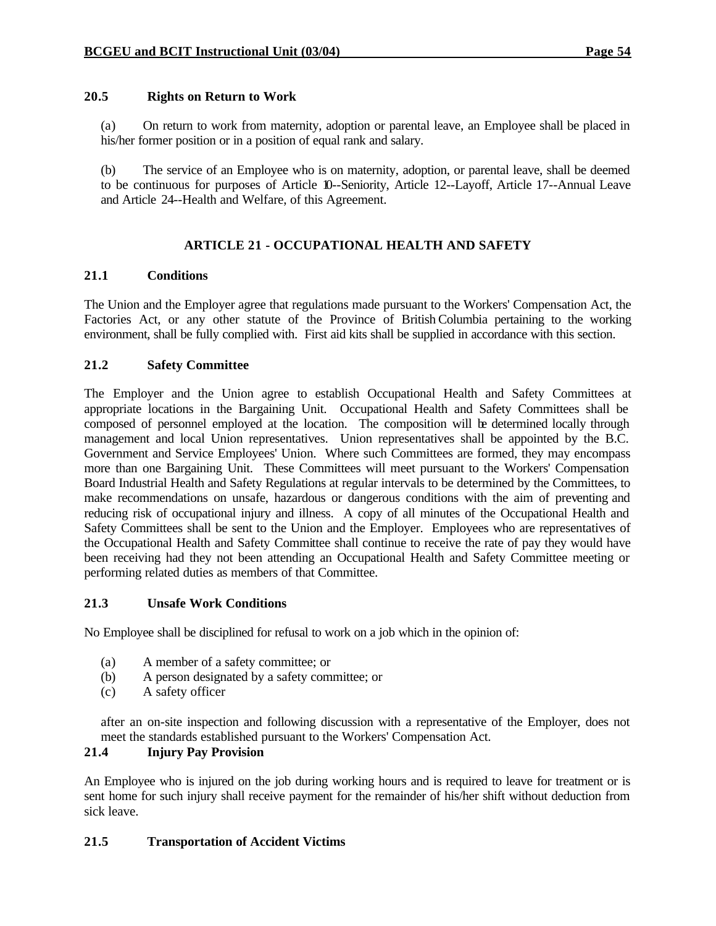### **20.5 Rights on Return to Work**

(a) On return to work from maternity, adoption or parental leave, an Employee shall be placed in his/her former position or in a position of equal rank and salary.

(b) The service of an Employee who is on maternity, adoption, or parental leave, shall be deemed to be continuous for purposes of Article 10--Seniority, Article 12--Layoff, Article 17--Annual Leave and Article 24--Health and Welfare, of this Agreement.

### **ARTICLE 21 - OCCUPATIONAL HEALTH AND SAFETY**

#### **21.1 Conditions**

The Union and the Employer agree that regulations made pursuant to the Workers' Compensation Act, the Factories Act, or any other statute of the Province of British Columbia pertaining to the working environment, shall be fully complied with. First aid kits shall be supplied in accordance with this section.

#### **21.2 Safety Committee**

The Employer and the Union agree to establish Occupational Health and Safety Committees at appropriate locations in the Bargaining Unit. Occupational Health and Safety Committees shall be composed of personnel employed at the location. The composition will be determined locally through management and local Union representatives. Union representatives shall be appointed by the B.C. Government and Service Employees' Union. Where such Committees are formed, they may encompass more than one Bargaining Unit. These Committees will meet pursuant to the Workers' Compensation Board Industrial Health and Safety Regulations at regular intervals to be determined by the Committees, to make recommendations on unsafe, hazardous or dangerous conditions with the aim of preventing and reducing risk of occupational injury and illness. A copy of all minutes of the Occupational Health and Safety Committees shall be sent to the Union and the Employer. Employees who are representatives of the Occupational Health and Safety Committee shall continue to receive the rate of pay they would have been receiving had they not been attending an Occupational Health and Safety Committee meeting or performing related duties as members of that Committee.

#### **21.3 Unsafe Work Conditions**

No Employee shall be disciplined for refusal to work on a job which in the opinion of:

- (a) A member of a safety committee; or
- (b) A person designated by a safety committee; or
- (c) A safety officer

after an on-site inspection and following discussion with a representative of the Employer, does not meet the standards established pursuant to the Workers' Compensation Act.

## **21.4 Injury Pay Provision**

An Employee who is injured on the job during working hours and is required to leave for treatment or is sent home for such injury shall receive payment for the remainder of his/her shift without deduction from sick leave.

### **21.5 Transportation of Accident Victims**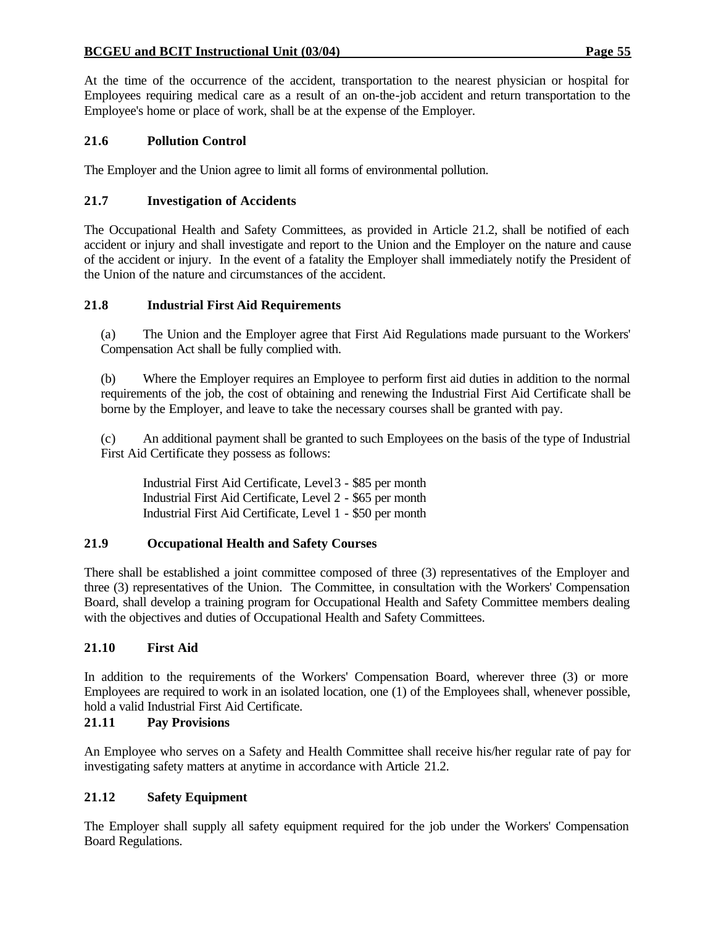#### **BCGEU and BCIT Instructional Unit (03/04) Page 55**

At the time of the occurrence of the accident, transportation to the nearest physician or hospital for Employees requiring medical care as a result of an on-the-job accident and return transportation to the Employee's home or place of work, shall be at the expense of the Employer.

### **21.6 Pollution Control**

The Employer and the Union agree to limit all forms of environmental pollution.

#### **21.7 Investigation of Accidents**

The Occupational Health and Safety Committees, as provided in Article 21.2, shall be notified of each accident or injury and shall investigate and report to the Union and the Employer on the nature and cause of the accident or injury. In the event of a fatality the Employer shall immediately notify the President of the Union of the nature and circumstances of the accident.

#### **21.8 Industrial First Aid Requirements**

(a) The Union and the Employer agree that First Aid Regulations made pursuant to the Workers' Compensation Act shall be fully complied with.

(b) Where the Employer requires an Employee to perform first aid duties in addition to the normal requirements of the job, the cost of obtaining and renewing the Industrial First Aid Certificate shall be borne by the Employer, and leave to take the necessary courses shall be granted with pay.

(c) An additional payment shall be granted to such Employees on the basis of the type of Industrial First Aid Certificate they possess as follows:

Industrial First Aid Certificate, Level 3 - \$85 per month Industrial First Aid Certificate, Level 2 - \$65 per month Industrial First Aid Certificate, Level 1 - \$50 per month

#### **21.9 Occupational Health and Safety Courses**

There shall be established a joint committee composed of three (3) representatives of the Employer and three (3) representatives of the Union. The Committee, in consultation with the Workers' Compensation Board, shall develop a training program for Occupational Health and Safety Committee members dealing with the objectives and duties of Occupational Health and Safety Committees.

#### **21.10 First Aid**

In addition to the requirements of the Workers' Compensation Board, wherever three (3) or more Employees are required to work in an isolated location, one (1) of the Employees shall, whenever possible, hold a valid Industrial First Aid Certificate.

### **21.11 Pay Provisions**

An Employee who serves on a Safety and Health Committee shall receive his/her regular rate of pay for investigating safety matters at anytime in accordance with Article 21.2.

### **21.12 Safety Equipment**

The Employer shall supply all safety equipment required for the job under the Workers' Compensation Board Regulations.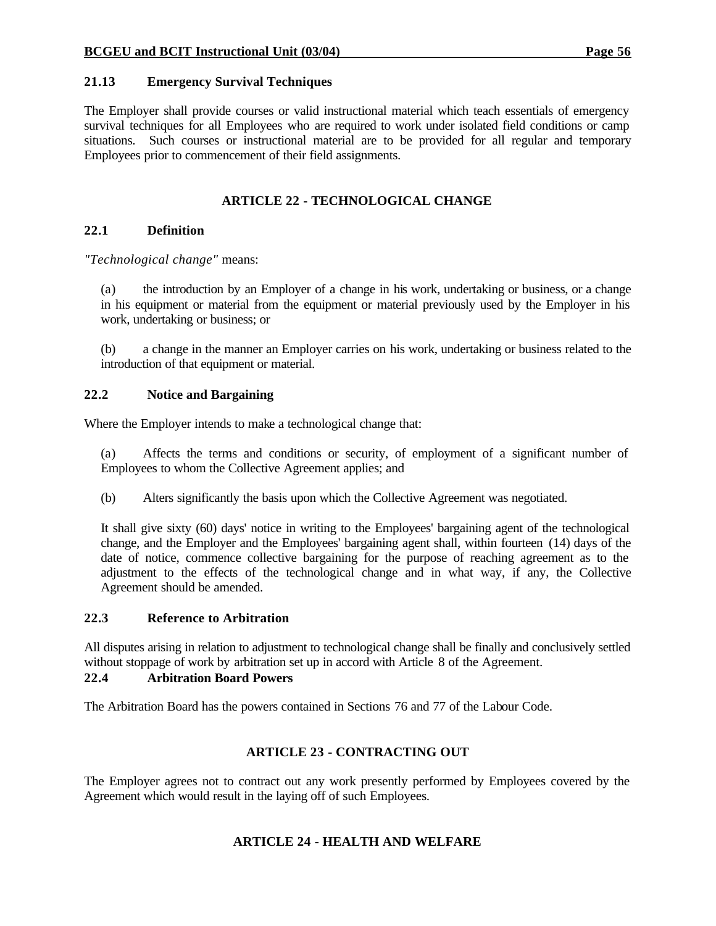### **21.13 Emergency Survival Techniques**

The Employer shall provide courses or valid instructional material which teach essentials of emergency survival techniques for all Employees who are required to work under isolated field conditions or camp situations. Such courses or instructional material are to be provided for all regular and temporary Employees prior to commencement of their field assignments.

### **ARTICLE 22 - TECHNOLOGICAL CHANGE**

### **22.1 Definition**

*"Technological change"* means:

(a) the introduction by an Employer of a change in his work, undertaking or business, or a change in his equipment or material from the equipment or material previously used by the Employer in his work, undertaking or business; or

(b) a change in the manner an Employer carries on his work, undertaking or business related to the introduction of that equipment or material.

### **22.2 Notice and Bargaining**

Where the Employer intends to make a technological change that:

(a) Affects the terms and conditions or security, of employment of a significant number of Employees to whom the Collective Agreement applies; and

(b) Alters significantly the basis upon which the Collective Agreement was negotiated.

It shall give sixty (60) days' notice in writing to the Employees' bargaining agent of the technological change, and the Employer and the Employees' bargaining agent shall, within fourteen (14) days of the date of notice, commence collective bargaining for the purpose of reaching agreement as to the adjustment to the effects of the technological change and in what way, if any, the Collective Agreement should be amended.

### **22.3 Reference to Arbitration**

All disputes arising in relation to adjustment to technological change shall be finally and conclusively settled without stoppage of work by arbitration set up in accord with Article 8 of the Agreement.

## **22.4 Arbitration Board Powers**

The Arbitration Board has the powers contained in Sections 76 and 77 of the Labour Code.

## **ARTICLE 23 - CONTRACTING OUT**

The Employer agrees not to contract out any work presently performed by Employees covered by the Agreement which would result in the laying off of such Employees.

## **ARTICLE 24 - HEALTH AND WELFARE**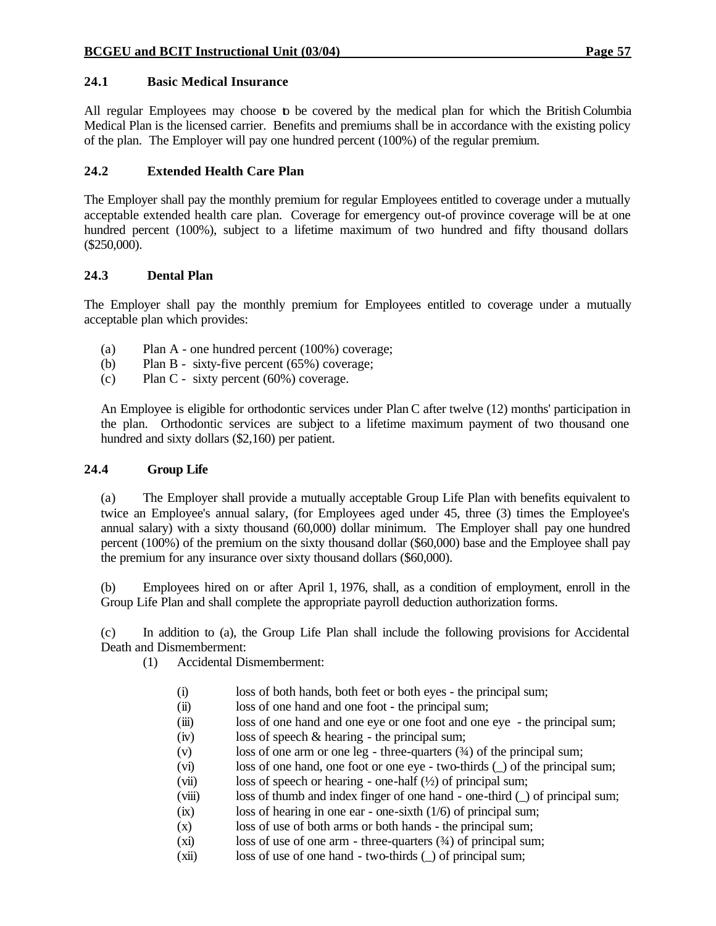### **24.1 Basic Medical Insurance**

All regular Employees may choose to be covered by the medical plan for which the British Columbia Medical Plan is the licensed carrier. Benefits and premiums shall be in accordance with the existing policy of the plan. The Employer will pay one hundred percent (100%) of the regular premium.

### **24.2 Extended Health Care Plan**

The Employer shall pay the monthly premium for regular Employees entitled to coverage under a mutually acceptable extended health care plan. Coverage for emergency out-of province coverage will be at one hundred percent (100%), subject to a lifetime maximum of two hundred and fifty thousand dollars (\$250,000).

#### **24.3 Dental Plan**

The Employer shall pay the monthly premium for Employees entitled to coverage under a mutually acceptable plan which provides:

- (a) Plan A one hundred percent (100%) coverage;
- (b) Plan B sixty-five percent (65%) coverage;
- (c) Plan C sixty percent (60%) coverage.

An Employee is eligible for orthodontic services under Plan C after twelve (12) months' participation in the plan. Orthodontic services are subject to a lifetime maximum payment of two thousand one hundred and sixty dollars (\$2,160) per patient.

#### **24.4 Group Life**

(a) The Employer shall provide a mutually acceptable Group Life Plan with benefits equivalent to twice an Employee's annual salary, (for Employees aged under 45, three (3) times the Employee's annual salary) with a sixty thousand (60,000) dollar minimum. The Employer shall pay one hundred percent (100%) of the premium on the sixty thousand dollar (\$60,000) base and the Employee shall pay the premium for any insurance over sixty thousand dollars (\$60,000).

(b) Employees hired on or after April 1, 1976, shall, as a condition of employment, enroll in the Group Life Plan and shall complete the appropriate payroll deduction authorization forms.

(c) In addition to (a), the Group Life Plan shall include the following provisions for Accidental Death and Dismemberment:

- (1) Accidental Dismemberment:
	- (i) loss of both hands, both feet or both eyes the principal sum;
	- (ii) loss of one hand and one foot the principal sum;
	- (iii) loss of one hand and one eye or one foot and one eye the principal sum;
	- (iv) loss of speech & hearing the principal sum;
	- (v) loss of one arm or one leg three-quarters (¾) of the principal sum;
	- (vi) loss of one hand, one foot or one eye two-thirds (\_) of the principal sum;
	- (vii) loss of speech or hearing one-half  $(\frac{1}{2})$  of principal sum;
	- (viii) loss of thumb and index finger of one hand one-third (\_) of principal sum;
	- (ix) loss of hearing in one ear one-sixth (1/6) of principal sum;
	- (x) loss of use of both arms or both hands the principal sum;
	- (xi) loss of use of one arm three-quarters  $(34)$  of principal sum;
	- (xii) loss of use of one hand two-thirds (\_) of principal sum;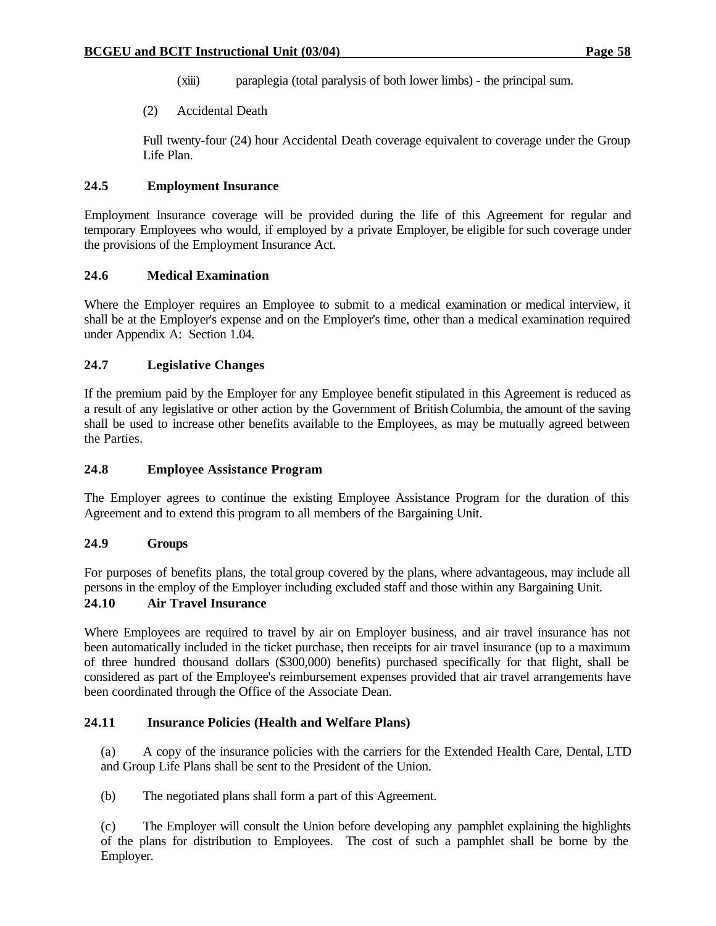- (xiii) paraplegia (total paralysis of both lower limbs) the principal sum.
- (2) Accidental Death

Full twenty-four (24) hour Accidental Death coverage equivalent to coverage under the Group Life Plan.

### **24.5 Employment Insurance**

Employment Insurance coverage will be provided during the life of this Agreement for regular and temporary Employees who would, if employed by a private Employer, be eligible for such coverage under the provisions of the Employment Insurance Act.

### **24.6 Medical Examination**

Where the Employer requires an Employee to submit to a medical examination or medical interview, it shall be at the Employer's expense and on the Employer's time, other than a medical examination required under Appendix A: Section 1.04.

### **24.7 Legislative Changes**

If the premium paid by the Employer for any Employee benefit stipulated in this Agreement is reduced as a result of any legislative or other action by the Government of British Columbia, the amount of the saving shall be used to increase other benefits available to the Employees, as may be mutually agreed between the Parties.

## **24.8 Employee Assistance Program**

The Employer agrees to continue the existing Employee Assistance Program for the duration of this Agreement and to extend this program to all members of the Bargaining Unit.

### **24.9 Groups**

For purposes of benefits plans, the total group covered by the plans, where advantageous, may include all persons in the employ of the Employer including excluded staff and those within any Bargaining Unit.

## **24.10 Air Travel Insurance**

Where Employees are required to travel by air on Employer business, and air travel insurance has not been automatically included in the ticket purchase, then receipts for air travel insurance (up to a maximum of three hundred thousand dollars (\$300,000) benefits) purchased specifically for that flight, shall be considered as part of the Employee's reimbursement expenses provided that air travel arrangements have been coordinated through the Office of the Associate Dean.

### **24.11 Insurance Policies (Health and Welfare Plans)**

(a) A copy of the insurance policies with the carriers for the Extended Health Care, Dental, LTD and Group Life Plans shall be sent to the President of the Union.

(b) The negotiated plans shall form a part of this Agreement.

(c) The Employer will consult the Union before developing any pamphlet explaining the highlights of the plans for distribution to Employees. The cost of such a pamphlet shall be borne by the Employer.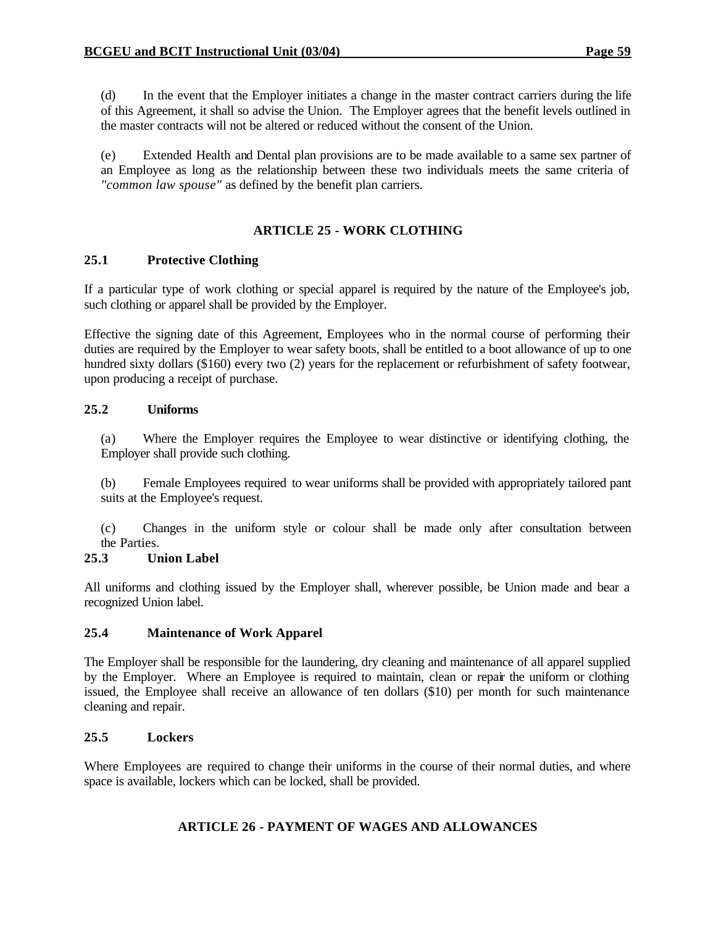(d) In the event that the Employer initiates a change in the master contract carriers during the life of this Agreement, it shall so advise the Union. The Employer agrees that the benefit levels outlined in the master contracts will not be altered or reduced without the consent of the Union.

(e) Extended Health and Dental plan provisions are to be made available to a same sex partner of an Employee as long as the relationship between these two individuals meets the same criteria of *"common law spouse"* as defined by the benefit plan carriers.

### **ARTICLE 25 - WORK CLOTHING**

### **25.1 Protective Clothing**

If a particular type of work clothing or special apparel is required by the nature of the Employee's job, such clothing or apparel shall be provided by the Employer.

Effective the signing date of this Agreement, Employees who in the normal course of performing their duties are required by the Employer to wear safety boots, shall be entitled to a boot allowance of up to one hundred sixty dollars (\$160) every two (2) years for the replacement or refurbishment of safety footwear, upon producing a receipt of purchase.

#### **25.2 Uniforms**

(a) Where the Employer requires the Employee to wear distinctive or identifying clothing, the Employer shall provide such clothing.

(b) Female Employees required to wear uniforms shall be provided with appropriately tailored pant suits at the Employee's request.

(c) Changes in the uniform style or colour shall be made only after consultation between the Parties.

### **25.3 Union Label**

All uniforms and clothing issued by the Employer shall, wherever possible, be Union made and bear a recognized Union label.

### **25.4 Maintenance of Work Apparel**

The Employer shall be responsible for the laundering, dry cleaning and maintenance of all apparel supplied by the Employer. Where an Employee is required to maintain, clean or repair the uniform or clothing issued, the Employee shall receive an allowance of ten dollars (\$10) per month for such maintenance cleaning and repair.

### **25.5 Lockers**

Where Employees are required to change their uniforms in the course of their normal duties, and where space is available, lockers which can be locked, shall be provided.

### **ARTICLE 26 - PAYMENT OF WAGES AND ALLOWANCES**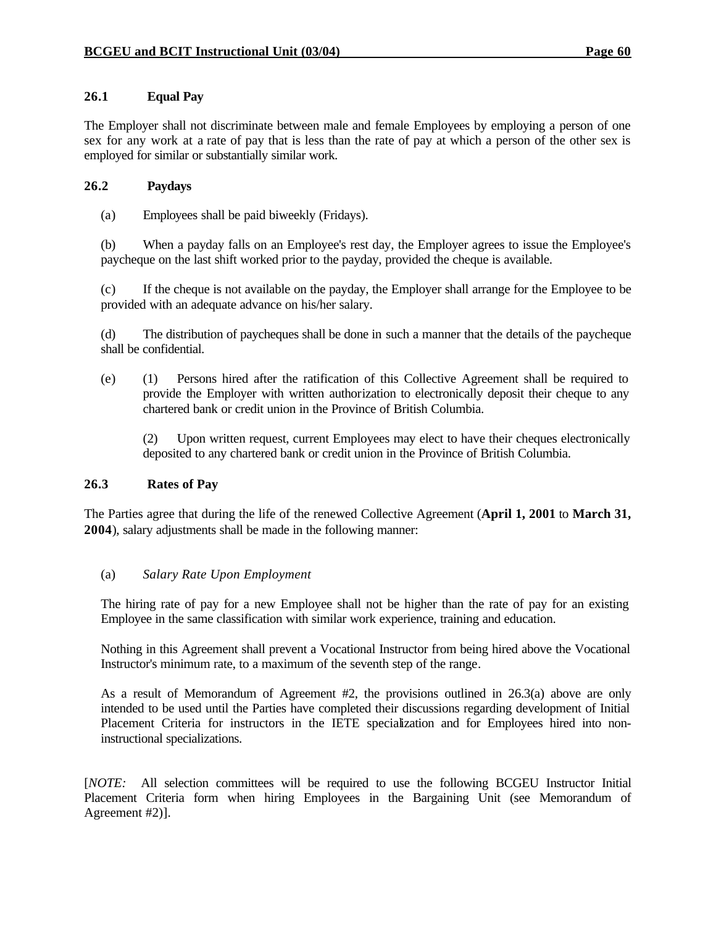### **26.1 Equal Pay**

The Employer shall not discriminate between male and female Employees by employing a person of one sex for any work at a rate of pay that is less than the rate of pay at which a person of the other sex is employed for similar or substantially similar work.

#### **26.2 Paydays**

(a) Employees shall be paid biweekly (Fridays).

(b) When a payday falls on an Employee's rest day, the Employer agrees to issue the Employee's paycheque on the last shift worked prior to the payday, provided the cheque is available.

(c) If the cheque is not available on the payday, the Employer shall arrange for the Employee to be provided with an adequate advance on his/her salary.

(d) The distribution of paycheques shall be done in such a manner that the details of the paycheque shall be confidential.

(e) (1) Persons hired after the ratification of this Collective Agreement shall be required to provide the Employer with written authorization to electronically deposit their cheque to any chartered bank or credit union in the Province of British Columbia.

(2) Upon written request, current Employees may elect to have their cheques electronically deposited to any chartered bank or credit union in the Province of British Columbia.

#### **26.3 Rates of Pay**

The Parties agree that during the life of the renewed Collective Agreement (**April 1, 2001** to **March 31, 2004**), salary adjustments shall be made in the following manner:

#### (a) *Salary Rate Upon Employment*

The hiring rate of pay for a new Employee shall not be higher than the rate of pay for an existing Employee in the same classification with similar work experience, training and education.

Nothing in this Agreement shall prevent a Vocational Instructor from being hired above the Vocational Instructor's minimum rate, to a maximum of the seventh step of the range.

As a result of Memorandum of Agreement #2, the provisions outlined in 26.3(a) above are only intended to be used until the Parties have completed their discussions regarding development of Initial Placement Criteria for instructors in the IETE specialization and for Employees hired into noninstructional specializations.

[*NOTE:* All selection committees will be required to use the following BCGEU Instructor Initial Placement Criteria form when hiring Employees in the Bargaining Unit (see Memorandum of Agreement #2)].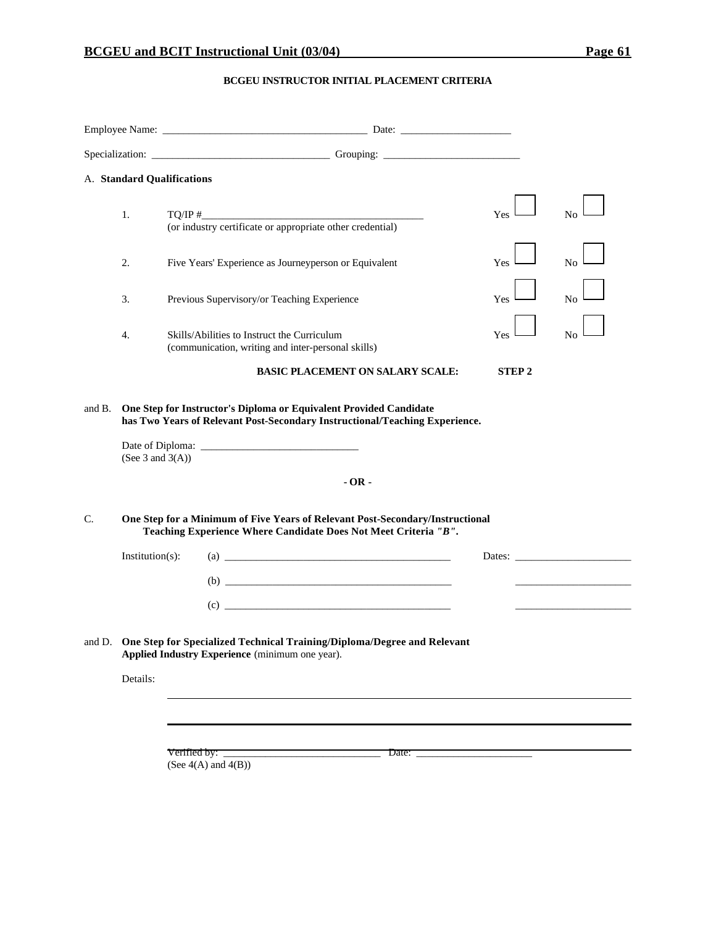### **BCGEU INSTRUCTOR INITIAL PLACEMENT CRITERIA**

|    |                     | A. Standard Qualifications                                                                                                                                  |              |                                                           |
|----|---------------------|-------------------------------------------------------------------------------------------------------------------------------------------------------------|--------------|-----------------------------------------------------------|
|    | 1.                  | $\text{TO/IP}~\text{#}$<br>(or industry certificate or appropriate other credential)                                                                        | Yes          | No                                                        |
|    | 2.                  | Five Years' Experience as Journeyperson or Equivalent                                                                                                       | Yes          | No                                                        |
|    | 3.                  | Previous Supervisory/or Teaching Experience                                                                                                                 | Yes          | No                                                        |
|    | 4.                  | Skills/Abilities to Instruct the Curriculum<br>(communication, writing and inter-personal skills)                                                           | Yes          | No                                                        |
|    |                     | <b>BASIC PLACEMENT ON SALARY SCALE:</b>                                                                                                                     | <b>STEP2</b> |                                                           |
| C. | (See 3 and $3(A)$ ) | $-OR -$<br>One Step for a Minimum of Five Years of Relevant Post-Secondary/Instructional<br>Teaching Experience Where Candidate Does Not Meet Criteria "B". |              |                                                           |
|    | $Institution(s)$ :  | $\left( \text{a)} \right)$<br>$\begin{array}{c} \hline \text{ }\text{(b)} \end{array}$                                                                      |              | Dates: $\frac{1}{\sqrt{1-\frac{1}{2}} \cdot \frac{1}{2}}$ |
|    |                     | and D. One Step for Specialized Technical Training/Diploma/Degree and Relevant<br>Applied Industry Experience (minimum one year).                           |              |                                                           |
|    | Details:            |                                                                                                                                                             |              |                                                           |
|    |                     |                                                                                                                                                             |              |                                                           |
|    |                     | Verified by:<br>Date: $\qquad \qquad$<br>(See $4(A)$ and $4(B)$ )                                                                                           |              |                                                           |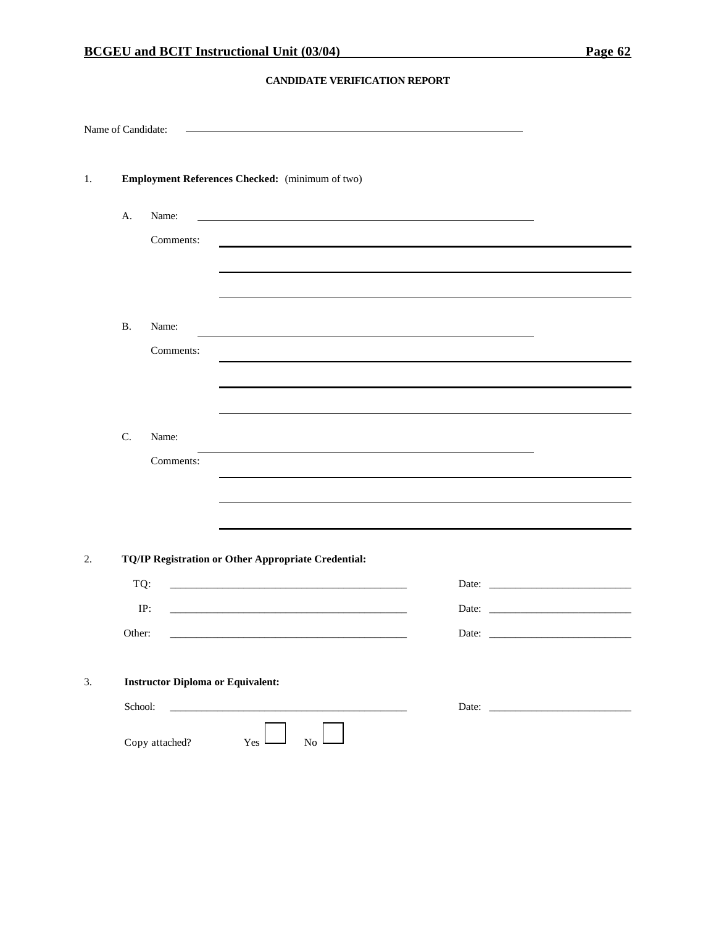#### **CANDIDATE VERIFICATION REPORT**

| Name of Candidate: |                      |                                                            |                                                                                                                                           |          |  |                                |  |  |
|--------------------|----------------------|------------------------------------------------------------|-------------------------------------------------------------------------------------------------------------------------------------------|----------|--|--------------------------------|--|--|
| 1.                 |                      | Employment References Checked: (minimum of two)            |                                                                                                                                           |          |  |                                |  |  |
|                    | A.                   | Name:<br>Comments:                                         |                                                                                                                                           |          |  |                                |  |  |
|                    | <b>B.</b>            | Name:<br>Comments:                                         |                                                                                                                                           |          |  |                                |  |  |
|                    | $\mathbf{C}$ .       | Name:<br>Comments:                                         |                                                                                                                                           |          |  |                                |  |  |
| 2.                 | TQ:<br>IP:<br>Other: | TQ/IP Registration or Other Appropriate Credential:        | <u> 1980 - Johann Stein, marwolaethau a bhann an t-Amhair ann an t-Amhair an t-Amhair an t-Amhair an t-Amhair an</u>                      |          |  | Date: $\qquad \qquad$<br>Date: |  |  |
| 3.                 | School:              | <b>Instructor Diploma or Equivalent:</b><br>Copy attached? | <u> 1980 - Jan Barbarat, martin dina masjid a shekara ta 1980 a shekara ta 1980 a shekara ta 1980 a shekara ta 19</u><br>Yes <sup>1</sup> | $\rm No$ |  |                                |  |  |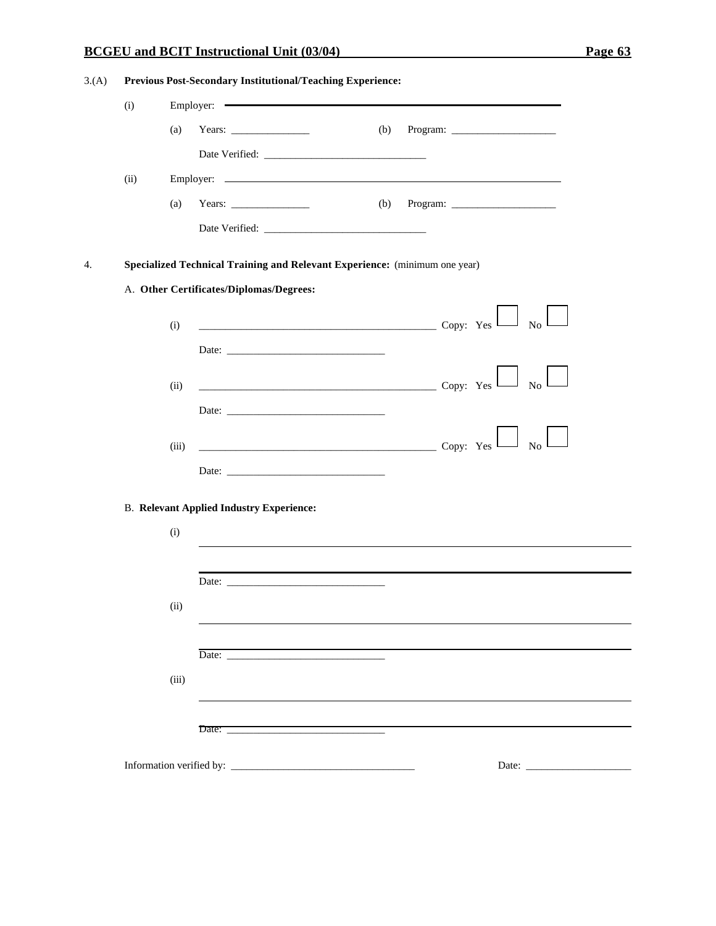# **BCGEU and BCIT Instructional Unit (03/04) Page 63**

| 3(A) | Previous Post-Secondary Institutional/Teaching Experience: |       |                                                                                                                                                                                                                                                                                                                                                                                                                                                                                 |  |  |  |  |
|------|------------------------------------------------------------|-------|---------------------------------------------------------------------------------------------------------------------------------------------------------------------------------------------------------------------------------------------------------------------------------------------------------------------------------------------------------------------------------------------------------------------------------------------------------------------------------|--|--|--|--|
|      | (i)                                                        |       | Employer:                                                                                                                                                                                                                                                                                                                                                                                                                                                                       |  |  |  |  |
|      |                                                            | (a)   | Years: $\frac{1}{\sqrt{1-\frac{1}{2}}\sqrt{1-\frac{1}{2}}\sqrt{1-\frac{1}{2}}\sqrt{1-\frac{1}{2}}\sqrt{1-\frac{1}{2}}\sqrt{1-\frac{1}{2}}\sqrt{1-\frac{1}{2}}\sqrt{1-\frac{1}{2}}\sqrt{1-\frac{1}{2}}\sqrt{1-\frac{1}{2}}\sqrt{1-\frac{1}{2}}\sqrt{1-\frac{1}{2}}\sqrt{1-\frac{1}{2}}\sqrt{1-\frac{1}{2}}\sqrt{1-\frac{1}{2}}\sqrt{1-\frac{1}{2}}\sqrt{1-\frac{1}{2}}\sqrt{1-\frac{1}{2}}\sqrt{1-\frac{1}{2$<br>(b)                                                             |  |  |  |  |
|      |                                                            |       |                                                                                                                                                                                                                                                                                                                                                                                                                                                                                 |  |  |  |  |
|      | (ii)                                                       |       |                                                                                                                                                                                                                                                                                                                                                                                                                                                                                 |  |  |  |  |
|      |                                                            | (a)   | Years: $\frac{1}{\sqrt{1-\frac{1}{2}}\sqrt{1-\frac{1}{2}}\sqrt{1-\frac{1}{2}}\sqrt{1-\frac{1}{2}}\sqrt{1-\frac{1}{2}}\sqrt{1-\frac{1}{2}}\sqrt{1-\frac{1}{2}}\sqrt{1-\frac{1}{2}}\sqrt{1-\frac{1}{2}}\sqrt{1-\frac{1}{2}}\sqrt{1-\frac{1}{2}}\sqrt{1-\frac{1}{2}}\sqrt{1-\frac{1}{2}}\sqrt{1-\frac{1}{2}}\sqrt{1-\frac{1}{2}}\sqrt{1-\frac{1}{2}}\sqrt{1-\frac{1}{2}}\sqrt{1-\frac{1}{2}}\sqrt{1-\frac{1}{2$<br>(b) Program: $\frac{1}{\sqrt{1-\frac{1}{2}} \cdot \frac{1}{2}}$ |  |  |  |  |
|      |                                                            |       |                                                                                                                                                                                                                                                                                                                                                                                                                                                                                 |  |  |  |  |
| 4.   |                                                            |       | Specialized Technical Training and Relevant Experience: (minimum one year)                                                                                                                                                                                                                                                                                                                                                                                                      |  |  |  |  |
|      |                                                            |       | A. Other Certificates/Diplomas/Degrees:                                                                                                                                                                                                                                                                                                                                                                                                                                         |  |  |  |  |
|      |                                                            |       |                                                                                                                                                                                                                                                                                                                                                                                                                                                                                 |  |  |  |  |
|      |                                                            | (i)   | $\sim$ Copy: Yes $\Box$ No $\Box$                                                                                                                                                                                                                                                                                                                                                                                                                                               |  |  |  |  |
|      |                                                            |       |                                                                                                                                                                                                                                                                                                                                                                                                                                                                                 |  |  |  |  |
|      |                                                            | (ii)  | $\sim$ Copy: Yes $\sim$<br>No                                                                                                                                                                                                                                                                                                                                                                                                                                                   |  |  |  |  |
|      |                                                            |       |                                                                                                                                                                                                                                                                                                                                                                                                                                                                                 |  |  |  |  |
|      |                                                            | (iii) | $\overline{\phantom{a}}$ Copy: Yes $\overline{\phantom{a}}$<br>$\overline{N_0}$                                                                                                                                                                                                                                                                                                                                                                                                 |  |  |  |  |
|      |                                                            |       | Date:                                                                                                                                                                                                                                                                                                                                                                                                                                                                           |  |  |  |  |
|      |                                                            |       |                                                                                                                                                                                                                                                                                                                                                                                                                                                                                 |  |  |  |  |
|      |                                                            |       | <b>B. Relevant Applied Industry Experience:</b>                                                                                                                                                                                                                                                                                                                                                                                                                                 |  |  |  |  |
|      |                                                            | (i)   |                                                                                                                                                                                                                                                                                                                                                                                                                                                                                 |  |  |  |  |
|      |                                                            |       |                                                                                                                                                                                                                                                                                                                                                                                                                                                                                 |  |  |  |  |
|      |                                                            |       | Date: <u>Date:</u> 2007                                                                                                                                                                                                                                                                                                                                                                                                                                                         |  |  |  |  |
|      |                                                            | (ii)  |                                                                                                                                                                                                                                                                                                                                                                                                                                                                                 |  |  |  |  |
|      |                                                            |       | Date: Date:                                                                                                                                                                                                                                                                                                                                                                                                                                                                     |  |  |  |  |
|      |                                                            | (iii) |                                                                                                                                                                                                                                                                                                                                                                                                                                                                                 |  |  |  |  |
|      |                                                            |       |                                                                                                                                                                                                                                                                                                                                                                                                                                                                                 |  |  |  |  |
|      |                                                            |       | Date:                                                                                                                                                                                                                                                                                                                                                                                                                                                                           |  |  |  |  |
|      |                                                            |       |                                                                                                                                                                                                                                                                                                                                                                                                                                                                                 |  |  |  |  |
|      |                                                            |       |                                                                                                                                                                                                                                                                                                                                                                                                                                                                                 |  |  |  |  |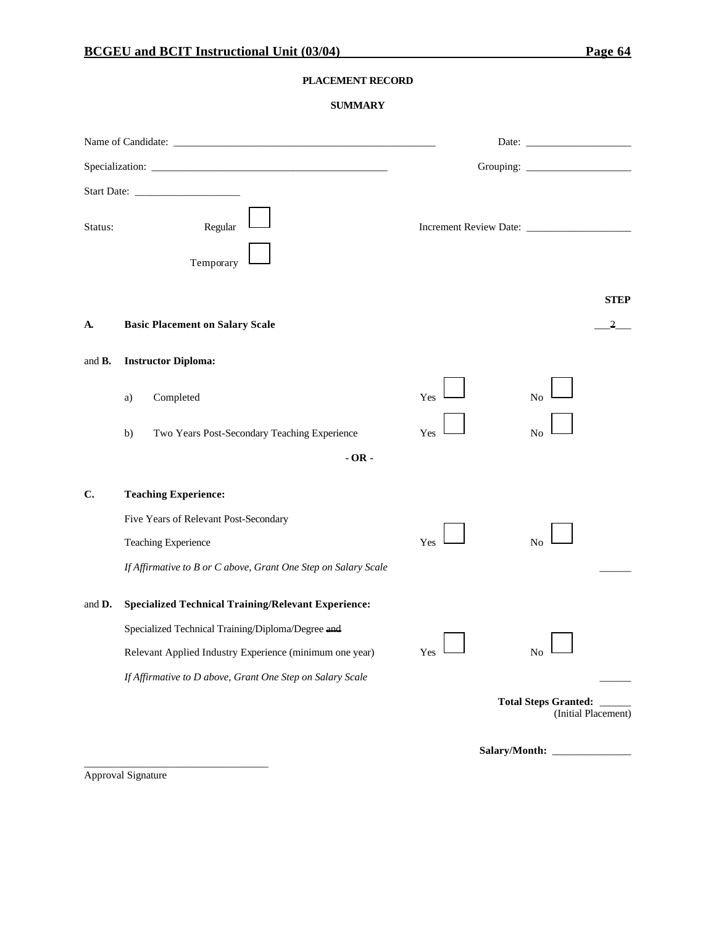#### **PLACEMENT RECORD**

#### **SUMMARY**

| Status:        | Regular<br>Temporary                                           |     |                                                   |
|----------------|----------------------------------------------------------------|-----|---------------------------------------------------|
| A.             | <b>Basic Placement on Salary Scale</b>                         |     | <b>STEP</b><br>$\overline{2}$                     |
| and <b>B</b> . | <b>Instructor Diploma:</b>                                     |     |                                                   |
|                | Completed<br>a)                                                | Yes | No                                                |
|                | Two Years Post-Secondary Teaching Experience<br>b)             | Yes | N <sub>o</sub>                                    |
|                | $-OR -$                                                        |     |                                                   |
| $\mathbf{C}$ . | <b>Teaching Experience:</b>                                    |     |                                                   |
|                | Five Years of Relevant Post-Secondary                          |     |                                                   |
|                | Teaching Experience                                            | Yes | N <sub>o</sub>                                    |
|                | If Affirmative to B or C above, Grant One Step on Salary Scale |     |                                                   |
| and D.         | <b>Specialized Technical Training/Relevant Experience:</b>     |     |                                                   |
|                | Specialized Technical Training/Diploma/Degree and              |     |                                                   |
|                | Relevant Applied Industry Experience (minimum one year)        | Yes | No                                                |
|                | If Affirmative to D above, Grant One Step on Salary Scale      |     |                                                   |
|                |                                                                |     | Total Steps Granted: _____<br>(Initial Placement) |
|                |                                                                |     | Salary/Month:                                     |

Approval Signature

\_\_\_\_\_\_\_\_\_\_\_\_\_\_\_\_\_\_\_\_\_\_\_\_\_\_\_\_\_\_\_\_\_\_\_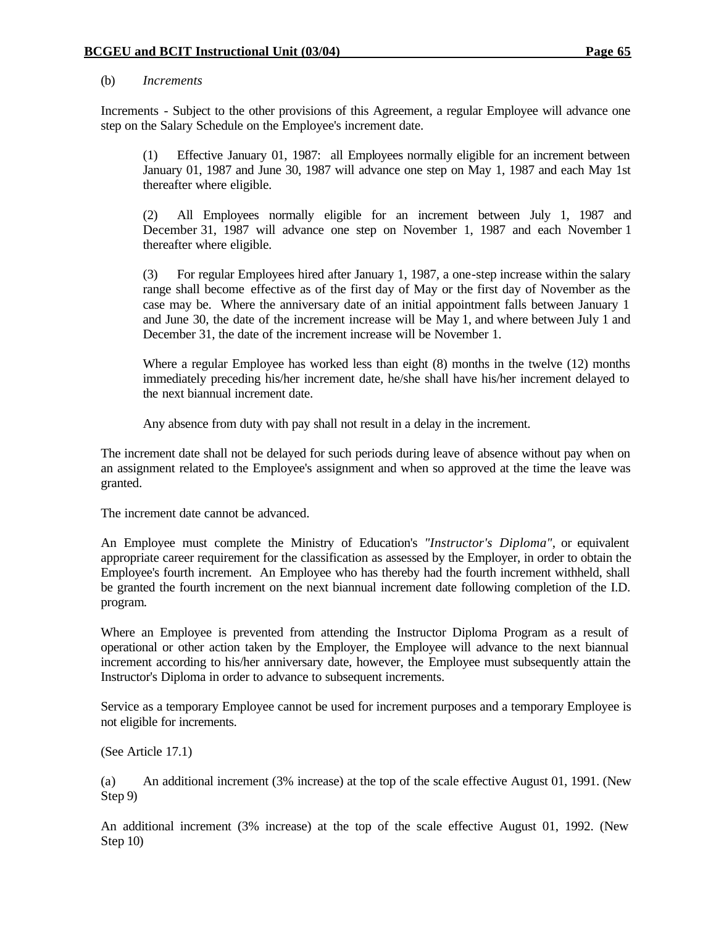#### (b) *Increments*

Increments - Subject to the other provisions of this Agreement, a regular Employee will advance one step on the Salary Schedule on the Employee's increment date.

(1) Effective January 01, 1987: all Employees normally eligible for an increment between January 01, 1987 and June 30, 1987 will advance one step on May 1, 1987 and each May 1st thereafter where eligible.

(2) All Employees normally eligible for an increment between July 1, 1987 and December 31, 1987 will advance one step on November 1, 1987 and each November 1 thereafter where eligible.

(3) For regular Employees hired after January 1, 1987, a one-step increase within the salary range shall become effective as of the first day of May or the first day of November as the case may be. Where the anniversary date of an initial appointment falls between January 1 and June 30, the date of the increment increase will be May 1, and where between July 1 and December 31, the date of the increment increase will be November 1.

Where a regular Employee has worked less than eight (8) months in the twelve (12) months immediately preceding his/her increment date, he/she shall have his/her increment delayed to the next biannual increment date.

Any absence from duty with pay shall not result in a delay in the increment.

The increment date shall not be delayed for such periods during leave of absence without pay when on an assignment related to the Employee's assignment and when so approved at the time the leave was granted.

The increment date cannot be advanced.

An Employee must complete the Ministry of Education's *"Instructor's Diploma"*, or equivalent appropriate career requirement for the classification as assessed by the Employer, in order to obtain the Employee's fourth increment. An Employee who has thereby had the fourth increment withheld, shall be granted the fourth increment on the next biannual increment date following completion of the I.D. program.

Where an Employee is prevented from attending the Instructor Diploma Program as a result of operational or other action taken by the Employer, the Employee will advance to the next biannual increment according to his/her anniversary date, however, the Employee must subsequently attain the Instructor's Diploma in order to advance to subsequent increments.

Service as a temporary Employee cannot be used for increment purposes and a temporary Employee is not eligible for increments.

(See Article 17.1)

(a) An additional increment (3% increase) at the top of the scale effective August 01, 1991. (New Step 9)

An additional increment (3% increase) at the top of the scale effective August 01, 1992. (New Step 10)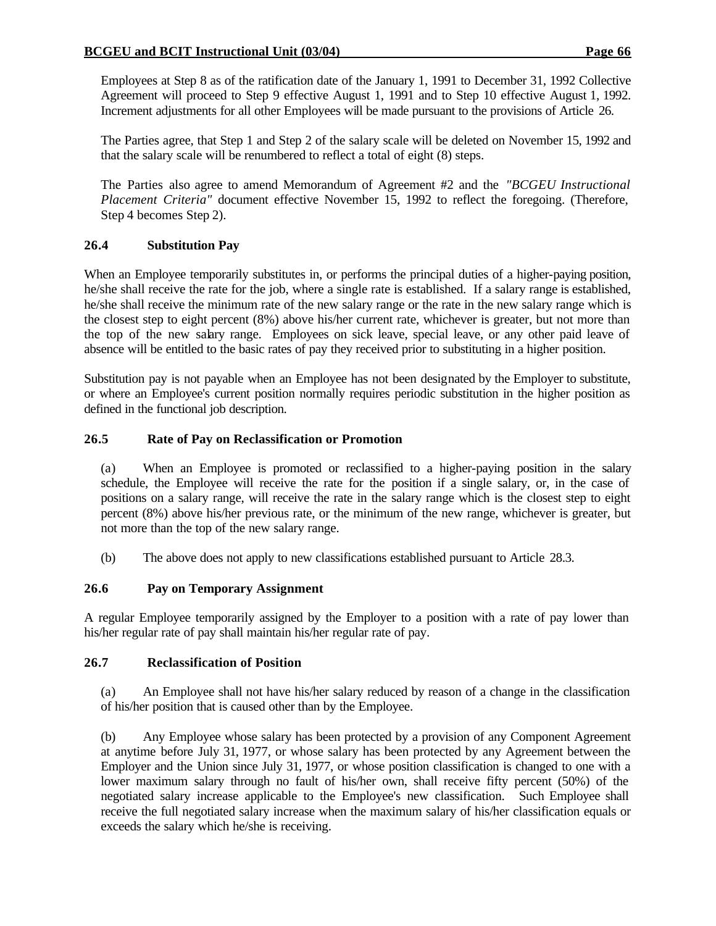Employees at Step 8 as of the ratification date of the January 1, 1991 to December 31, 1992 Collective Agreement will proceed to Step 9 effective August 1, 1991 and to Step 10 effective August 1, 1992. Increment adjustments for all other Employees will be made pursuant to the provisions of Article 26.

The Parties agree, that Step 1 and Step 2 of the salary scale will be deleted on November 15, 1992 and that the salary scale will be renumbered to reflect a total of eight (8) steps.

The Parties also agree to amend Memorandum of Agreement #2 and the *"BCGEU Instructional Placement Criteria"* document effective November 15, 1992 to reflect the foregoing. (Therefore, Step 4 becomes Step 2).

# **26.4 Substitution Pay**

When an Employee temporarily substitutes in, or performs the principal duties of a higher-paying position, he/she shall receive the rate for the job, where a single rate is established. If a salary range is established, he/she shall receive the minimum rate of the new salary range or the rate in the new salary range which is the closest step to eight percent (8%) above his/her current rate, whichever is greater, but not more than the top of the new salary range. Employees on sick leave, special leave, or any other paid leave of absence will be entitled to the basic rates of pay they received prior to substituting in a higher position.

Substitution pay is not payable when an Employee has not been designated by the Employer to substitute, or where an Employee's current position normally requires periodic substitution in the higher position as defined in the functional job description.

## **26.5 Rate of Pay on Reclassification or Promotion**

(a) When an Employee is promoted or reclassified to a higher-paying position in the salary schedule, the Employee will receive the rate for the position if a single salary, or, in the case of positions on a salary range, will receive the rate in the salary range which is the closest step to eight percent (8%) above his/her previous rate, or the minimum of the new range, whichever is greater, but not more than the top of the new salary range.

(b) The above does not apply to new classifications established pursuant to Article 28.3.

# **26.6 Pay on Temporary Assignment**

A regular Employee temporarily assigned by the Employer to a position with a rate of pay lower than his/her regular rate of pay shall maintain his/her regular rate of pay.

#### **26.7 Reclassification of Position**

(a) An Employee shall not have his/her salary reduced by reason of a change in the classification of his/her position that is caused other than by the Employee.

(b) Any Employee whose salary has been protected by a provision of any Component Agreement at anytime before July 31, 1977, or whose salary has been protected by any Agreement between the Employer and the Union since July 31, 1977, or whose position classification is changed to one with a lower maximum salary through no fault of his/her own, shall receive fifty percent (50%) of the negotiated salary increase applicable to the Employee's new classification. Such Employee shall receive the full negotiated salary increase when the maximum salary of his/her classification equals or exceeds the salary which he/she is receiving.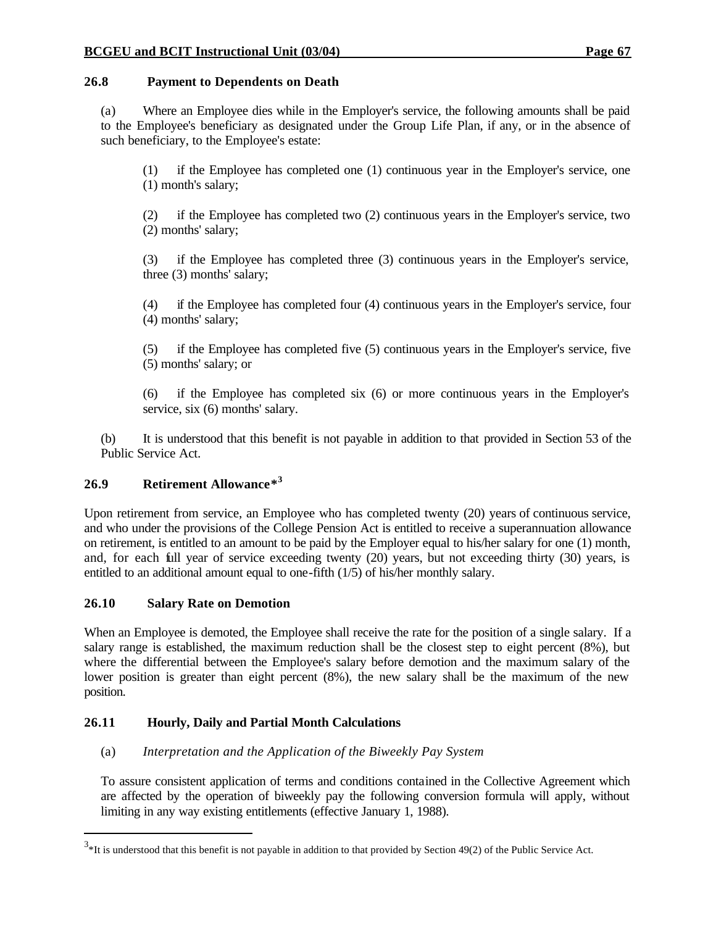## **26.8 Payment to Dependents on Death**

(a) Where an Employee dies while in the Employer's service, the following amounts shall be paid to the Employee's beneficiary as designated under the Group Life Plan, if any, or in the absence of such beneficiary, to the Employee's estate:

(1) if the Employee has completed one (1) continuous year in the Employer's service, one (1) month's salary;

(2) if the Employee has completed two (2) continuous years in the Employer's service, two (2) months' salary;

(3) if the Employee has completed three (3) continuous years in the Employer's service, three (3) months' salary;

(4) if the Employee has completed four (4) continuous years in the Employer's service, four (4) months' salary;

(5) if the Employee has completed five (5) continuous years in the Employer's service, five (5) months' salary; or

(6) if the Employee has completed six (6) or more continuous years in the Employer's service, six (6) months' salary.

(b) It is understood that this benefit is not payable in addition to that provided in Section 53 of the Public Service Act.

# **26.9 Retirement Allowance\* 3**

Upon retirement from service, an Employee who has completed twenty (20) years of continuous service, and who under the provisions of the College Pension Act is entitled to receive a superannuation allowance on retirement, is entitled to an amount to be paid by the Employer equal to his/her salary for one (1) month, and, for each full year of service exceeding twenty (20) years, but not exceeding thirty (30) years, is entitled to an additional amount equal to one-fifth (1/5) of his/her monthly salary.

# **26.10 Salary Rate on Demotion**

When an Employee is demoted, the Employee shall receive the rate for the position of a single salary. If a salary range is established, the maximum reduction shall be the closest step to eight percent (8%), but where the differential between the Employee's salary before demotion and the maximum salary of the lower position is greater than eight percent (8%), the new salary shall be the maximum of the new position.

# **26.11 Hourly, Daily and Partial Month Calculations**

# (a) *Interpretation and the Application of the Biweekly Pay System*

To assure consistent application of terms and conditions contained in the Collective Agreement which are affected by the operation of biweekly pay the following conversion formula will apply, without limiting in any way existing entitlements (effective January 1, 1988).

 $3*$ It is understood that this benefit is not payable in addition to that provided by Section 49(2) of the Public Service Act.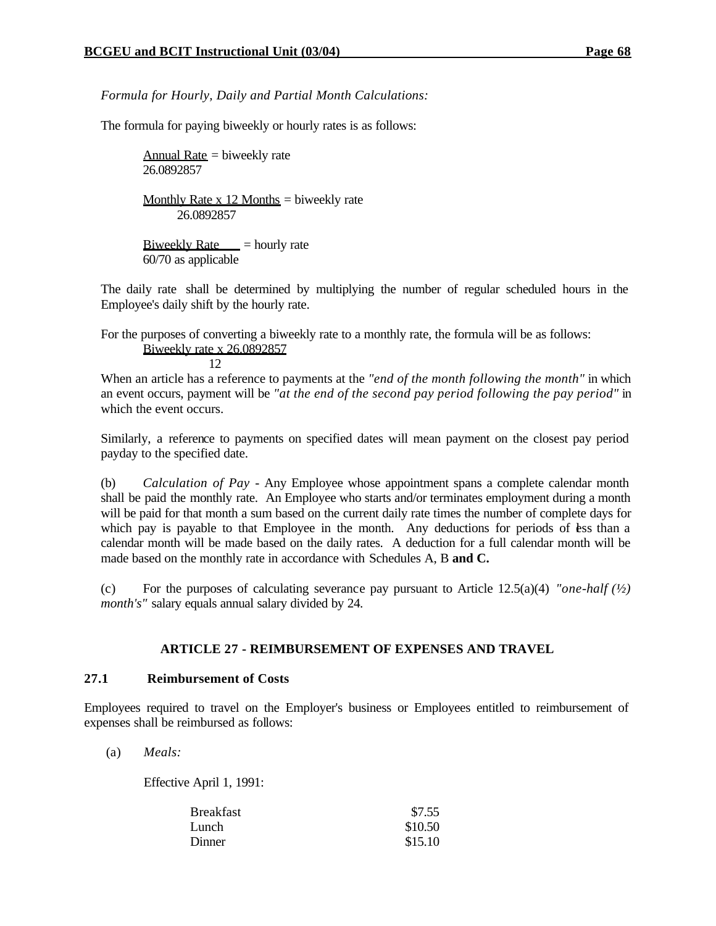*Formula for Hourly, Daily and Partial Month Calculations:*

The formula for paying biweekly or hourly rates is as follows:

Annual Rate  $=$  biweekly rate 26.0892857 Monthly Rate x 12 Months = biweekly rate 26.0892857 Biweekly Rate  $=$  hourly rate

60/70 as applicable

The daily rate shall be determined by multiplying the number of regular scheduled hours in the Employee's daily shift by the hourly rate.

For the purposes of converting a biweekly rate to a monthly rate, the formula will be as follows: Biweekly rate x 26.0892857

12

When an article has a reference to payments at the *"end of the month following the month"* in which an event occurs, payment will be *"at the end of the second pay period following the pay period"* in which the event occurs.

Similarly, a reference to payments on specified dates will mean payment on the closest pay period payday to the specified date.

(b) *Calculation of Pay* - Any Employee whose appointment spans a complete calendar month shall be paid the monthly rate. An Employee who starts and/or terminates employment during a month will be paid for that month a sum based on the current daily rate times the number of complete days for which pay is payable to that Employee in the month. Any deductions for periods of less than a calendar month will be made based on the daily rates. A deduction for a full calendar month will be made based on the monthly rate in accordance with Schedules A, B **and C.**

(c) For the purposes of calculating severance pay pursuant to Article  $12.5(a)(4)$  *"one-half*  $\frac{1}{2}$ ) *month's"* salary equals annual salary divided by 24.

# **ARTICLE 27 - REIMBURSEMENT OF EXPENSES AND TRAVEL**

#### **27.1 Reimbursement of Costs**

Employees required to travel on the Employer's business or Employees entitled to reimbursement of expenses shall be reimbursed as follows:

(a) *Meals:*

Effective April 1, 1991:

| Breakfast | \$7.55  |
|-----------|---------|
| Lunch     | \$10.50 |
| Dinner    | \$15.10 |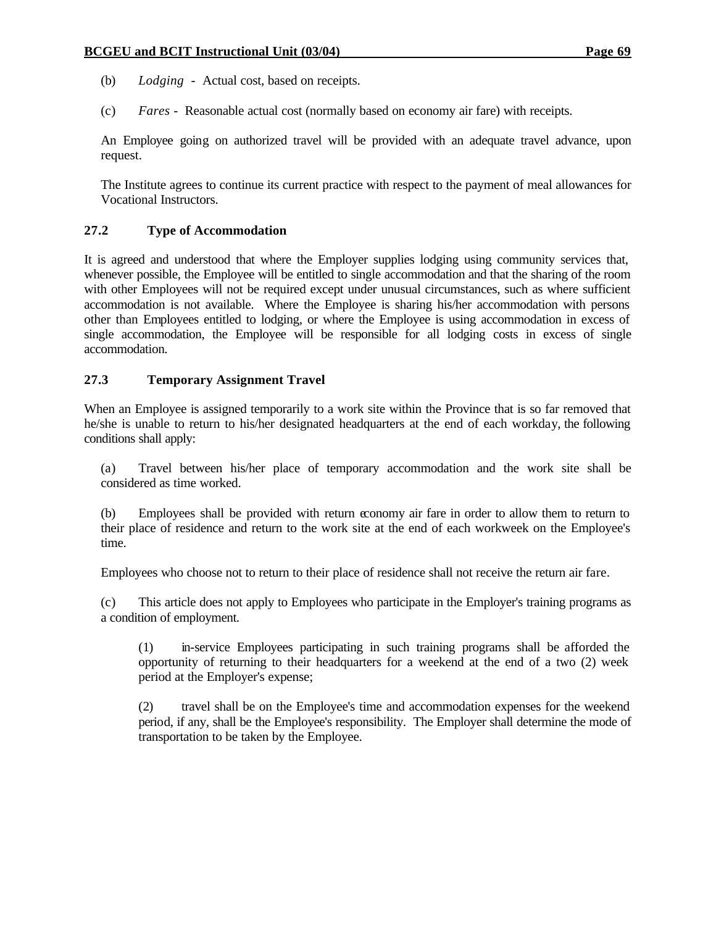- (b) *Lodging* Actual cost, based on receipts.
- (c) *Fares* Reasonable actual cost (normally based on economy air fare) with receipts.

An Employee going on authorized travel will be provided with an adequate travel advance, upon request.

The Institute agrees to continue its current practice with respect to the payment of meal allowances for Vocational Instructors.

# **27.2 Type of Accommodation**

It is agreed and understood that where the Employer supplies lodging using community services that, whenever possible, the Employee will be entitled to single accommodation and that the sharing of the room with other Employees will not be required except under unusual circumstances, such as where sufficient accommodation is not available. Where the Employee is sharing his/her accommodation with persons other than Employees entitled to lodging, or where the Employee is using accommodation in excess of single accommodation, the Employee will be responsible for all lodging costs in excess of single accommodation.

## **27.3 Temporary Assignment Travel**

When an Employee is assigned temporarily to a work site within the Province that is so far removed that he/she is unable to return to his/her designated headquarters at the end of each workday, the following conditions shall apply:

(a) Travel between his/her place of temporary accommodation and the work site shall be considered as time worked.

(b) Employees shall be provided with return economy air fare in order to allow them to return to their place of residence and return to the work site at the end of each workweek on the Employee's time.

Employees who choose not to return to their place of residence shall not receive the return air fare.

(c) This article does not apply to Employees who participate in the Employer's training programs as a condition of employment.

(1) in-service Employees participating in such training programs shall be afforded the opportunity of returning to their headquarters for a weekend at the end of a two (2) week period at the Employer's expense;

(2) travel shall be on the Employee's time and accommodation expenses for the weekend period, if any, shall be the Employee's responsibility. The Employer shall determine the mode of transportation to be taken by the Employee.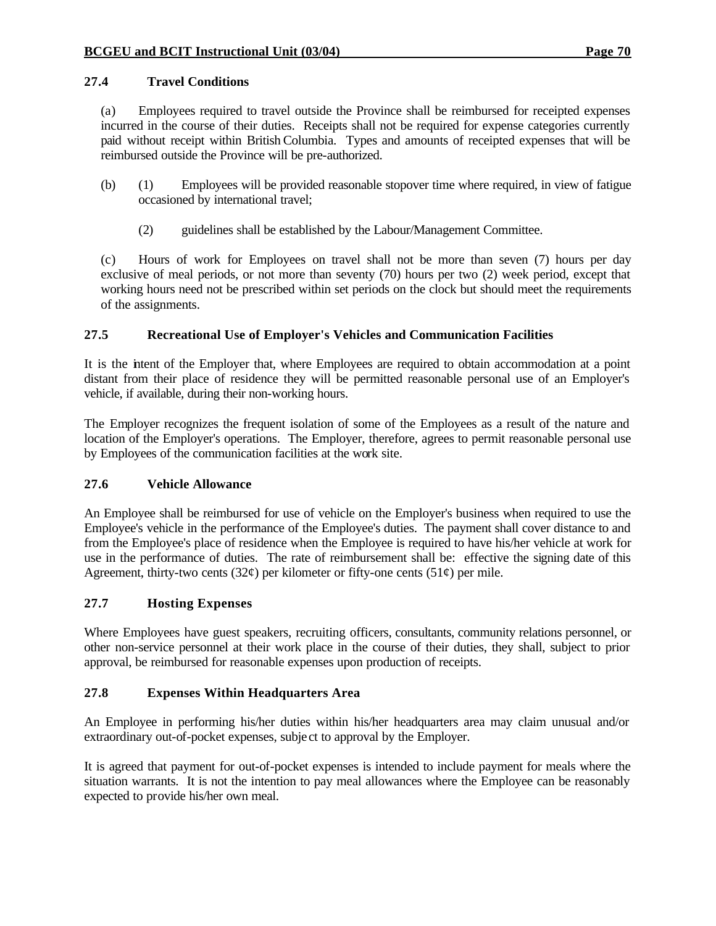(a) Employees required to travel outside the Province shall be reimbursed for receipted expenses incurred in the course of their duties. Receipts shall not be required for expense categories currently paid without receipt within British Columbia. Types and amounts of receipted expenses that will be reimbursed outside the Province will be pre-authorized.

- (b) (1) Employees will be provided reasonable stopover time where required, in view of fatigue occasioned by international travel;
	- (2) guidelines shall be established by the Labour/Management Committee.

(c) Hours of work for Employees on travel shall not be more than seven (7) hours per day exclusive of meal periods, or not more than seventy (70) hours per two (2) week period, except that working hours need not be prescribed within set periods on the clock but should meet the requirements of the assignments.

# **27.5 Recreational Use of Employer's Vehicles and Communication Facilities**

It is the intent of the Employer that, where Employees are required to obtain accommodation at a point distant from their place of residence they will be permitted reasonable personal use of an Employer's vehicle, if available, during their non-working hours.

The Employer recognizes the frequent isolation of some of the Employees as a result of the nature and location of the Employer's operations. The Employer, therefore, agrees to permit reasonable personal use by Employees of the communication facilities at the work site.

# **27.6 Vehicle Allowance**

An Employee shall be reimbursed for use of vehicle on the Employer's business when required to use the Employee's vehicle in the performance of the Employee's duties. The payment shall cover distance to and from the Employee's place of residence when the Employee is required to have his/her vehicle at work for use in the performance of duties. The rate of reimbursement shall be: effective the signing date of this Agreement, thirty-two cents (32 $\varphi$ ) per kilometer or fifty-one cents (51 $\varphi$ ) per mile.

# **27.7 Hosting Expenses**

Where Employees have guest speakers, recruiting officers, consultants, community relations personnel, or other non-service personnel at their work place in the course of their duties, they shall, subject to prior approval, be reimbursed for reasonable expenses upon production of receipts.

# **27.8 Expenses Within Headquarters Area**

An Employee in performing his/her duties within his/her headquarters area may claim unusual and/or extraordinary out-of-pocket expenses, subje ct to approval by the Employer.

It is agreed that payment for out-of-pocket expenses is intended to include payment for meals where the situation warrants. It is not the intention to pay meal allowances where the Employee can be reasonably expected to provide his/her own meal.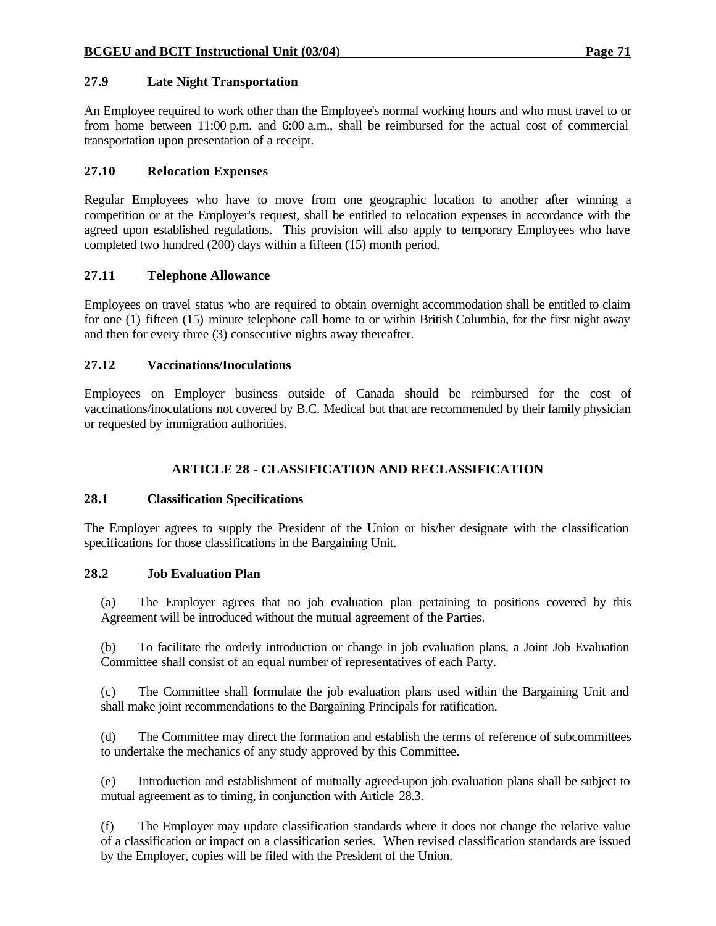An Employee required to work other than the Employee's normal working hours and who must travel to or from home between 11:00 p.m. and 6:00 a.m., shall be reimbursed for the actual cost of commercial transportation upon presentation of a receipt.

# **27.10 Relocation Expenses**

Regular Employees who have to move from one geographic location to another after winning a competition or at the Employer's request, shall be entitled to relocation expenses in accordance with the agreed upon established regulations. This provision will also apply to temporary Employees who have completed two hundred (200) days within a fifteen (15) month period.

# **27.11 Telephone Allowance**

Employees on travel status who are required to obtain overnight accommodation shall be entitled to claim for one (1) fifteen (15) minute telephone call home to or within British Columbia, for the first night away and then for every three (3) consecutive nights away thereafter.

# **27.12 Vaccinations/Inoculations**

Employees on Employer business outside of Canada should be reimbursed for the cost of vaccinations/inoculations not covered by B.C. Medical but that are recommended by their family physician or requested by immigration authorities.

# **ARTICLE 28 - CLASSIFICATION AND RECLASSIFICATION**

# **28.1 Classification Specifications**

The Employer agrees to supply the President of the Union or his/her designate with the classification specifications for those classifications in the Bargaining Unit.

# **28.2 Job Evaluation Plan**

(a) The Employer agrees that no job evaluation plan pertaining to positions covered by this Agreement will be introduced without the mutual agreement of the Parties.

(b) To facilitate the orderly introduction or change in job evaluation plans, a Joint Job Evaluation Committee shall consist of an equal number of representatives of each Party.

(c) The Committee shall formulate the job evaluation plans used within the Bargaining Unit and shall make joint recommendations to the Bargaining Principals for ratification.

(d) The Committee may direct the formation and establish the terms of reference of subcommittees to undertake the mechanics of any study approved by this Committee.

(e) Introduction and establishment of mutually agreed-upon job evaluation plans shall be subject to mutual agreement as to timing, in conjunction with Article 28.3.

(f) The Employer may update classification standards where it does not change the relative value of a classification or impact on a classification series. When revised classification standards are issued by the Employer, copies will be filed with the President of the Union.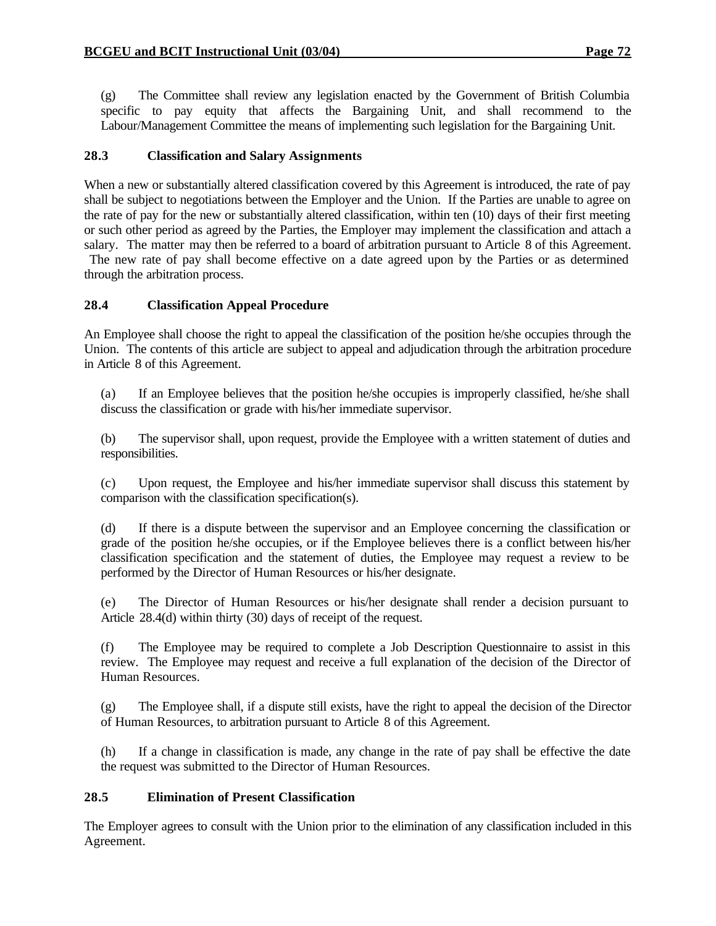(g) The Committee shall review any legislation enacted by the Government of British Columbia specific to pay equity that affects the Bargaining Unit, and shall recommend to the Labour/Management Committee the means of implementing such legislation for the Bargaining Unit.

## **28.3 Classification and Salary Assignments**

When a new or substantially altered classification covered by this Agreement is introduced, the rate of pay shall be subject to negotiations between the Employer and the Union. If the Parties are unable to agree on the rate of pay for the new or substantially altered classification, within ten (10) days of their first meeting or such other period as agreed by the Parties, the Employer may implement the classification and attach a salary. The matter may then be referred to a board of arbitration pursuant to Article 8 of this Agreement.

 The new rate of pay shall become effective on a date agreed upon by the Parties or as determined through the arbitration process.

# **28.4 Classification Appeal Procedure**

An Employee shall choose the right to appeal the classification of the position he/she occupies through the Union. The contents of this article are subject to appeal and adjudication through the arbitration procedure in Article 8 of this Agreement.

(a) If an Employee believes that the position he/she occupies is improperly classified, he/she shall discuss the classification or grade with his/her immediate supervisor.

(b) The supervisor shall, upon request, provide the Employee with a written statement of duties and responsibilities.

(c) Upon request, the Employee and his/her immediate supervisor shall discuss this statement by comparison with the classification specification(s).

(d) If there is a dispute between the supervisor and an Employee concerning the classification or grade of the position he/she occupies, or if the Employee believes there is a conflict between his/her classification specification and the statement of duties, the Employee may request a review to be performed by the Director of Human Resources or his/her designate.

(e) The Director of Human Resources or his/her designate shall render a decision pursuant to Article 28.4(d) within thirty (30) days of receipt of the request.

(f) The Employee may be required to complete a Job Description Questionnaire to assist in this review. The Employee may request and receive a full explanation of the decision of the Director of Human Resources.

(g) The Employee shall, if a dispute still exists, have the right to appeal the decision of the Director of Human Resources, to arbitration pursuant to Article 8 of this Agreement.

(h) If a change in classification is made, any change in the rate of pay shall be effective the date the request was submitted to the Director of Human Resources.

# **28.5 Elimination of Present Classification**

The Employer agrees to consult with the Union prior to the elimination of any classification included in this Agreement.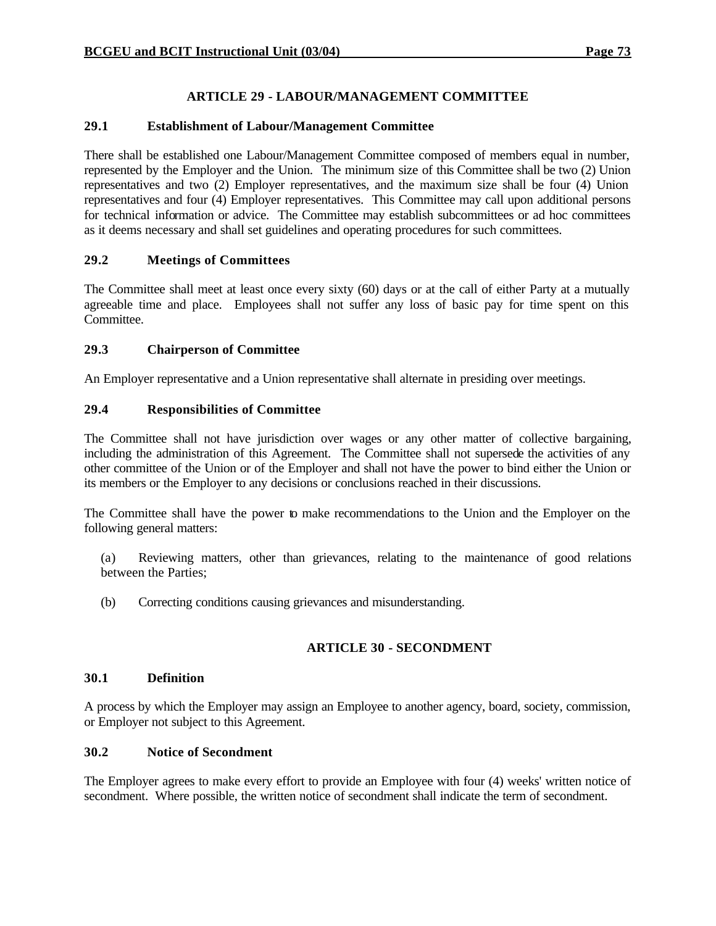# **ARTICLE 29 - LABOUR/MANAGEMENT COMMITTEE**

# **29.1 Establishment of Labour/Management Committee**

There shall be established one Labour/Management Committee composed of members equal in number, represented by the Employer and the Union. The minimum size of this Committee shall be two (2) Union representatives and two (2) Employer representatives, and the maximum size shall be four (4) Union representatives and four (4) Employer representatives. This Committee may call upon additional persons for technical information or advice. The Committee may establish subcommittees or ad hoc committees as it deems necessary and shall set guidelines and operating procedures for such committees.

# **29.2 Meetings of Committees**

The Committee shall meet at least once every sixty (60) days or at the call of either Party at a mutually agreeable time and place. Employees shall not suffer any loss of basic pay for time spent on this Committee.

# **29.3 Chairperson of Committee**

An Employer representative and a Union representative shall alternate in presiding over meetings.

# **29.4 Responsibilities of Committee**

The Committee shall not have jurisdiction over wages or any other matter of collective bargaining, including the administration of this Agreement. The Committee shall not supersede the activities of any other committee of the Union or of the Employer and shall not have the power to bind either the Union or its members or the Employer to any decisions or conclusions reached in their discussions.

The Committee shall have the power to make recommendations to the Union and the Employer on the following general matters:

- (a) Reviewing matters, other than grievances, relating to the maintenance of good relations between the Parties;
- (b) Correcting conditions causing grievances and misunderstanding.

# **ARTICLE 30 - SECONDMENT**

# **30.1 Definition**

A process by which the Employer may assign an Employee to another agency, board, society, commission, or Employer not subject to this Agreement.

# **30.2 Notice of Secondment**

The Employer agrees to make every effort to provide an Employee with four (4) weeks' written notice of secondment. Where possible, the written notice of secondment shall indicate the term of secondment.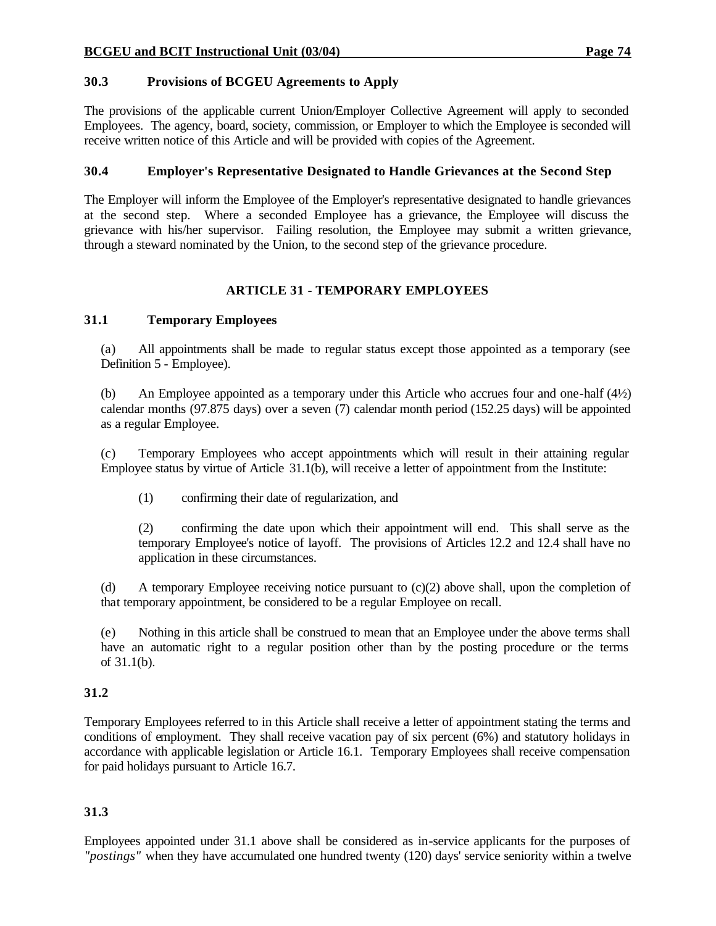# **30.3 Provisions of BCGEU Agreements to Apply**

The provisions of the applicable current Union/Employer Collective Agreement will apply to seconded Employees. The agency, board, society, commission, or Employer to which the Employee is seconded will receive written notice of this Article and will be provided with copies of the Agreement.

# **30.4 Employer's Representative Designated to Handle Grievances at the Second Step**

The Employer will inform the Employee of the Employer's representative designated to handle grievances at the second step. Where a seconded Employee has a grievance, the Employee will discuss the grievance with his/her supervisor. Failing resolution, the Employee may submit a written grievance, through a steward nominated by the Union, to the second step of the grievance procedure.

# **ARTICLE 31 - TEMPORARY EMPLOYEES**

# **31.1 Temporary Employees**

(a) All appointments shall be made to regular status except those appointed as a temporary (see Definition 5 - Employee).

(b) An Employee appointed as a temporary under this Article who accrues four and one-half (4½) calendar months (97.875 days) over a seven (7) calendar month period (152.25 days) will be appointed as a regular Employee.

(c) Temporary Employees who accept appointments which will result in their attaining regular Employee status by virtue of Article 31.1(b), will receive a letter of appointment from the Institute:

(1) confirming their date of regularization, and

(2) confirming the date upon which their appointment will end. This shall serve as the temporary Employee's notice of layoff. The provisions of Articles 12.2 and 12.4 shall have no application in these circumstances.

(d) A temporary Employee receiving notice pursuant to (c)(2) above shall, upon the completion of that temporary appointment, be considered to be a regular Employee on recall.

(e) Nothing in this article shall be construed to mean that an Employee under the above terms shall have an automatic right to a regular position other than by the posting procedure or the terms of 31.1(b).

# **31.2**

Temporary Employees referred to in this Article shall receive a letter of appointment stating the terms and conditions of employment. They shall receive vacation pay of six percent (6%) and statutory holidays in accordance with applicable legislation or Article 16.1. Temporary Employees shall receive compensation for paid holidays pursuant to Article 16.7.

# **31.3**

Employees appointed under 31.1 above shall be considered as in-service applicants for the purposes of *"postings"* when they have accumulated one hundred twenty (120) days' service seniority within a twelve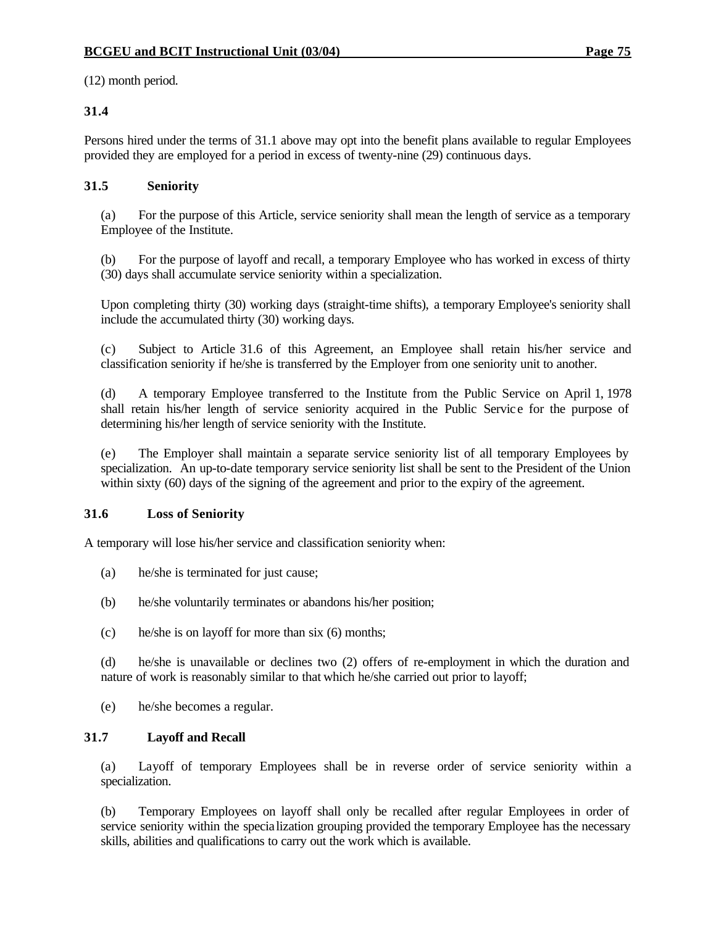(12) month period.

# **31.4**

Persons hired under the terms of 31.1 above may opt into the benefit plans available to regular Employees provided they are employed for a period in excess of twenty-nine (29) continuous days.

# **31.5 Seniority**

(a) For the purpose of this Article, service seniority shall mean the length of service as a temporary Employee of the Institute.

(b) For the purpose of layoff and recall, a temporary Employee who has worked in excess of thirty (30) days shall accumulate service seniority within a specialization.

Upon completing thirty (30) working days (straight-time shifts), a temporary Employee's seniority shall include the accumulated thirty (30) working days.

(c) Subject to Article 31.6 of this Agreement, an Employee shall retain his/her service and classification seniority if he/she is transferred by the Employer from one seniority unit to another.

(d) A temporary Employee transferred to the Institute from the Public Service on April 1, 1978 shall retain his/her length of service seniority acquired in the Public Servic e for the purpose of determining his/her length of service seniority with the Institute.

(e) The Employer shall maintain a separate service seniority list of all temporary Employees by specialization. An up-to-date temporary service seniority list shall be sent to the President of the Union within sixty (60) days of the signing of the agreement and prior to the expiry of the agreement.

# **31.6 Loss of Seniority**

A temporary will lose his/her service and classification seniority when:

- (a) he/she is terminated for just cause;
- (b) he/she voluntarily terminates or abandons his/her position;
- (c) he/she is on layoff for more than six (6) months;

(d) he/she is unavailable or declines two (2) offers of re-employment in which the duration and nature of work is reasonably similar to that which he/she carried out prior to layoff;

(e) he/she becomes a regular.

# **31.7 Layoff and Recall**

(a) Layoff of temporary Employees shall be in reverse order of service seniority within a specialization.

(b) Temporary Employees on layoff shall only be recalled after regular Employees in order of service seniority within the specia lization grouping provided the temporary Employee has the necessary skills, abilities and qualifications to carry out the work which is available.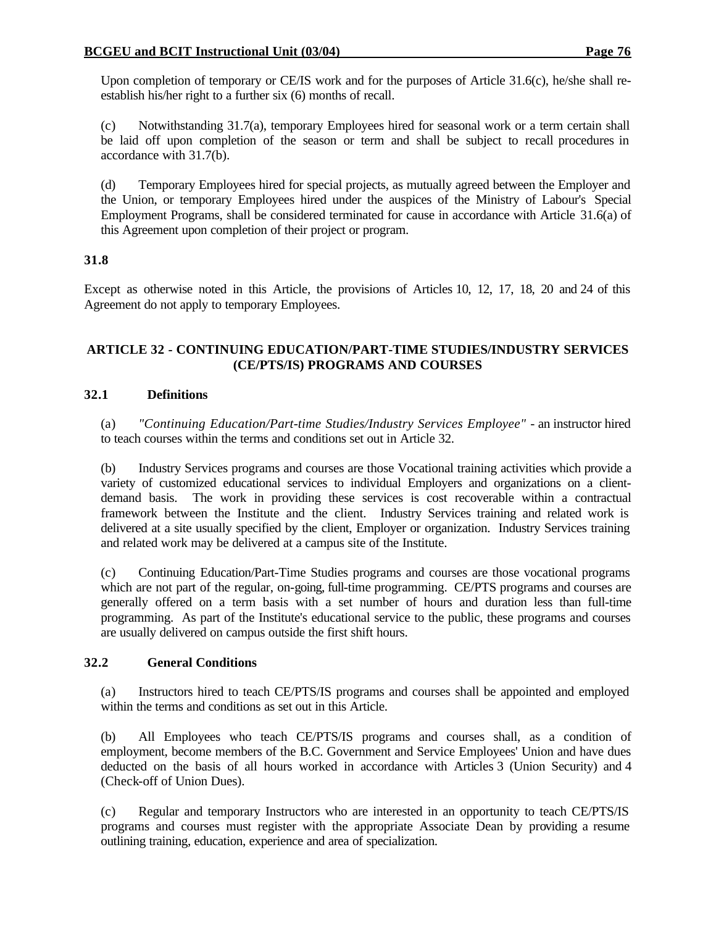(c) Notwithstanding 31.7(a), temporary Employees hired for seasonal work or a term certain shall be laid off upon completion of the season or term and shall be subject to recall procedures in accordance with 31.7(b).

(d) Temporary Employees hired for special projects, as mutually agreed between the Employer and the Union, or temporary Employees hired under the auspices of the Ministry of Labour's Special Employment Programs, shall be considered terminated for cause in accordance with Article 31.6(a) of this Agreement upon completion of their project or program.

# **31.8**

Except as otherwise noted in this Article, the provisions of Articles 10, 12, 17, 18, 20 and 24 of this Agreement do not apply to temporary Employees.

# **ARTICLE 32 - CONTINUING EDUCATION/PART-TIME STUDIES/INDUSTRY SERVICES (CE/PTS/IS) PROGRAMS AND COURSES**

# **32.1 Definitions**

(a) *"Continuing Education/Part-time Studies/Industry Services Employee"* - an instructor hired to teach courses within the terms and conditions set out in Article 32.

(b) Industry Services programs and courses are those Vocational training activities which provide a variety of customized educational services to individual Employers and organizations on a clientdemand basis. The work in providing these services is cost recoverable within a contractual framework between the Institute and the client. Industry Services training and related work is delivered at a site usually specified by the client, Employer or organization. Industry Services training and related work may be delivered at a campus site of the Institute.

(c) Continuing Education/Part-Time Studies programs and courses are those vocational programs which are not part of the regular, on-going, full-time programming. CE/PTS programs and courses are generally offered on a term basis with a set number of hours and duration less than full-time programming. As part of the Institute's educational service to the public, these programs and courses are usually delivered on campus outside the first shift hours.

# **32.2 General Conditions**

(a) Instructors hired to teach CE/PTS/IS programs and courses shall be appointed and employed within the terms and conditions as set out in this Article.

(b) All Employees who teach CE/PTS/IS programs and courses shall, as a condition of employment, become members of the B.C. Government and Service Employees' Union and have dues deducted on the basis of all hours worked in accordance with Articles 3 (Union Security) and 4 (Check-off of Union Dues).

(c) Regular and temporary Instructors who are interested in an opportunity to teach CE/PTS/IS programs and courses must register with the appropriate Associate Dean by providing a resume outlining training, education, experience and area of specialization.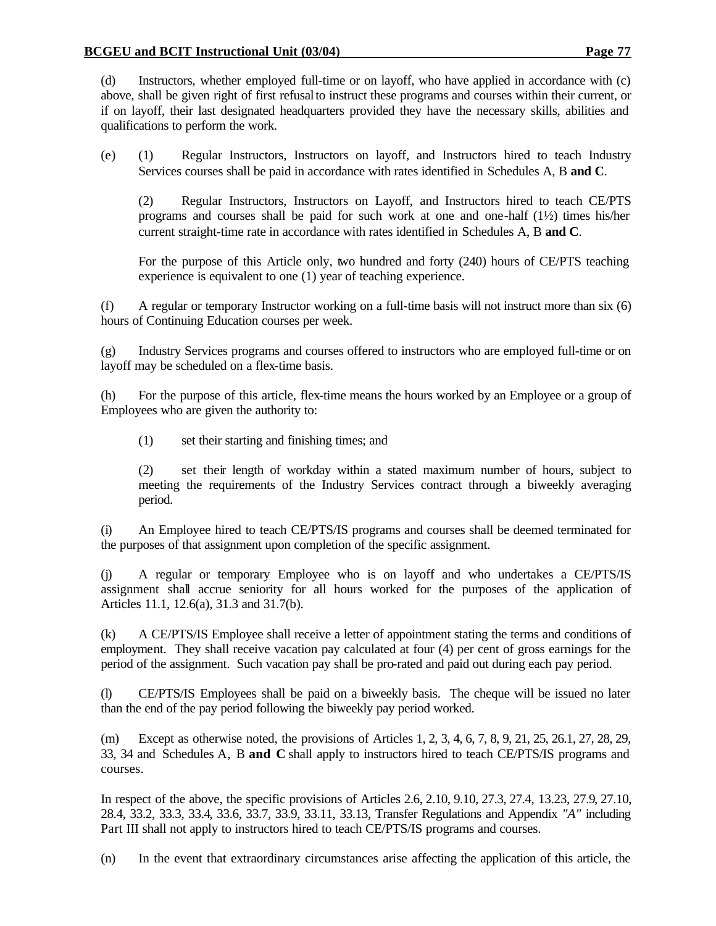(d) Instructors, whether employed full-time or on layoff, who have applied in accordance with (c) above, shall be given right of first refusal to instruct these programs and courses within their current, or if on layoff, their last designated headquarters provided they have the necessary skills, abilities and qualifications to perform the work.

(e) (1) Regular Instructors, Instructors on layoff, and Instructors hired to teach Industry Services courses shall be paid in accordance with rates identified in Schedules A, B **and C**.

(2) Regular Instructors, Instructors on Layoff, and Instructors hired to teach CE/PTS programs and courses shall be paid for such work at one and one-half  $(1/2)$  times his/her current straight-time rate in accordance with rates identified in Schedules A, B **and C**.

For the purpose of this Article only, two hundred and forty (240) hours of CE/PTS teaching experience is equivalent to one (1) year of teaching experience.

(f) A regular or temporary Instructor working on a full-time basis will not instruct more than six (6) hours of Continuing Education courses per week.

(g) Industry Services programs and courses offered to instructors who are employed full-time or on layoff may be scheduled on a flex-time basis.

(h) For the purpose of this article, flex-time means the hours worked by an Employee or a group of Employees who are given the authority to:

(1) set their starting and finishing times; and

(2) set their length of workday within a stated maximum number of hours, subject to meeting the requirements of the Industry Services contract through a biweekly averaging period.

(i) An Employee hired to teach CE/PTS/IS programs and courses shall be deemed terminated for the purposes of that assignment upon completion of the specific assignment.

(j) A regular or temporary Employee who is on layoff and who undertakes a CE/PTS/IS assignment shall accrue seniority for all hours worked for the purposes of the application of Articles 11.1, 12.6(a), 31.3 and 31.7(b).

(k) A CE/PTS/IS Employee shall receive a letter of appointment stating the terms and conditions of employment. They shall receive vacation pay calculated at four (4) per cent of gross earnings for the period of the assignment. Such vacation pay shall be pro-rated and paid out during each pay period.

(l) CE/PTS/IS Employees shall be paid on a biweekly basis. The cheque will be issued no later than the end of the pay period following the biweekly pay period worked.

(m) Except as otherwise noted, the provisions of Articles 1, 2, 3, 4, 6, 7, 8, 9, 21, 25, 26.1, 27, 28, 29, 33, 34 and Schedules A, B **and C** shall apply to instructors hired to teach CE/PTS/IS programs and courses.

In respect of the above, the specific provisions of Articles 2.6, 2.10, 9.10, 27.3, 27.4, 13.23, 27.9, 27.10, 28.4, 33.2, 33.3, 33.4, 33.6, 33.7, 33.9, 33.11, 33.13, Transfer Regulations and Appendix *"A"* including Part III shall not apply to instructors hired to teach CE/PTS/IS programs and courses.

(n) In the event that extraordinary circumstances arise affecting the application of this article, the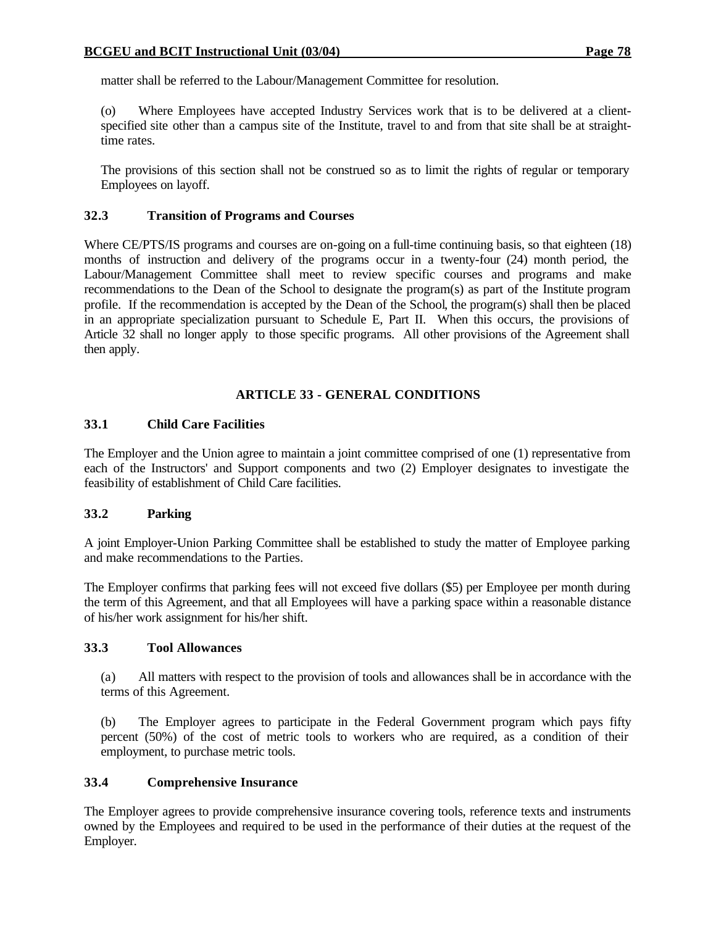matter shall be referred to the Labour/Management Committee for resolution.

(o) Where Employees have accepted Industry Services work that is to be delivered at a clientspecified site other than a campus site of the Institute, travel to and from that site shall be at straighttime rates.

The provisions of this section shall not be construed so as to limit the rights of regular or temporary Employees on layoff.

## **32.3 Transition of Programs and Courses**

Where CE/PTS/IS programs and courses are on-going on a full-time continuing basis, so that eighteen (18) months of instruction and delivery of the programs occur in a twenty-four (24) month period, the Labour/Management Committee shall meet to review specific courses and programs and make recommendations to the Dean of the School to designate the program(s) as part of the Institute program profile. If the recommendation is accepted by the Dean of the School, the program(s) shall then be placed in an appropriate specialization pursuant to Schedule E, Part II. When this occurs, the provisions of Article 32 shall no longer apply to those specific programs. All other provisions of the Agreement shall then apply.

## **ARTICLE 33 - GENERAL CONDITIONS**

## **33.1 Child Care Facilities**

The Employer and the Union agree to maintain a joint committee comprised of one (1) representative from each of the Instructors' and Support components and two (2) Employer designates to investigate the feasibility of establishment of Child Care facilities.

#### **33.2 Parking**

A joint Employer-Union Parking Committee shall be established to study the matter of Employee parking and make recommendations to the Parties.

The Employer confirms that parking fees will not exceed five dollars (\$5) per Employee per month during the term of this Agreement, and that all Employees will have a parking space within a reasonable distance of his/her work assignment for his/her shift.

#### **33.3 Tool Allowances**

(a) All matters with respect to the provision of tools and allowances shall be in accordance with the terms of this Agreement.

(b) The Employer agrees to participate in the Federal Government program which pays fifty percent (50%) of the cost of metric tools to workers who are required, as a condition of their employment, to purchase metric tools.

# **33.4 Comprehensive Insurance**

The Employer agrees to provide comprehensive insurance covering tools, reference texts and instruments owned by the Employees and required to be used in the performance of their duties at the request of the Employer.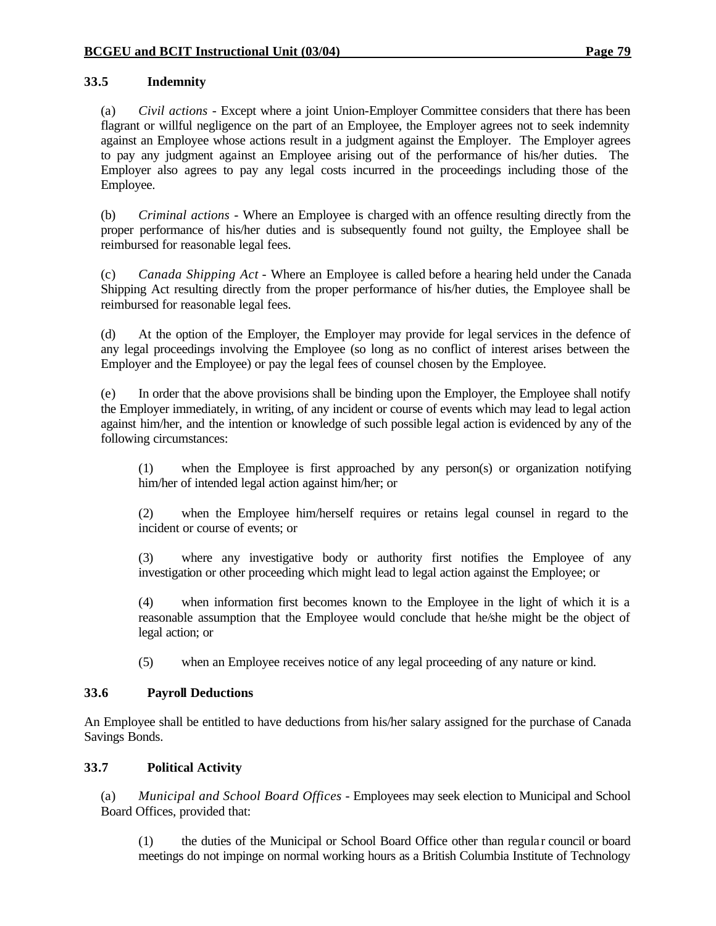# **33.5 Indemnity**

(a) *Civil actions* - Except where a joint Union-Employer Committee considers that there has been flagrant or willful negligence on the part of an Employee, the Employer agrees not to seek indemnity against an Employee whose actions result in a judgment against the Employer. The Employer agrees to pay any judgment against an Employee arising out of the performance of his/her duties. The Employer also agrees to pay any legal costs incurred in the proceedings including those of the Employee.

(b) *Criminal actions* - Where an Employee is charged with an offence resulting directly from the proper performance of his/her duties and is subsequently found not guilty, the Employee shall be reimbursed for reasonable legal fees.

(c) *Canada Shipping Act* - Where an Employee is called before a hearing held under the Canada Shipping Act resulting directly from the proper performance of his/her duties, the Employee shall be reimbursed for reasonable legal fees.

(d) At the option of the Employer, the Employer may provide for legal services in the defence of any legal proceedings involving the Employee (so long as no conflict of interest arises between the Employer and the Employee) or pay the legal fees of counsel chosen by the Employee.

(e) In order that the above provisions shall be binding upon the Employer, the Employee shall notify the Employer immediately, in writing, of any incident or course of events which may lead to legal action against him/her, and the intention or knowledge of such possible legal action is evidenced by any of the following circumstances:

(1) when the Employee is first approached by any person(s) or organization notifying him/her of intended legal action against him/her; or

(2) when the Employee him/herself requires or retains legal counsel in regard to the incident or course of events; or

(3) where any investigative body or authority first notifies the Employee of any investigation or other proceeding which might lead to legal action against the Employee; or

(4) when information first becomes known to the Employee in the light of which it is a reasonable assumption that the Employee would conclude that he/she might be the object of legal action; or

(5) when an Employee receives notice of any legal proceeding of any nature or kind.

# **33.6 Payroll Deductions**

An Employee shall be entitled to have deductions from his/her salary assigned for the purchase of Canada Savings Bonds.

#### **33.7 Political Activity**

(a) *Municipal and School Board Offices* - Employees may seek election to Municipal and School Board Offices, provided that:

(1) the duties of the Municipal or School Board Office other than regula r council or board meetings do not impinge on normal working hours as a British Columbia Institute of Technology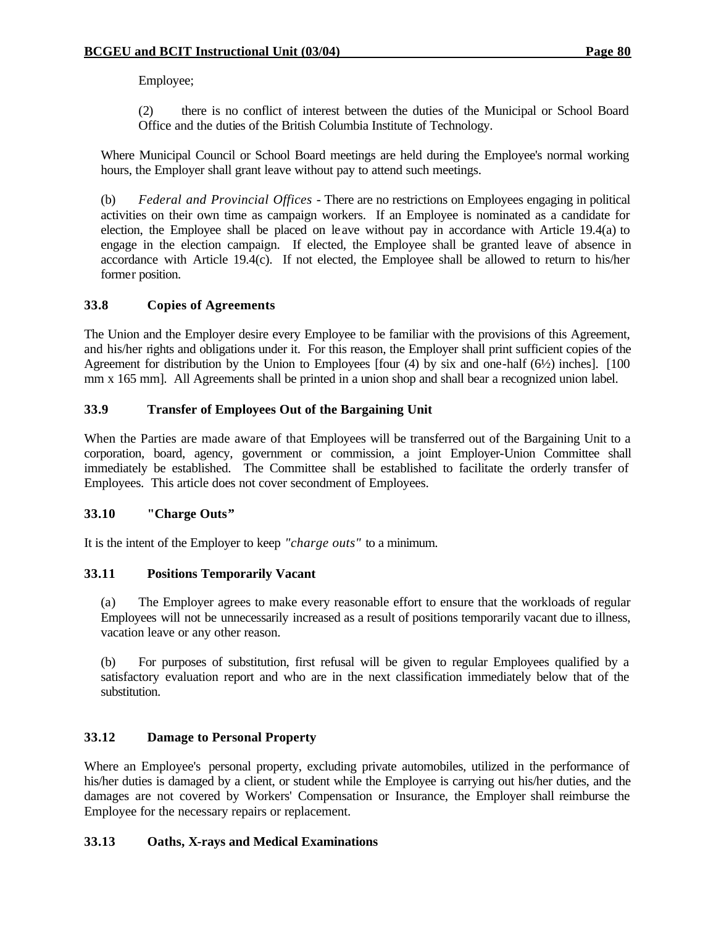Employee;

(2) there is no conflict of interest between the duties of the Municipal or School Board Office and the duties of the British Columbia Institute of Technology.

Where Municipal Council or School Board meetings are held during the Employee's normal working hours, the Employer shall grant leave without pay to attend such meetings.

(b) *Federal and Provincial Offices* - There are no restrictions on Employees engaging in political activities on their own time as campaign workers. If an Employee is nominated as a candidate for election, the Employee shall be placed on leave without pay in accordance with Article 19.4(a) to engage in the election campaign. If elected, the Employee shall be granted leave of absence in accordance with Article 19.4(c). If not elected, the Employee shall be allowed to return to his/her former position.

# **33.8 Copies of Agreements**

The Union and the Employer desire every Employee to be familiar with the provisions of this Agreement, and his/her rights and obligations under it. For this reason, the Employer shall print sufficient copies of the Agreement for distribution by the Union to Employees [four  $(4)$  by six and one-half  $(6\frac{1}{2})$  inches]. [100] mm x 165 mm]. All Agreements shall be printed in a union shop and shall bear a recognized union label.

## **33.9 Transfer of Employees Out of the Bargaining Unit**

When the Parties are made aware of that Employees will be transferred out of the Bargaining Unit to a corporation, board, agency, government or commission, a joint Employer-Union Committee shall immediately be established. The Committee shall be established to facilitate the orderly transfer of Employees. This article does not cover secondment of Employees.

# **33.10 "Charge Outs"**

It is the intent of the Employer to keep *"charge outs"* to a minimum.

## **33.11 Positions Temporarily Vacant**

(a) The Employer agrees to make every reasonable effort to ensure that the workloads of regular Employees will not be unnecessarily increased as a result of positions temporarily vacant due to illness, vacation leave or any other reason.

(b) For purposes of substitution, first refusal will be given to regular Employees qualified by a satisfactory evaluation report and who are in the next classification immediately below that of the substitution.

# **33.12 Damage to Personal Property**

Where an Employee's personal property, excluding private automobiles, utilized in the performance of his/her duties is damaged by a client, or student while the Employee is carrying out his/her duties, and the damages are not covered by Workers' Compensation or Insurance, the Employer shall reimburse the Employee for the necessary repairs or replacement.

# **33.13 Oaths, X-rays and Medical Examinations**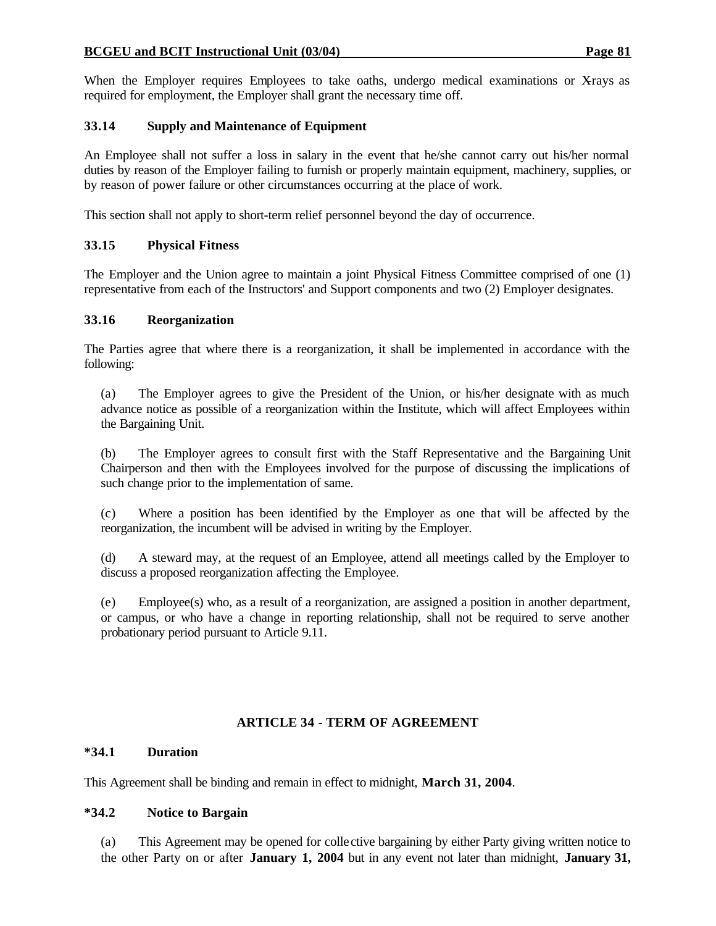#### **BCGEU and BCIT Instructional Unit (03/04) Page 81**

When the Employer requires Employees to take oaths, undergo medical examinations or X-rays as required for employment, the Employer shall grant the necessary time off.

## **33.14 Supply and Maintenance of Equipment**

An Employee shall not suffer a loss in salary in the event that he/she cannot carry out his/her normal duties by reason of the Employer failing to furnish or properly maintain equipment, machinery, supplies, or by reason of power failure or other circumstances occurring at the place of work.

This section shall not apply to short-term relief personnel beyond the day of occurrence.

## **33.15 Physical Fitness**

The Employer and the Union agree to maintain a joint Physical Fitness Committee comprised of one (1) representative from each of the Instructors' and Support components and two (2) Employer designates.

#### **33.16 Reorganization**

The Parties agree that where there is a reorganization, it shall be implemented in accordance with the following:

(a) The Employer agrees to give the President of the Union, or his/her designate with as much advance notice as possible of a reorganization within the Institute, which will affect Employees within the Bargaining Unit.

(b) The Employer agrees to consult first with the Staff Representative and the Bargaining Unit Chairperson and then with the Employees involved for the purpose of discussing the implications of such change prior to the implementation of same.

(c) Where a position has been identified by the Employer as one that will be affected by the reorganization, the incumbent will be advised in writing by the Employer.

(d) A steward may, at the request of an Employee, attend all meetings called by the Employer to discuss a proposed reorganization affecting the Employee.

(e) Employee(s) who, as a result of a reorganization, are assigned a position in another department, or campus, or who have a change in reporting relationship, shall not be required to serve another probationary period pursuant to Article 9.11.

# **ARTICLE 34 - TERM OF AGREEMENT**

#### **\*34.1 Duration**

This Agreement shall be binding and remain in effect to midnight, **March 31, 2004**.

#### **\*34.2 Notice to Bargain**

(a) This Agreement may be opened for colle ctive bargaining by either Party giving written notice to the other Party on or after **January 1, 2004** but in any event not later than midnight, **January 31,**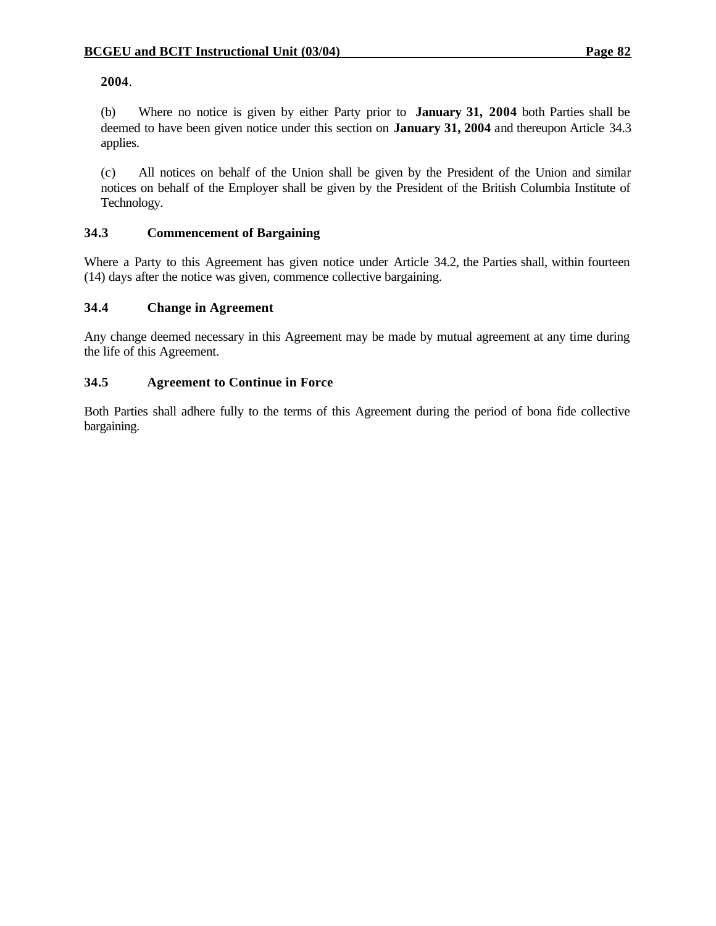#### **2004**.

(b) Where no notice is given by either Party prior to **January 31, 2004** both Parties shall be deemed to have been given notice under this section on **January 31, 2004** and thereupon Article 34.3 applies.

(c) All notices on behalf of the Union shall be given by the President of the Union and similar notices on behalf of the Employer shall be given by the President of the British Columbia Institute of Technology.

## **34.3 Commencement of Bargaining**

Where a Party to this Agreement has given notice under Article 34.2, the Parties shall, within fourteen (14) days after the notice was given, commence collective bargaining.

## **34.4 Change in Agreement**

Any change deemed necessary in this Agreement may be made by mutual agreement at any time during the life of this Agreement.

## **34.5 Agreement to Continue in Force**

Both Parties shall adhere fully to the terms of this Agreement during the period of bona fide collective bargaining.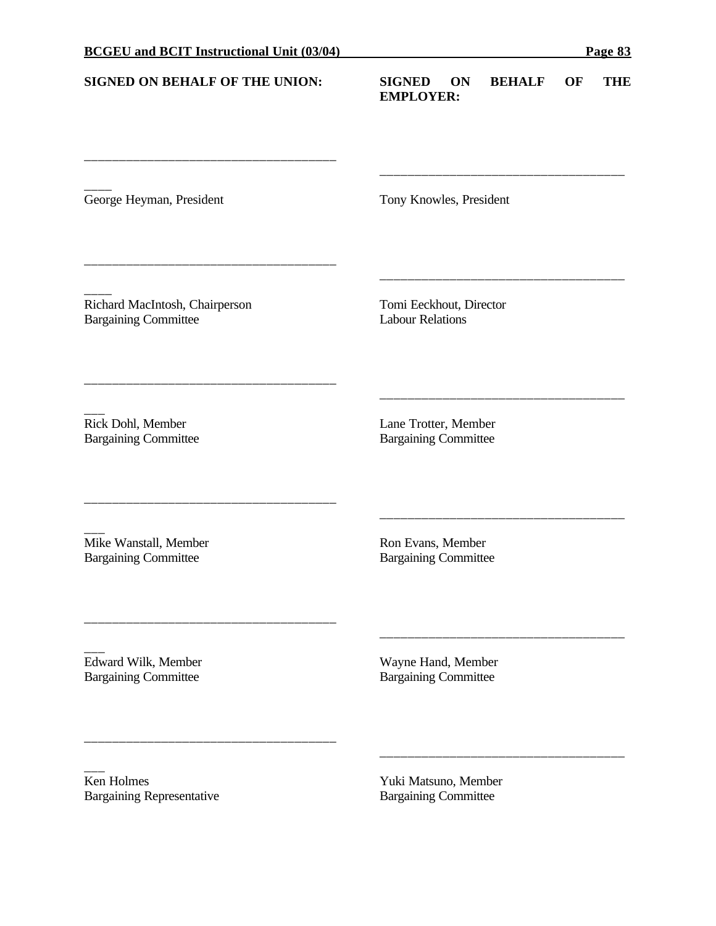\_\_\_\_\_\_\_\_\_\_\_\_\_\_\_\_\_\_\_\_\_\_\_\_\_\_\_\_\_\_\_\_\_\_\_\_

\_\_\_\_\_\_\_\_\_\_\_\_\_\_\_\_\_\_\_\_\_\_\_\_\_\_\_\_\_\_\_\_\_\_\_\_

\_\_\_\_\_\_\_\_\_\_\_\_\_\_\_\_\_\_\_\_\_\_\_\_\_\_\_\_\_\_\_\_\_\_\_\_

\_\_\_\_\_\_\_\_\_\_\_\_\_\_\_\_\_\_\_\_\_\_\_\_\_\_\_\_\_\_\_\_\_\_\_\_

\_\_\_\_\_\_\_\_\_\_\_\_\_\_\_\_\_\_\_\_\_\_\_\_\_\_\_\_\_\_\_\_\_\_\_\_

\_\_\_\_\_\_\_\_\_\_\_\_\_\_\_\_\_\_\_\_\_\_\_\_\_\_\_\_\_\_\_\_\_\_\_\_

## **SIGNED ON BEHALF OF THE UNION: SIGNED ON BEHALF OF THE EMPLOYER:**

\_\_\_\_\_\_\_\_\_\_\_\_\_\_\_\_\_\_\_\_\_\_\_\_\_\_\_\_\_\_\_\_\_\_\_

\_\_\_\_\_\_\_\_\_\_\_\_\_\_\_\_\_\_\_\_\_\_\_\_\_\_\_\_\_\_\_\_\_\_\_

\_\_\_\_\_\_\_\_\_\_\_\_\_\_\_\_\_\_\_\_\_\_\_\_\_\_\_\_\_\_\_\_\_\_\_

\_\_\_\_\_\_\_\_\_\_\_\_\_\_\_\_\_\_\_\_\_\_\_\_\_\_\_\_\_\_\_\_\_\_\_

\_\_\_\_\_\_\_\_\_\_\_\_\_\_\_\_\_\_\_\_\_\_\_\_\_\_\_\_\_\_\_\_\_\_\_

\_\_\_\_\_\_\_\_\_\_\_\_\_\_\_\_\_\_\_\_\_\_\_\_\_\_\_\_\_\_\_\_\_\_\_

George Heyman, President Tony Knowles, President

 $\overline{\phantom{a}}$ 

 $\overline{\phantom{a}}$ Richard MacIntosh, Chairperson Tomi Eeckhout, Director Bargaining Committee Labour Relations

 $\overline{\phantom{a}}$ 

Rick Dohl, Member Lane Trotter, Member Bargaining Committee Bargaining Committee

 $\overline{\phantom{a}}$ Mike Wanstall, Member Ron Evans, Member Bargaining Committee Bargaining Committee

 $\overline{\phantom{a}}$ Edward Wilk, Member Wayne Hand, Member Bargaining Committee Bargaining Committee

 $\overline{\phantom{a}}$ Ken Holmes<br>
Bargaining Representative<br>
Rargaining Committee Bargaining Representative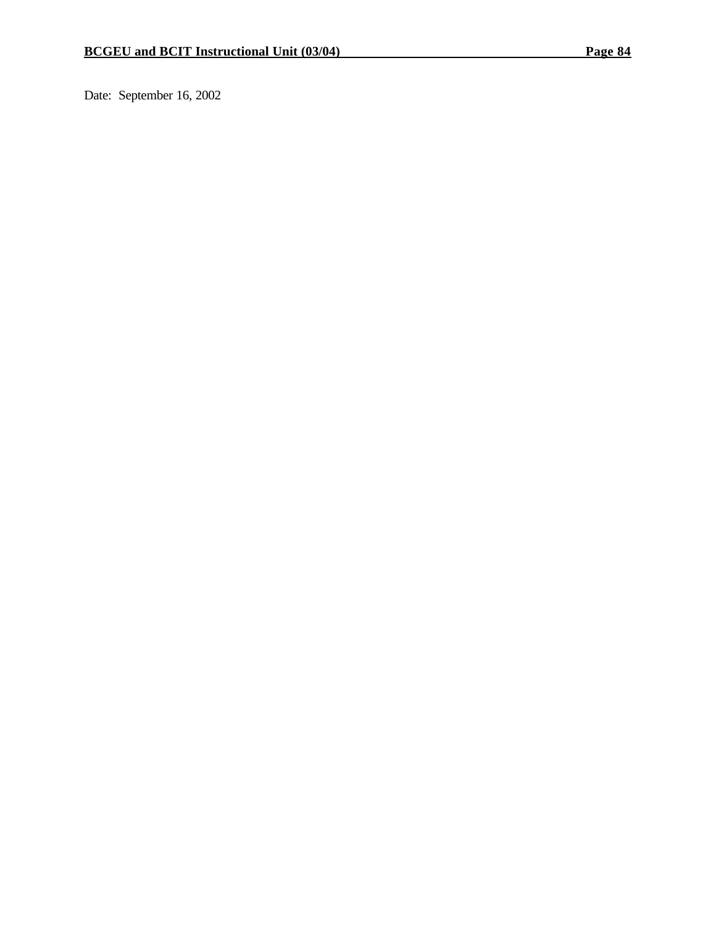Date: September 16, 2002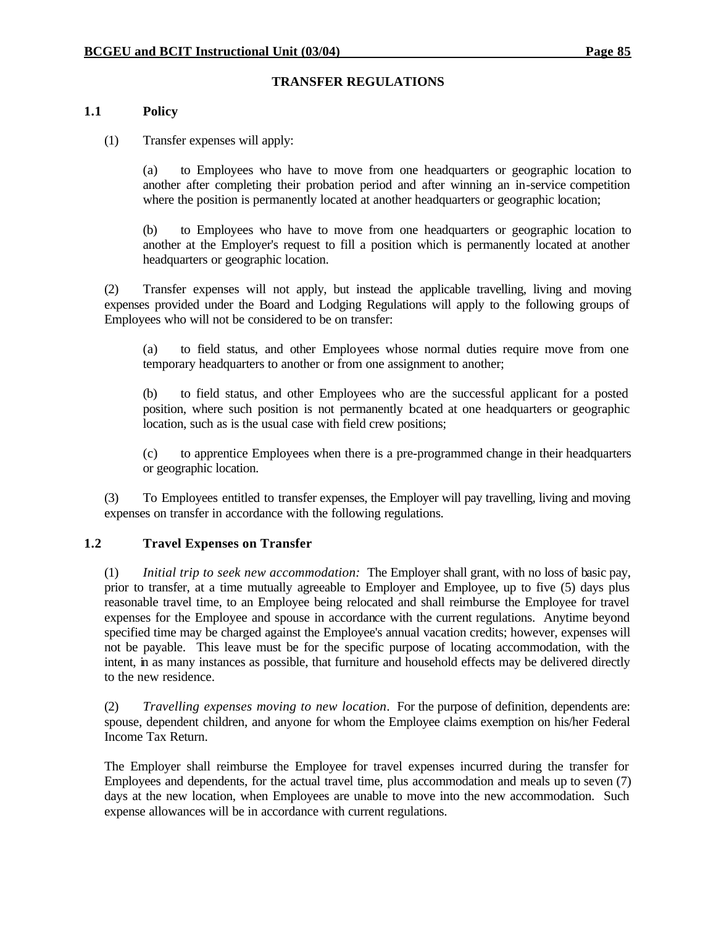#### **TRANSFER REGULATIONS**

#### **1.1 Policy**

(1) Transfer expenses will apply:

(a) to Employees who have to move from one headquarters or geographic location to another after completing their probation period and after winning an in-service competition where the position is permanently located at another headquarters or geographic location;

(b) to Employees who have to move from one headquarters or geographic location to another at the Employer's request to fill a position which is permanently located at another headquarters or geographic location.

(2) Transfer expenses will not apply, but instead the applicable travelling, living and moving expenses provided under the Board and Lodging Regulations will apply to the following groups of Employees who will not be considered to be on transfer:

(a) to field status, and other Employees whose normal duties require move from one temporary headquarters to another or from one assignment to another;

(b) to field status, and other Employees who are the successful applicant for a posted position, where such position is not permanently located at one headquarters or geographic location, such as is the usual case with field crew positions;

(c) to apprentice Employees when there is a pre-programmed change in their headquarters or geographic location.

(3) To Employees entitled to transfer expenses, the Employer will pay travelling, living and moving expenses on transfer in accordance with the following regulations.

#### **1.2 Travel Expenses on Transfer**

(1) *Initial trip to seek new accommodation:* The Employer shall grant, with no loss of basic pay, prior to transfer, at a time mutually agreeable to Employer and Employee, up to five (5) days plus reasonable travel time, to an Employee being relocated and shall reimburse the Employee for travel expenses for the Employee and spouse in accordance with the current regulations. Anytime beyond specified time may be charged against the Employee's annual vacation credits; however, expenses will not be payable. This leave must be for the specific purpose of locating accommodation, with the intent, in as many instances as possible, that furniture and household effects may be delivered directly to the new residence.

(2) *Travelling expenses moving to new location*. For the purpose of definition, dependents are: spouse, dependent children, and anyone for whom the Employee claims exemption on his/her Federal Income Tax Return.

The Employer shall reimburse the Employee for travel expenses incurred during the transfer for Employees and dependents, for the actual travel time, plus accommodation and meals up to seven (7) days at the new location, when Employees are unable to move into the new accommodation. Such expense allowances will be in accordance with current regulations.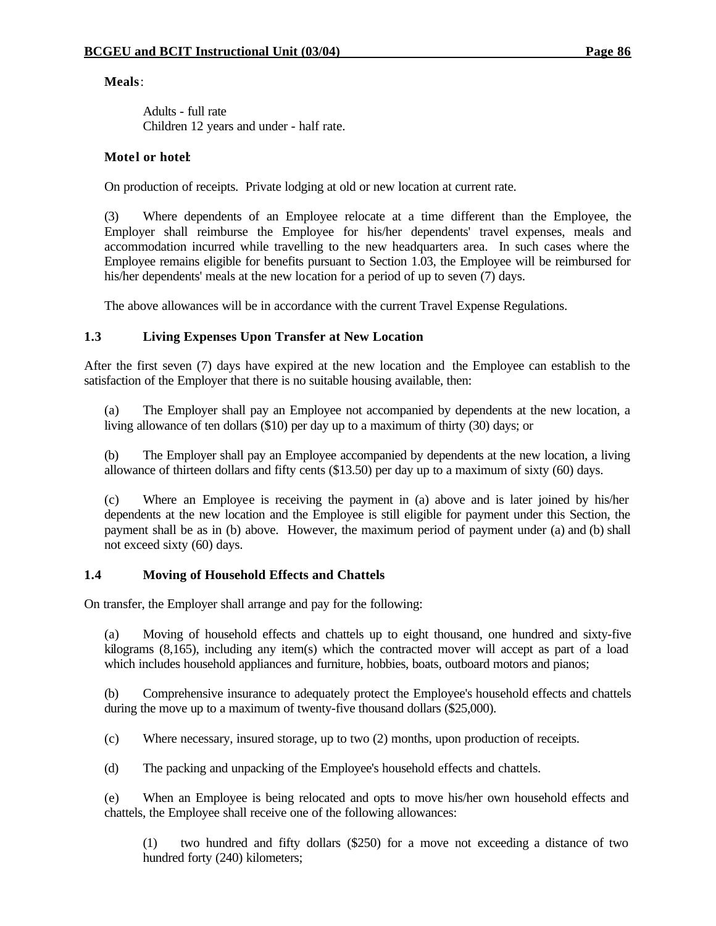**Meals**:

Adults - full rate Children 12 years and under - half rate.

# **Motel or hotel**:

On production of receipts. Private lodging at old or new location at current rate.

(3) Where dependents of an Employee relocate at a time different than the Employee, the Employer shall reimburse the Employee for his/her dependents' travel expenses, meals and accommodation incurred while travelling to the new headquarters area. In such cases where the Employee remains eligible for benefits pursuant to Section 1.03, the Employee will be reimbursed for his/her dependents' meals at the new location for a period of up to seven (7) days.

The above allowances will be in accordance with the current Travel Expense Regulations.

# **1.3 Living Expenses Upon Transfer at New Location**

After the first seven (7) days have expired at the new location and the Employee can establish to the satisfaction of the Employer that there is no suitable housing available, then:

(a) The Employer shall pay an Employee not accompanied by dependents at the new location, a living allowance of ten dollars (\$10) per day up to a maximum of thirty (30) days; or

(b) The Employer shall pay an Employee accompanied by dependents at the new location, a living allowance of thirteen dollars and fifty cents (\$13.50) per day up to a maximum of sixty (60) days.

(c) Where an Employee is receiving the payment in (a) above and is later joined by his/her dependents at the new location and the Employee is still eligible for payment under this Section, the payment shall be as in (b) above. However, the maximum period of payment under (a) and (b) shall not exceed sixty (60) days.

# **1.4 Moving of Household Effects and Chattels**

On transfer, the Employer shall arrange and pay for the following:

(a) Moving of household effects and chattels up to eight thousand, one hundred and sixty-five kilograms (8,165), including any item(s) which the contracted mover will accept as part of a load which includes household appliances and furniture, hobbies, boats, outboard motors and pianos;

(b) Comprehensive insurance to adequately protect the Employee's household effects and chattels during the move up to a maximum of twenty-five thousand dollars (\$25,000).

(c) Where necessary, insured storage, up to two (2) months, upon production of receipts.

(d) The packing and unpacking of the Employee's household effects and chattels.

(e) When an Employee is being relocated and opts to move his/her own household effects and chattels, the Employee shall receive one of the following allowances:

(1) two hundred and fifty dollars (\$250) for a move not exceeding a distance of two hundred forty (240) kilometers;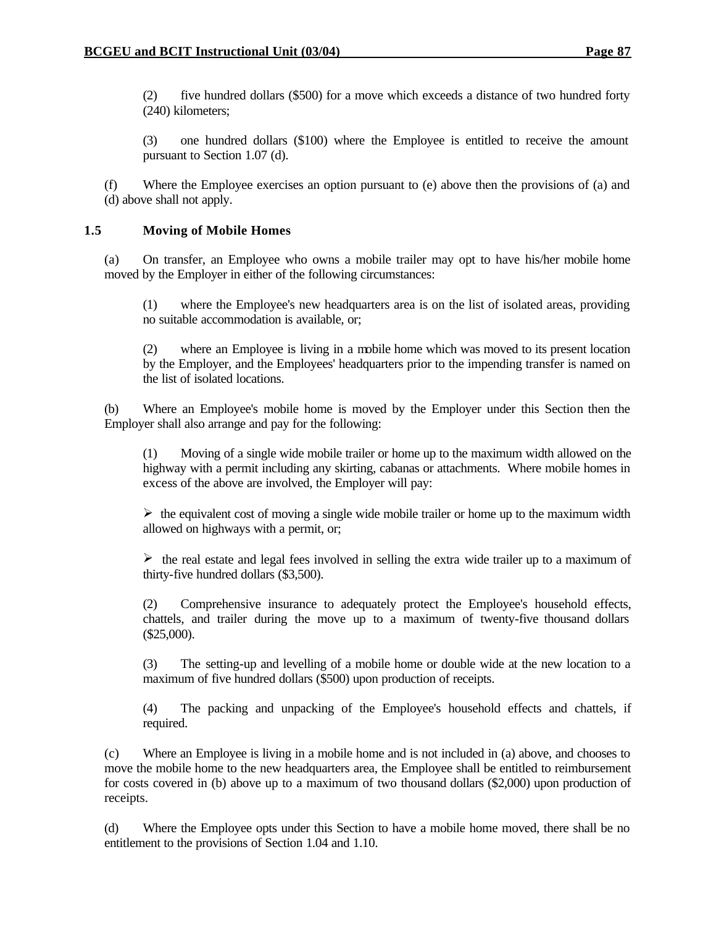(2) five hundred dollars (\$500) for a move which exceeds a distance of two hundred forty (240) kilometers;

(3) one hundred dollars (\$100) where the Employee is entitled to receive the amount pursuant to Section 1.07 (d).

(f) Where the Employee exercises an option pursuant to (e) above then the provisions of (a) and (d) above shall not apply.

## **1.5 Moving of Mobile Homes**

(a) On transfer, an Employee who owns a mobile trailer may opt to have his/her mobile home moved by the Employer in either of the following circumstances:

(1) where the Employee's new headquarters area is on the list of isolated areas, providing no suitable accommodation is available, or;

(2) where an Employee is living in a mobile home which was moved to its present location by the Employer, and the Employees' headquarters prior to the impending transfer is named on the list of isolated locations.

(b) Where an Employee's mobile home is moved by the Employer under this Section then the Employer shall also arrange and pay for the following:

(1) Moving of a single wide mobile trailer or home up to the maximum width allowed on the highway with a permit including any skirting, cabanas or attachments. Where mobile homes in excess of the above are involved, the Employer will pay:

 $\triangleright$  the equivalent cost of moving a single wide mobile trailer or home up to the maximum width allowed on highways with a permit, or;

 $\triangleright$  the real estate and legal fees involved in selling the extra wide trailer up to a maximum of thirty-five hundred dollars (\$3,500).

(2) Comprehensive insurance to adequately protect the Employee's household effects, chattels, and trailer during the move up to a maximum of twenty-five thousand dollars (\$25,000).

(3) The setting-up and levelling of a mobile home or double wide at the new location to a maximum of five hundred dollars (\$500) upon production of receipts.

(4) The packing and unpacking of the Employee's household effects and chattels, if required.

(c) Where an Employee is living in a mobile home and is not included in (a) above, and chooses to move the mobile home to the new headquarters area, the Employee shall be entitled to reimbursement for costs covered in (b) above up to a maximum of two thousand dollars (\$2,000) upon production of receipts.

(d) Where the Employee opts under this Section to have a mobile home moved, there shall be no entitlement to the provisions of Section 1.04 and 1.10.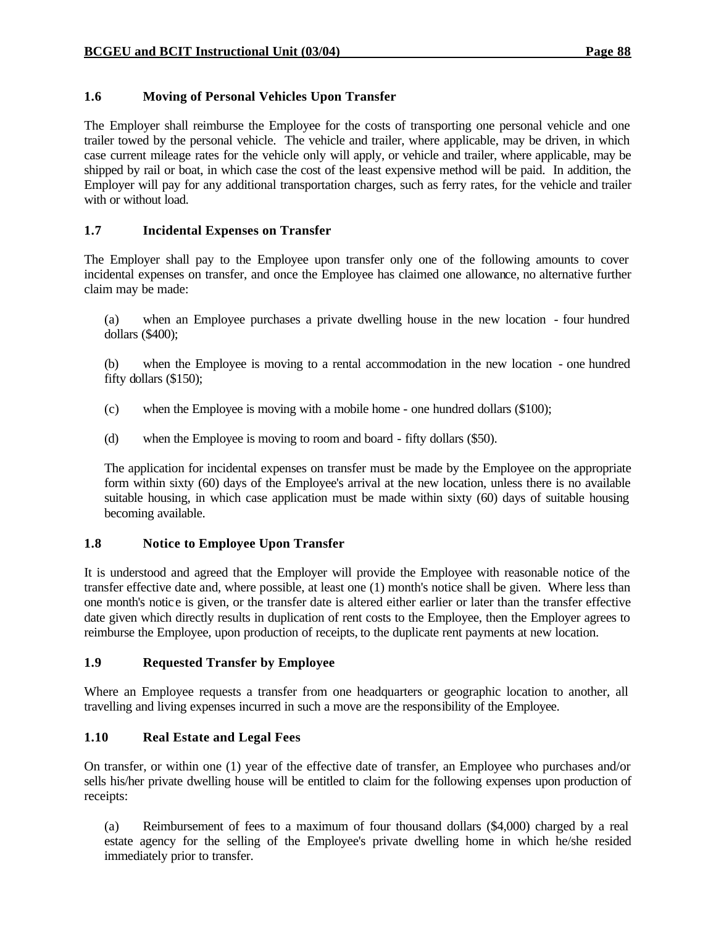# **1.6 Moving of Personal Vehicles Upon Transfer**

The Employer shall reimburse the Employee for the costs of transporting one personal vehicle and one trailer towed by the personal vehicle. The vehicle and trailer, where applicable, may be driven, in which case current mileage rates for the vehicle only will apply, or vehicle and trailer, where applicable, may be shipped by rail or boat, in which case the cost of the least expensive method will be paid. In addition, the Employer will pay for any additional transportation charges, such as ferry rates, for the vehicle and trailer with or without load.

# **1.7 Incidental Expenses on Transfer**

The Employer shall pay to the Employee upon transfer only one of the following amounts to cover incidental expenses on transfer, and once the Employee has claimed one allowance, no alternative further claim may be made:

(a) when an Employee purchases a private dwelling house in the new location - four hundred dollars (\$400);

(b) when the Employee is moving to a rental accommodation in the new location - one hundred fifty dollars (\$150);

- (c) when the Employee is moving with a mobile home one hundred dollars (\$100);
- (d) when the Employee is moving to room and board fifty dollars (\$50).

The application for incidental expenses on transfer must be made by the Employee on the appropriate form within sixty (60) days of the Employee's arrival at the new location, unless there is no available suitable housing, in which case application must be made within sixty (60) days of suitable housing becoming available.

# **1.8 Notice to Employee Upon Transfer**

It is understood and agreed that the Employer will provide the Employee with reasonable notice of the transfer effective date and, where possible, at least one (1) month's notice shall be given. Where less than one month's notice is given, or the transfer date is altered either earlier or later than the transfer effective date given which directly results in duplication of rent costs to the Employee, then the Employer agrees to reimburse the Employee, upon production of receipts, to the duplicate rent payments at new location.

# **1.9 Requested Transfer by Employee**

Where an Employee requests a transfer from one headquarters or geographic location to another, all travelling and living expenses incurred in such a move are the responsibility of the Employee.

# **1.10 Real Estate and Legal Fees**

On transfer, or within one (1) year of the effective date of transfer, an Employee who purchases and/or sells his/her private dwelling house will be entitled to claim for the following expenses upon production of receipts:

(a) Reimbursement of fees to a maximum of four thousand dollars (\$4,000) charged by a real estate agency for the selling of the Employee's private dwelling home in which he/she resided immediately prior to transfer.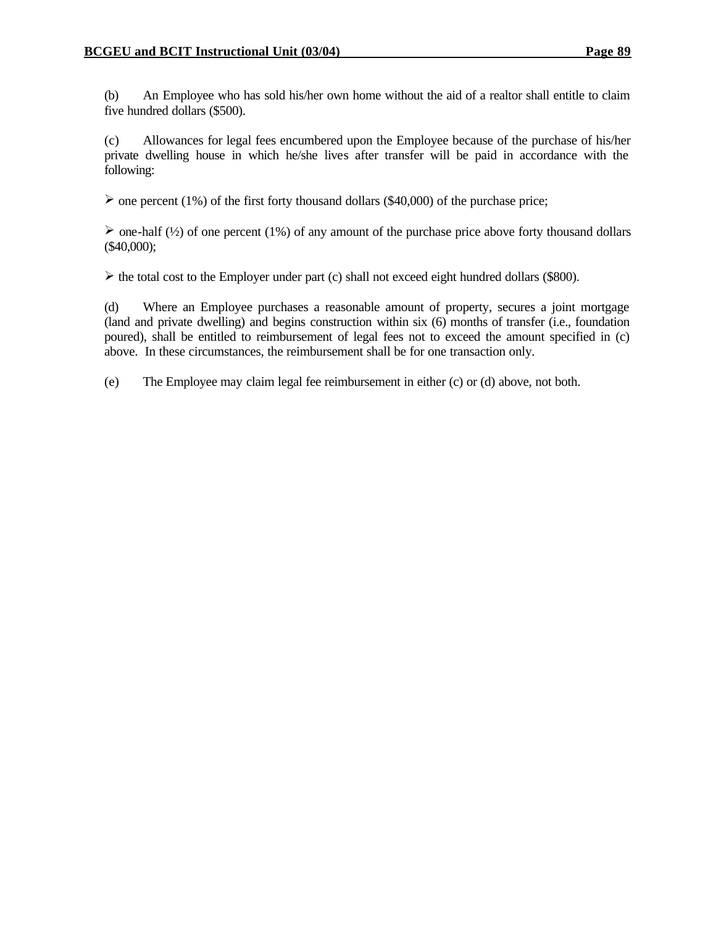(b) An Employee who has sold his/her own home without the aid of a realtor shall entitle to claim five hundred dollars (\$500).

(c) Allowances for legal fees encumbered upon the Employee because of the purchase of his/her private dwelling house in which he/she lives after transfer will be paid in accordance with the following:

 $\geq$  one percent (1%) of the first forty thousand dollars (\$40,000) of the purchase price;

 $\triangleright$  one-half (1/2) of one percent (1%) of any amount of the purchase price above forty thousand dollars (\$40,000);

 $\triangleright$  the total cost to the Employer under part (c) shall not exceed eight hundred dollars (\$800).

(d) Where an Employee purchases a reasonable amount of property, secures a joint mortgage (land and private dwelling) and begins construction within six (6) months of transfer (i.e., foundation poured), shall be entitled to reimbursement of legal fees not to exceed the amount specified in (c) above. In these circumstances, the reimbursement shall be for one transaction only.

(e) The Employee may claim legal fee reimbursement in either (c) or (d) above, not both.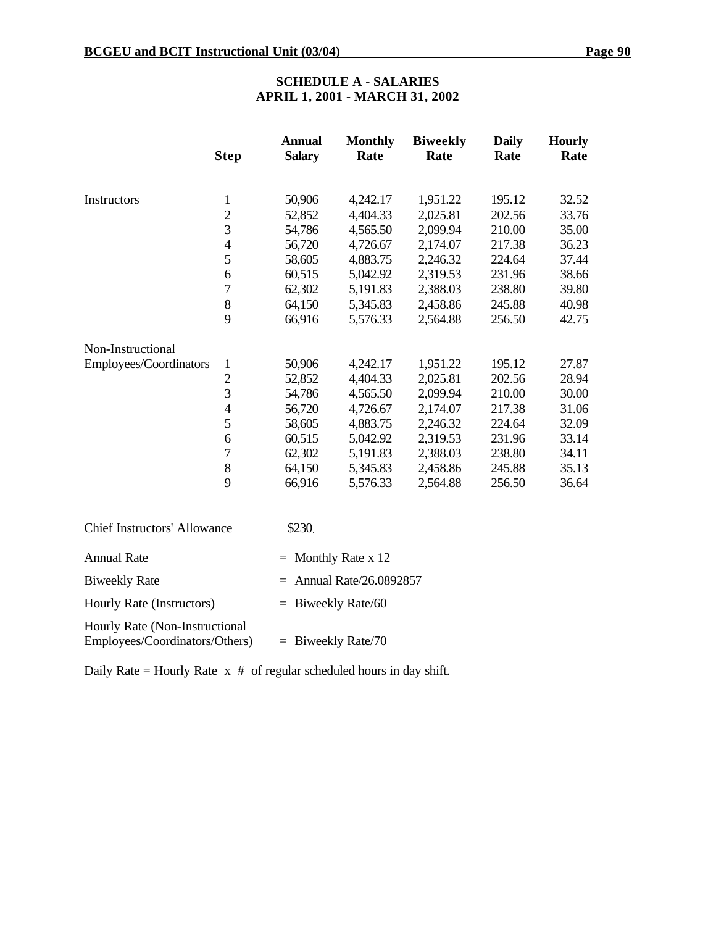# **SCHEDULE A - SALARIES APRIL 1, 2001 - MARCH 31, 2002**

|                                     | <b>Step</b>    | <b>Annual</b><br><b>Salary</b> | <b>Monthly</b><br>Rate | <b>Biweekly</b><br>Rate | <b>Daily</b><br>Rate | <b>Hourly</b><br>Rate |
|-------------------------------------|----------------|--------------------------------|------------------------|-------------------------|----------------------|-----------------------|
| Instructors                         | $\mathbf{1}$   | 50,906                         | 4,242.17               | 1,951.22                | 195.12               | 32.52                 |
|                                     | $\overline{2}$ | 52,852                         | 4,404.33               | 2,025.81                | 202.56               | 33.76                 |
|                                     | 3              | 54,786                         | 4,565.50               | 2,099.94                | 210.00               | 35.00                 |
|                                     | $\overline{4}$ | 56,720                         | 4,726.67               | 2,174.07                | 217.38               | 36.23                 |
|                                     | 5              | 58,605                         | 4,883.75               | 2,246.32                | 224.64               | 37.44                 |
|                                     | 6              | 60,515                         | 5,042.92               | 2,319.53                | 231.96               | 38.66                 |
|                                     | 7              | 62,302                         | 5,191.83               | 2,388.03                | 238.80               | 39.80                 |
|                                     | 8              | 64,150                         | 5,345.83               | 2,458.86                | 245.88               | 40.98                 |
|                                     | 9              | 66,916                         | 5,576.33               | 2,564.88                | 256.50               | 42.75                 |
| Non-Instructional                   |                |                                |                        |                         |                      |                       |
| Employees/Coordinators              | $\mathbf{1}$   | 50,906                         | 4,242.17               | 1,951.22                | 195.12               | 27.87                 |
|                                     | $\overline{2}$ | 52,852                         | 4,404.33               | 2,025.81                | 202.56               | 28.94                 |
|                                     | 3              | 54,786                         | 4,565.50               | 2,099.94                | 210.00               | 30.00                 |
|                                     | $\overline{4}$ | 56,720                         | 4,726.67               | 2,174.07                | 217.38               | 31.06                 |
|                                     | 5              | 58,605                         | 4,883.75               | 2,246.32                | 224.64               | 32.09                 |
|                                     | 6              | 60,515                         | 5,042.92               | 2,319.53                | 231.96               | 33.14                 |
|                                     | $\overline{7}$ | 62,302                         | 5,191.83               | 2,388.03                | 238.80               | 34.11                 |
|                                     | $8\,$          | 64,150                         | 5,345.83               | 2,458.86                | 245.88               | 35.13                 |
|                                     | 9              | 66,916                         | 5,576.33               | 2,564.88                | 256.50               | 36.64                 |
| <b>Chief Instructors' Allowance</b> |                | \$230.                         |                        |                         |                      |                       |
| <b>Annual Rate</b>                  |                |                                | $=$ Monthly Rate x 12  |                         |                      |                       |

Biweekly Rate  $=$  Annual Rate/26.0892857

Daily Rate = Hourly Rate  $x \#$  of regular scheduled hours in day shift.

Hourly Rate (Instructors) = Biweekly Rate/60

Employees/Coordinators/Others) = Biweekly Rate/70

Hourly Rate (Non-Instructional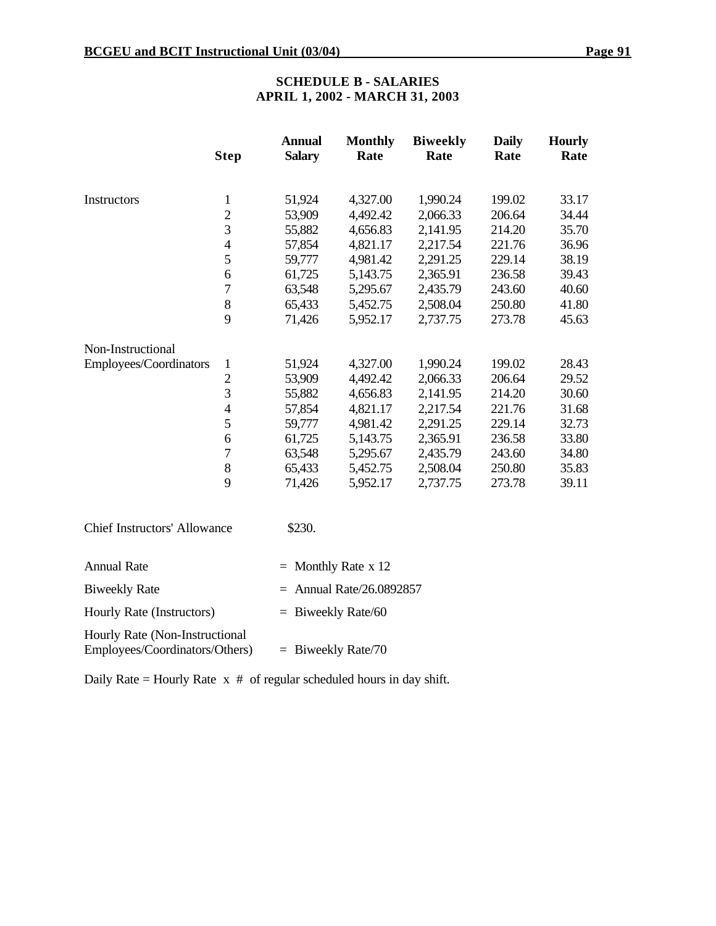Hourly Rate (Instructors) = Biweekly Rate/60

Employees/Coordinators/Others) = Biweekly Rate/70

Daily Rate = Hourly Rate  $x \#$  of regular scheduled hours in day shift.

Hourly Rate (Non-Instructional

# **SCHEDULE B - SALARIES APRIL 1, 2002 - MARCH 31, 2003**

|                                     | <b>Step</b>    | <b>Annual</b><br><b>Salary</b> | <b>Monthly</b><br>Rate | <b>Biweekly</b><br>Rate | <b>Daily</b><br>Rate | <b>Hourly</b><br>Rate |
|-------------------------------------|----------------|--------------------------------|------------------------|-------------------------|----------------------|-----------------------|
| Instructors                         | $\mathbf{1}$   | 51,924                         | 4,327.00               | 1,990.24                | 199.02               | 33.17                 |
|                                     | $\overline{c}$ | 53,909                         | 4,492.42               | 2,066.33                | 206.64               | 34.44                 |
|                                     | 3              | 55,882                         | 4,656.83               | 2,141.95                | 214.20               | 35.70                 |
|                                     | $\overline{4}$ | 57,854                         | 4,821.17               | 2,217.54                | 221.76               | 36.96                 |
|                                     | 5              | 59,777                         | 4,981.42               | 2,291.25                | 229.14               | 38.19                 |
|                                     | 6              | 61,725                         | 5,143.75               | 2,365.91                | 236.58               | 39.43                 |
|                                     | $\overline{7}$ | 63,548                         | 5,295.67               | 2,435.79                | 243.60               | 40.60                 |
|                                     | 8              | 65,433                         | 5,452.75               | 2,508.04                | 250.80               | 41.80                 |
|                                     | 9              | 71,426                         | 5,952.17               | 2,737.75                | 273.78               | 45.63                 |
| Non-Instructional                   |                |                                |                        |                         |                      |                       |
| Employees/Coordinators              | $\mathbf{1}$   | 51,924                         | 4,327.00               | 1,990.24                | 199.02               | 28.43                 |
|                                     | $\overline{2}$ | 53,909                         | 4,492.42               | 2,066.33                | 206.64               | 29.52                 |
|                                     | $\overline{3}$ | 55,882                         | 4,656.83               | 2,141.95                | 214.20               | 30.60                 |
|                                     | $\overline{4}$ | 57,854                         | 4,821.17               | 2,217.54                | 221.76               | 31.68                 |
|                                     | 5              | 59,777                         | 4,981.42               | 2,291.25                | 229.14               | 32.73                 |
|                                     | 6              | 61,725                         | 5,143.75               | 2,365.91                | 236.58               | 33.80                 |
|                                     | $\overline{7}$ | 63,548                         | 5,295.67               | 2,435.79                | 243.60               | 34.80                 |
|                                     | 8              | 65,433                         | 5,452.75               | 2,508.04                | 250.80               | 35.83                 |
|                                     | 9              | 71,426                         | 5,952.17               | 2,737.75                | 273.78               | 39.11                 |
| <b>Chief Instructors' Allowance</b> |                | \$230.                         |                        |                         |                      |                       |
| <b>Annual Rate</b>                  |                | $=$                            | Monthly Rate x 12      |                         |                      |                       |
| <b>Biweekly Rate</b>                |                | $=$ Annual Rate/26.0892857     |                        |                         |                      |                       |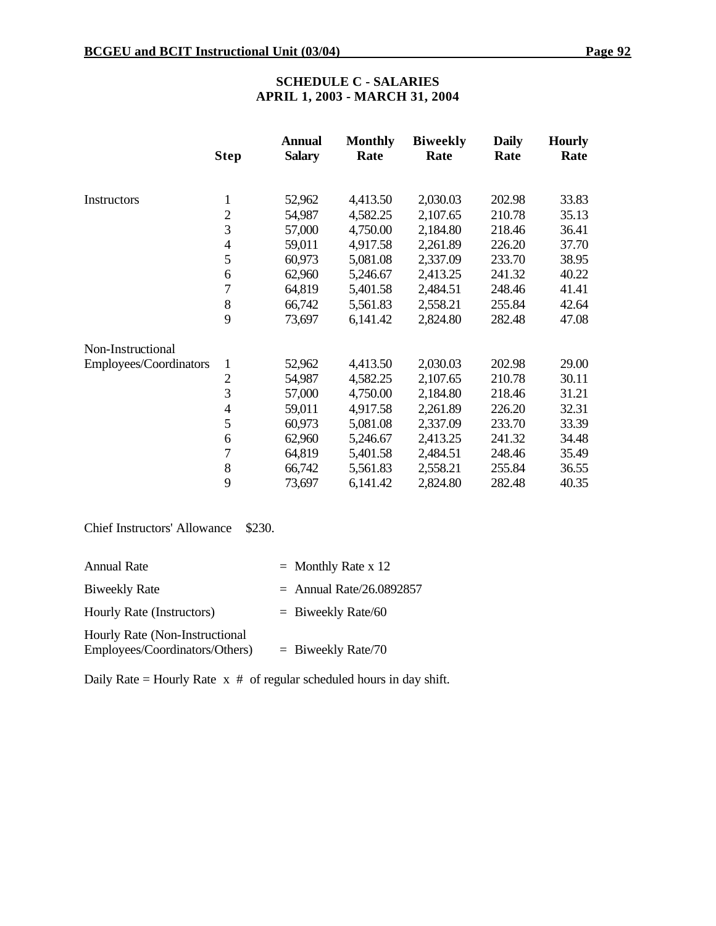# **SCHEDULE C - SALARIES APRIL 1, 2003 - MARCH 31, 2004**

|                        | <b>Step</b>              | Annual<br><b>Salary</b> | <b>Monthly</b><br>Rate | <b>Biweekly</b><br>Rate | <b>Daily</b><br>Rate | <b>Hourly</b><br>Rate |
|------------------------|--------------------------|-------------------------|------------------------|-------------------------|----------------------|-----------------------|
|                        |                          |                         |                        |                         |                      |                       |
| Instructors            | $\mathbf{1}$             | 52,962                  | 4,413.50               | 2,030.03                | 202.98               | 33.83                 |
|                        | $\overline{2}$           | 54,987                  | 4,582.25               | 2,107.65                | 210.78               | 35.13                 |
|                        | 3                        | 57,000                  | 4,750.00               | 2,184.80                | 218.46               | 36.41                 |
|                        | $\overline{\mathcal{L}}$ | 59,011                  | 4,917.58               | 2,261.89                | 226.20               | 37.70                 |
|                        | 5                        | 60,973                  | 5,081.08               | 2,337.09                | 233.70               | 38.95                 |
|                        | 6                        | 62,960                  | 5,246.67               | 2,413.25                | 241.32               | 40.22                 |
|                        | $\overline{7}$           | 64,819                  | 5,401.58               | 2,484.51                | 248.46               | 41.41                 |
|                        | 8                        | 66,742                  | 5,561.83               | 2,558.21                | 255.84               | 42.64                 |
|                        | 9                        | 73,697                  | 6,141.42               | 2,824.80                | 282.48               | 47.08                 |
| Non-Instructional      |                          |                         |                        |                         |                      |                       |
| Employees/Coordinators | $\mathbf{1}$             | 52,962                  | 4,413.50               | 2,030.03                | 202.98               | 29.00                 |
|                        | $\overline{2}$           | 54,987                  | 4,582.25               | 2,107.65                | 210.78               | 30.11                 |
|                        | 3                        | 57,000                  | 4,750.00               | 2,184.80                | 218.46               | 31.21                 |
|                        | $\overline{\mathcal{A}}$ | 59,011                  | 4,917.58               | 2,261.89                | 226.20               | 32.31                 |
|                        | 5                        | 60,973                  | 5,081.08               | 2,337.09                | 233.70               | 33.39                 |
|                        | 6                        | 62,960                  | 5,246.67               | 2,413.25                | 241.32               | 34.48                 |
|                        | 7                        | 64,819                  | 5,401.58               | 2,484.51                | 248.46               | 35.49                 |
|                        | 8                        | 66,742                  | 5,561.83               | 2,558.21                | 255.84               | 36.55                 |
|                        | 9                        | 73,697                  | 6,141.42               | 2,824.80                | 282.48               | 40.35                 |

Chief Instructors' Allowance \$230.

| Annual Rate                                                      | $=$ Monthly Rate x 12      |
|------------------------------------------------------------------|----------------------------|
| <b>Biweekly Rate</b>                                             | $=$ Annual Rate/26.0892857 |
| Hourly Rate (Instructors)                                        | $=$ Biweekly Rate/60       |
| Hourly Rate (Non-Instructional<br>Employees/Coordinators/Others) | $=$ Biweekly Rate/70       |

Daily Rate = Hourly Rate  $x \#$  of regular scheduled hours in day shift.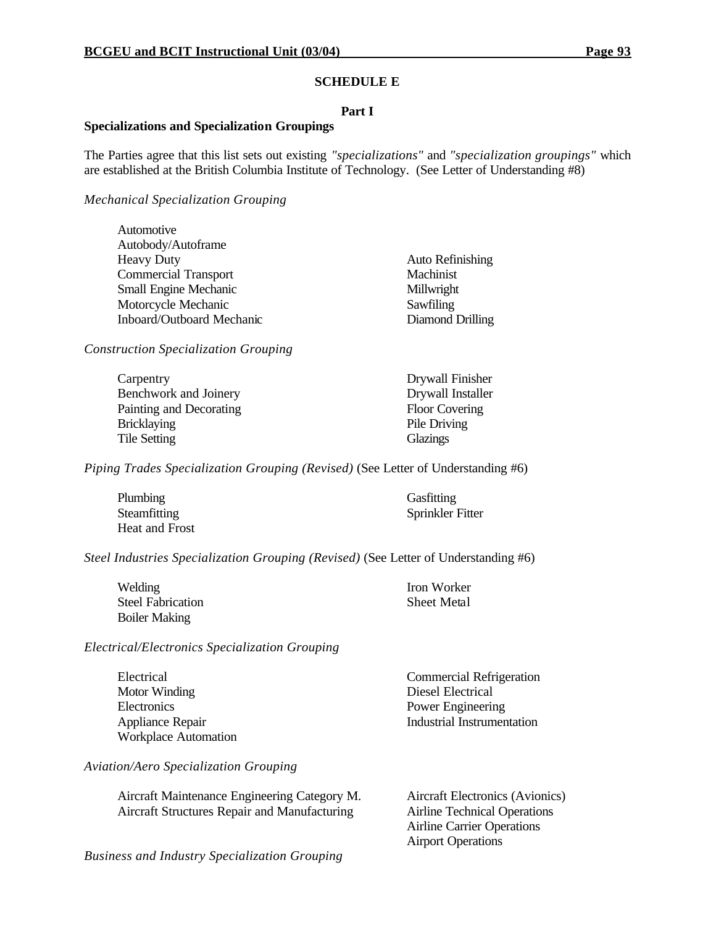#### **SCHEDULE E**

#### **Part I**

#### **Specializations and Specialization Groupings**

The Parties agree that this list sets out existing *"specializations"* and *"specialization groupings"* which are established at the British Columbia Institute of Technology. (See Letter of Understanding #8)

## *Mechanical Specialization Grouping*

| Automotive                       |                         |
|----------------------------------|-------------------------|
| Autobody/Autoframe               |                         |
| <b>Heavy Duty</b>                | <b>Auto Refinishing</b> |
| <b>Commercial Transport</b>      | Machinist               |
| <b>Small Engine Mechanic</b>     | Millwright              |
| Motorcycle Mechanic              | Sawfiling               |
| <b>Inboard/Outboard Mechanic</b> | Diamond Drilling        |

*Construction Specialization Grouping*

| Carpentry               |  |
|-------------------------|--|
| Benchwork and Joinery   |  |
| Painting and Decorating |  |
| <b>Bricklaying</b>      |  |
| <b>Tile Setting</b>     |  |

Drywall Finisher **Drywall Installer** Floor Covering Pile Driving **Glazings** 

*Piping Trades Specialization Grouping (Revised)* (See Letter of Understanding #6)

| Plumbing       | Gasfitting       |
|----------------|------------------|
| Steamfitting   | Sprinkler Fitter |
| Heat and Frost |                  |

*Steel Industries Specialization Grouping (Revised)* (See Letter of Understanding #6)

| Welding                  |
|--------------------------|
| <b>Steel Fabrication</b> |
| <b>Boiler Making</b>     |

Iron Worker Sheet Metal

Airport Operations

*Electrical/Electronics Specialization Grouping*

| Electrical                  | <b>Commercial Refrigeration</b> |
|-----------------------------|---------------------------------|
| Motor Winding               | Diesel Electrical               |
| Electronics                 | Power Engineering               |
| Appliance Repair            | Industrial Instrumentation      |
| <b>Workplace Automation</b> |                                 |

*Aviation/Aero Specialization Grouping*

| Aircraft Maintenance Engineering Category M. | Aircraft Electronics (Avionics)     |
|----------------------------------------------|-------------------------------------|
| Aircraft Structures Repair and Manufacturing | <b>Airline Technical Operations</b> |
|                                              | <b>Airline Carrier Operations</b>   |

*Business and Industry Specialization Grouping*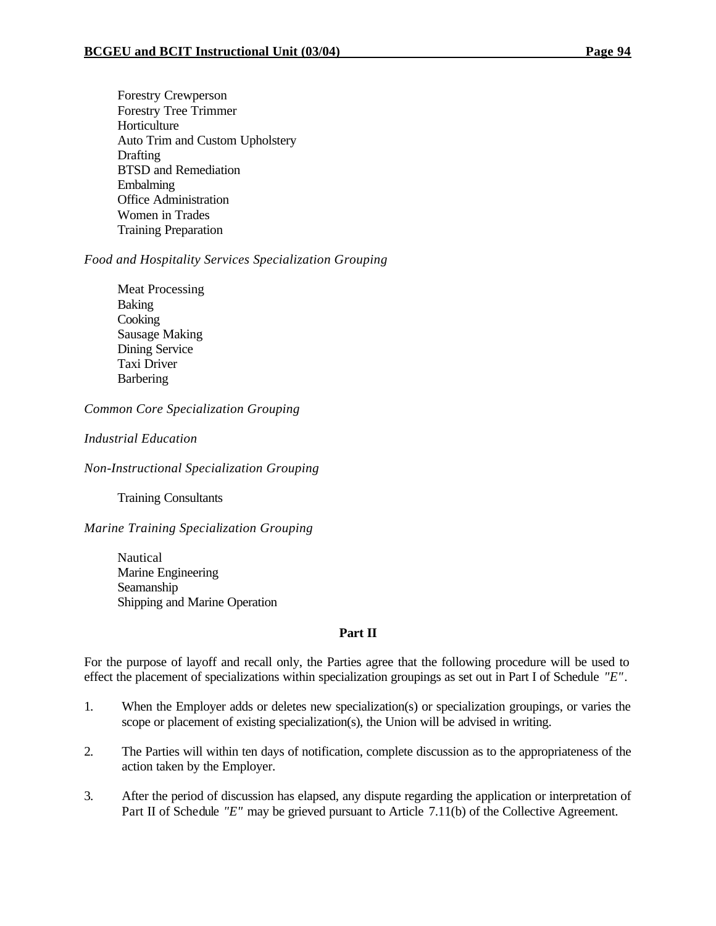Forestry Crewperson Forestry Tree Trimmer Horticulture Auto Trim and Custom Upholstery **Drafting** BTSD and Remediation Embalming Office Administration Women in Trades Training Preparation

# *Food and Hospitality Services Specialization Grouping*

Meat Processing Baking **Cooking** Sausage Making Dining Service Taxi Driver **Barbering** 

*Common Core Specialization Grouping*

# *Industrial Education*

*Non-Instructional Specialization Grouping*

Training Consultants

*Marine Training Specialization Grouping*

Nautical Marine Engineering Seamanship Shipping and Marine Operation

# **Part II**

For the purpose of layoff and recall only, the Parties agree that the following procedure will be used to effect the placement of specializations within specialization groupings as set out in Part I of Schedule *"E"*.

- 1. When the Employer adds or deletes new specialization(s) or specialization groupings, or varies the scope or placement of existing specialization(s), the Union will be advised in writing.
- 2. The Parties will within ten days of notification, complete discussion as to the appropriateness of the action taken by the Employer.
- 3. After the period of discussion has elapsed, any dispute regarding the application or interpretation of Part II of Schedule *"E"* may be grieved pursuant to Article 7.11(b) of the Collective Agreement.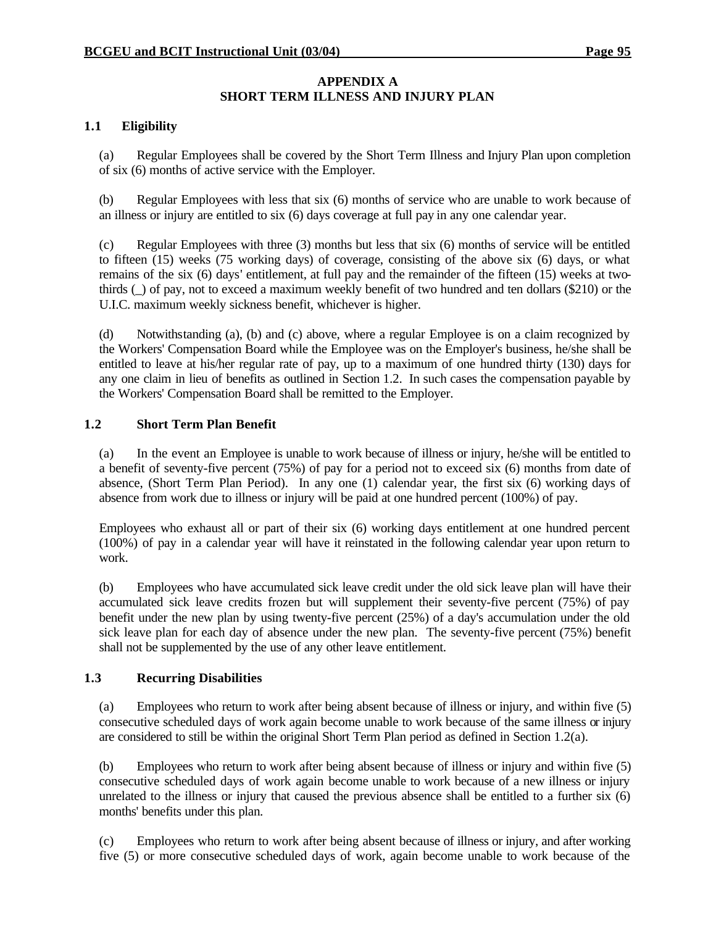# **APPENDIX A SHORT TERM ILLNESS AND INJURY PLAN**

## **1.1 Eligibility**

(a) Regular Employees shall be covered by the Short Term Illness and Injury Plan upon completion of six (6) months of active service with the Employer.

(b) Regular Employees with less that six (6) months of service who are unable to work because of an illness or injury are entitled to six (6) days coverage at full pay in any one calendar year.

(c) Regular Employees with three (3) months but less that six (6) months of service will be entitled to fifteen (15) weeks (75 working days) of coverage, consisting of the above six (6) days, or what remains of the six (6) days' entitlement, at full pay and the remainder of the fifteen (15) weeks at twothirds (\_) of pay, not to exceed a maximum weekly benefit of two hundred and ten dollars (\$210) or the U.I.C. maximum weekly sickness benefit, whichever is higher.

(d) Notwithstanding (a), (b) and (c) above, where a regular Employee is on a claim recognized by the Workers' Compensation Board while the Employee was on the Employer's business, he/she shall be entitled to leave at his/her regular rate of pay, up to a maximum of one hundred thirty (130) days for any one claim in lieu of benefits as outlined in Section 1.2. In such cases the compensation payable by the Workers' Compensation Board shall be remitted to the Employer.

## **1.2 Short Term Plan Benefit**

(a) In the event an Employee is unable to work because of illness or injury, he/she will be entitled to a benefit of seventy-five percent (75%) of pay for a period not to exceed six (6) months from date of absence, (Short Term Plan Period). In any one (1) calendar year, the first six (6) working days of absence from work due to illness or injury will be paid at one hundred percent (100%) of pay.

Employees who exhaust all or part of their six (6) working days entitlement at one hundred percent (100%) of pay in a calendar year will have it reinstated in the following calendar year upon return to work.

(b) Employees who have accumulated sick leave credit under the old sick leave plan will have their accumulated sick leave credits frozen but will supplement their seventy-five percent (75%) of pay benefit under the new plan by using twenty-five percent (25%) of a day's accumulation under the old sick leave plan for each day of absence under the new plan. The seventy-five percent (75%) benefit shall not be supplemented by the use of any other leave entitlement.

# **1.3 Recurring Disabilities**

(a) Employees who return to work after being absent because of illness or injury, and within five (5) consecutive scheduled days of work again become unable to work because of the same illness or injury are considered to still be within the original Short Term Plan period as defined in Section 1.2(a).

(b) Employees who return to work after being absent because of illness or injury and within five (5) consecutive scheduled days of work again become unable to work because of a new illness or injury unrelated to the illness or injury that caused the previous absence shall be entitled to a further six (6) months' benefits under this plan.

(c) Employees who return to work after being absent because of illness or injury, and after working five (5) or more consecutive scheduled days of work, again become unable to work because of the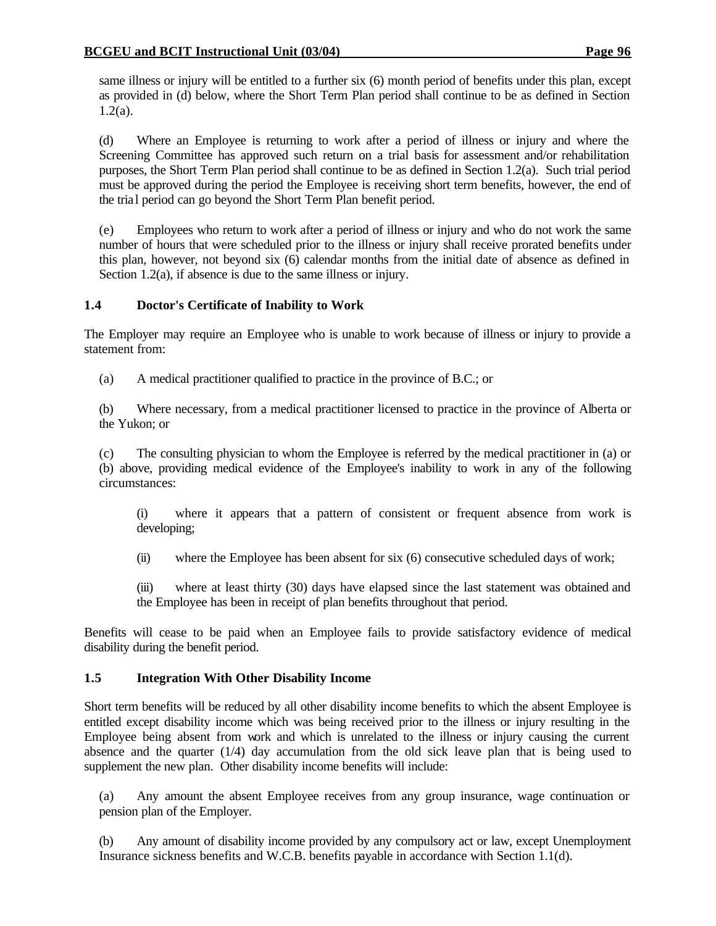same illness or injury will be entitled to a further six (6) month period of benefits under this plan, except as provided in (d) below, where the Short Term Plan period shall continue to be as defined in Section 1.2(a).

(d) Where an Employee is returning to work after a period of illness or injury and where the Screening Committee has approved such return on a trial basis for assessment and/or rehabilitation purposes, the Short Term Plan period shall continue to be as defined in Section 1.2(a). Such trial period must be approved during the period the Employee is receiving short term benefits, however, the end of the trial period can go beyond the Short Term Plan benefit period.

(e) Employees who return to work after a period of illness or injury and who do not work the same number of hours that were scheduled prior to the illness or injury shall receive prorated benefits under this plan, however, not beyond six (6) calendar months from the initial date of absence as defined in Section 1.2(a), if absence is due to the same illness or injury.

# **1.4 Doctor's Certificate of Inability to Work**

The Employer may require an Employee who is unable to work because of illness or injury to provide a statement from:

(a) A medical practitioner qualified to practice in the province of B.C.; or

(b) Where necessary, from a medical practitioner licensed to practice in the province of Alberta or the Yukon; or

(c) The consulting physician to whom the Employee is referred by the medical practitioner in (a) or (b) above, providing medical evidence of the Employee's inability to work in any of the following circumstances:

(i) where it appears that a pattern of consistent or frequent absence from work is developing;

(ii) where the Employee has been absent for six (6) consecutive scheduled days of work;

(iii) where at least thirty (30) days have elapsed since the last statement was obtained and the Employee has been in receipt of plan benefits throughout that period.

Benefits will cease to be paid when an Employee fails to provide satisfactory evidence of medical disability during the benefit period.

# **1.5 Integration With Other Disability Income**

Short term benefits will be reduced by all other disability income benefits to which the absent Employee is entitled except disability income which was being received prior to the illness or injury resulting in the Employee being absent from work and which is unrelated to the illness or injury causing the current absence and the quarter (1/4) day accumulation from the old sick leave plan that is being used to supplement the new plan. Other disability income benefits will include:

(a) Any amount the absent Employee receives from any group insurance, wage continuation or pension plan of the Employer.

(b) Any amount of disability income provided by any compulsory act or law, except Unemployment Insurance sickness benefits and W.C.B. benefits payable in accordance with Section 1.1(d).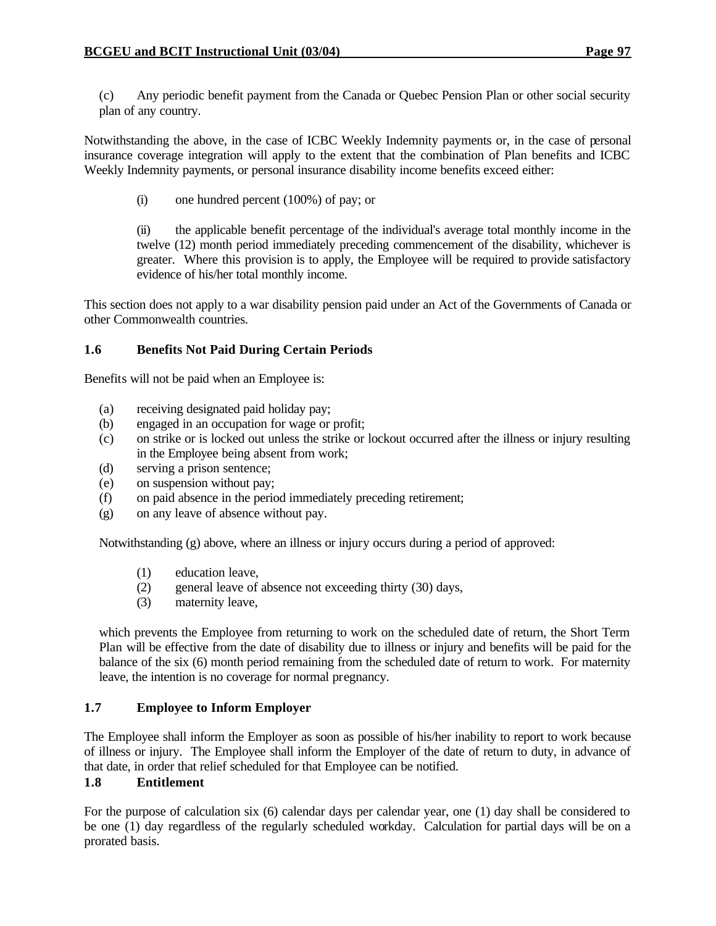(c) Any periodic benefit payment from the Canada or Quebec Pension Plan or other social security plan of any country.

Notwithstanding the above, in the case of ICBC Weekly Indemnity payments or, in the case of personal insurance coverage integration will apply to the extent that the combination of Plan benefits and ICBC Weekly Indemnity payments, or personal insurance disability income benefits exceed either:

(i) one hundred percent (100%) of pay; or

(ii) the applicable benefit percentage of the individual's average total monthly income in the twelve (12) month period immediately preceding commencement of the disability, whichever is greater. Where this provision is to apply, the Employee will be required to provide satisfactory evidence of his/her total monthly income.

This section does not apply to a war disability pension paid under an Act of the Governments of Canada or other Commonwealth countries.

## **1.6 Benefits Not Paid During Certain Periods**

Benefits will not be paid when an Employee is:

- (a) receiving designated paid holiday pay;
- (b) engaged in an occupation for wage or profit;
- (c) on strike or is locked out unless the strike or lockout occurred after the illness or injury resulting in the Employee being absent from work;
- (d) serving a prison sentence;
- (e) on suspension without pay;
- (f) on paid absence in the period immediately preceding retirement;
- (g) on any leave of absence without pay.

Notwithstanding (g) above, where an illness or injury occurs during a period of approved:

- (1) education leave,
- (2) general leave of absence not exceeding thirty (30) days,
- (3) maternity leave,

which prevents the Employee from returning to work on the scheduled date of return, the Short Term Plan will be effective from the date of disability due to illness or injury and benefits will be paid for the balance of the six (6) month period remaining from the scheduled date of return to work. For maternity leave, the intention is no coverage for normal pregnancy.

#### **1.7 Employee to Inform Employer**

The Employee shall inform the Employer as soon as possible of his/her inability to report to work because of illness or injury. The Employee shall inform the Employer of the date of return to duty, in advance of that date, in order that relief scheduled for that Employee can be notified.

#### **1.8 Entitlement**

For the purpose of calculation six (6) calendar days per calendar year, one (1) day shall be considered to be one (1) day regardless of the regularly scheduled workday. Calculation for partial days will be on a prorated basis.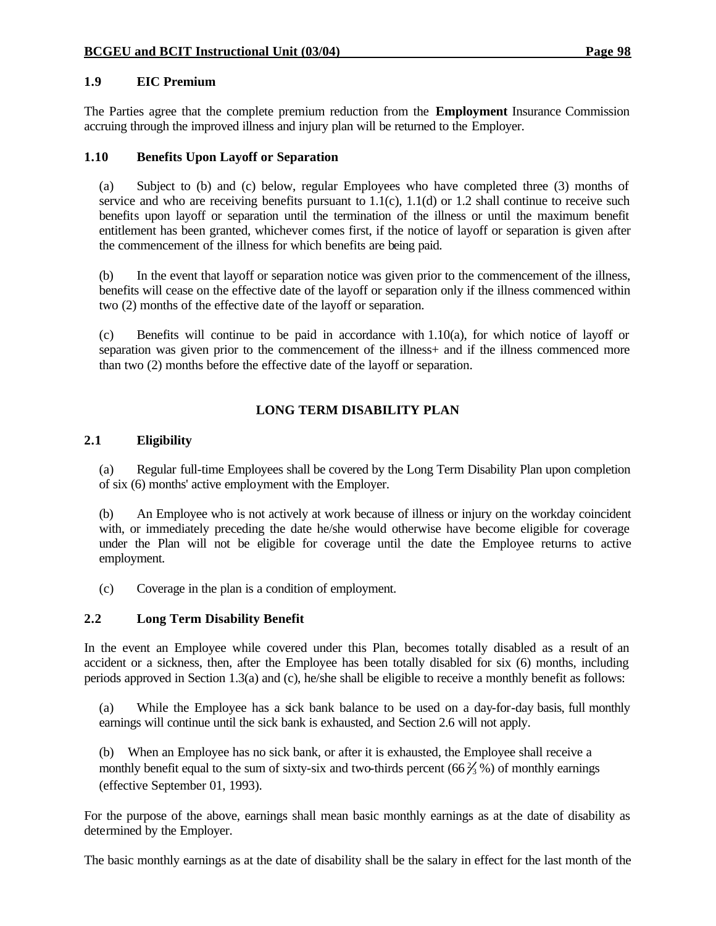## **1.9 EIC Premium**

The Parties agree that the complete premium reduction from the **Employment** Insurance Commission accruing through the improved illness and injury plan will be returned to the Employer.

## **1.10 Benefits Upon Layoff or Separation**

(a) Subject to (b) and (c) below, regular Employees who have completed three (3) months of service and who are receiving benefits pursuant to  $1.1(c)$ ,  $1.1(d)$  or  $1.2$  shall continue to receive such benefits upon layoff or separation until the termination of the illness or until the maximum benefit entitlement has been granted, whichever comes first, if the notice of layoff or separation is given after the commencement of the illness for which benefits are being paid.

(b) In the event that layoff or separation notice was given prior to the commencement of the illness, benefits will cease on the effective date of the layoff or separation only if the illness commenced within two (2) months of the effective date of the layoff or separation.

(c) Benefits will continue to be paid in accordance with 1.10(a), for which notice of layoff or separation was given prior to the commencement of the illness + and if the illness commenced more than two (2) months before the effective date of the layoff or separation.

# **LONG TERM DISABILITY PLAN**

#### **2.1 Eligibility**

(a) Regular full-time Employees shall be covered by the Long Term Disability Plan upon completion of six (6) months' active employment with the Employer.

(b) An Employee who is not actively at work because of illness or injury on the workday coincident with, or immediately preceding the date he/she would otherwise have become eligible for coverage under the Plan will not be eligible for coverage until the date the Employee returns to active employment.

(c) Coverage in the plan is a condition of employment.

# **2.2 Long Term Disability Benefit**

In the event an Employee while covered under this Plan, becomes totally disabled as a result of an accident or a sickness, then, after the Employee has been totally disabled for six (6) months, including periods approved in Section 1.3(a) and (c), he/she shall be eligible to receive a monthly benefit as follows:

(a) While the Employee has a sick bank balance to be used on a day-for-day basis, full monthly earnings will continue until the sick bank is exhausted, and Section 2.6 will not apply.

(b) When an Employee has no sick bank, or after it is exhausted, the Employee shall receive a monthly benefit equal to the sum of sixty-six and two-thirds percent  $(66\frac{2}{3})$ % of monthly earnings (effective September 01, 1993).

For the purpose of the above, earnings shall mean basic monthly earnings as at the date of disability as determined by the Employer.

The basic monthly earnings as at the date of disability shall be the salary in effect for the last month of the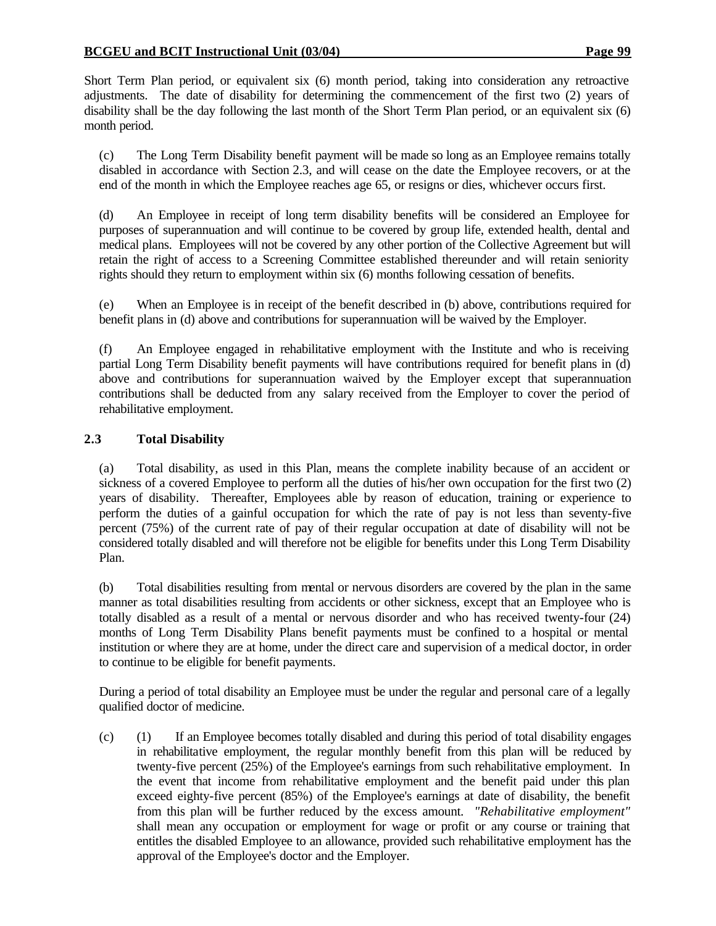Short Term Plan period, or equivalent six (6) month period, taking into consideration any retroactive adjustments. The date of disability for determining the commencement of the first two (2) years of disability shall be the day following the last month of the Short Term Plan period, or an equivalent six (6) month period.

(c) The Long Term Disability benefit payment will be made so long as an Employee remains totally disabled in accordance with Section 2.3, and will cease on the date the Employee recovers, or at the end of the month in which the Employee reaches age 65, or resigns or dies, whichever occurs first.

(d) An Employee in receipt of long term disability benefits will be considered an Employee for purposes of superannuation and will continue to be covered by group life, extended health, dental and medical plans. Employees will not be covered by any other portion of the Collective Agreement but will retain the right of access to a Screening Committee established thereunder and will retain seniority rights should they return to employment within six (6) months following cessation of benefits.

(e) When an Employee is in receipt of the benefit described in (b) above, contributions required for benefit plans in (d) above and contributions for superannuation will be waived by the Employer.

(f) An Employee engaged in rehabilitative employment with the Institute and who is receiving partial Long Term Disability benefit payments will have contributions required for benefit plans in (d) above and contributions for superannuation waived by the Employer except that superannuation contributions shall be deducted from any salary received from the Employer to cover the period of rehabilitative employment.

# **2.3 Total Disability**

(a) Total disability, as used in this Plan, means the complete inability because of an accident or sickness of a covered Employee to perform all the duties of his/her own occupation for the first two (2) years of disability. Thereafter, Employees able by reason of education, training or experience to perform the duties of a gainful occupation for which the rate of pay is not less than seventy-five percent (75%) of the current rate of pay of their regular occupation at date of disability will not be considered totally disabled and will therefore not be eligible for benefits under this Long Term Disability Plan.

(b) Total disabilities resulting from mental or nervous disorders are covered by the plan in the same manner as total disabilities resulting from accidents or other sickness, except that an Employee who is totally disabled as a result of a mental or nervous disorder and who has received twenty-four (24) months of Long Term Disability Plans benefit payments must be confined to a hospital or mental institution or where they are at home, under the direct care and supervision of a medical doctor, in order to continue to be eligible for benefit payments.

During a period of total disability an Employee must be under the regular and personal care of a legally qualified doctor of medicine.

(c) (1) If an Employee becomes totally disabled and during this period of total disability engages in rehabilitative employment, the regular monthly benefit from this plan will be reduced by twenty-five percent (25%) of the Employee's earnings from such rehabilitative employment. In the event that income from rehabilitative employment and the benefit paid under this plan exceed eighty-five percent (85%) of the Employee's earnings at date of disability, the benefit from this plan will be further reduced by the excess amount. *"Rehabilitative employment"* shall mean any occupation or employment for wage or profit or any course or training that entitles the disabled Employee to an allowance, provided such rehabilitative employment has the approval of the Employee's doctor and the Employer.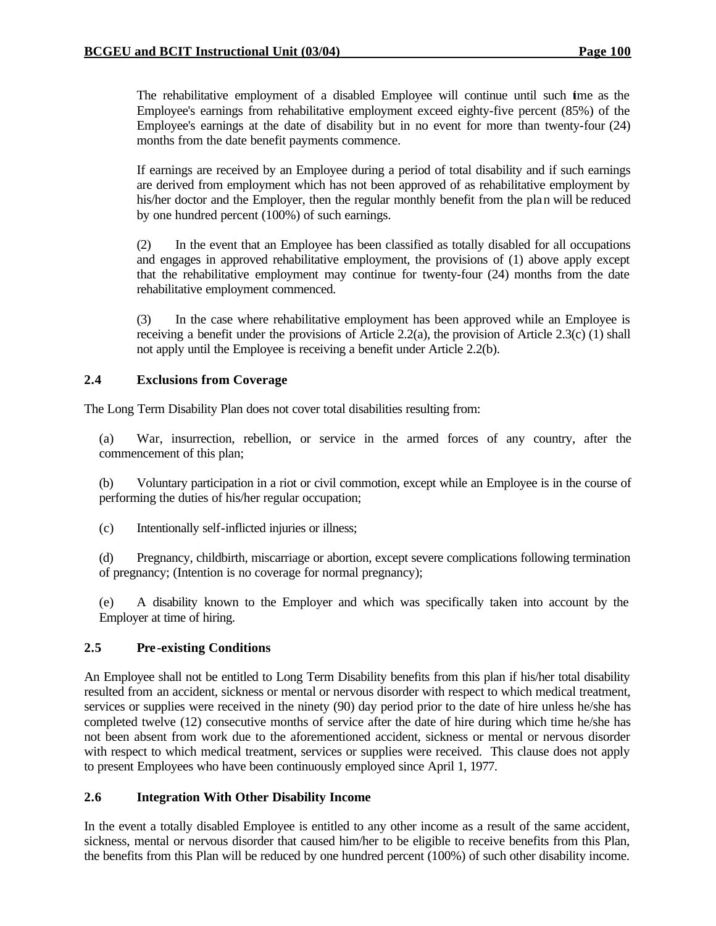The rehabilitative employment of a disabled Employee will continue until such time as the Employee's earnings from rehabilitative employment exceed eighty-five percent (85%) of the Employee's earnings at the date of disability but in no event for more than twenty-four (24) months from the date benefit payments commence.

If earnings are received by an Employee during a period of total disability and if such earnings are derived from employment which has not been approved of as rehabilitative employment by his/her doctor and the Employer, then the regular monthly benefit from the plan will be reduced by one hundred percent (100%) of such earnings.

(2) In the event that an Employee has been classified as totally disabled for all occupations and engages in approved rehabilitative employment, the provisions of (1) above apply except that the rehabilitative employment may continue for twenty-four (24) months from the date rehabilitative employment commenced.

(3) In the case where rehabilitative employment has been approved while an Employee is receiving a benefit under the provisions of Article 2.2(a), the provision of Article 2.3(c) (1) shall not apply until the Employee is receiving a benefit under Article 2.2(b).

### **2.4 Exclusions from Coverage**

The Long Term Disability Plan does not cover total disabilities resulting from:

(a) War, insurrection, rebellion, or service in the armed forces of any country, after the commencement of this plan;

(b) Voluntary participation in a riot or civil commotion, except while an Employee is in the course of performing the duties of his/her regular occupation;

(c) Intentionally self-inflicted injuries or illness;

(d) Pregnancy, childbirth, miscarriage or abortion, except severe complications following termination of pregnancy; (Intention is no coverage for normal pregnancy);

(e) A disability known to the Employer and which was specifically taken into account by the Employer at time of hiring.

### **2.5 Pre-existing Conditions**

An Employee shall not be entitled to Long Term Disability benefits from this plan if his/her total disability resulted from an accident, sickness or mental or nervous disorder with respect to which medical treatment, services or supplies were received in the ninety (90) day period prior to the date of hire unless he/she has completed twelve (12) consecutive months of service after the date of hire during which time he/she has not been absent from work due to the aforementioned accident, sickness or mental or nervous disorder with respect to which medical treatment, services or supplies were received. This clause does not apply to present Employees who have been continuously employed since April 1, 1977.

### **2.6 Integration With Other Disability Income**

In the event a totally disabled Employee is entitled to any other income as a result of the same accident, sickness, mental or nervous disorder that caused him/her to be eligible to receive benefits from this Plan, the benefits from this Plan will be reduced by one hundred percent (100%) of such other disability income.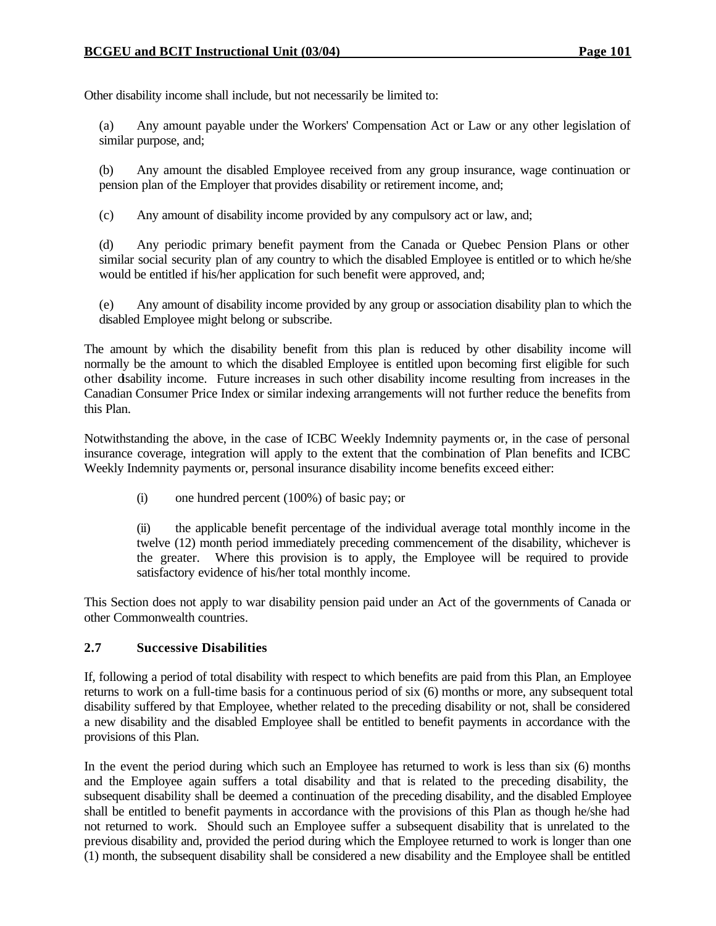Other disability income shall include, but not necessarily be limited to:

(a) Any amount payable under the Workers' Compensation Act or Law or any other legislation of similar purpose, and;

(b) Any amount the disabled Employee received from any group insurance, wage continuation or pension plan of the Employer that provides disability or retirement income, and;

(c) Any amount of disability income provided by any compulsory act or law, and;

(d) Any periodic primary benefit payment from the Canada or Quebec Pension Plans or other similar social security plan of any country to which the disabled Employee is entitled or to which he/she would be entitled if his/her application for such benefit were approved, and;

(e) Any amount of disability income provided by any group or association disability plan to which the disabled Employee might belong or subscribe.

The amount by which the disability benefit from this plan is reduced by other disability income will normally be the amount to which the disabled Employee is entitled upon becoming first eligible for such other disability income. Future increases in such other disability income resulting from increases in the Canadian Consumer Price Index or similar indexing arrangements will not further reduce the benefits from this Plan.

Notwithstanding the above, in the case of ICBC Weekly Indemnity payments or, in the case of personal insurance coverage, integration will apply to the extent that the combination of Plan benefits and ICBC Weekly Indemnity payments or, personal insurance disability income benefits exceed either:

(i) one hundred percent (100%) of basic pay; or

(ii) the applicable benefit percentage of the individual average total monthly income in the twelve (12) month period immediately preceding commencement of the disability, whichever is the greater. Where this provision is to apply, the Employee will be required to provide satisfactory evidence of his/her total monthly income.

This Section does not apply to war disability pension paid under an Act of the governments of Canada or other Commonwealth countries.

#### **2.7 Successive Disabilities**

If, following a period of total disability with respect to which benefits are paid from this Plan, an Employee returns to work on a full-time basis for a continuous period of six (6) months or more, any subsequent total disability suffered by that Employee, whether related to the preceding disability or not, shall be considered a new disability and the disabled Employee shall be entitled to benefit payments in accordance with the provisions of this Plan.

In the event the period during which such an Employee has returned to work is less than six (6) months and the Employee again suffers a total disability and that is related to the preceding disability, the subsequent disability shall be deemed a continuation of the preceding disability, and the disabled Employee shall be entitled to benefit payments in accordance with the provisions of this Plan as though he/she had not returned to work. Should such an Employee suffer a subsequent disability that is unrelated to the previous disability and, provided the period during which the Employee returned to work is longer than one (1) month, the subsequent disability shall be considered a new disability and the Employee shall be entitled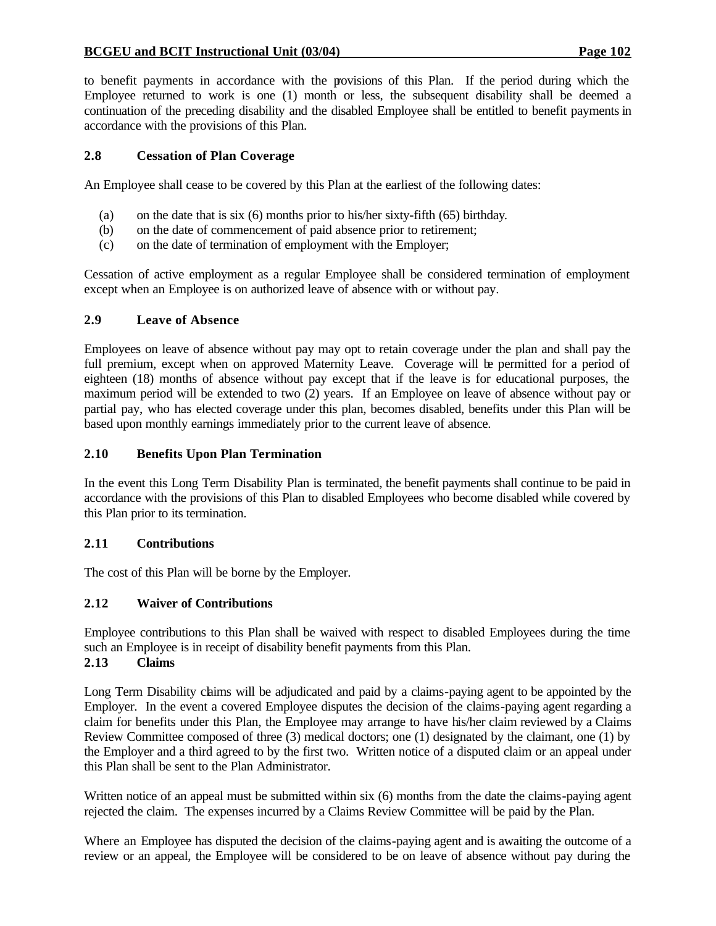#### **BCGEU and BCIT Instructional Unit (03/04) Page 102**

to benefit payments in accordance with the provisions of this Plan. If the period during which the Employee returned to work is one (1) month or less, the subsequent disability shall be deemed a continuation of the preceding disability and the disabled Employee shall be entitled to benefit payments in accordance with the provisions of this Plan.

#### **2.8 Cessation of Plan Coverage**

An Employee shall cease to be covered by this Plan at the earliest of the following dates:

- (a) on the date that is six (6) months prior to his/her sixty-fifth (65) birthday.
- (b) on the date of commencement of paid absence prior to retirement;
- (c) on the date of termination of employment with the Employer;

Cessation of active employment as a regular Employee shall be considered termination of employment except when an Employee is on authorized leave of absence with or without pay.

#### **2.9 Leave of Absence**

Employees on leave of absence without pay may opt to retain coverage under the plan and shall pay the full premium, except when on approved Maternity Leave. Coverage will be permitted for a period of eighteen (18) months of absence without pay except that if the leave is for educational purposes, the maximum period will be extended to two (2) years. If an Employee on leave of absence without pay or partial pay, who has elected coverage under this plan, becomes disabled, benefits under this Plan will be based upon monthly earnings immediately prior to the current leave of absence.

#### **2.10 Benefits Upon Plan Termination**

In the event this Long Term Disability Plan is terminated, the benefit payments shall continue to be paid in accordance with the provisions of this Plan to disabled Employees who become disabled while covered by this Plan prior to its termination.

### **2.11 Contributions**

The cost of this Plan will be borne by the Employer.

#### **2.12 Waiver of Contributions**

Employee contributions to this Plan shall be waived with respect to disabled Employees during the time such an Employee is in receipt of disability benefit payments from this Plan.

### **2.13 Claims**

Long Term Disability claims will be adjudicated and paid by a claims-paying agent to be appointed by the Employer. In the event a covered Employee disputes the decision of the claims-paying agent regarding a claim for benefits under this Plan, the Employee may arrange to have his/her claim reviewed by a Claims Review Committee composed of three (3) medical doctors; one (1) designated by the claimant, one (1) by the Employer and a third agreed to by the first two. Written notice of a disputed claim or an appeal under this Plan shall be sent to the Plan Administrator.

Written notice of an appeal must be submitted within six (6) months from the date the claims-paying agent rejected the claim. The expenses incurred by a Claims Review Committee will be paid by the Plan.

Where an Employee has disputed the decision of the claims-paying agent and is awaiting the outcome of a review or an appeal, the Employee will be considered to be on leave of absence without pay during the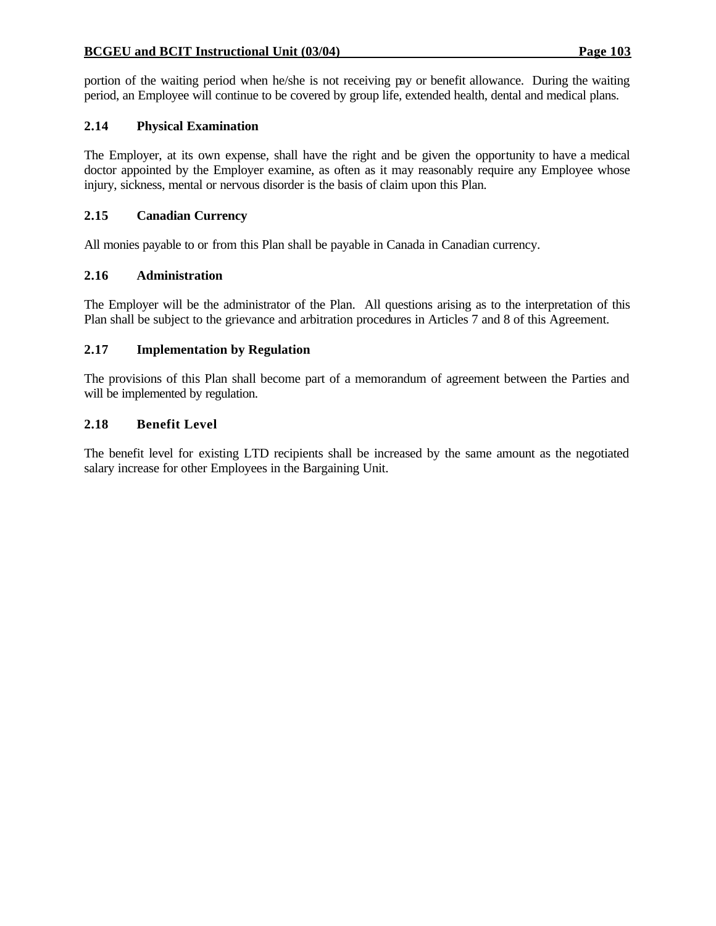#### **BCGEU and BCIT Instructional Unit (03/04) Page 103**

portion of the waiting period when he/she is not receiving pay or benefit allowance. During the waiting period, an Employee will continue to be covered by group life, extended health, dental and medical plans.

### **2.14 Physical Examination**

The Employer, at its own expense, shall have the right and be given the opportunity to have a medical doctor appointed by the Employer examine, as often as it may reasonably require any Employee whose injury, sickness, mental or nervous disorder is the basis of claim upon this Plan.

#### **2.15 Canadian Currency**

All monies payable to or from this Plan shall be payable in Canada in Canadian currency.

#### **2.16 Administration**

The Employer will be the administrator of the Plan. All questions arising as to the interpretation of this Plan shall be subject to the grievance and arbitration procedures in Articles 7 and 8 of this Agreement.

#### **2.17 Implementation by Regulation**

The provisions of this Plan shall become part of a memorandum of agreement between the Parties and will be implemented by regulation.

#### **2.18 Benefit Level**

The benefit level for existing LTD recipients shall be increased by the same amount as the negotiated salary increase for other Employees in the Bargaining Unit.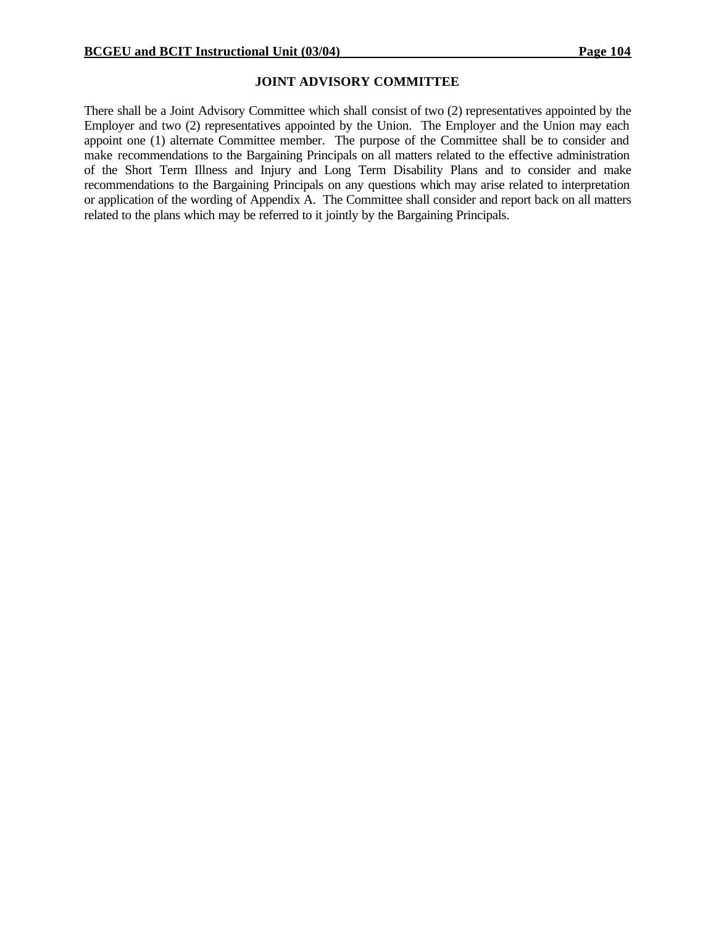#### **JOINT ADVISORY COMMITTEE**

There shall be a Joint Advisory Committee which shall consist of two (2) representatives appointed by the Employer and two (2) representatives appointed by the Union. The Employer and the Union may each appoint one (1) alternate Committee member. The purpose of the Committee shall be to consider and make recommendations to the Bargaining Principals on all matters related to the effective administration of the Short Term Illness and Injury and Long Term Disability Plans and to consider and make recommendations to the Bargaining Principals on any questions which may arise related to interpretation or application of the wording of Appendix A. The Committee shall consider and report back on all matters related to the plans which may be referred to it jointly by the Bargaining Principals.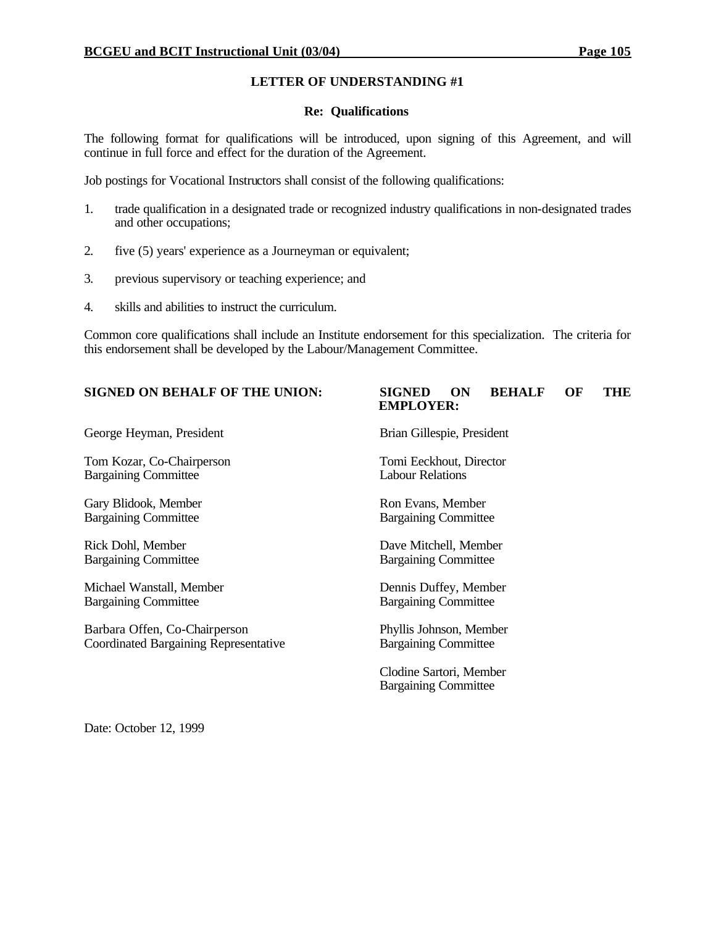#### **Re: Qualifications**

The following format for qualifications will be introduced, upon signing of this Agreement, and will continue in full force and effect for the duration of the Agreement.

Job postings for Vocational Instructors shall consist of the following qualifications:

- 1. trade qualification in a designated trade or recognized industry qualifications in non-designated trades and other occupations;
- 2. five (5) years' experience as a Journeyman or equivalent;
- 3. previous supervisory or teaching experience; and
- 4. skills and abilities to instruct the curriculum.

Common core qualifications shall include an Institute endorsement for this specialization. The criteria for this endorsement shall be developed by the Labour/Management Committee.

George Heyman, President Brian Gillespie, President

Tom Kozar, Co-Chairperson Tomi Eeckhout, Director Bargaining Committee Labour Relations

Gary Blidook, Member Ron Evans, Member Bargaining Committee Bargaining Committee

Bargaining Committee Bargaining Committee

Michael Wanstall, Member Dennis Duffey, Member Bargaining Committee Bargaining Committee

Barbara Offen, Co-Chairperson<br>
Coordinated Bargaining Representative<br>
Bargaining Committee Coordinated Bargaining Representative

**SIGNED ON BEHALF OF THE UNION: SIGNED ON BEHALF OF THE EMPLOYER:**

Rick Dohl, Member Dave Mitchell, Member

Clodine Sartori, Member Bargaining Committee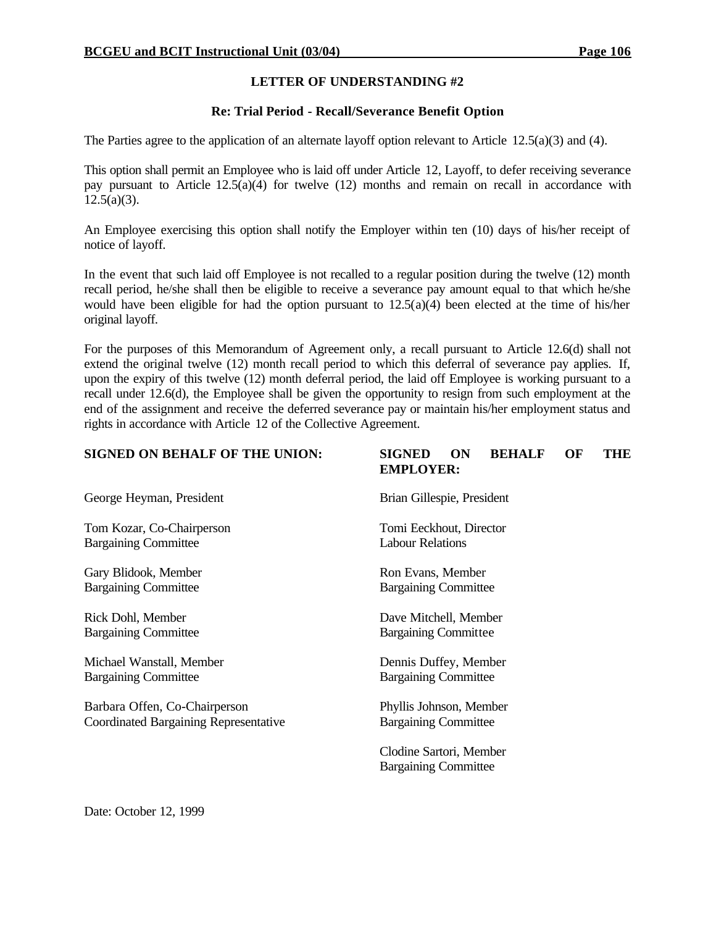#### **Re: Trial Period - Recall/Severance Benefit Option**

The Parties agree to the application of an alternate layoff option relevant to Article  $12.5(a)(3)$  and (4).

This option shall permit an Employee who is laid off under Article 12, Layoff, to defer receiving severance pay pursuant to Article 12.5(a)(4) for twelve (12) months and remain on recall in accordance with  $12.5(a)(3)$ .

An Employee exercising this option shall notify the Employer within ten (10) days of his/her receipt of notice of layoff.

In the event that such laid off Employee is not recalled to a regular position during the twelve (12) month recall period, he/she shall then be eligible to receive a severance pay amount equal to that which he/she would have been eligible for had the option pursuant to  $12.5(a)(4)$  been elected at the time of his/her original layoff.

For the purposes of this Memorandum of Agreement only, a recall pursuant to Article 12.6(d) shall not extend the original twelve (12) month recall period to which this deferral of severance pay applies. If, upon the expiry of this twelve (12) month deferral period, the laid off Employee is working pursuant to a recall under 12.6(d), the Employee shall be given the opportunity to resign from such employment at the end of the assignment and receive the deferred severance pay or maintain his/her employment status and rights in accordance with Article 12 of the Collective Agreement.

| <b>SIGNED ON BEHALF OF THE UNION:</b>        | <b>SIGNED</b><br><b>BEHALF</b><br><b>THE</b><br>ON<br>OF<br><b>EMPLOYER:</b> |
|----------------------------------------------|------------------------------------------------------------------------------|
| George Heyman, President                     | Brian Gillespie, President                                                   |
| Tom Kozar, Co-Chairperson                    | Tomi Eeckhout, Director                                                      |
| <b>Bargaining Committee</b>                  | <b>Labour Relations</b>                                                      |
| Gary Blidook, Member                         | Ron Evans, Member                                                            |
| <b>Bargaining Committee</b>                  | <b>Bargaining Committee</b>                                                  |
| Rick Dohl, Member                            | Dave Mitchell, Member                                                        |
| <b>Bargaining Committee</b>                  | <b>Bargaining Committee</b>                                                  |
| Michael Wanstall, Member                     | Dennis Duffey, Member                                                        |
| <b>Bargaining Committee</b>                  | <b>Bargaining Committee</b>                                                  |
| Barbara Offen, Co-Chairperson                | Phyllis Johnson, Member                                                      |
| <b>Coordinated Bargaining Representative</b> | <b>Bargaining Committee</b>                                                  |
|                                              | Clodine Sartori, Member<br><b>Bargaining Committee</b>                       |
|                                              |                                                                              |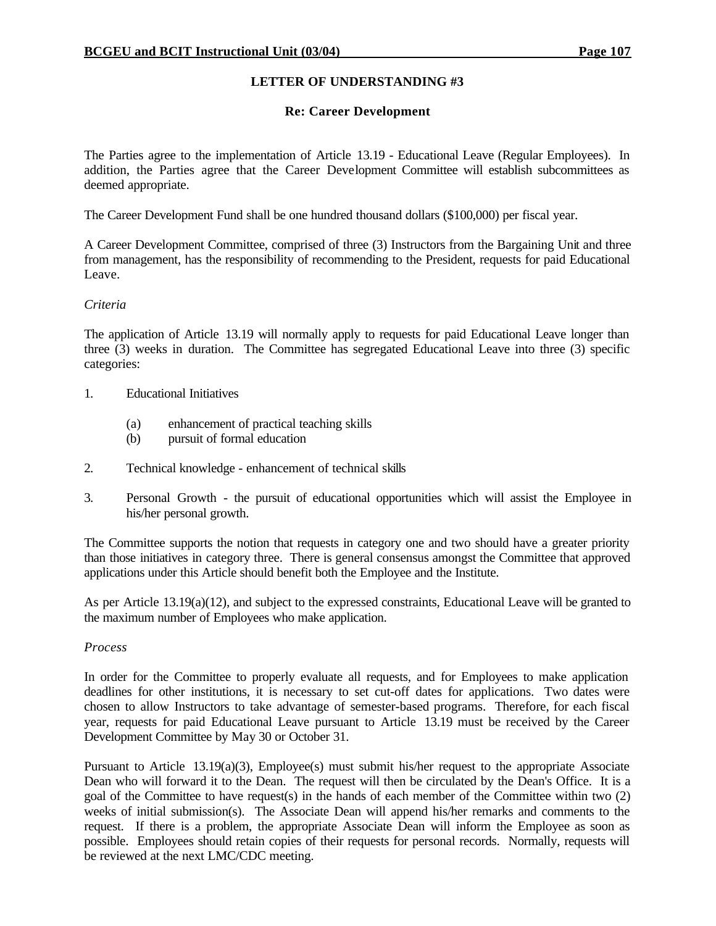### **Re: Career Development**

The Parties agree to the implementation of Article 13.19 - Educational Leave (Regular Employees). In addition, the Parties agree that the Career Development Committee will establish subcommittees as deemed appropriate.

The Career Development Fund shall be one hundred thousand dollars (\$100,000) per fiscal year.

A Career Development Committee, comprised of three (3) Instructors from the Bargaining Unit and three from management, has the responsibility of recommending to the President, requests for paid Educational Leave.

#### *Criteria*

The application of Article 13.19 will normally apply to requests for paid Educational Leave longer than three (3) weeks in duration. The Committee has segregated Educational Leave into three (3) specific categories:

- 1. Educational Initiatives
	- (a) enhancement of practical teaching skills
	- (b) pursuit of formal education
- 2. Technical knowledge enhancement of technical skills
- 3. Personal Growth the pursuit of educational opportunities which will assist the Employee in his/her personal growth.

The Committee supports the notion that requests in category one and two should have a greater priority than those initiatives in category three. There is general consensus amongst the Committee that approved applications under this Article should benefit both the Employee and the Institute.

As per Article 13.19(a)(12), and subject to the expressed constraints, Educational Leave will be granted to the maximum number of Employees who make application.

#### *Process*

In order for the Committee to properly evaluate all requests, and for Employees to make application deadlines for other institutions, it is necessary to set cut-off dates for applications. Two dates were chosen to allow Instructors to take advantage of semester-based programs. Therefore, for each fiscal year, requests for paid Educational Leave pursuant to Article 13.19 must be received by the Career Development Committee by May 30 or October 31.

Pursuant to Article 13.19(a)(3), Employee(s) must submit his/her request to the appropriate Associate Dean who will forward it to the Dean. The request will then be circulated by the Dean's Office. It is a goal of the Committee to have request(s) in the hands of each member of the Committee within two (2) weeks of initial submission(s). The Associate Dean will append his/her remarks and comments to the request. If there is a problem, the appropriate Associate Dean will inform the Employee as soon as possible. Employees should retain copies of their requests for personal records. Normally, requests will be reviewed at the next LMC/CDC meeting.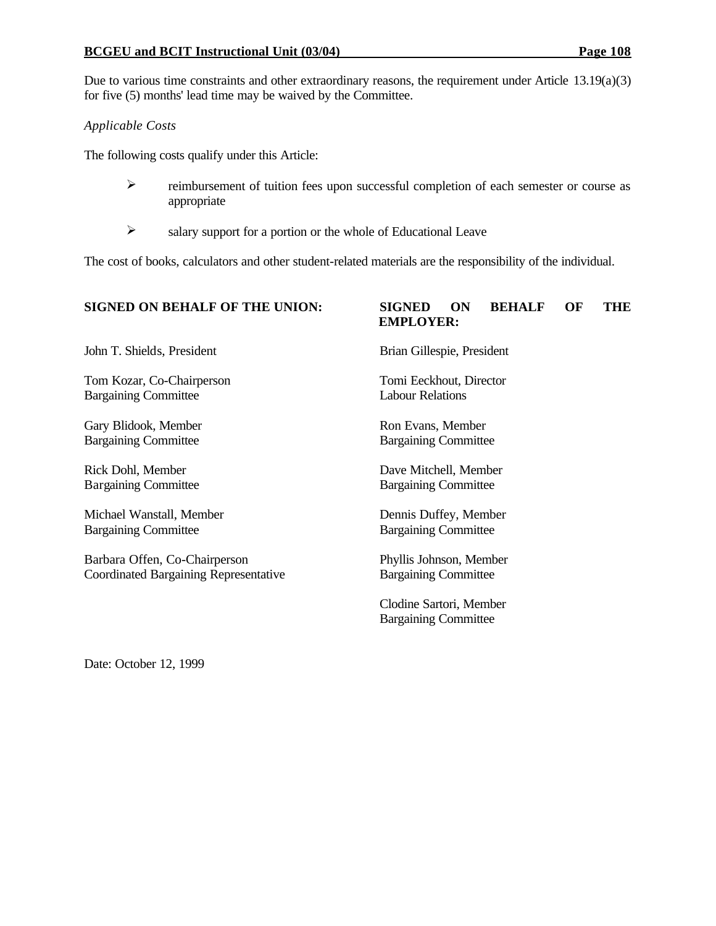### **BCGEU and BCIT Instructional Unit (03/04) Page 108**

Due to various time constraints and other extraordinary reasons, the requirement under Article 13.19(a)(3) for five (5) months' lead time may be waived by the Committee.

### *Applicable Costs*

The following costs qualify under this Article:

- $\triangleright$  reimbursement of tuition fees upon successful completion of each semester or course as appropriate
- $\triangleright$  salary support for a portion or the whole of Educational Leave

The cost of books, calculators and other student-related materials are the responsibility of the individual.

#### **SIGNED ON BEHALF OF THE UNION: SIGNED ON BEHALF OF THE**

John T. Shields, President Brian Gillespie, President

Tom Kozar, Co-Chairperson Tomi Eeckhout, Director Bargaining Committee Labour Relations

Gary Blidook, Member Ron Evans, Member Bargaining Committee Bargaining Committee

Michael Wanstall, Member Dennis Duffey, Member Bargaining Committee Bargaining Committee

Barbara Offen, Co-Chairperson Phyllis Johnson, Member Coordinated Bargaining Representative Bargaining Committee

**EMPLOYER:**

Rick Dohl, Member Dave Mitchell, Member Bargaining Committee Bargaining Committee

Clodine Sartori, Member Bargaining Committee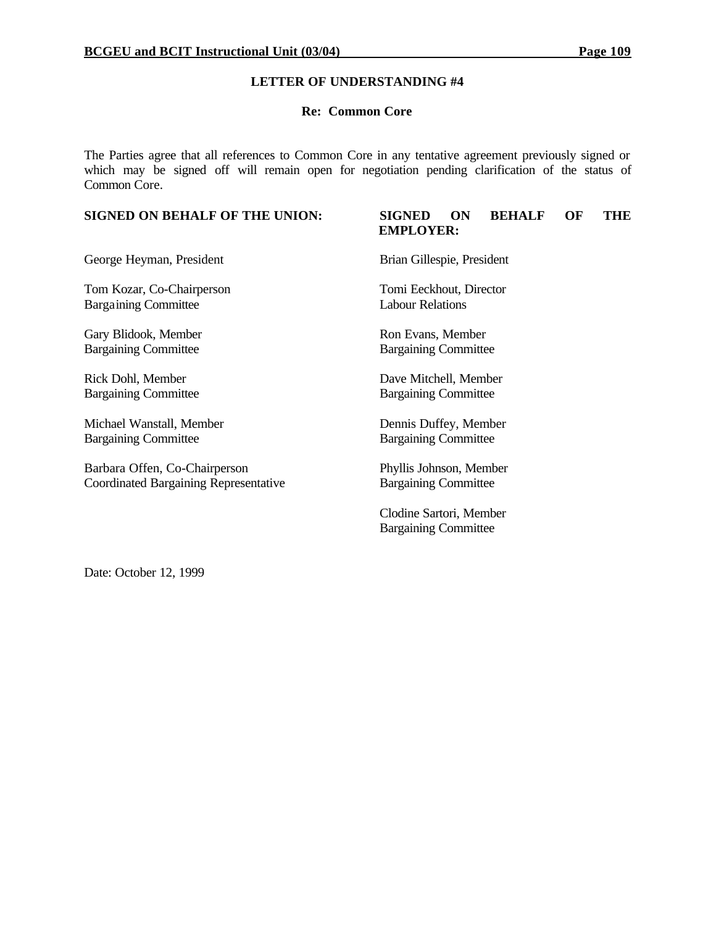#### **Re: Common Core**

The Parties agree that all references to Common Core in any tentative agreement previously signed or which may be signed off will remain open for negotiation pending clarification of the status of Common Core.

#### **SIGNED ON BEHALF OF THE UNION: SIGNED ON BEHALF OF THE EMPLOYER:**

George Heyman, President Brian Gillespie, President

Tom Kozar, Co-Chairperson Tomi Eeckhout, Director Bargaining Committee Labour Relations

Gary Blidook, Member Ron Evans, Member

Rick Dohl, Member Dave Mitchell, Member

Michael Wanstall, Member Dennis Duffey, Member Bargaining Committee Bargaining Committee

Barbara Offen, Co-Chairperson Phyllis Johnson, Member Coordinated Bargaining Representative Bargaining Committee

Bargaining Committee Bargaining Committee

Bargaining Committee Bargaining Committee

Clodine Sartori, Member Bargaining Committee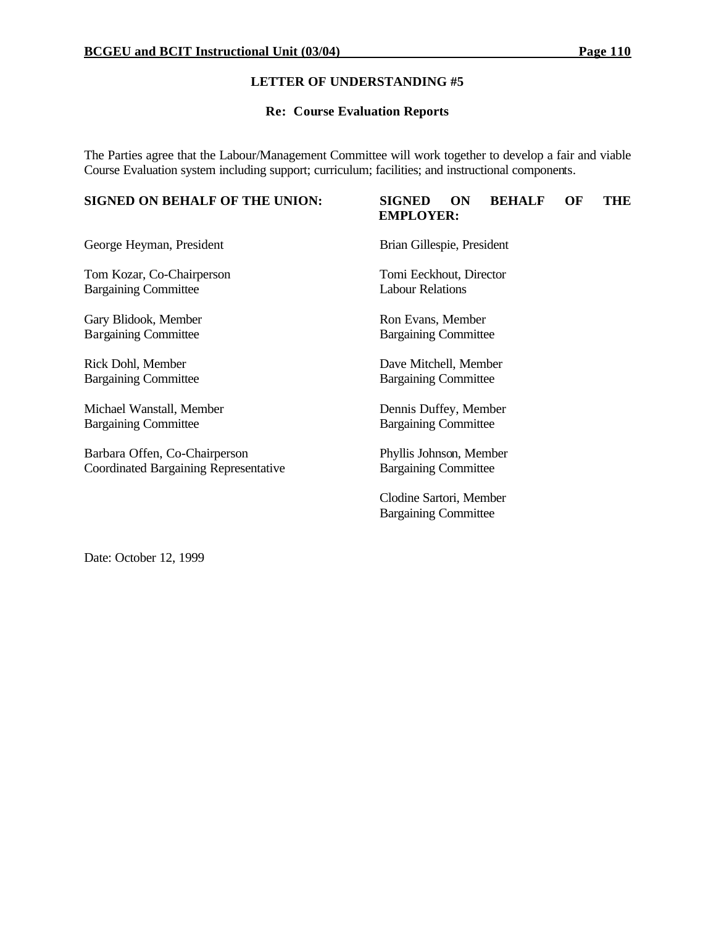#### **Re: Course Evaluation Reports**

The Parties agree that the Labour/Management Committee will work together to develop a fair and viable Course Evaluation system including support; curriculum; facilities; and instructional components.

#### **SIGNED ON BEHALF OF THE UNION: SIGNED ON BEHALF OF THE**

# **EMPLOYER:**

George Heyman, President Brian Gillespie, President

Tom Kozar, Co-Chairperson Tomi Eeckhout, Director Bargaining Committee Labour Relations

Gary Blidook, Member Ron Evans, Member Bargaining Committee Bargaining Committee

Bargaining Committee Bargaining Committee

Michael Wanstall, Member Dennis Duffey, Member Bargaining Committee Bargaining Committee

Barbara Offen, Co-Chairperson Phyllis Johnson, Member Coordinated Bargaining Representative Bargaining Committee

Rick Dohl, Member Dave Mitchell, Member

Clodine Sartori, Member Bargaining Committee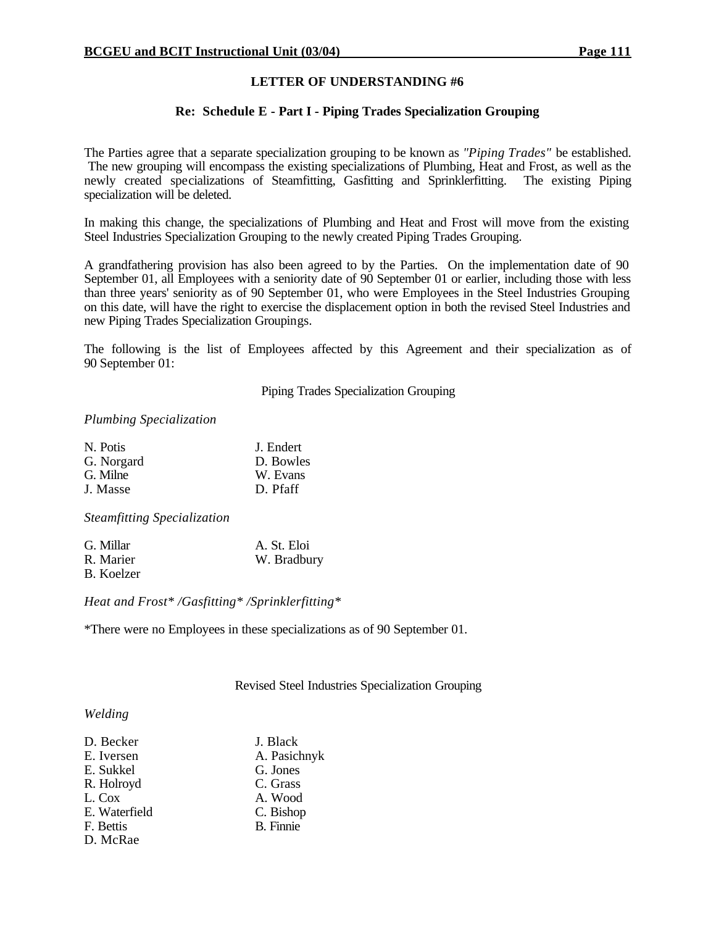#### **Re: Schedule E - Part I - Piping Trades Specialization Grouping**

The Parties agree that a separate specialization grouping to be known as *"Piping Trades"* be established. The new grouping will encompass the existing specializations of Plumbing, Heat and Frost, as well as the newly created specializations of Steamfitting, Gasfitting and Sprinklerfitting. The existing Piping specialization will be deleted.

In making this change, the specializations of Plumbing and Heat and Frost will move from the existing Steel Industries Specialization Grouping to the newly created Piping Trades Grouping.

A grandfathering provision has also been agreed to by the Parties. On the implementation date of 90 September 01, all Employees with a seniority date of 90 September 01 or earlier, including those with less than three years' seniority as of 90 September 01, who were Employees in the Steel Industries Grouping on this date, will have the right to exercise the displacement option in both the revised Steel Industries and new Piping Trades Specialization Groupings.

The following is the list of Employees affected by this Agreement and their specialization as of 90 September 01:

Piping Trades Specialization Grouping

#### *Plumbing Specialization*

| N. Potis   | J. Endert |
|------------|-----------|
| G. Norgard | D. Bowles |
| G. Milne   | W. Evans  |
| J. Masse   | D. Pfaff  |

*Steamfitting Specialization*

| G. Millar  | A. St. Eloi |
|------------|-------------|
| R. Marier  | W. Bradbury |
| B. Koelzer |             |

*Heat and Frost\* /Gasfitting\* /Sprinklerfitting\**

\*There were no Employees in these specializations as of 90 September 01.

Revised Steel Industries Specialization Grouping

#### *Welding*

| D. Becker     | J. Black         |
|---------------|------------------|
| E. Iversen    | A. Pasichnyk     |
| E. Sukkel     | G. Jones         |
| R. Holroyd    | C. Grass         |
| L. Cox        | A. Wood          |
| E. Waterfield | C. Bishop        |
| F. Bettis     | <b>B.</b> Finnie |
| D. McRae      |                  |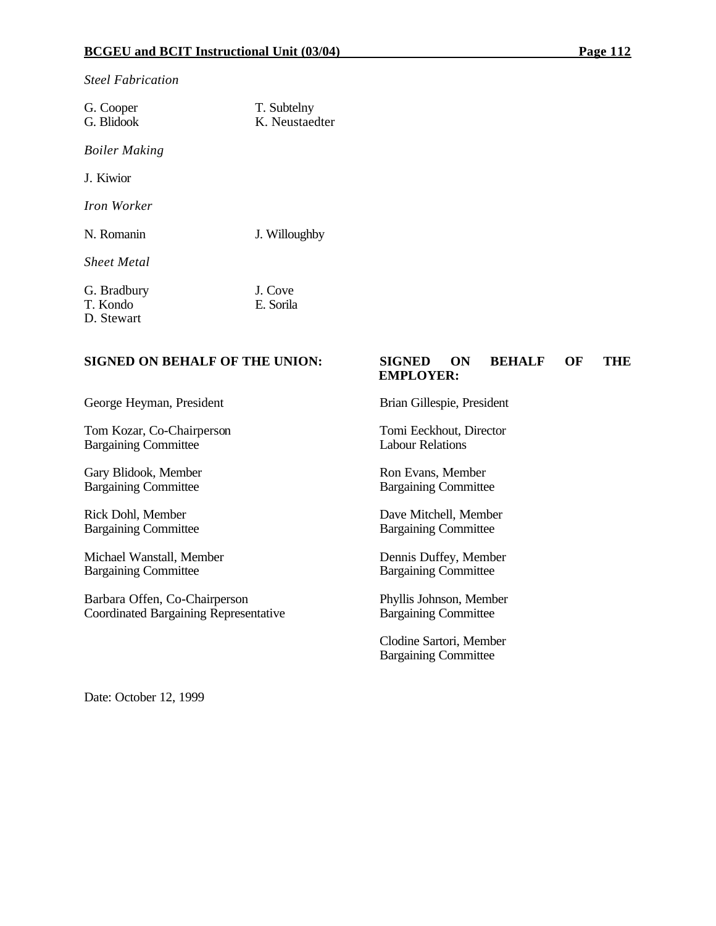*Steel Fabrication*

| G. Cooper<br>G. Blidook               | T. Subtelny<br>K. Neustaedter |
|---------------------------------------|-------------------------------|
| <b>Boiler Making</b>                  |                               |
| J. Kiwior                             |                               |
| Iron Worker                           |                               |
| N. Romanin                            | J. Willoughby                 |
| <b>Sheet Metal</b>                    |                               |
| G. Bradbury<br>T. Kondo<br>D. Stewart | J. Cove<br>E. Sorila          |

Tom Kozar, Co-Chairperson Tomi Eeckhout, Director Bargaining Committee

Gary Blidook, Member Ron Evans, Member Bargaining Committee Bargaining Committee

Bargaining Committee Bargaining Committee

Michael Wanstall, Member Dennis Duffey, Member Bargaining Committee Bargaining Committee

Barbara Offen, Co-Chairperson Phyllis Johnson, Member<br>Coordinated Bargaining Representative Bargaining Committee Coordinated Bargaining Representative

#### **SIGNED ON BEHALF OF THE UNION: SIGNED ON BEHALF OF THE EMPLOYER:**

George Heyman, President Brian Gillespie, President

Rick Dohl, Member Dave Mitchell, Member

Clodine Sartori, Member Bargaining Committee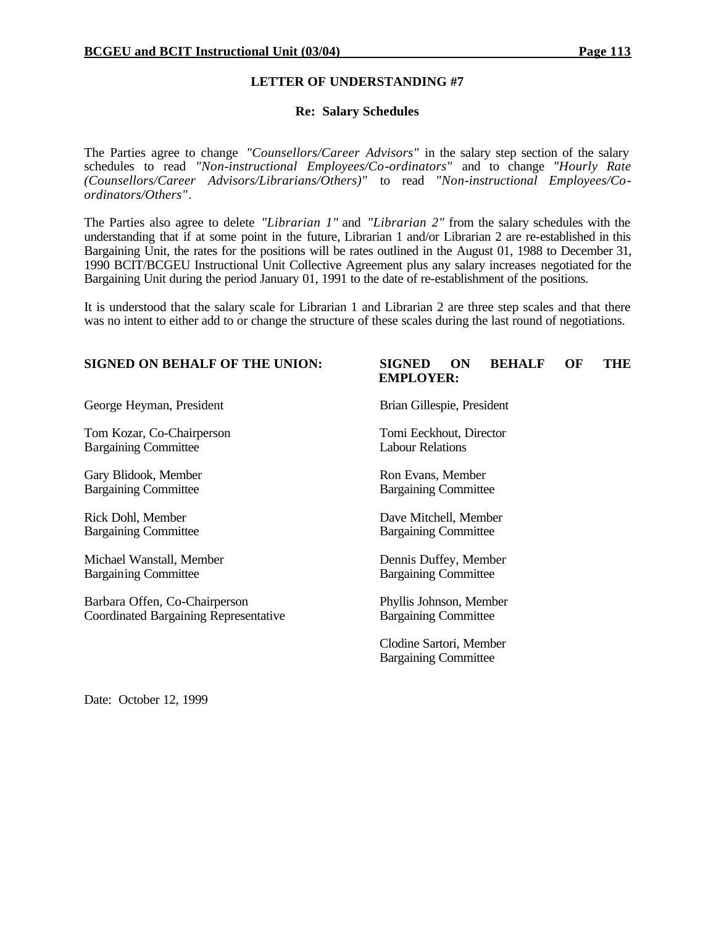#### **Re: Salary Schedules**

The Parties agree to change *"Counsellors/Career Advisors"* in the salary step section of the salary schedules to read *"Non-instructional Employees/Co-ordinators"* and to change *"Hourly Rate (Counsellors/Career Advisors/Librarians/Others)"* to read *"Non-instructional Employees/Coordinators/Others"*.

The Parties also agree to delete *"Librarian 1"* and *"Librarian 2"* from the salary schedules with the understanding that if at some point in the future, Librarian 1 and/or Librarian 2 are re-established in this Bargaining Unit, the rates for the positions will be rates outlined in the August 01, 1988 to December 31, 1990 BCIT/BCGEU Instructional Unit Collective Agreement plus any salary increases negotiated for the Bargaining Unit during the period January 01, 1991 to the date of re-establishment of the positions.

It is understood that the salary scale for Librarian 1 and Librarian 2 are three step scales and that there was no intent to either add to or change the structure of these scales during the last round of negotiations.

#### **SIGNED ON BEHALF OF THE UNION: SIGNED ON BEHALF OF THE EMPLOYER:**

George Heyman, President Brian Gillespie, President

Tom Kozar, Co-Chairperson Tomi Eeckhout, Director Bargaining Committee Labour Relations

Gary Blidook, Member Ron Evans, Member Bargaining Committee Bargaining Committee

Bargaining Committee **Bargaining Committee** 

Michael Wanstall, Member Dennis Duffey, Member Bargaining Committee Bargaining Committee

Barbara Offen, Co-Chairperson Phyllis Johnson, Member Coordinated Bargaining Representative Bargaining Committee

Rick Dohl, Member Dave Mitchell, Member

Clodine Sartori, Member Bargaining Committee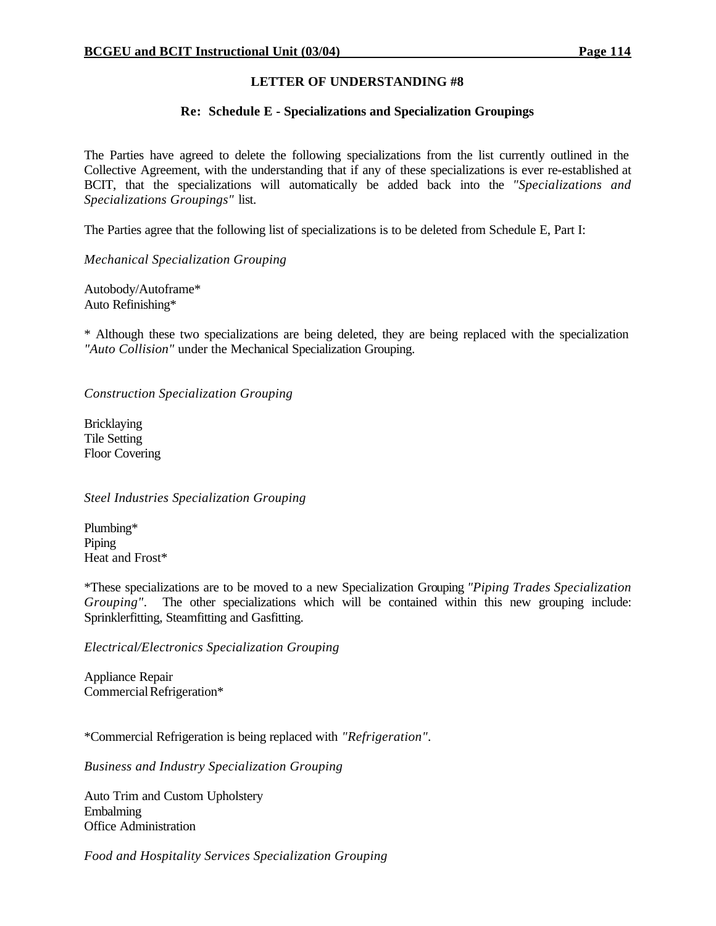#### **Re: Schedule E - Specializations and Specialization Groupings**

The Parties have agreed to delete the following specializations from the list currently outlined in the Collective Agreement, with the understanding that if any of these specializations is ever re-established at BCIT, that the specializations will automatically be added back into the *"Specializations and Specializations Groupings"* list.

The Parties agree that the following list of specializations is to be deleted from Schedule E, Part I:

*Mechanical Specialization Grouping*

Autobody/Autoframe\* Auto Refinishing\*

\* Although these two specializations are being deleted, they are being replaced with the specialization *"Auto Collision"* under the Mechanical Specialization Grouping.

*Construction Specialization Grouping*

Bricklaying Tile Setting Floor Covering

#### *Steel Industries Specialization Grouping*

Plumbing\* Piping Heat and Frost\*

\*These specializations are to be moved to a new Specialization Grouping *"Piping Trades Specialization Grouping"*. The other specializations which will be contained within this new grouping include: Sprinklerfitting, Steamfitting and Gasfitting.

*Electrical/Electronics Specialization Grouping*

Appliance Repair Commercial Refrigeration\*

\*Commercial Refrigeration is being replaced with *"Refrigeration"*.

*Business and Industry Specialization Grouping*

Auto Trim and Custom Upholstery Embalming Office Administration

*Food and Hospitality Services Specialization Grouping*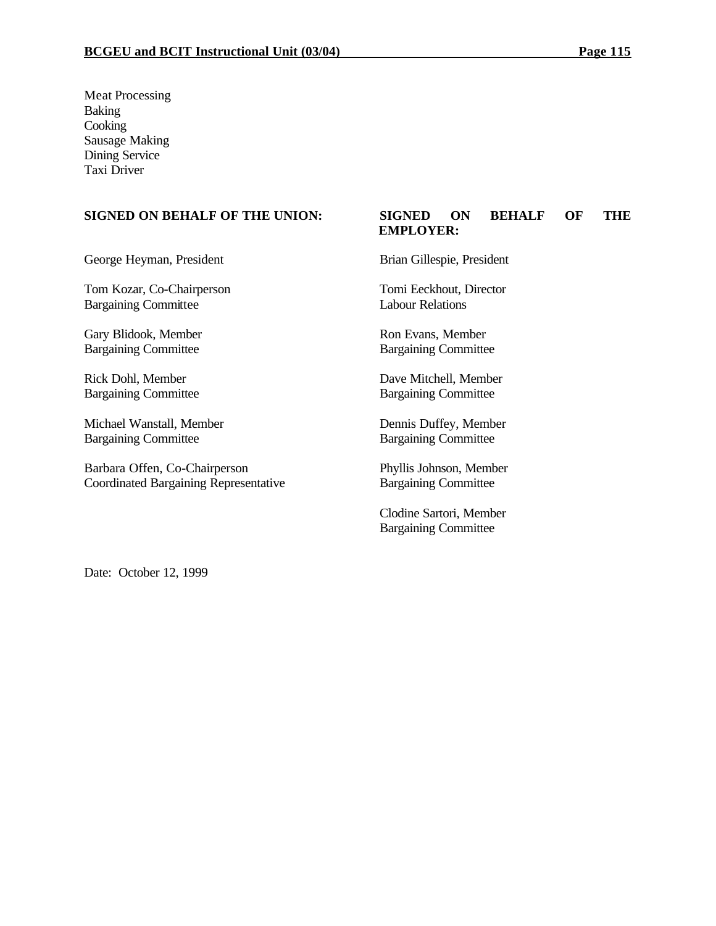Meat Processing Baking **Cooking** Sausage Making Dining Service Taxi Driver

George Heyman, President Brian Gillespie, President

Tom Kozar, Co-Chairperson Tomi Eeckhout, Director Bargaining Committee Labour Relations

Gary Blidook, Member Ron Evans, Member Bargaining Committee Bargaining Committee

Bargaining Committee Bargaining Committee

Michael Wanstall, Member Dennis Duffey, Member Bargaining Committee Bargaining Committee

Barbara Offen, Co-Chairperson Phyllis Johnson, Member Coordinated Bargaining Representative Bargaining Committee

#### **SIGNED ON BEHALF OF THE UNION: SIGNED ON BEHALF OF THE EMPLOYER:**

Rick Dohl, Member Dave Mitchell, Member

Clodine Sartori, Member Bargaining Committee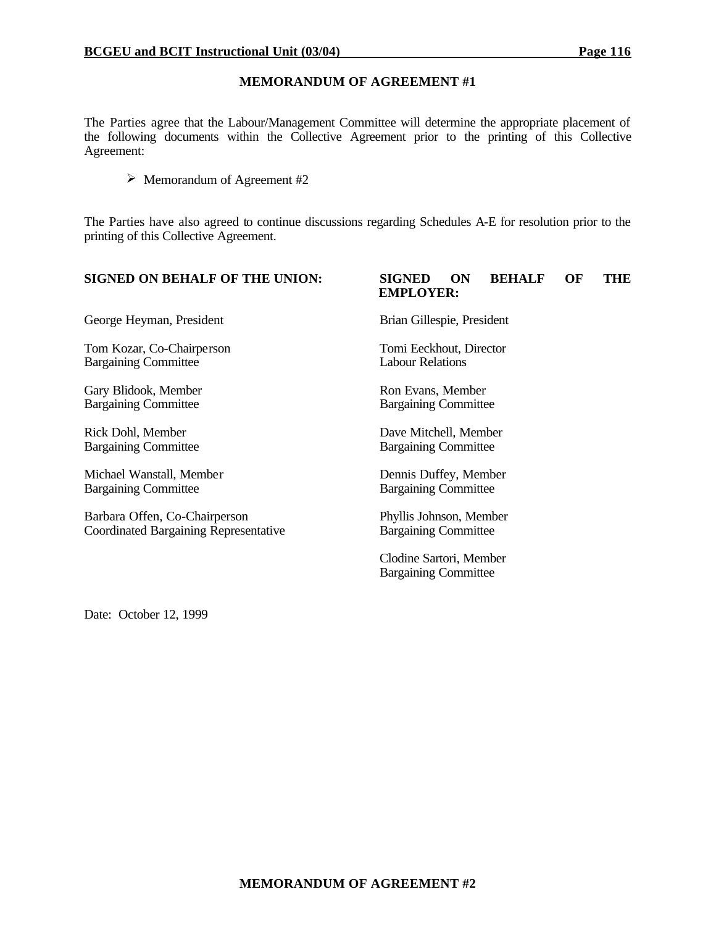#### **MEMORANDUM OF AGREEMENT #1**

The Parties agree that the Labour/Management Committee will determine the appropriate placement of the following documents within the Collective Agreement prior to the printing of this Collective Agreement:

 $\triangleright$  Memorandum of Agreement #2

The Parties have also agreed to continue discussions regarding Schedules A-E for resolution prior to the printing of this Collective Agreement.

George Heyman, President Brian Gillespie, President

Tom Kozar, Co-Chairperson Tomi Eeckhout, Director Bargaining Committee Labour Relations

Gary Blidook, Member Ron Evans, Member Bargaining Committee Bargaining Committee

Michael Wanstall, Member Dennis Duffey, Member Bargaining Committee Bargaining Committee

Barbara Offen, Co-Chairperson Phyllis Johnson, Member Coordinated Bargaining Representative Bargaining Committee

#### **SIGNED ON BEHALF OF THE UNION: SIGNED ON BEHALF OF THE EMPLOYER:**

Rick Dohl, Member Dave Mitchell, Member Bargaining Committee Bargaining Committee

Clodine Sartori, Member Bargaining Committee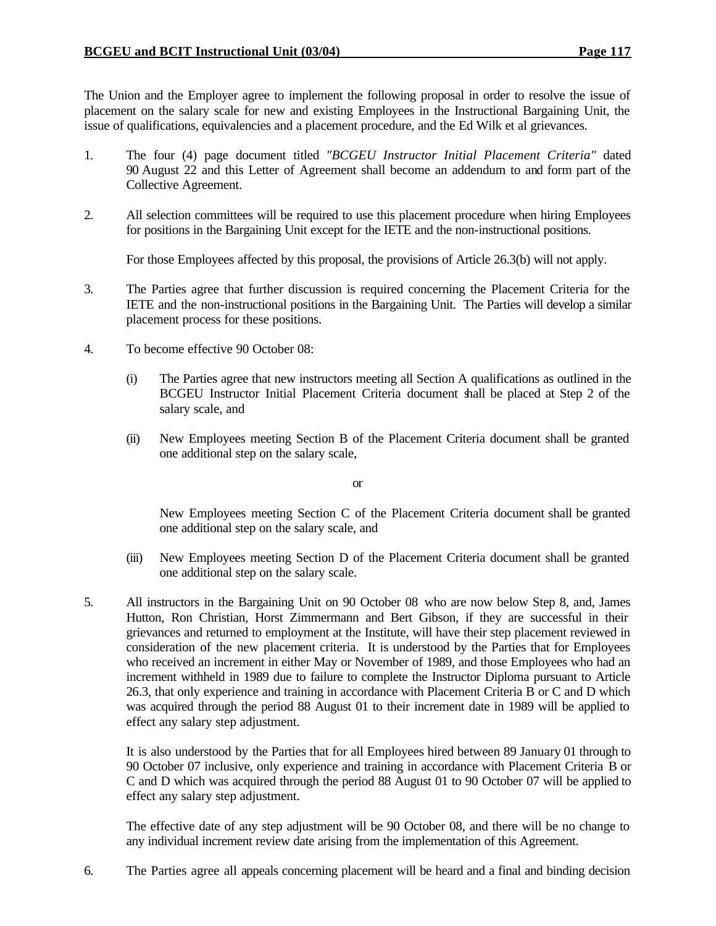The Union and the Employer agree to implement the following proposal in order to resolve the issue of placement on the salary scale for new and existing Employees in the Instructional Bargaining Unit, the issue of qualifications, equivalencies and a placement procedure, and the Ed Wilk et al grievances.

- 1. The four (4) page document titled *"BCGEU Instructor Initial Placement Criteria"* dated 90 August 22 and this Letter of Agreement shall become an addendum to and form part of the Collective Agreement.
- 2. All selection committees will be required to use this placement procedure when hiring Employees for positions in the Bargaining Unit except for the IETE and the non-instructional positions.

For those Employees affected by this proposal, the provisions of Article 26.3(b) will not apply.

- 3. The Parties agree that further discussion is required concerning the Placement Criteria for the IETE and the non-instructional positions in the Bargaining Unit. The Parties will develop a similar placement process for these positions.
- 4. To become effective 90 October 08:
	- (i) The Parties agree that new instructors meeting all Section A qualifications as outlined in the BCGEU Instructor Initial Placement Criteria document shall be placed at Step 2 of the salary scale, and
	- (ii) New Employees meeting Section B of the Placement Criteria document shall be granted one additional step on the salary scale,

or

New Employees meeting Section C of the Placement Criteria document shall be granted one additional step on the salary scale, and

- (iii) New Employees meeting Section D of the Placement Criteria document shall be granted one additional step on the salary scale.
- 5. All instructors in the Bargaining Unit on 90 October 08 who are now below Step 8, and, James Hutton, Ron Christian, Horst Zimmermann and Bert Gibson, if they are successful in their grievances and returned to employment at the Institute, will have their step placement reviewed in consideration of the new placement criteria. It is understood by the Parties that for Employees who received an increment in either May or November of 1989, and those Employees who had an increment withheld in 1989 due to failure to complete the Instructor Diploma pursuant to Article 26.3, that only experience and training in accordance with Placement Criteria B or C and D which was acquired through the period 88 August 01 to their increment date in 1989 will be applied to effect any salary step adjustment.

It is also understood by the Parties that for all Employees hired between 89 January 01 through to 90 October 07 inclusive, only experience and training in accordance with Placement Criteria B or C and D which was acquired through the period 88 August 01 to 90 October 07 will be applied to effect any salary step adjustment.

The effective date of any step adjustment will be 90 October 08, and there will be no change to any individual increment review date arising from the implementation of this Agreement.

6. The Parties agree all appeals concerning placement will be heard and a final and binding decision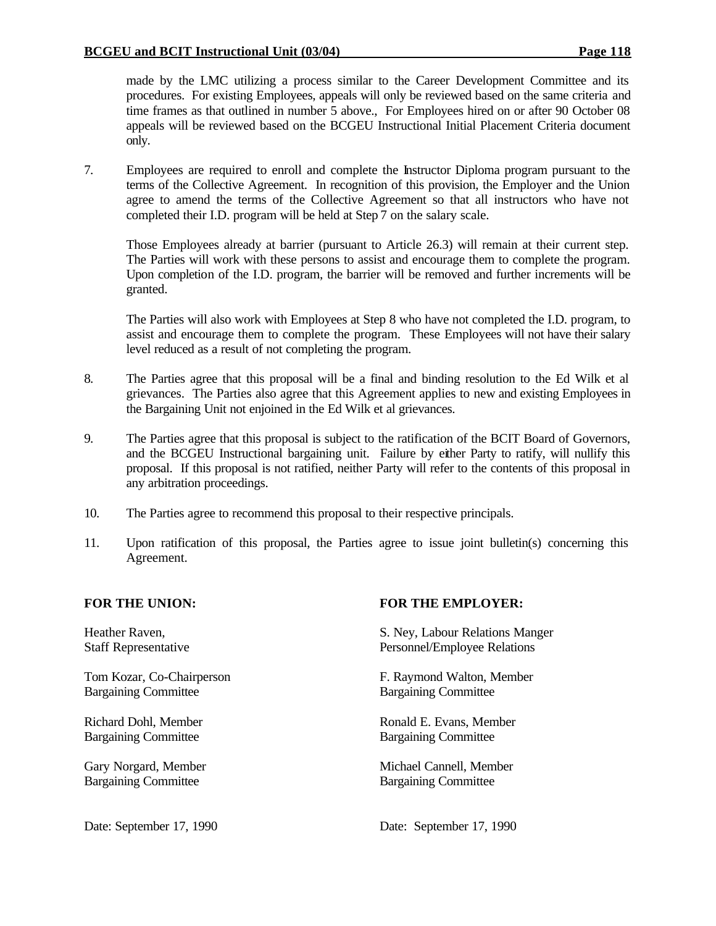made by the LMC utilizing a process similar to the Career Development Committee and its procedures. For existing Employees, appeals will only be reviewed based on the same criteria and time frames as that outlined in number 5 above., For Employees hired on or after 90 October 08 appeals will be reviewed based on the BCGEU Instructional Initial Placement Criteria document only.

7. Employees are required to enroll and complete the Instructor Diploma program pursuant to the terms of the Collective Agreement. In recognition of this provision, the Employer and the Union agree to amend the terms of the Collective Agreement so that all instructors who have not completed their I.D. program will be held at Step 7 on the salary scale.

Those Employees already at barrier (pursuant to Article 26.3) will remain at their current step. The Parties will work with these persons to assist and encourage them to complete the program. Upon completion of the I.D. program, the barrier will be removed and further increments will be granted.

The Parties will also work with Employees at Step 8 who have not completed the I.D. program, to assist and encourage them to complete the program. These Employees will not have their salary level reduced as a result of not completing the program.

- 8. The Parties agree that this proposal will be a final and binding resolution to the Ed Wilk et al grievances. The Parties also agree that this Agreement applies to new and existing Employees in the Bargaining Unit not enjoined in the Ed Wilk et al grievances.
- 9. The Parties agree that this proposal is subject to the ratification of the BCIT Board of Governors, and the BCGEU Instructional bargaining unit. Failure by either Party to ratify, will nullify this proposal. If this proposal is not ratified, neither Party will refer to the contents of this proposal in any arbitration proceedings.
- 10. The Parties agree to recommend this proposal to their respective principals.
- 11. Upon ratification of this proposal, the Parties agree to issue joint bulletin(s) concerning this Agreement.

Bargaining Committee Bargaining Committee

Bargaining Committee Bargaining Committee

Bargaining Committee Bargaining Committee

#### **FOR THE UNION: FOR THE EMPLOYER:**

Heather Raven, S. Ney, Labour Relations Manger Staff Representative Personnel/Employee Relations

Tom Kozar, Co-Chairperson F. Raymond Walton, Member

Richard Dohl, Member **Ronald E. Evans, Member** Ronald E. Evans, Member

Gary Norgard, Member Michael Cannell, Member

Date: September 17, 1990 Date: September 17, 1990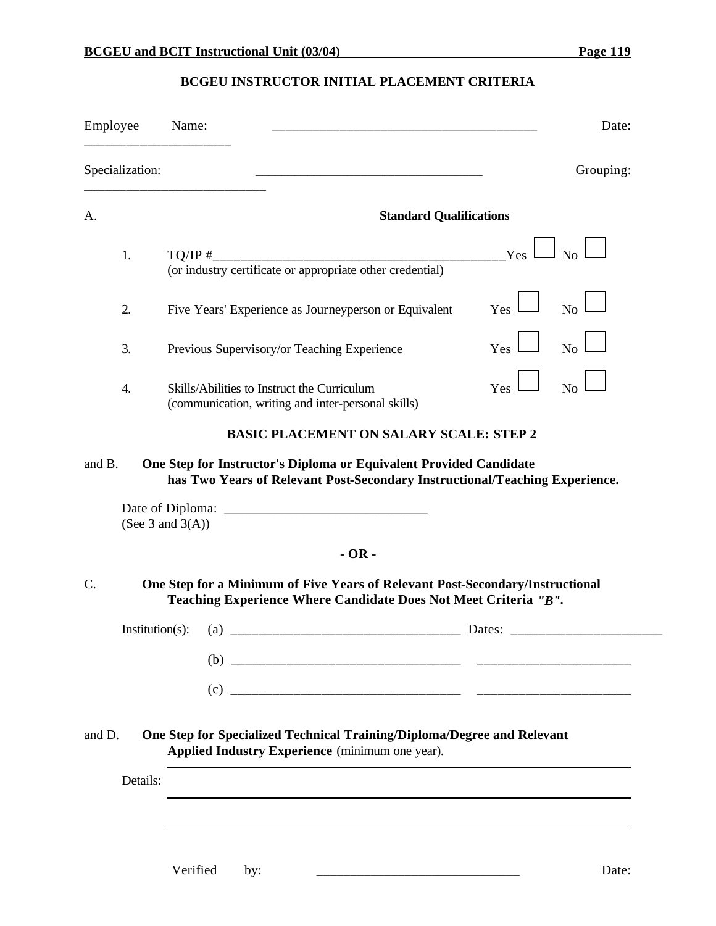# **BCGEU INSTRUCTOR INITIAL PLACEMENT CRITERIA**

| Employee |                    | Name:                                                                                                                                             | Date:          |
|----------|--------------------|---------------------------------------------------------------------------------------------------------------------------------------------------|----------------|
|          | Specialization:    |                                                                                                                                                   | Grouping:      |
| А.       |                    | <b>Standard Qualifications</b>                                                                                                                    |                |
|          | 1.                 | Yes                                                                                                                                               | $\Box$ No      |
|          | 2.                 | Yes<br>Five Years' Experience as Journeyperson or Equivalent                                                                                      | No             |
|          | 3.                 | Yes <sup>1</sup><br>Previous Supervisory/or Teaching Experience                                                                                   | No.            |
|          | 4.                 | Yes<br>Skills/Abilities to Instruct the Curriculum<br>(communication, writing and inter-personal skills)                                          | N <sub>o</sub> |
|          |                    | <b>BASIC PLACEMENT ON SALARY SCALE: STEP 2</b>                                                                                                    |                |
| and B.   |                    | One Step for Instructor's Diploma or Equivalent Provided Candidate<br>has Two Years of Relevant Post-Secondary Instructional/Teaching Experience. |                |
|          |                    | (See $3$ and $3(A)$ )                                                                                                                             |                |
|          |                    | $-OR -$                                                                                                                                           |                |
| C.       |                    | One Step for a Minimum of Five Years of Relevant Post-Secondary/Instructional<br>Teaching Experience Where Candidate Does Not Meet Criteria "B".  |                |
|          | $Institution(s)$ : | Dates:<br>(a)<br>_____________________________                                                                                                    |                |
|          |                    |                                                                                                                                                   |                |
|          |                    |                                                                                                                                                   |                |
| and D.   |                    | One Step for Specialized Technical Training/Diploma/Degree and Relevant<br>Applied Industry Experience (minimum one year).                        |                |
|          | Details:           |                                                                                                                                                   |                |
|          |                    |                                                                                                                                                   |                |
|          |                    |                                                                                                                                                   |                |
|          |                    |                                                                                                                                                   |                |

Verified by: \_\_\_\_\_\_\_\_\_\_\_\_\_\_\_\_\_\_\_\_\_\_\_\_\_\_\_\_\_\_ Date: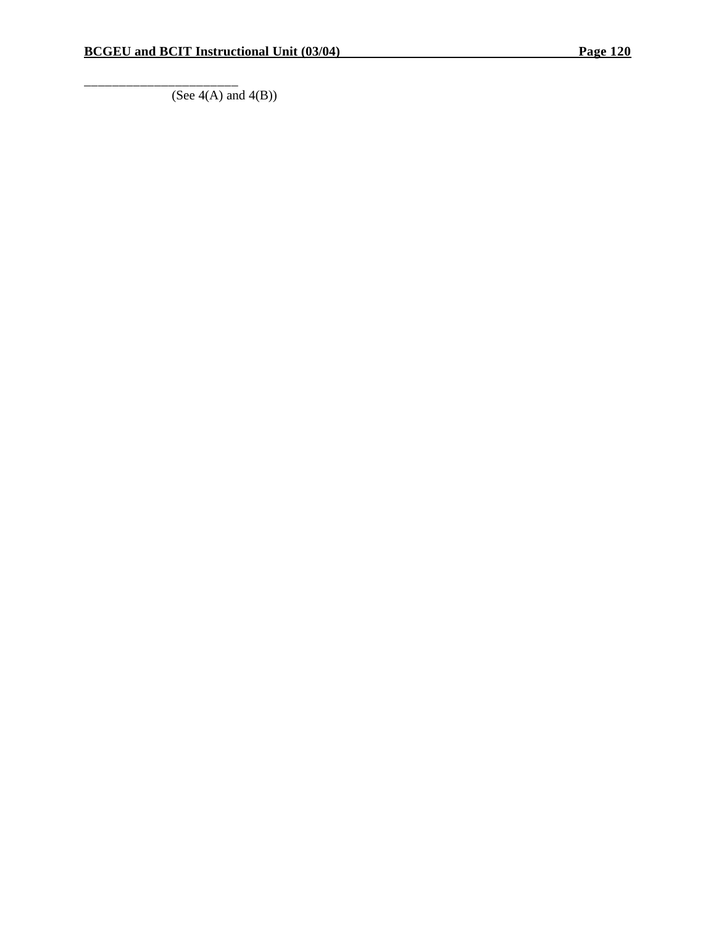\_\_\_\_\_\_\_\_\_\_\_\_\_\_\_\_\_\_\_\_\_\_

 $\overline{(See 4(A) \text{ and } 4(B))}$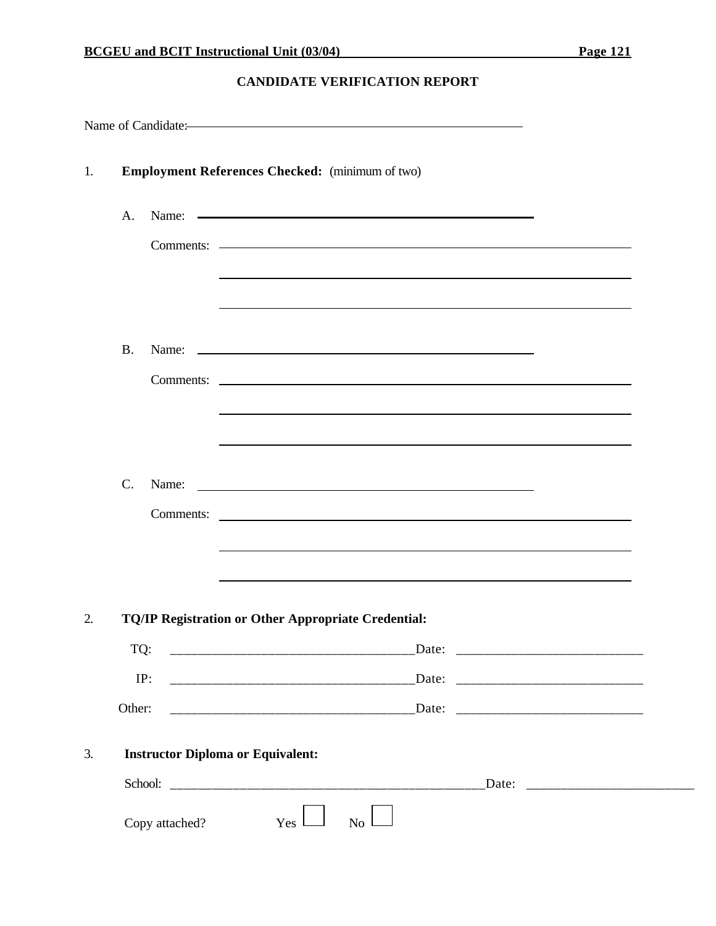#### **CANDIDATE VERIFICATION REPORT**

|    |        |                | Name of Candidate:                                         |                                                                                  |                                                                                                                  |  |
|----|--------|----------------|------------------------------------------------------------|----------------------------------------------------------------------------------|------------------------------------------------------------------------------------------------------------------|--|
| 1. |        |                | <b>Employment References Checked:</b> (minimum of two)     |                                                                                  |                                                                                                                  |  |
|    | A.     |                | Name: Name:                                                |                                                                                  |                                                                                                                  |  |
|    |        |                |                                                            |                                                                                  |                                                                                                                  |  |
|    |        |                |                                                            |                                                                                  | and the control of the control of the control of the control of the control of the control of the control of the |  |
|    |        |                |                                                            |                                                                                  |                                                                                                                  |  |
|    | B.     |                |                                                            |                                                                                  |                                                                                                                  |  |
|    |        |                |                                                            |                                                                                  |                                                                                                                  |  |
|    |        |                |                                                            | ,我们也不会有什么。""我们的人,我们也不会有什么?""我们的人,我们也不会有什么?""我们的人,我们也不会有什么?""我们的人,我们也不会有什么?""我们的人 |                                                                                                                  |  |
|    |        |                |                                                            |                                                                                  |                                                                                                                  |  |
|    | C.     |                | Name: Name:                                                |                                                                                  |                                                                                                                  |  |
|    |        |                | Comments:                                                  |                                                                                  |                                                                                                                  |  |
|    |        |                |                                                            |                                                                                  | <u> 1989 - Johann Stoff, amerikansk politiker (* 1908)</u>                                                       |  |
|    |        |                |                                                            | ,我们也不会有什么。""我们的人,我们也不会有什么?""我们的人,我们也不会有什么?""我们的人,我们也不会有什么?""我们的人,我们也不会有什么?""我们的人 |                                                                                                                  |  |
| 2. |        |                | <b>TQ/IP Registration or Other Appropriate Credential:</b> |                                                                                  |                                                                                                                  |  |
|    | TQ:    |                |                                                            |                                                                                  |                                                                                                                  |  |
|    |        | IP:            |                                                            |                                                                                  |                                                                                                                  |  |
|    | Other: |                |                                                            |                                                                                  |                                                                                                                  |  |
| 3. |        |                | <b>Instructor Diploma or Equivalent:</b>                   |                                                                                  |                                                                                                                  |  |
|    |        |                |                                                            |                                                                                  |                                                                                                                  |  |
|    |        | Copy attached? | $Yes \perp$                                                | $\overline{N_{0}}$                                                               |                                                                                                                  |  |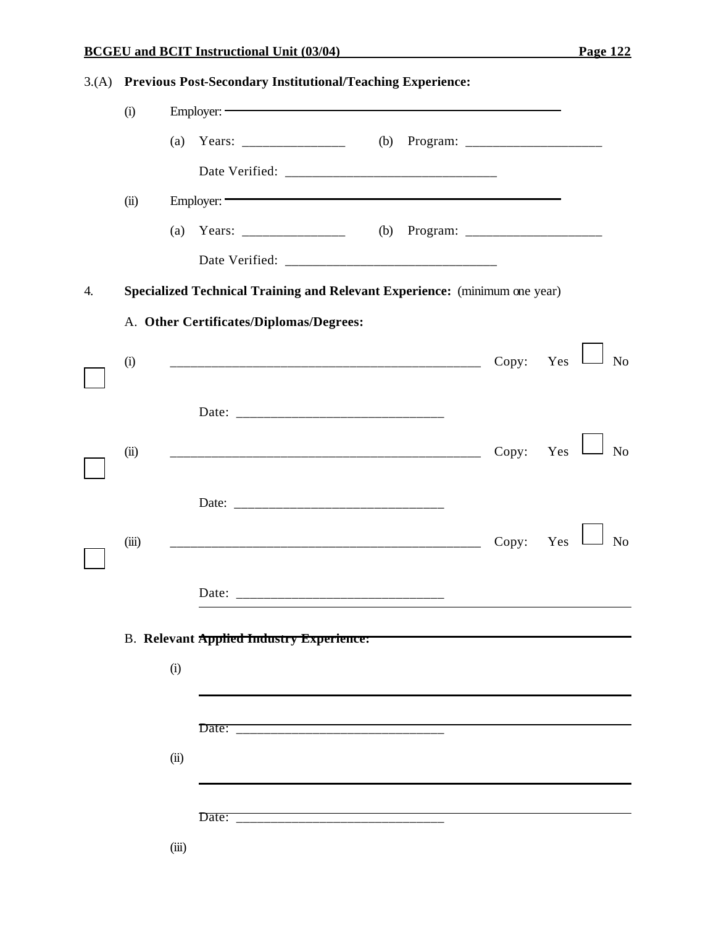# **BCGEU and BCIT Instructional Unit (03/04) Page 122**

| 3.(A) Previous Post-Secondary Institutional/Teaching Experience: |  |
|------------------------------------------------------------------|--|
|                                                                  |  |

|    | (i)   | Employer:                                                                  |                       |                |
|----|-------|----------------------------------------------------------------------------|-----------------------|----------------|
|    |       |                                                                            |                       |                |
|    |       |                                                                            |                       |                |
|    | (ii)  | Employer:                                                                  |                       |                |
|    |       |                                                                            |                       |                |
|    |       |                                                                            |                       |                |
| 4. |       | Specialized Technical Training and Relevant Experience: (minimum one year) |                       |                |
|    |       | A. Other Certificates/Diplomas/Degrees:                                    |                       |                |
|    | (i)   |                                                                            | Copy: Yes             | N <sub>o</sub> |
|    |       |                                                                            |                       |                |
|    | (ii)  |                                                                            | Copy: $Yes$ $\lfloor$ | N <sub>o</sub> |
|    |       |                                                                            |                       |                |
|    | (iii) |                                                                            | Copy: Yes             | N <sub>o</sub> |
|    |       |                                                                            |                       |                |
|    |       | <b>B.</b> Relevant Applied Industry Experience:                            |                       |                |
|    |       | (i)                                                                        |                       |                |
|    |       |                                                                            |                       |                |
|    |       | (ii)                                                                       |                       |                |
|    |       |                                                                            |                       |                |
|    |       | (iii)                                                                      |                       |                |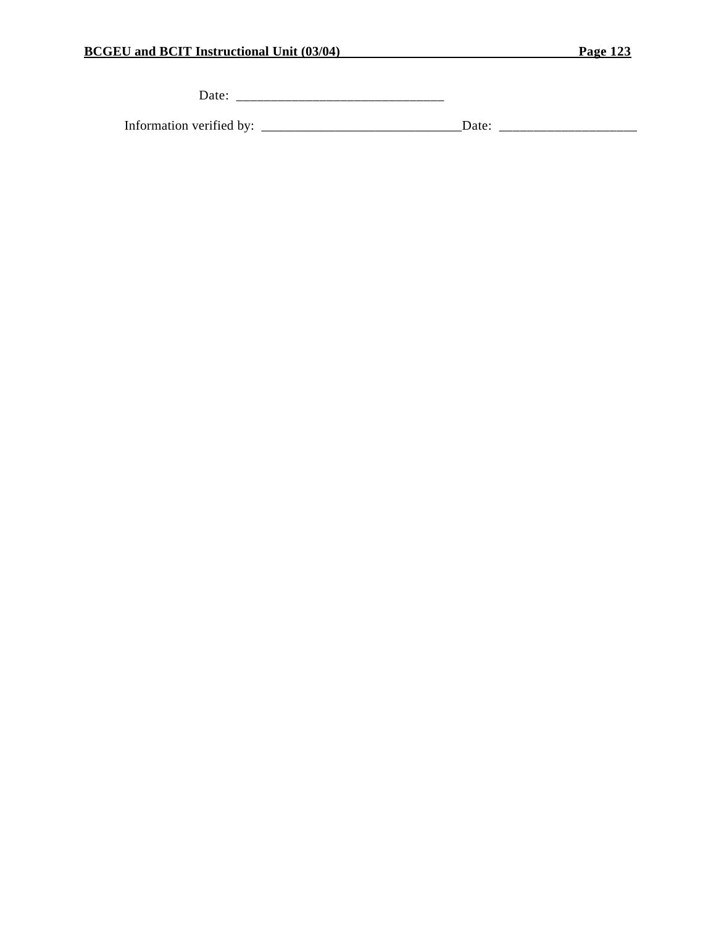Date: \_\_\_\_\_\_\_\_\_\_\_\_\_\_\_\_\_\_\_\_\_\_\_\_\_\_\_\_\_\_

Information verified by: \_\_\_\_\_\_\_\_\_\_\_\_\_\_\_\_\_\_\_\_\_\_\_\_\_\_\_\_\_\_Date: \_\_\_\_\_\_\_\_\_\_\_\_\_\_\_\_\_\_\_\_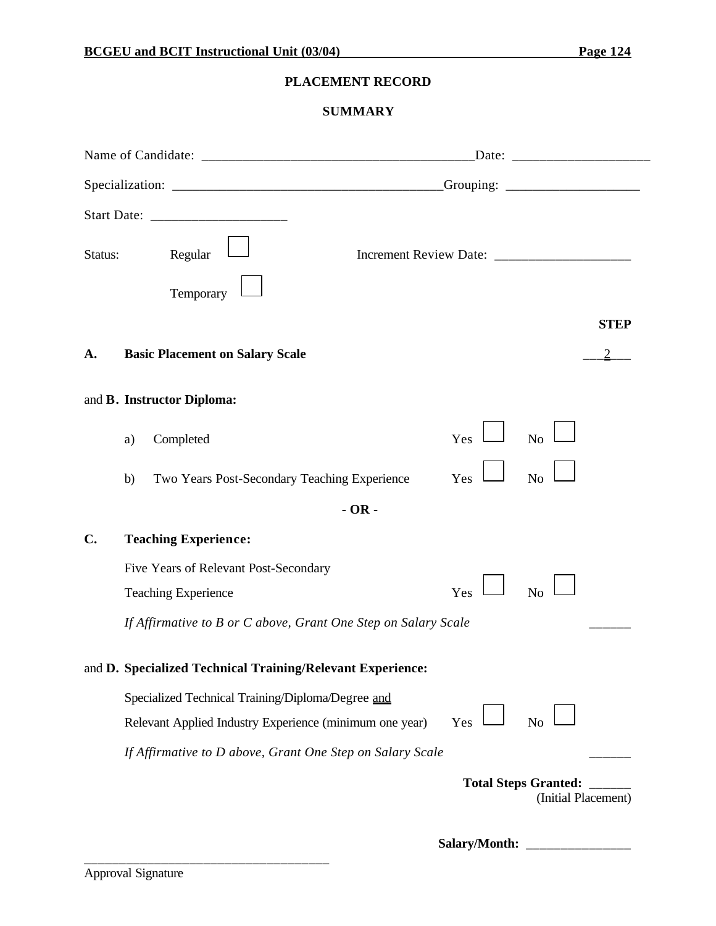### **PLACEMENT RECORD**

# **SUMMARY**

| Status:       | Regular                                                                                                      |         |               |                                                    |             |
|---------------|--------------------------------------------------------------------------------------------------------------|---------|---------------|----------------------------------------------------|-------------|
|               | Temporary                                                                                                    |         |               |                                                    |             |
|               |                                                                                                              |         |               |                                                    | <b>STEP</b> |
| A.            | <b>Basic Placement on Salary Scale</b>                                                                       |         |               |                                                    |             |
|               | and B. Instructor Diploma:                                                                                   |         |               |                                                    |             |
|               | Completed<br>a)                                                                                              |         | Yes           | No                                                 |             |
|               | Two Years Post-Secondary Teaching Experience<br>b)                                                           |         | Yes           | N <sub>o</sub>                                     |             |
|               |                                                                                                              | $-OR -$ |               |                                                    |             |
| $C_{\bullet}$ | <b>Teaching Experience:</b>                                                                                  |         |               |                                                    |             |
|               | Five Years of Relevant Post-Secondary<br><b>Teaching Experience</b>                                          |         | Yes           | N <sub>o</sub>                                     |             |
|               | If Affirmative to B or C above, Grant One Step on Salary Scale                                               |         |               |                                                    |             |
|               | and D. Specialized Technical Training/Relevant Experience:                                                   |         |               |                                                    |             |
|               | Specialized Technical Training/Diploma/Degree and<br>Relevant Applied Industry Experience (minimum one year) |         | Yes           | N <sub>o</sub>                                     |             |
|               | If Affirmative to D above, Grant One Step on Salary Scale                                                    |         |               |                                                    |             |
|               |                                                                                                              |         |               | <b>Total Steps Granted:</b><br>(Initial Placement) |             |
|               |                                                                                                              |         | Salary/Month: |                                                    |             |

\_\_\_\_\_\_\_\_\_\_\_\_\_\_\_\_\_\_\_\_\_\_\_\_\_\_\_\_\_\_\_\_\_\_\_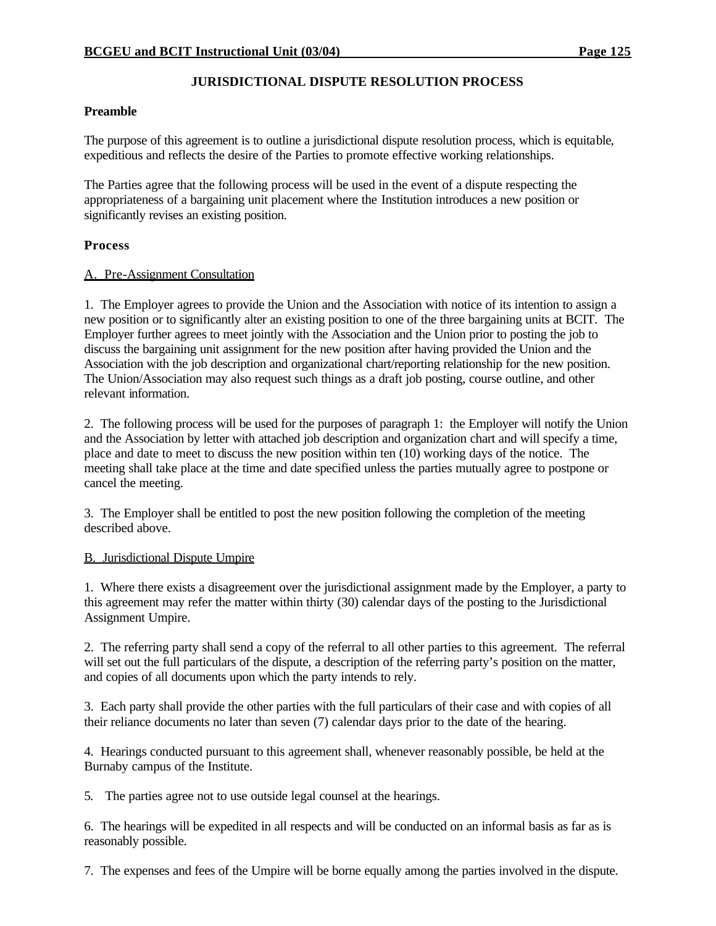#### **JURISDICTIONAL DISPUTE RESOLUTION PROCESS**

#### **Preamble**

The purpose of this agreement is to outline a jurisdictional dispute resolution process, which is equitable, expeditious and reflects the desire of the Parties to promote effective working relationships.

The Parties agree that the following process will be used in the event of a dispute respecting the appropriateness of a bargaining unit placement where the Institution introduces a new position or significantly revises an existing position.

#### **Process**

#### A. Pre-Assignment Consultation

1. The Employer agrees to provide the Union and the Association with notice of its intention to assign a new position or to significantly alter an existing position to one of the three bargaining units at BCIT. The Employer further agrees to meet jointly with the Association and the Union prior to posting the job to discuss the bargaining unit assignment for the new position after having provided the Union and the Association with the job description and organizational chart/reporting relationship for the new position. The Union/Association may also request such things as a draft job posting, course outline, and other relevant information.

2. The following process will be used for the purposes of paragraph 1: the Employer will notify the Union and the Association by letter with attached job description and organization chart and will specify a time, place and date to meet to discuss the new position within ten (10) working days of the notice. The meeting shall take place at the time and date specified unless the parties mutually agree to postpone or cancel the meeting.

3. The Employer shall be entitled to post the new position following the completion of the meeting described above.

#### B. Jurisdictional Dispute Umpire

1. Where there exists a disagreement over the jurisdictional assignment made by the Employer, a party to this agreement may refer the matter within thirty (30) calendar days of the posting to the Jurisdictional Assignment Umpire.

2. The referring party shall send a copy of the referral to all other parties to this agreement. The referral will set out the full particulars of the dispute, a description of the referring party's position on the matter, and copies of all documents upon which the party intends to rely.

3. Each party shall provide the other parties with the full particulars of their case and with copies of all their reliance documents no later than seven (7) calendar days prior to the date of the hearing.

4. Hearings conducted pursuant to this agreement shall, whenever reasonably possible, be held at the Burnaby campus of the Institute.

5. The parties agree not to use outside legal counsel at the hearings.

6. The hearings will be expedited in all respects and will be conducted on an informal basis as far as is reasonably possible.

7. The expenses and fees of the Umpire will be borne equally among the parties involved in the dispute.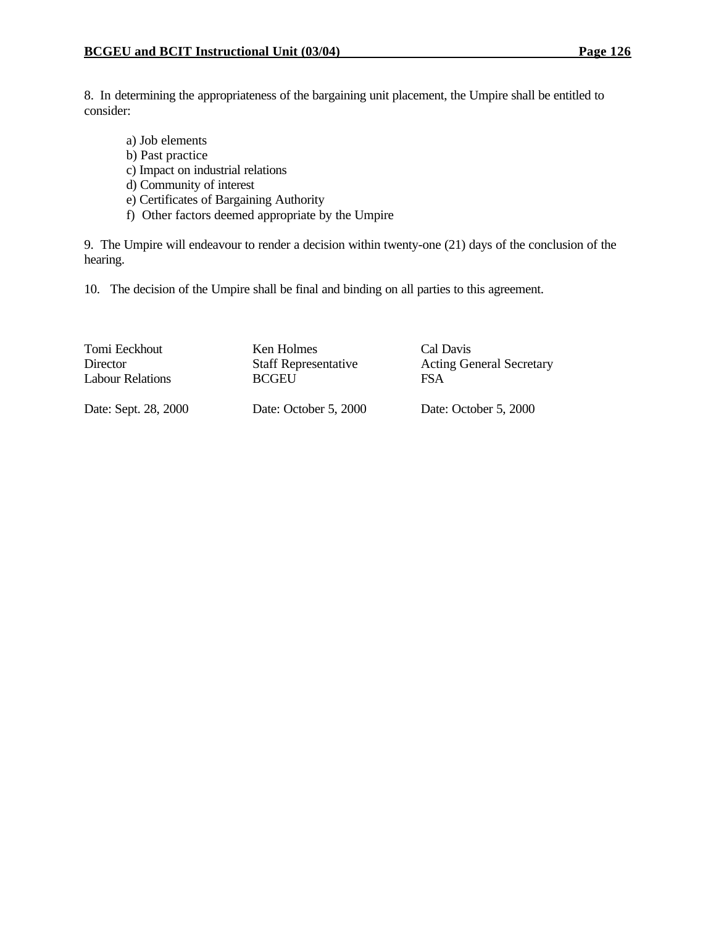8. In determining the appropriateness of the bargaining unit placement, the Umpire shall be entitled to consider:

- a) Job elements b) Past practice c) Impact on industrial relations d) Community of interest
- e) Certificates of Bargaining Authority
- f) Other factors deemed appropriate by the Umpire

9. The Umpire will endeavour to render a decision within twenty-one (21) days of the conclusion of the hearing.

10. The decision of the Umpire shall be final and binding on all parties to this agreement.

| Tomi Eeckhout        | Ken Holmes                  | Cal Davis                       |
|----------------------|-----------------------------|---------------------------------|
| <b>Director</b>      | <b>Staff Representative</b> | <b>Acting General Secretary</b> |
| Labour Relations     | <b>BCGEU</b>                | <b>FSA</b>                      |
| Date: Sept. 28, 2000 | Date: October 5, 2000       | Date: October 5, 2000           |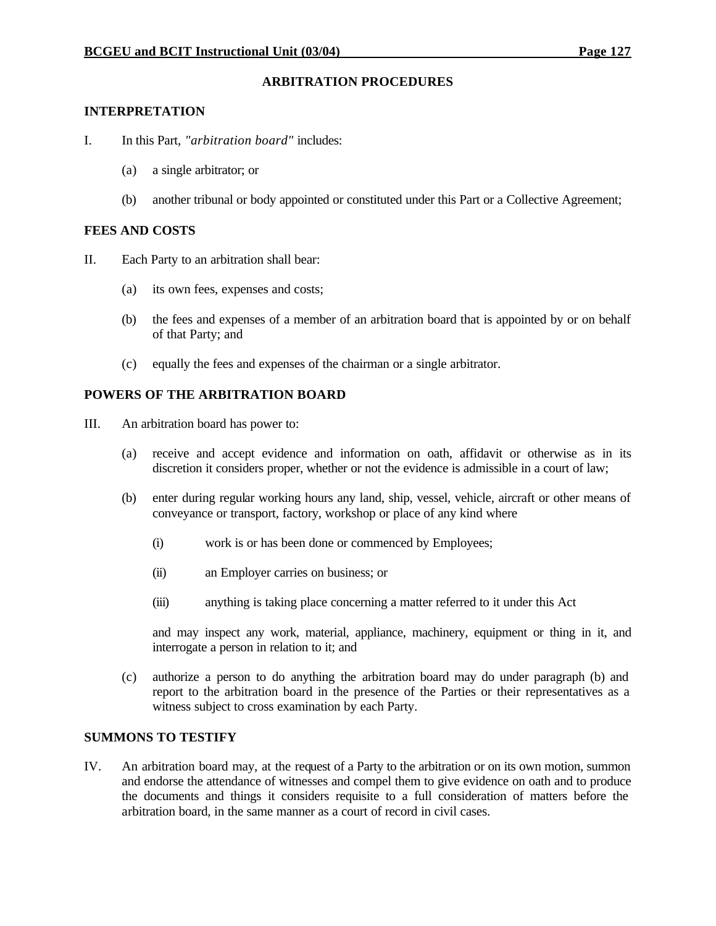#### **ARBITRATION PROCEDURES**

#### **INTERPRETATION**

- I. In this Part, *"arbitration board"* includes:
	- (a) a single arbitrator; or
	- (b) another tribunal or body appointed or constituted under this Part or a Collective Agreement;

#### **FEES AND COSTS**

- II. Each Party to an arbitration shall bear:
	- (a) its own fees, expenses and costs;
	- (b) the fees and expenses of a member of an arbitration board that is appointed by or on behalf of that Party; and
	- (c) equally the fees and expenses of the chairman or a single arbitrator.

#### **POWERS OF THE ARBITRATION BOARD**

- III. An arbitration board has power to:
	- (a) receive and accept evidence and information on oath, affidavit or otherwise as in its discretion it considers proper, whether or not the evidence is admissible in a court of law;
	- (b) enter during regular working hours any land, ship, vessel, vehicle, aircraft or other means of conveyance or transport, factory, workshop or place of any kind where
		- (i) work is or has been done or commenced by Employees;
		- (ii) an Employer carries on business; or
		- (iii) anything is taking place concerning a matter referred to it under this Act

and may inspect any work, material, appliance, machinery, equipment or thing in it, and interrogate a person in relation to it; and

(c) authorize a person to do anything the arbitration board may do under paragraph (b) and report to the arbitration board in the presence of the Parties or their representatives as a witness subject to cross examination by each Party.

#### **SUMMONS TO TESTIFY**

IV. An arbitration board may, at the request of a Party to the arbitration or on its own motion, summon and endorse the attendance of witnesses and compel them to give evidence on oath and to produce the documents and things it considers requisite to a full consideration of matters before the arbitration board, in the same manner as a court of record in civil cases.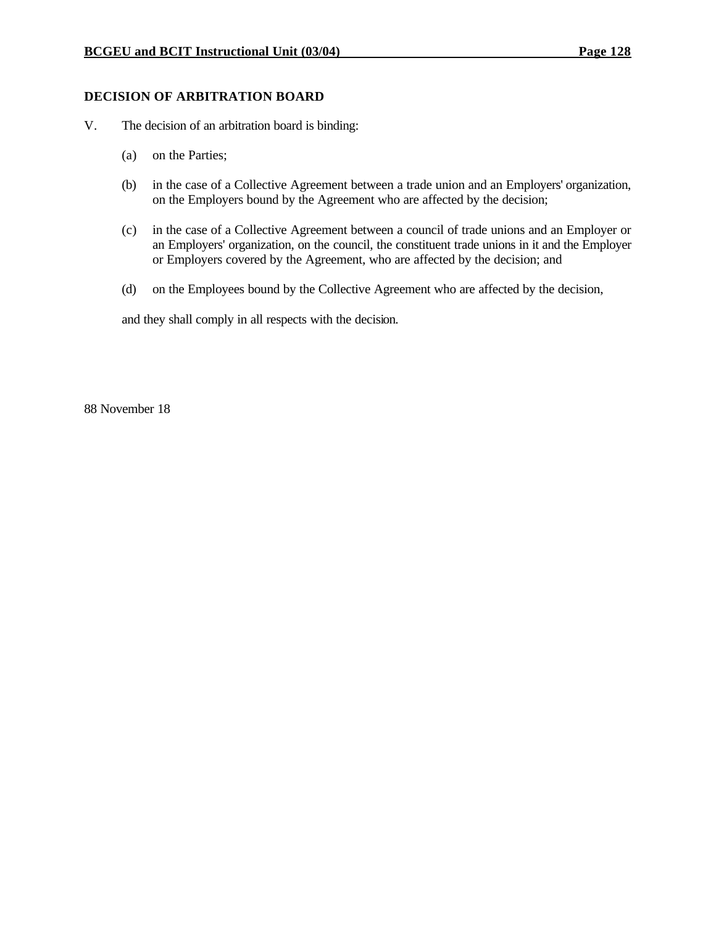### **DECISION OF ARBITRATION BOARD**

- V. The decision of an arbitration board is binding:
	- (a) on the Parties;
	- (b) in the case of a Collective Agreement between a trade union and an Employers' organization, on the Employers bound by the Agreement who are affected by the decision;
	- (c) in the case of a Collective Agreement between a council of trade unions and an Employer or an Employers' organization, on the council, the constituent trade unions in it and the Employer or Employers covered by the Agreement, who are affected by the decision; and
	- (d) on the Employees bound by the Collective Agreement who are affected by the decision,

and they shall comply in all respects with the decision.

88 November 18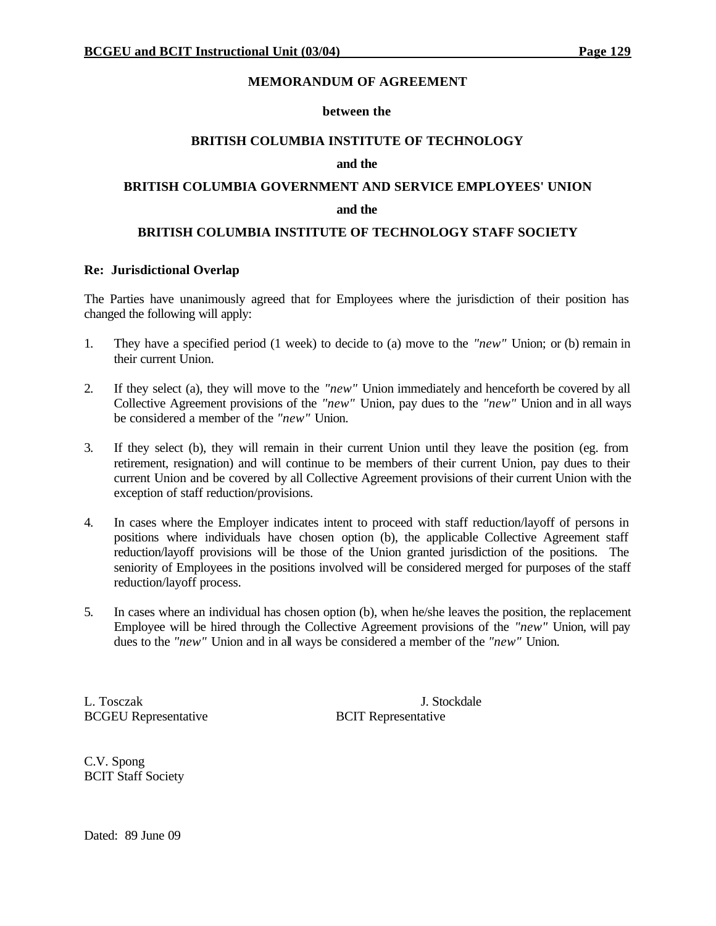#### **MEMORANDUM OF AGREEMENT**

#### **between the**

#### **BRITISH COLUMBIA INSTITUTE OF TECHNOLOGY**

#### **and the**

# **BRITISH COLUMBIA GOVERNMENT AND SERVICE EMPLOYEES' UNION**

#### **and the**

#### **BRITISH COLUMBIA INSTITUTE OF TECHNOLOGY STAFF SOCIETY**

#### **Re: Jurisdictional Overlap**

The Parties have unanimously agreed that for Employees where the jurisdiction of their position has changed the following will apply:

- 1. They have a specified period (1 week) to decide to (a) move to the *"new"* Union; or (b) remain in their current Union.
- 2. If they select (a), they will move to the *"new"* Union immediately and henceforth be covered by all Collective Agreement provisions of the *"new"* Union, pay dues to the *"new"* Union and in all ways be considered a member of the *"new"* Union.
- 3. If they select (b), they will remain in their current Union until they leave the position (eg. from retirement, resignation) and will continue to be members of their current Union, pay dues to their current Union and be covered by all Collective Agreement provisions of their current Union with the exception of staff reduction/provisions.
- 4. In cases where the Employer indicates intent to proceed with staff reduction/layoff of persons in positions where individuals have chosen option (b), the applicable Collective Agreement staff reduction/layoff provisions will be those of the Union granted jurisdiction of the positions. The seniority of Employees in the positions involved will be considered merged for purposes of the staff reduction/layoff process.
- 5. In cases where an individual has chosen option (b), when he/she leaves the position, the replacement Employee will be hired through the Collective Agreement provisions of the *"new"* Union, will pay dues to the *"new"* Union and in all ways be considered a member of the *"new"* Union.

L. Tosczak J. Stockdale BCGEU Representative BCIT Representative

C.V. Spong BCIT Staff Society

Dated: 89 June 09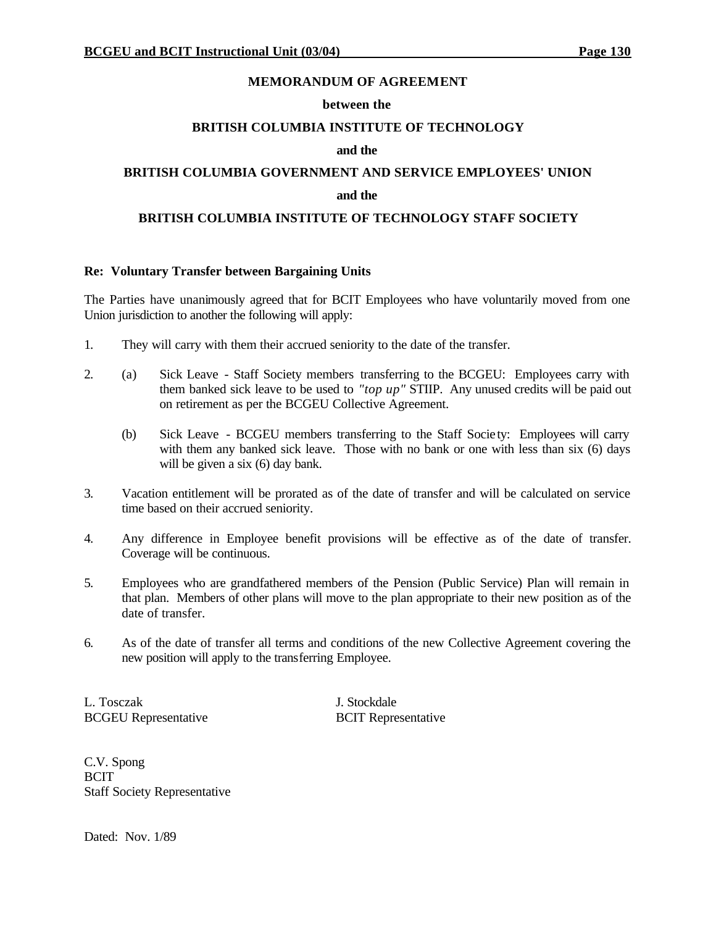#### **MEMORANDUM OF AGREEMENT**

#### **between the**

#### **BRITISH COLUMBIA INSTITUTE OF TECHNOLOGY**

#### **and the**

# **BRITISH COLUMBIA GOVERNMENT AND SERVICE EMPLOYEES' UNION and the**

#### **BRITISH COLUMBIA INSTITUTE OF TECHNOLOGY STAFF SOCIETY**

#### **Re: Voluntary Transfer between Bargaining Units**

The Parties have unanimously agreed that for BCIT Employees who have voluntarily moved from one Union jurisdiction to another the following will apply:

- 1. They will carry with them their accrued seniority to the date of the transfer.
- 2. (a) Sick Leave Staff Society members transferring to the BCGEU: Employees carry with them banked sick leave to be used to *"top up"* STIIP. Any unused credits will be paid out on retirement as per the BCGEU Collective Agreement.
	- (b) Sick Leave BCGEU members transferring to the Staff Socie ty: Employees will carry with them any banked sick leave. Those with no bank or one with less than six (6) days will be given a six  $(6)$  day bank.
- 3. Vacation entitlement will be prorated as of the date of transfer and will be calculated on service time based on their accrued seniority.
- 4. Any difference in Employee benefit provisions will be effective as of the date of transfer. Coverage will be continuous.
- 5. Employees who are grandfathered members of the Pension (Public Service) Plan will remain in that plan. Members of other plans will move to the plan appropriate to their new position as of the date of transfer.
- 6. As of the date of transfer all terms and conditions of the new Collective Agreement covering the new position will apply to the transferring Employee.

L. Tosczak J. Stockdale BCGEU Representative BCIT Representative

C.V. Spong BCIT Staff Society Representative

Dated: Nov. 1/89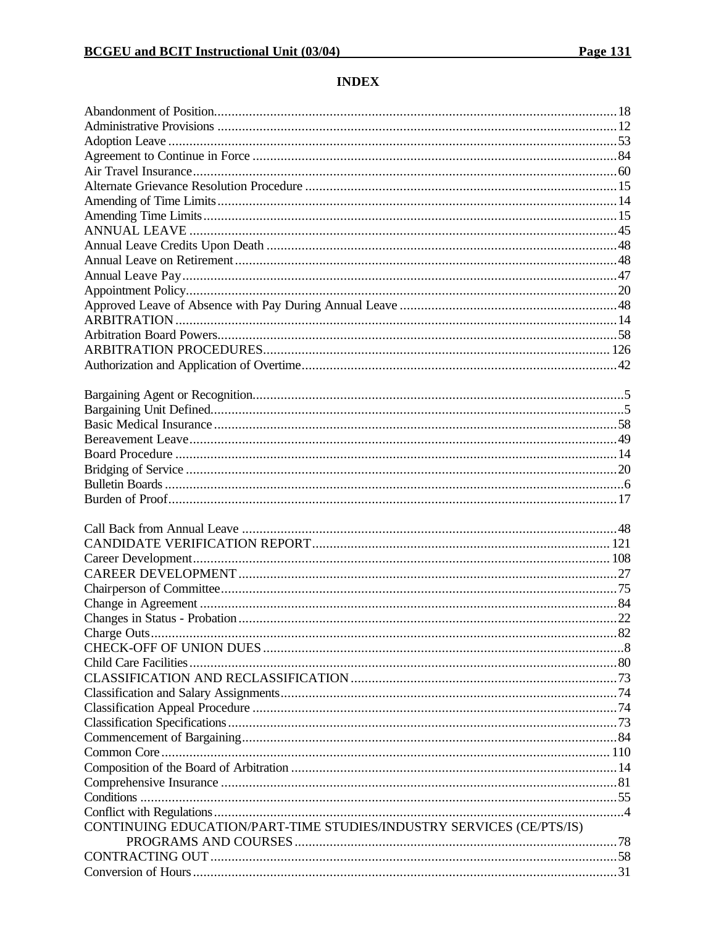#### **INDEX**

| CONTINUING EDUCATION/PART-TIME STUDIES/INDUSTRY SERVICES (CE/PTS/IS) |  |
|----------------------------------------------------------------------|--|
|                                                                      |  |
|                                                                      |  |
|                                                                      |  |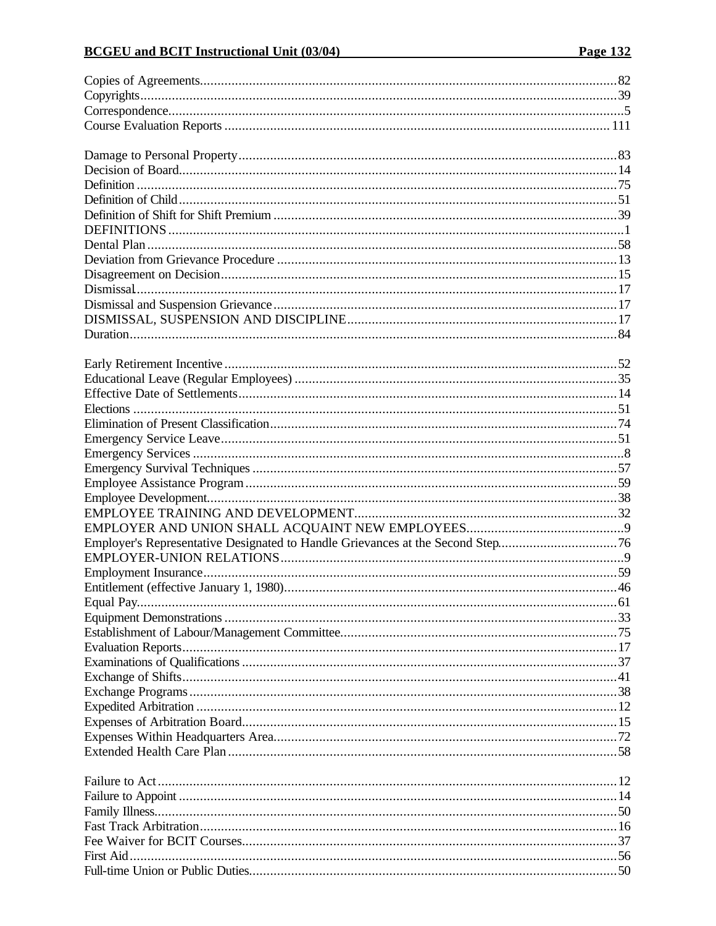# **BCGEU** and BCIT Instructional Unit (03/04)

| Employer's Representative Designated to Handle Grievances at the Second Step76 |  |
|--------------------------------------------------------------------------------|--|
|                                                                                |  |
|                                                                                |  |
|                                                                                |  |
|                                                                                |  |
|                                                                                |  |
|                                                                                |  |
|                                                                                |  |
|                                                                                |  |
|                                                                                |  |
|                                                                                |  |
|                                                                                |  |
|                                                                                |  |
|                                                                                |  |
|                                                                                |  |
|                                                                                |  |
|                                                                                |  |
|                                                                                |  |
|                                                                                |  |
|                                                                                |  |
|                                                                                |  |
|                                                                                |  |
|                                                                                |  |
|                                                                                |  |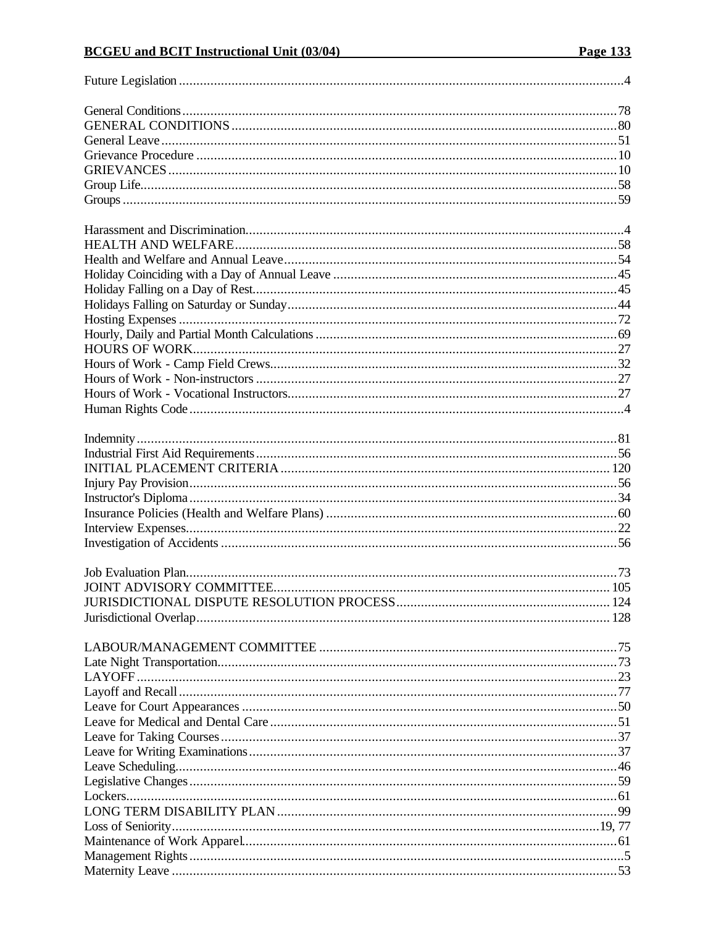# **BCGEU** and BCIT Instructional Unit (03/04)